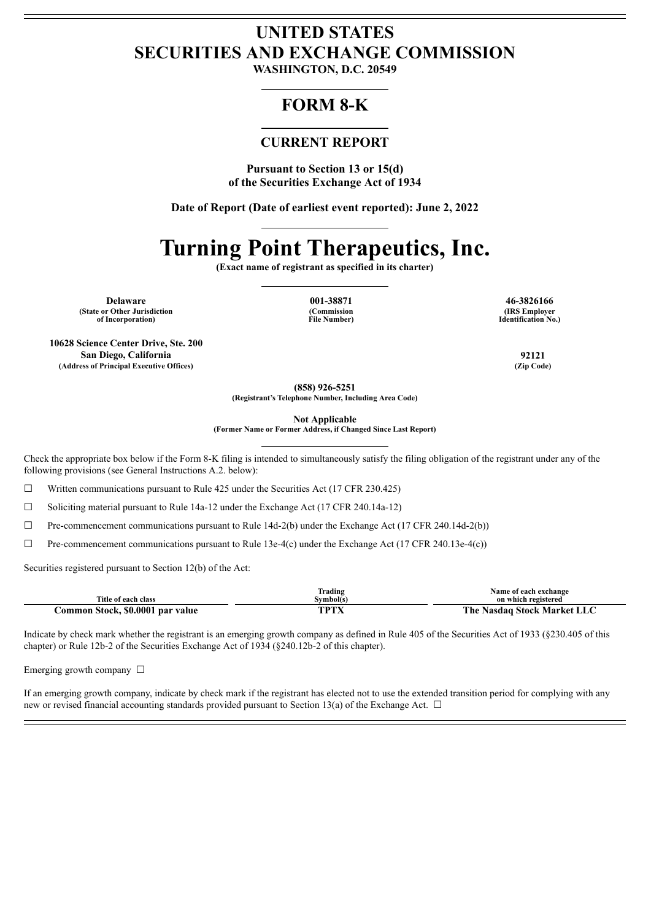# **UNITED STATES SECURITIES AND EXCHANGE COMMISSION**

**WASHINGTON, D.C. 20549**

# **FORM 8-K**

# **CURRENT REPORT**

**Pursuant to Section 13 or 15(d) of the Securities Exchange Act of 1934**

**Date of Report (Date of earliest event reported): June 2, 2022**

# **Turning Point Therapeutics, Inc.**

**(Exact name of registrant as specified in its charter)**

**Delaware 001-38871 46-3826166 (State or Other Jurisdiction of Incorporation)**

**(Commission File Number)**

**(IRS Employer Identification No.)**

**10628 Science Center Drive, Ste. 200 San Diego, California 92121 (Address of Principal Executive Offices) (Zip Code)**

**(858) 926-5251**

**(Registrant's Telephone Number, Including Area Code)**

**Not Applicable**

**(Former Name or Former Address, if Changed Since Last Report)**

Check the appropriate box below if the Form 8-K filing is intended to simultaneously satisfy the filing obligation of the registrant under any of the following provisions (see General Instructions A.2. below):

☐ Written communications pursuant to Rule 425 under the Securities Act (17 CFR 230.425)

☐ Soliciting material pursuant to Rule 14a-12 under the Exchange Act (17 CFR 240.14a-12)

☐ Pre-commencement communications pursuant to Rule 14d-2(b) under the Exchange Act (17 CFR 240.14d-2(b))

 $\Box$  Pre-commencement communications pursuant to Rule 13e-4(c) under the Exchange Act (17 CFR 240.13e-4(c))

Securities registered pursuant to Section 12(b) of the Act:

|                                           | Trading  | Name of each exchange                 |
|-------------------------------------------|----------|---------------------------------------|
| Title of each class                       | švmbol(s | on which registered                   |
| ا Stock, \$0,0001<br>par value<br>.'ommon |          | <b>Nasdaq Stock Market LL</b><br>. he |

Indicate by check mark whether the registrant is an emerging growth company as defined in Rule 405 of the Securities Act of 1933 (§230.405 of this chapter) or Rule 12b-2 of the Securities Exchange Act of 1934 (§240.12b-2 of this chapter).

Emerging growth company  $\Box$ 

If an emerging growth company, indicate by check mark if the registrant has elected not to use the extended transition period for complying with any new or revised financial accounting standards provided pursuant to Section 13(a) of the Exchange Act.  $\Box$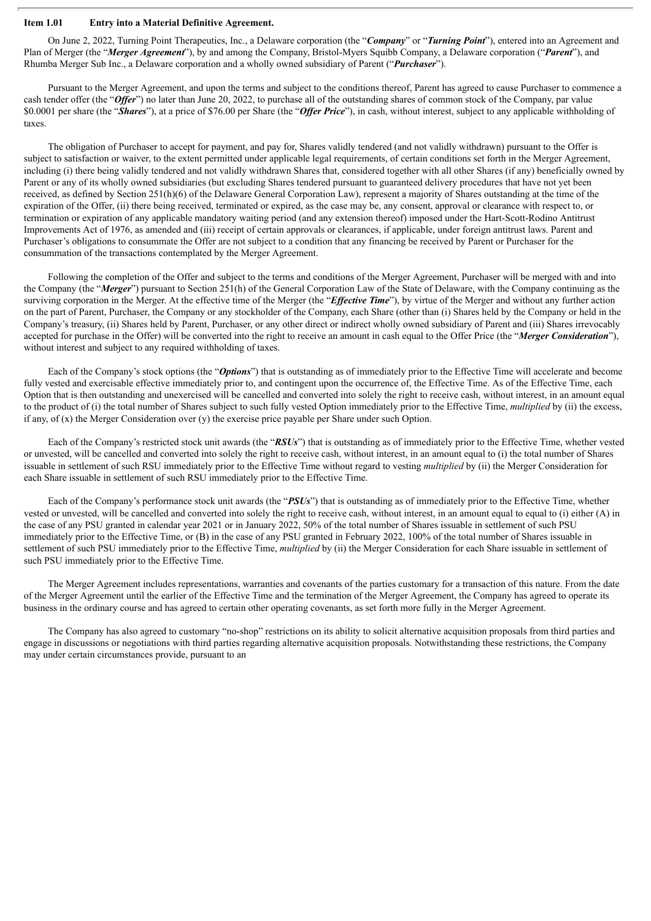#### **Item 1.01 Entry into a Material Definitive Agreement.**

On June 2, 2022, Turning Point Therapeutics, Inc., a Delaware corporation (the "*Company*" or "*Turning Point*"), entered into an Agreement and Plan of Merger (the "*Merger Agreement*"), by and among the Company, Bristol-Myers Squibb Company, a Delaware corporation ("*Parent*"), and Rhumba Merger Sub Inc., a Delaware corporation and a wholly owned subsidiary of Parent ("*Purchaser*").

Pursuant to the Merger Agreement, and upon the terms and subject to the conditions thereof, Parent has agreed to cause Purchaser to commence a cash tender offer (the "*Offer*") no later than June 20, 2022, to purchase all of the outstanding shares of common stock of the Company, par value \$0.0001 per share (the "Shares"), at a price of \$76.00 per Share (the "Offer Price"), in cash, without interest, subject to any applicable withholding of taxes.

The obligation of Purchaser to accept for payment, and pay for, Shares validly tendered (and not validly withdrawn) pursuant to the Offer is subject to satisfaction or waiver, to the extent permitted under applicable legal requirements, of certain conditions set forth in the Merger Agreement, including (i) there being validly tendered and not validly withdrawn Shares that, considered together with all other Shares (if any) beneficially owned by Parent or any of its wholly owned subsidiaries (but excluding Shares tendered pursuant to guaranteed delivery procedures that have not yet been received, as defined by Section 251(h)(6) of the Delaware General Corporation Law), represent a majority of Shares outstanding at the time of the expiration of the Offer, (ii) there being received, terminated or expired, as the case may be, any consent, approval or clearance with respect to, or termination or expiration of any applicable mandatory waiting period (and any extension thereof) imposed under the Hart-Scott-Rodino Antitrust Improvements Act of 1976, as amended and (iii) receipt of certain approvals or clearances, if applicable, under foreign antitrust laws. Parent and Purchaser's obligations to consummate the Offer are not subject to a condition that any financing be received by Parent or Purchaser for the consummation of the transactions contemplated by the Merger Agreement.

Following the completion of the Offer and subject to the terms and conditions of the Merger Agreement, Purchaser will be merged with and into the Company (the "*Merger*") pursuant to Section 251(h) of the General Corporation Law of the State of Delaware, with the Company continuing as the surviving corporation in the Merger. At the effective time of the Merger (the "*Effective Time*"), by virtue of the Merger and without any further action on the part of Parent, Purchaser, the Company or any stockholder of the Company, each Share (other than (i) Shares held by the Company or held in the Company's treasury, (ii) Shares held by Parent, Purchaser, or any other direct or indirect wholly owned subsidiary of Parent and (iii) Shares irrevocably accepted for purchase in the Offer) will be converted into the right to receive an amount in cash equal to the Offer Price (the "*Merger Consideration*"), without interest and subject to any required withholding of taxes.

Each of the Company's stock options (the "*Options*") that is outstanding as of immediately prior to the Effective Time will accelerate and become fully vested and exercisable effective immediately prior to, and contingent upon the occurrence of, the Effective Time. As of the Effective Time, each Option that is then outstanding and unexercised will be cancelled and converted into solely the right to receive cash, without interest, in an amount equal to the product of (i) the total number of Shares subject to such fully vested Option immediately prior to the Effective Time, *multiplied* by (ii) the excess, if any, of (x) the Merger Consideration over (y) the exercise price payable per Share under such Option.

Each of the Company's restricted stock unit awards (the "*RSUs*") that is outstanding as of immediately prior to the Effective Time, whether vested or unvested, will be cancelled and converted into solely the right to receive cash, without interest, in an amount equal to (i) the total number of Shares issuable in settlement of such RSU immediately prior to the Effective Time without regard to vesting *multiplied* by (ii) the Merger Consideration for each Share issuable in settlement of such RSU immediately prior to the Effective Time.

Each of the Company's performance stock unit awards (the "*PSUs*") that is outstanding as of immediately prior to the Effective Time, whether vested or unvested, will be cancelled and converted into solely the right to receive cash, without interest, in an amount equal to equal to (i) either (A) in the case of any PSU granted in calendar year 2021 or in January 2022, 50% of the total number of Shares issuable in settlement of such PSU immediately prior to the Effective Time, or (B) in the case of any PSU granted in February 2022, 100% of the total number of Shares issuable in settlement of such PSU immediately prior to the Effective Time, *multiplied* by (ii) the Merger Consideration for each Share issuable in settlement of such PSU immediately prior to the Effective Time.

The Merger Agreement includes representations, warranties and covenants of the parties customary for a transaction of this nature. From the date of the Merger Agreement until the earlier of the Effective Time and the termination of the Merger Agreement, the Company has agreed to operate its business in the ordinary course and has agreed to certain other operating covenants, as set forth more fully in the Merger Agreement.

The Company has also agreed to customary "no-shop" restrictions on its ability to solicit alternative acquisition proposals from third parties and engage in discussions or negotiations with third parties regarding alternative acquisition proposals. Notwithstanding these restrictions, the Company may under certain circumstances provide, pursuant to an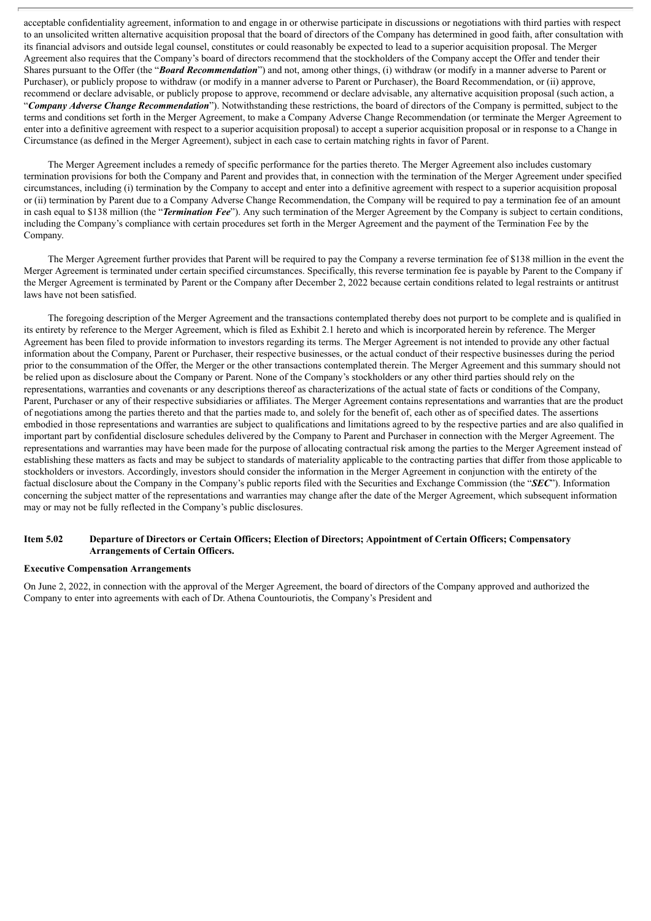acceptable confidentiality agreement, information to and engage in or otherwise participate in discussions or negotiations with third parties with respect to an unsolicited written alternative acquisition proposal that the board of directors of the Company has determined in good faith, after consultation with its financial advisors and outside legal counsel, constitutes or could reasonably be expected to lead to a superior acquisition proposal. The Merger Agreement also requires that the Company's board of directors recommend that the stockholders of the Company accept the Offer and tender their Shares pursuant to the Offer (the "*Board Recommendation*") and not, among other things, (i) withdraw (or modify in a manner adverse to Parent or Purchaser), or publicly propose to withdraw (or modify in a manner adverse to Parent or Purchaser), the Board Recommendation, or (ii) approve, recommend or declare advisable, or publicly propose to approve, recommend or declare advisable, any alternative acquisition proposal (such action, a "*Company Adverse Change Recommendation*"). Notwithstanding these restrictions, the board of directors of the Company is permitted, subject to the terms and conditions set forth in the Merger Agreement, to make a Company Adverse Change Recommendation (or terminate the Merger Agreement to enter into a definitive agreement with respect to a superior acquisition proposal) to accept a superior acquisition proposal or in response to a Change in Circumstance (as defined in the Merger Agreement), subject in each case to certain matching rights in favor of Parent.

The Merger Agreement includes a remedy of specific performance for the parties thereto. The Merger Agreement also includes customary termination provisions for both the Company and Parent and provides that, in connection with the termination of the Merger Agreement under specified circumstances, including (i) termination by the Company to accept and enter into a definitive agreement with respect to a superior acquisition proposal or (ii) termination by Parent due to a Company Adverse Change Recommendation, the Company will be required to pay a termination fee of an amount in cash equal to \$138 million (the "*Termination Fee*"). Any such termination of the Merger Agreement by the Company is subject to certain conditions, including the Company's compliance with certain procedures set forth in the Merger Agreement and the payment of the Termination Fee by the Company.

The Merger Agreement further provides that Parent will be required to pay the Company a reverse termination fee of \$138 million in the event the Merger Agreement is terminated under certain specified circumstances. Specifically, this reverse termination fee is payable by Parent to the Company if the Merger Agreement is terminated by Parent or the Company after December 2, 2022 because certain conditions related to legal restraints or antitrust laws have not been satisfied.

The foregoing description of the Merger Agreement and the transactions contemplated thereby does not purport to be complete and is qualified in its entirety by reference to the Merger Agreement, which is filed as Exhibit 2.1 hereto and which is incorporated herein by reference. The Merger Agreement has been filed to provide information to investors regarding its terms. The Merger Agreement is not intended to provide any other factual information about the Company, Parent or Purchaser, their respective businesses, or the actual conduct of their respective businesses during the period prior to the consummation of the Offer, the Merger or the other transactions contemplated therein. The Merger Agreement and this summary should not be relied upon as disclosure about the Company or Parent. None of the Company's stockholders or any other third parties should rely on the representations, warranties and covenants or any descriptions thereof as characterizations of the actual state of facts or conditions of the Company, Parent, Purchaser or any of their respective subsidiaries or affiliates. The Merger Agreement contains representations and warranties that are the product of negotiations among the parties thereto and that the parties made to, and solely for the benefit of, each other as of specified dates. The assertions embodied in those representations and warranties are subject to qualifications and limitations agreed to by the respective parties and are also qualified in important part by confidential disclosure schedules delivered by the Company to Parent and Purchaser in connection with the Merger Agreement. The representations and warranties may have been made for the purpose of allocating contractual risk among the parties to the Merger Agreement instead of establishing these matters as facts and may be subject to standards of materiality applicable to the contracting parties that differ from those applicable to stockholders or investors. Accordingly, investors should consider the information in the Merger Agreement in conjunction with the entirety of the factual disclosure about the Company in the Company's public reports filed with the Securities and Exchange Commission (the "*SEC*"). Information concerning the subject matter of the representations and warranties may change after the date of the Merger Agreement, which subsequent information may or may not be fully reflected in the Company's public disclosures.

#### Item 5.02 Departure of Directors or Certain Officers; Election of Directors; Appointment of Certain Officers; Compensatory **Arrangements of Certain Officers.**

#### **Executive Compensation Arrangements**

On June 2, 2022, in connection with the approval of the Merger Agreement, the board of directors of the Company approved and authorized the Company to enter into agreements with each of Dr. Athena Countouriotis, the Company's President and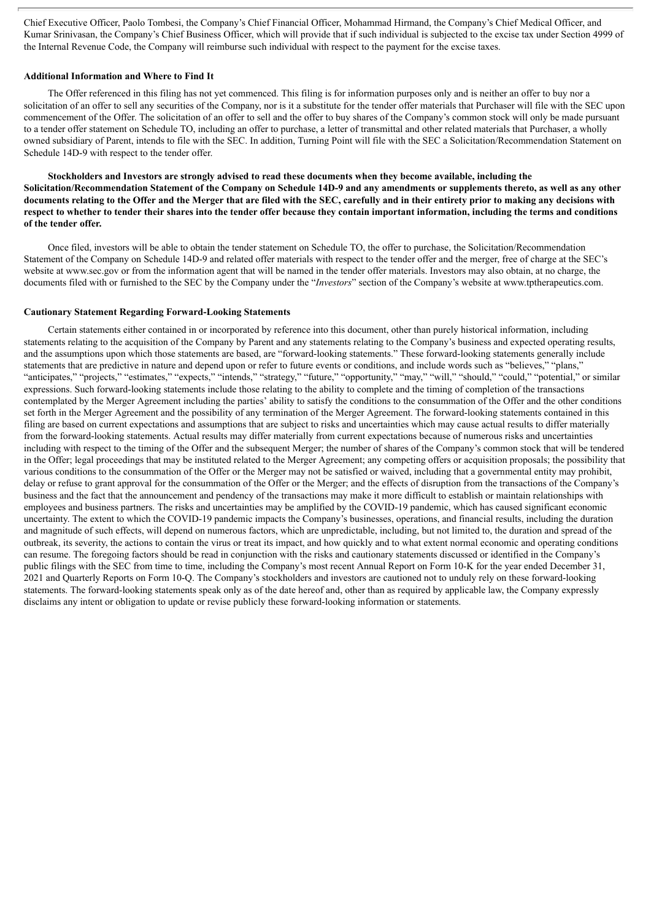Chief Executive Officer, Paolo Tombesi, the Company's Chief Financial Officer, Mohammad Hirmand, the Company's Chief Medical Officer, and Kumar Srinivasan, the Company's Chief Business Officer, which will provide that if such individual is subjected to the excise tax under Section 4999 of the Internal Revenue Code, the Company will reimburse such individual with respect to the payment for the excise taxes.

#### **Additional Information and Where to Find It**

The Offer referenced in this filing has not yet commenced. This filing is for information purposes only and is neither an offer to buy nor a solicitation of an offer to sell any securities of the Company, nor is it a substitute for the tender offer materials that Purchaser will file with the SEC upon commencement of the Offer. The solicitation of an offer to sell and the offer to buy shares of the Company's common stock will only be made pursuant to a tender offer statement on Schedule TO, including an offer to purchase, a letter of transmittal and other related materials that Purchaser, a wholly owned subsidiary of Parent, intends to file with the SEC. In addition, Turning Point will file with the SEC a Solicitation/Recommendation Statement on Schedule 14D-9 with respect to the tender offer.

Stockholders and Investors are strongly advised to read these documents when they become available, including the Solicitation/Recommendation Statement of the Company on Schedule 14D-9 and any amendments or supplements thereto, as well as any other documents relating to the Offer and the Merger that are filed with the SEC, carefully and in their entirety prior to making any decisions with respect to whether to tender their shares into the tender offer because they contain important information, including the terms and conditions **of the tender offer.**

Once filed, investors will be able to obtain the tender statement on Schedule TO, the offer to purchase, the Solicitation/Recommendation Statement of the Company on Schedule 14D-9 and related offer materials with respect to the tender offer and the merger, free of charge at the SEC's website at www.sec.gov or from the information agent that will be named in the tender offer materials. Investors may also obtain, at no charge, the documents filed with or furnished to the SEC by the Company under the "*Investors*" section of the Company's website at www.tptherapeutics.com.

#### **Cautionary Statement Regarding Forward-Looking Statements**

Certain statements either contained in or incorporated by reference into this document, other than purely historical information, including statements relating to the acquisition of the Company by Parent and any statements relating to the Company's business and expected operating results, and the assumptions upon which those statements are based, are "forward-looking statements." These forward-looking statements generally include statements that are predictive in nature and depend upon or refer to future events or conditions, and include words such as "believes," "plans," "anticipates," "projects," "estimates," "expects," "intends," "strategy," "future," "opportunity," "may," "will," "should," "could," "potential," or similar expressions. Such forward-looking statements include those relating to the ability to complete and the timing of completion of the transactions contemplated by the Merger Agreement including the parties' ability to satisfy the conditions to the consummation of the Offer and the other conditions set forth in the Merger Agreement and the possibility of any termination of the Merger Agreement. The forward-looking statements contained in this filing are based on current expectations and assumptions that are subject to risks and uncertainties which may cause actual results to differ materially from the forward-looking statements. Actual results may differ materially from current expectations because of numerous risks and uncertainties including with respect to the timing of the Offer and the subsequent Merger; the number of shares of the Company's common stock that will be tendered in the Offer; legal proceedings that may be instituted related to the Merger Agreement; any competing offers or acquisition proposals; the possibility that various conditions to the consummation of the Offer or the Merger may not be satisfied or waived, including that a governmental entity may prohibit, delay or refuse to grant approval for the consummation of the Offer or the Merger; and the effects of disruption from the transactions of the Company's business and the fact that the announcement and pendency of the transactions may make it more difficult to establish or maintain relationships with employees and business partners. The risks and uncertainties may be amplified by the COVID-19 pandemic, which has caused significant economic uncertainty. The extent to which the COVID-19 pandemic impacts the Company's businesses, operations, and financial results, including the duration and magnitude of such effects, will depend on numerous factors, which are unpredictable, including, but not limited to, the duration and spread of the outbreak, its severity, the actions to contain the virus or treat its impact, and how quickly and to what extent normal economic and operating conditions can resume. The foregoing factors should be read in conjunction with the risks and cautionary statements discussed or identified in the Company's public filings with the SEC from time to time, including the Company's most recent Annual Report on Form 10-K for the year ended December 31, 2021 and Quarterly Reports on Form 10-Q. The Company's stockholders and investors are cautioned not to unduly rely on these forward-looking statements. The forward-looking statements speak only as of the date hereof and, other than as required by applicable law, the Company expressly disclaims any intent or obligation to update or revise publicly these forward-looking information or statements.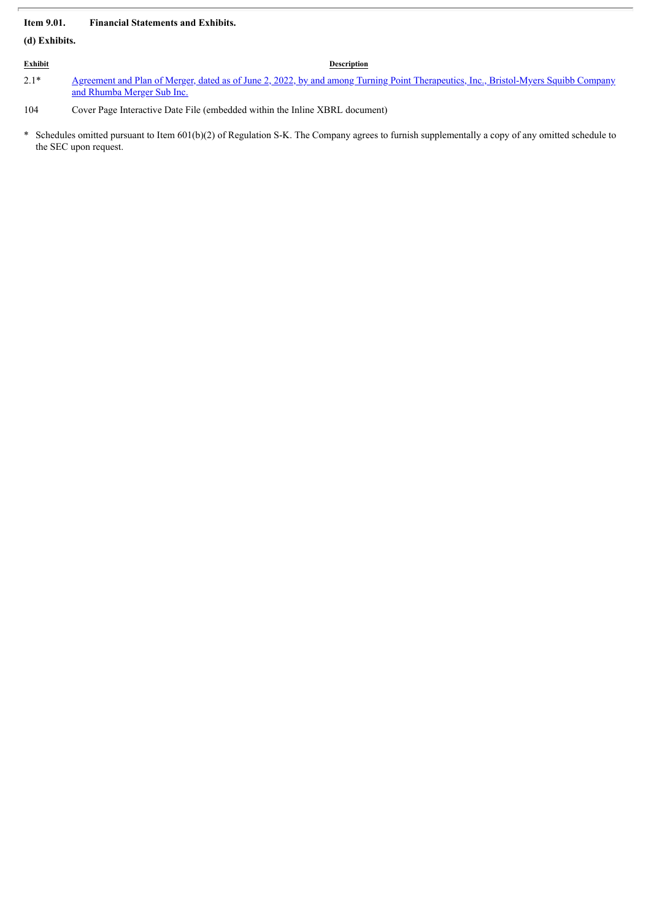# **Item 9.01. Financial Statements and Exhibits.**

#### **(d) Exhibits.**

| <b>Exhibit</b> | <b>Description</b>                                                                                                                                                |
|----------------|-------------------------------------------------------------------------------------------------------------------------------------------------------------------|
| $2.1*$         | Agreement and Plan of Merger, dated as of June 2, 2022, by and among Turning Point Therapeutics, Inc., Bristol-Myers Squibb Company<br>and Rhumba Merger Sub Inc. |
| $1 \cap 4$     | $C_{22222}$ Dens Intensative Deta Eila (and added mithin the Infine VDDI decoment)                                                                                |

<sup>104</sup> Cover Page Interactive Date File (embedded within the Inline XBRL document)

<sup>\*</sup> Schedules omitted pursuant to Item 601(b)(2) of Regulation S-K. The Company agrees to furnish supplementally a copy of any omitted schedule to the SEC upon request.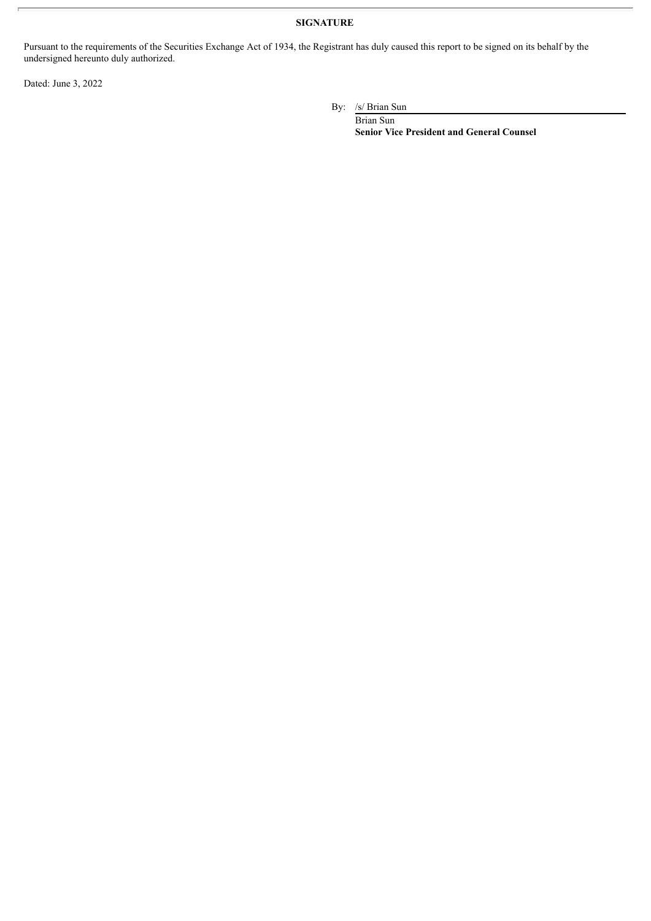# **SIGNATURE**

Pursuant to the requirements of the Securities Exchange Act of 1934, the Registrant has duly caused this report to be signed on its behalf by the undersigned hereunto duly authorized.

Dated: June 3, 2022

By: /s/ Brian Sun

Brian Sun **Senior Vice President and General Counsel**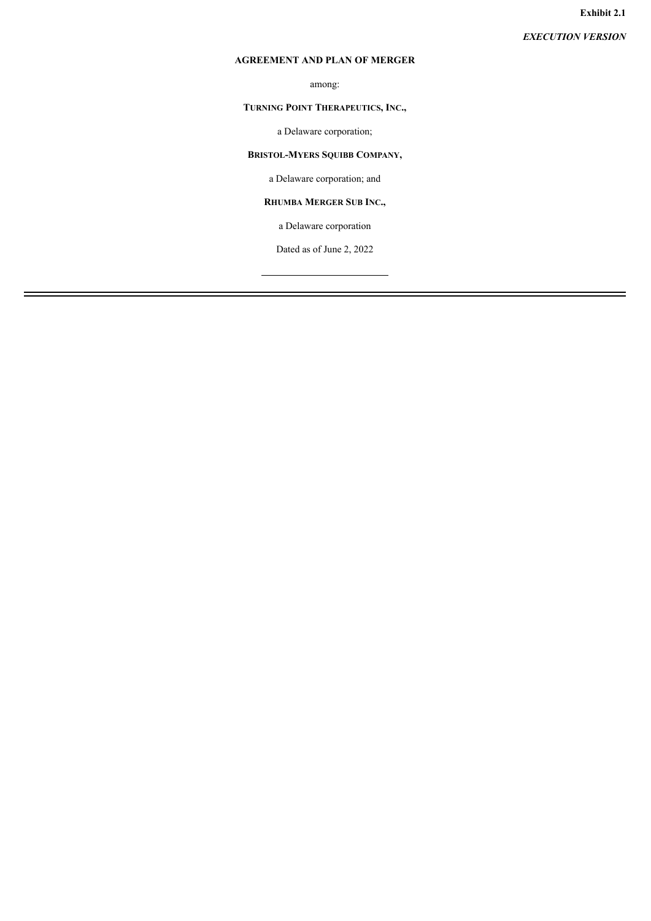## <span id="page-6-0"></span>**AGREEMENT AND PLAN OF MERGER**

among:

#### **TURNING POINT THERAPEUTICS, INC.,**

a Delaware corporation;

## **BRISTOL-MYERS SQUIBB COMPANY,**

a Delaware corporation; and

#### **RHUMBA MERGER SUB INC.,**

a Delaware corporation

Dated as of June 2, 2022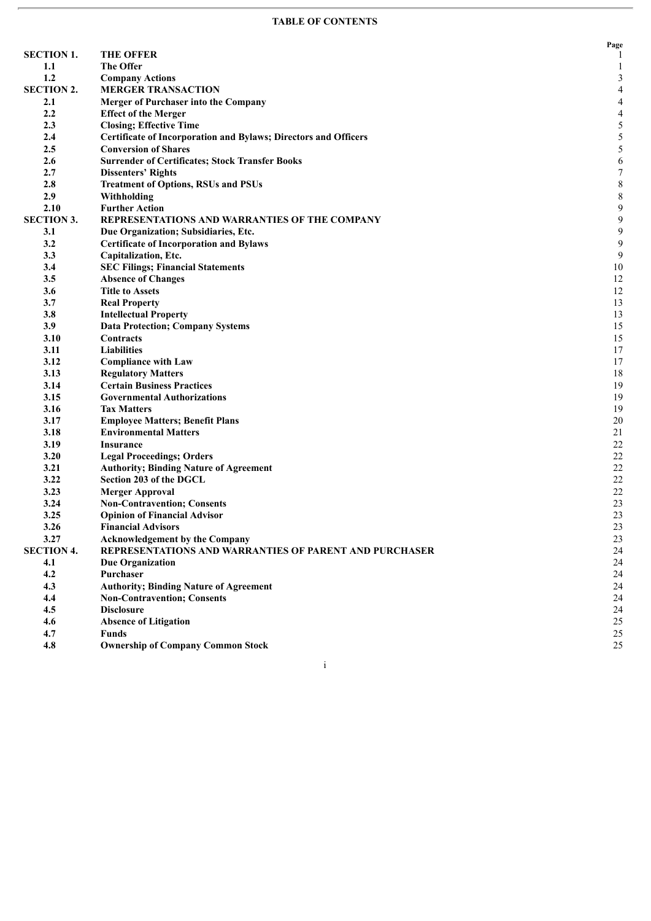|                   |                                                                 | Page             |
|-------------------|-----------------------------------------------------------------|------------------|
| <b>SECTION 1.</b> | <b>THE OFFER</b>                                                | -1               |
| 1.1               | <b>The Offer</b>                                                | 1                |
| 1.2               | <b>Company Actions</b>                                          | $\mathfrak{Z}$   |
| <b>SECTION 2.</b> | <b>MERGER TRANSACTION</b>                                       | 4                |
| 2.1               | Merger of Purchaser into the Company                            | 4                |
| 2.2               | <b>Effect of the Merger</b>                                     | $\overline{4}$   |
| 2.3               | <b>Closing; Effective Time</b>                                  | 5                |
| 2.4               | Certificate of Incorporation and Bylaws; Directors and Officers | 5                |
| 2.5               | <b>Conversion of Shares</b>                                     | 5                |
| 2.6               | <b>Surrender of Certificates; Stock Transfer Books</b>          | $\sqrt{6}$       |
| 2.7               | <b>Dissenters' Rights</b>                                       | $\boldsymbol{7}$ |
| 2.8               | <b>Treatment of Options, RSUs and PSUs</b>                      | $\,$ $\,$        |
| 2.9               | Withholding                                                     | $\,$ 8 $\,$      |
| 2.10              | <b>Further Action</b>                                           | 9                |
| <b>SECTION 3.</b> | REPRESENTATIONS AND WARRANTIES OF THE COMPANY                   | $\mathbf{9}$     |
| 3.1               | Due Organization; Subsidiaries, Etc.                            | 9                |
| 3.2               | <b>Certificate of Incorporation and Bylaws</b>                  | $\overline{9}$   |
| 3.3               | Capitalization, Etc.                                            | 9                |
| 3.4               | <b>SEC Filings; Financial Statements</b>                        | 10               |
| 3.5               | <b>Absence of Changes</b>                                       | 12               |
| 3.6               | <b>Title to Assets</b>                                          | 12               |
| 3.7               | <b>Real Property</b>                                            | 13               |
| 3.8               |                                                                 |                  |
|                   | <b>Intellectual Property</b>                                    | 13               |
| 3.9               | <b>Data Protection; Company Systems</b>                         | 15               |
| 3.10              | Contracts                                                       | 15               |
| 3.11              | <b>Liabilities</b>                                              | 17               |
| 3.12              | <b>Compliance with Law</b>                                      | 17               |
| 3.13              | <b>Regulatory Matters</b>                                       | 18               |
| 3.14              | <b>Certain Business Practices</b>                               | 19               |
| 3.15              | <b>Governmental Authorizations</b>                              | 19               |
| 3.16              | <b>Tax Matters</b>                                              | 19               |
| 3.17              | <b>Employee Matters; Benefit Plans</b>                          | 20               |
| 3.18              | <b>Environmental Matters</b>                                    | 21               |
| 3.19              | Insurance                                                       | 22               |
| 3.20              | <b>Legal Proceedings; Orders</b>                                | 22               |
| 3.21              | <b>Authority; Binding Nature of Agreement</b>                   | 22               |
| 3.22              | Section 203 of the DGCL                                         | 22               |
| 3.23              | <b>Merger Approval</b>                                          | 22               |
| 3.24              | <b>Non-Contravention; Consents</b>                              | 23               |
| 3.25              | <b>Opinion of Financial Advisor</b>                             | 23               |
| 3.26              | <b>Financial Advisors</b>                                       | 23               |
| 3.27              | <b>Acknowledgement by the Company</b>                           | 23               |
| <b>SECTION 4.</b> | REPRESENTATIONS AND WARRANTIES OF PARENT AND PURCHASER          | 24               |
| 4.1               | <b>Due Organization</b>                                         | 24               |
| 4.2               | Purchaser                                                       | 24               |
| 4.3               | <b>Authority; Binding Nature of Agreement</b>                   | 24               |
| 4.4               | <b>Non-Contravention; Consents</b>                              | 24               |
| 4.5               | <b>Disclosure</b>                                               | 24               |
| 4.6               | <b>Absence of Litigation</b>                                    | 25               |
| 4.7               | <b>Funds</b>                                                    | 25               |
| 4.8               | <b>Ownership of Company Common Stock</b>                        | 25               |
|                   |                                                                 |                  |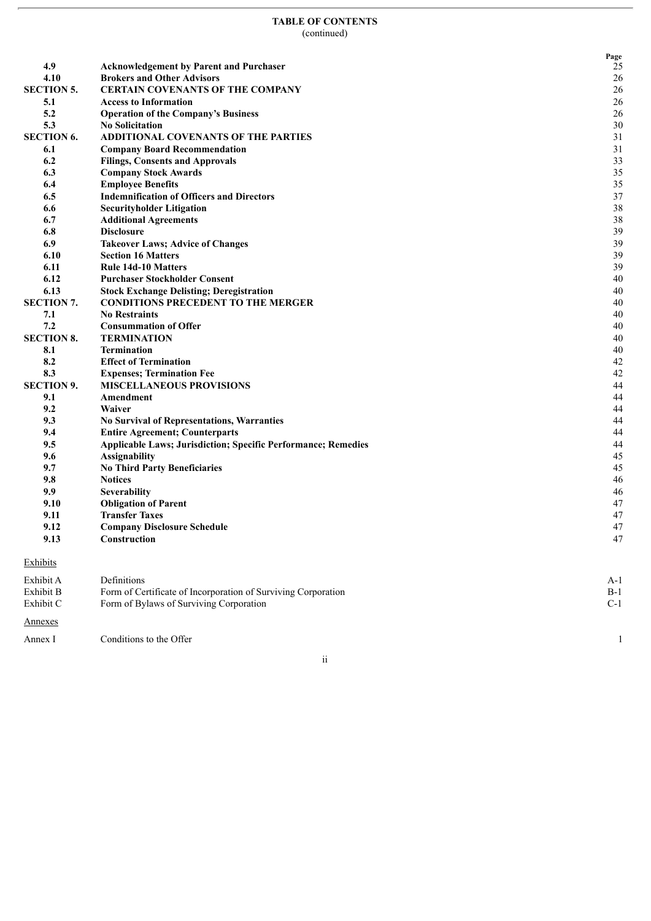#### **TABLE OF CONTENTS** (continued)

| 4.9               | <b>Acknowledgement by Parent and Purchaser</b>                       | Page<br>25 |
|-------------------|----------------------------------------------------------------------|------------|
| 4.10              | <b>Brokers and Other Advisors</b>                                    | 26         |
| <b>SECTION 5.</b> | <b>CERTAIN COVENANTS OF THE COMPANY</b>                              | 26         |
| 5.1               | <b>Access to Information</b>                                         | 26         |
| 5.2               | <b>Operation of the Company's Business</b>                           | 26         |
| 5.3               | <b>No Solicitation</b>                                               | 30         |
| <b>SECTION 6.</b> | <b>ADDITIONAL COVENANTS OF THE PARTIES</b>                           | 31         |
| 6.1               | <b>Company Board Recommendation</b>                                  | 31         |
| 6.2               | <b>Filings, Consents and Approvals</b>                               | 33         |
| 6.3               | <b>Company Stock Awards</b>                                          | 35         |
| 6.4               | <b>Employee Benefits</b>                                             | 35         |
| 6.5               | <b>Indemnification of Officers and Directors</b>                     | 37         |
| 6.6               | <b>Securityholder Litigation</b>                                     | 38         |
| 6.7               | <b>Additional Agreements</b>                                         | 38         |
| 6.8               | <b>Disclosure</b>                                                    | 39         |
| 6.9               | <b>Takeover Laws; Advice of Changes</b>                              | 39         |
| 6.10              | <b>Section 16 Matters</b>                                            | 39         |
| 6.11              | <b>Rule 14d-10 Matters</b>                                           | 39         |
| 6.12              | <b>Purchaser Stockholder Consent</b>                                 | 40         |
| 6.13              | <b>Stock Exchange Delisting; Deregistration</b>                      | 40         |
| <b>SECTION 7.</b> | <b>CONDITIONS PRECEDENT TO THE MERGER</b>                            | 40         |
| 7.1               | <b>No Restraints</b>                                                 | 40         |
| 7.2               | <b>Consummation of Offer</b>                                         | 40         |
| <b>SECTION 8.</b> | <b>TERMINATION</b>                                                   | 40         |
| 8.1               | <b>Termination</b>                                                   | 40         |
| 8.2               | <b>Effect of Termination</b>                                         | 42         |
| 8.3               | <b>Expenses; Termination Fee</b>                                     | 42         |
| <b>SECTION 9.</b> | <b>MISCELLANEOUS PROVISIONS</b>                                      | 44         |
| 9.1               | Amendment                                                            | 44         |
| 9.2               | Waiver                                                               | 44         |
| 9.3               | <b>No Survival of Representations, Warranties</b>                    | 44         |
| 9.4<br>9.5        | <b>Entire Agreement; Counterparts</b>                                | 44<br>44   |
| 9.6               | <b>Applicable Laws; Jurisdiction; Specific Performance; Remedies</b> | 45         |
| 9.7               | <b>Assignability</b><br><b>No Third Party Beneficiaries</b>          | 45         |
| 9.8               | <b>Notices</b>                                                       | 46         |
| 9.9               | Severability                                                         | 46         |
| 9.10              | <b>Obligation of Parent</b>                                          | 47         |
| 9.11              | <b>Transfer Taxes</b>                                                | 47         |
| 9.12              | <b>Company Disclosure Schedule</b>                                   | 47         |
| 9.13              | Construction                                                         | 47         |
| Exhibits          |                                                                      |            |
| Exhibit A         | Definitions                                                          | A-1        |
| Exhibit B         | Form of Certificate of Incorporation of Surviving Corporation        | $B-1$      |
| Exhibit C         | Form of Bylaws of Surviving Corporation                              | $C-1$      |
| Annexes           |                                                                      |            |

Annex I

Conditions to the Offer

i i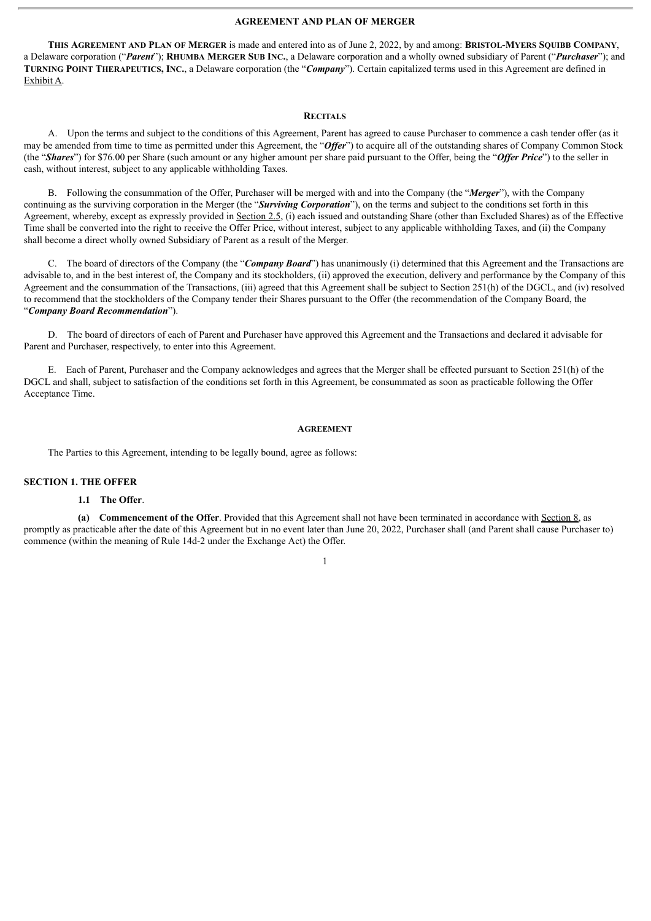#### **AGREEMENT AND PLAN OF MERGER**

THIS AGREEMENT AND PLAN OF MERGER is made and entered into as of June 2, 2022, by and among: BRISTOL-MYERS SOUIBB COMPANY, a Delaware corporation ("*Parent*"); **RHUMBA MERGER SUB INC.**, a Delaware corporation and a wholly owned subsidiary of Parent ("*Purchaser*"); and **TURNING POINT THERAPEUTICS, INC.**, a Delaware corporation (the "*Company*"). Certain capitalized terms used in this Agreement are defined in Exhibit A.

#### **RECITALS**

A. Upon the terms and subject to the conditions of this Agreement, Parent has agreed to cause Purchaser to commence a cash tender offer (as it may be amended from time to time as permitted under this Agreement, the "*Offer*") to acquire all of the outstanding shares of Company Common Stock (the "*Shares*") for \$76.00 per Share (such amount or any higher amount per share paid pursuant to the Offer, being the "*Of er Price*") to the seller in cash, without interest, subject to any applicable withholding Taxes.

B. Following the consummation of the Offer, Purchaser will be merged with and into the Company (the "*Merger*"), with the Company continuing as the surviving corporation in the Merger (the "*Surviving Corporation*"), on the terms and subject to the conditions set forth in this Agreement, whereby, except as expressly provided in Section 2.5, (i) each issued and outstanding Share (other than Excluded Shares) as of the Effective Time shall be converted into the right to receive the Offer Price, without interest, subject to any applicable withholding Taxes, and (ii) the Company shall become a direct wholly owned Subsidiary of Parent as a result of the Merger.

C. The board of directors of the Company (the "*Company Board*") has unanimously (i) determined that this Agreement and the Transactions are advisable to, and in the best interest of, the Company and its stockholders, (ii) approved the execution, delivery and performance by the Company of this Agreement and the consummation of the Transactions, (iii) agreed that this Agreement shall be subject to Section 251(h) of the DGCL, and (iv) resolved to recommend that the stockholders of the Company tender their Shares pursuant to the Offer (the recommendation of the Company Board, the "*Company Board Recommendation*").

D. The board of directors of each of Parent and Purchaser have approved this Agreement and the Transactions and declared it advisable for Parent and Purchaser, respectively, to enter into this Agreement.

E. Each of Parent, Purchaser and the Company acknowledges and agrees that the Merger shall be effected pursuant to Section 251(h) of the DGCL and shall, subject to satisfaction of the conditions set forth in this Agreement, be consummated as soon as practicable following the Offer Acceptance Time.

#### **AGREEMENT**

The Parties to this Agreement, intending to be legally bound, agree as follows:

#### **SECTION 1. THE OFFER**

#### **1.1 The Offer**.

**(a) Commencement of the Offer**. Provided that this Agreement shall not have been terminated in accordance with Section 8, as promptly as practicable after the date of this Agreement but in no event later than June 20, 2022, Purchaser shall (and Parent shall cause Purchaser to) commence (within the meaning of Rule 14d-2 under the Exchange Act) the Offer.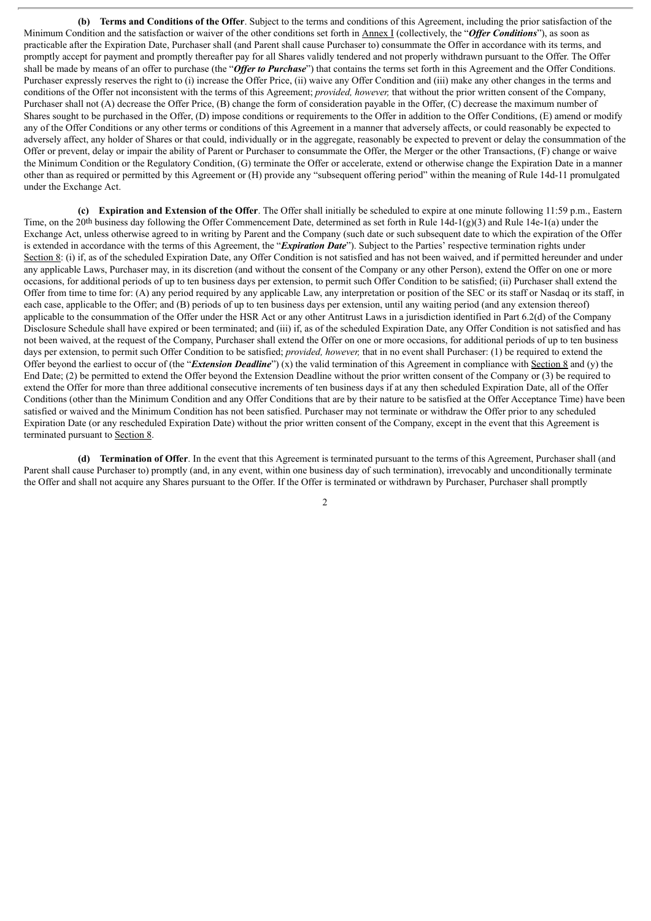**(b) Terms and Conditions of the Offer**. Subject to the terms and conditions of this Agreement, including the prior satisfaction of the Minimum Condition and the satisfaction or waiver of the other conditions set forth in Annex I (collectively, the "*Offer Conditions*"), as soon as practicable after the Expiration Date, Purchaser shall (and Parent shall cause Purchaser to) consummate the Offer in accordance with its terms, and promptly accept for payment and promptly thereafter pay for all Shares validly tendered and not properly withdrawn pursuant to the Offer. The Offer shall be made by means of an offer to purchase (the "Offer to Purchase") that contains the terms set forth in this Agreement and the Offer Conditions. Purchaser expressly reserves the right to (i) increase the Offer Price, (ii) waive any Offer Condition and (iii) make any other changes in the terms and conditions of the Offer not inconsistent with the terms of this Agreement; *provided, however,* that without the prior written consent of the Company, Purchaser shall not (A) decrease the Offer Price, (B) change the form of consideration payable in the Offer, (C) decrease the maximum number of Shares sought to be purchased in the Offer, (D) impose conditions or requirements to the Offer in addition to the Offer Conditions, (E) amend or modify any of the Offer Conditions or any other terms or conditions of this Agreement in a manner that adversely affects, or could reasonably be expected to adversely affect, any holder of Shares or that could, individually or in the aggregate, reasonably be expected to prevent or delay the consummation of the Offer or prevent, delay or impair the ability of Parent or Purchaser to consummate the Offer, the Merger or the other Transactions, (F) change or waive the Minimum Condition or the Regulatory Condition, (G) terminate the Offer or accelerate, extend or otherwise change the Expiration Date in a manner other than as required or permitted by this Agreement or (H) provide any "subsequent offering period" within the meaning of Rule 14d-11 promulgated under the Exchange Act.

**(c) Expiration and Extension of the Offer**. The Offer shall initially be scheduled to expire at one minute following 11:59 p.m., Eastern Time, on the 20th business day following the Offer Commencement Date, determined as set forth in Rule 14d-1(g)(3) and Rule 14e-1(a) under the Exchange Act, unless otherwise agreed to in writing by Parent and the Company (such date or such subsequent date to which the expiration of the Offer is extended in accordance with the terms of this Agreement, the "*Expiration Date*"). Subject to the Parties' respective termination rights under Section 8: (i) if, as of the scheduled Expiration Date, any Offer Condition is not satisfied and has not been waived, and if permitted hereunder and under any applicable Laws, Purchaser may, in its discretion (and without the consent of the Company or any other Person), extend the Offer on one or more occasions, for additional periods of up to ten business days per extension, to permit such Offer Condition to be satisfied; (ii) Purchaser shall extend the Offer from time to time for: (A) any period required by any applicable Law, any interpretation or position of the SEC or its staff or Nasdaq or its staff, in each case, applicable to the Offer; and (B) periods of up to ten business days per extension, until any waiting period (and any extension thereof) applicable to the consummation of the Offer under the HSR Act or any other Antitrust Laws in a jurisdiction identified in Part 6.2(d) of the Company Disclosure Schedule shall have expired or been terminated; and (iii) if, as of the scheduled Expiration Date, any Offer Condition is not satisfied and has not been waived, at the request of the Company, Purchaser shall extend the Offer on one or more occasions, for additional periods of up to ten business days per extension, to permit such Offer Condition to be satisfied; *provided, however,* that in no event shall Purchaser: (1) be required to extend the Offer beyond the earliest to occur of (the "*Extension Deadline*") (x) the valid termination of this Agreement in compliance with Section 8 and (y) the End Date; (2) be permitted to extend the Offer beyond the Extension Deadline without the prior written consent of the Company or (3) be required to extend the Offer for more than three additional consecutive increments of ten business days if at any then scheduled Expiration Date, all of the Offer Conditions (other than the Minimum Condition and any Offer Conditions that are by their nature to be satisfied at the Offer Acceptance Time) have been satisfied or waived and the Minimum Condition has not been satisfied. Purchaser may not terminate or withdraw the Offer prior to any scheduled Expiration Date (or any rescheduled Expiration Date) without the prior written consent of the Company, except in the event that this Agreement is terminated pursuant to Section 8.

**(d) Termination of Offer**. In the event that this Agreement is terminated pursuant to the terms of this Agreement, Purchaser shall (and Parent shall cause Purchaser to) promptly (and, in any event, within one business day of such termination), irrevocably and unconditionally terminate the Offer and shall not acquire any Shares pursuant to the Offer. If the Offer is terminated or withdrawn by Purchaser, Purchaser shall promptly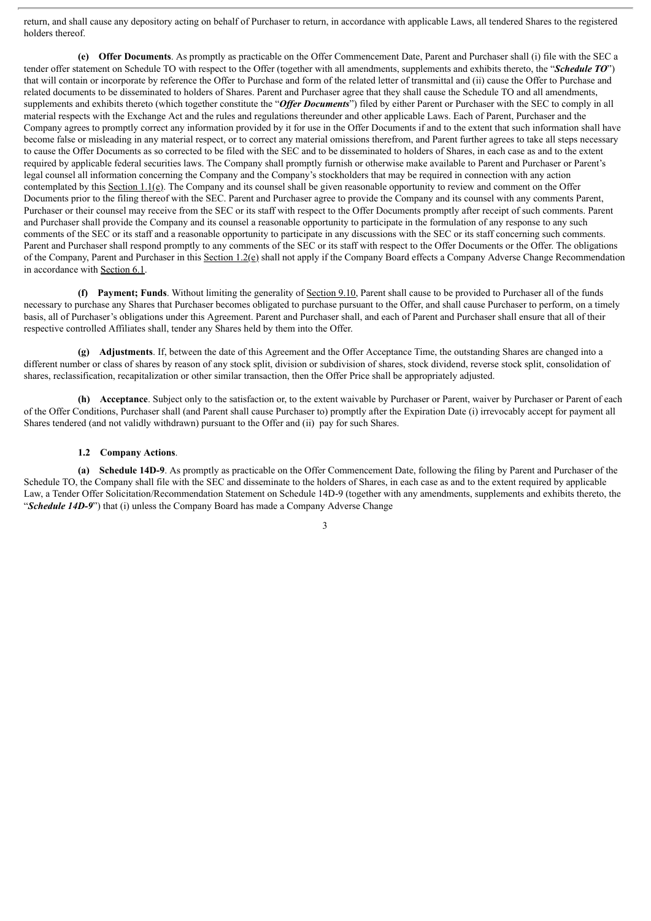return, and shall cause any depository acting on behalf of Purchaser to return, in accordance with applicable Laws, all tendered Shares to the registered holders thereof.

**(e) Offer Documents**. As promptly as practicable on the Offer Commencement Date, Parent and Purchaser shall (i) file with the SEC a tender offer statement on Schedule TO with respect to the Offer (together with all amendments, supplements and exhibits thereto, the "*Schedule TO*") that will contain or incorporate by reference the Offer to Purchase and form of the related letter of transmittal and (ii) cause the Offer to Purchase and related documents to be disseminated to holders of Shares. Parent and Purchaser agree that they shall cause the Schedule TO and all amendments, supplements and exhibits thereto (which together constitute the "*Offer Documents*") filed by either Parent or Purchaser with the SEC to comply in all material respects with the Exchange Act and the rules and regulations thereunder and other applicable Laws. Each of Parent, Purchaser and the Company agrees to promptly correct any information provided by it for use in the Offer Documents if and to the extent that such information shall have become false or misleading in any material respect, or to correct any material omissions therefrom, and Parent further agrees to take all steps necessary to cause the Offer Documents as so corrected to be filed with the SEC and to be disseminated to holders of Shares, in each case as and to the extent required by applicable federal securities laws. The Company shall promptly furnish or otherwise make available to Parent and Purchaser or Parent's legal counsel all information concerning the Company and the Company's stockholders that may be required in connection with any action contemplated by this Section 1.1(e). The Company and its counsel shall be given reasonable opportunity to review and comment on the Offer Documents prior to the filing thereof with the SEC. Parent and Purchaser agree to provide the Company and its counsel with any comments Parent, Purchaser or their counsel may receive from the SEC or its staff with respect to the Offer Documents promptly after receipt of such comments. Parent and Purchaser shall provide the Company and its counsel a reasonable opportunity to participate in the formulation of any response to any such comments of the SEC or its staff and a reasonable opportunity to participate in any discussions with the SEC or its staff concerning such comments. Parent and Purchaser shall respond promptly to any comments of the SEC or its staff with respect to the Offer Documents or the Offer. The obligations of the Company, Parent and Purchaser in this Section 1.2(e) shall not apply if the Company Board effects a Company Adverse Change Recommendation in accordance with Section 6.1.

**(f) Payment; Funds**. Without limiting the generality of Section 9.10, Parent shall cause to be provided to Purchaser all of the funds necessary to purchase any Shares that Purchaser becomes obligated to purchase pursuant to the Offer, and shall cause Purchaser to perform, on a timely basis, all of Purchaser's obligations under this Agreement. Parent and Purchaser shall, and each of Parent and Purchaser shall ensure that all of their respective controlled Affiliates shall, tender any Shares held by them into the Offer.

**(g) Adjustments**. If, between the date of this Agreement and the Offer Acceptance Time, the outstanding Shares are changed into a different number or class of shares by reason of any stock split, division or subdivision of shares, stock dividend, reverse stock split, consolidation of shares, reclassification, recapitalization or other similar transaction, then the Offer Price shall be appropriately adjusted.

**(h) Acceptance**. Subject only to the satisfaction or, to the extent waivable by Purchaser or Parent, waiver by Purchaser or Parent of each of the Offer Conditions, Purchaser shall (and Parent shall cause Purchaser to) promptly after the Expiration Date (i) irrevocably accept for payment all Shares tendered (and not validly withdrawn) pursuant to the Offer and (ii) pay for such Shares.

#### **1.2 Company Actions**.

**(a) Schedule 14D-9**. As promptly as practicable on the Offer Commencement Date, following the filing by Parent and Purchaser of the Schedule TO, the Company shall file with the SEC and disseminate to the holders of Shares, in each case as and to the extent required by applicable Law, a Tender Offer Solicitation/Recommendation Statement on Schedule 14D-9 (together with any amendments, supplements and exhibits thereto, the "*Schedule 14D-9*") that (i) unless the Company Board has made a Company Adverse Change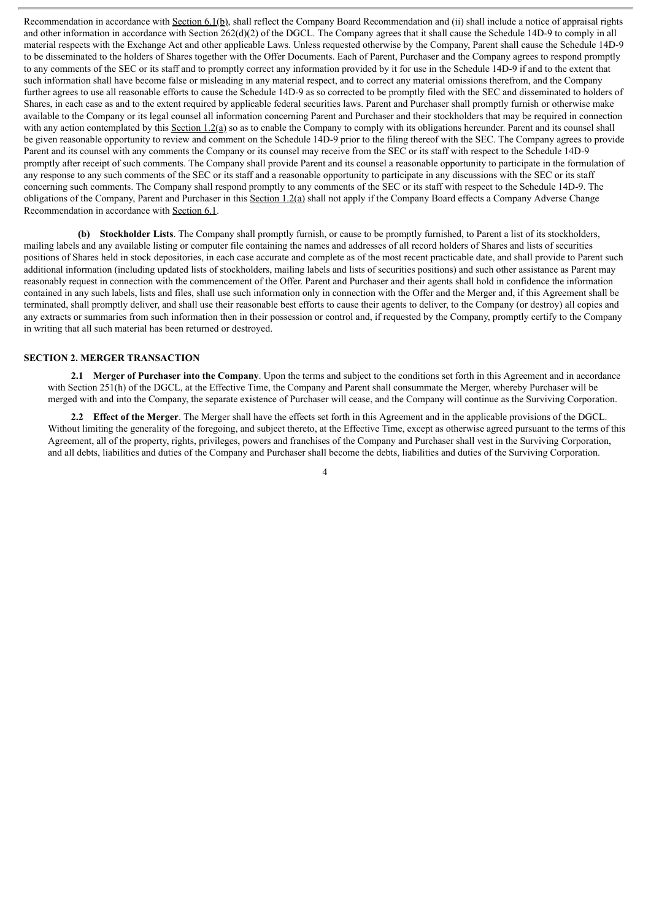Recommendation in accordance with Section 6.1(b), shall reflect the Company Board Recommendation and (ii) shall include a notice of appraisal rights and other information in accordance with Section 262(d)(2) of the DGCL. The Company agrees that it shall cause the Schedule 14D-9 to comply in all material respects with the Exchange Act and other applicable Laws. Unless requested otherwise by the Company, Parent shall cause the Schedule 14D-9 to be disseminated to the holders of Shares together with the Offer Documents. Each of Parent, Purchaser and the Company agrees to respond promptly to any comments of the SEC or its staff and to promptly correct any information provided by it for use in the Schedule 14D-9 if and to the extent that such information shall have become false or misleading in any material respect, and to correct any material omissions therefrom, and the Company further agrees to use all reasonable efforts to cause the Schedule 14D-9 as so corrected to be promptly filed with the SEC and disseminated to holders of Shares, in each case as and to the extent required by applicable federal securities laws. Parent and Purchaser shall promptly furnish or otherwise make available to the Company or its legal counsel all information concerning Parent and Purchaser and their stockholders that may be required in connection with any action contemplated by this Section  $1.2(a)$  so as to enable the Company to comply with its obligations hereunder. Parent and its counsel shall be given reasonable opportunity to review and comment on the Schedule 14D-9 prior to the filing thereof with the SEC. The Company agrees to provide Parent and its counsel with any comments the Company or its counsel may receive from the SEC or its staff with respect to the Schedule 14D-9 promptly after receipt of such comments. The Company shall provide Parent and its counsel a reasonable opportunity to participate in the formulation of any response to any such comments of the SEC or its staff and a reasonable opportunity to participate in any discussions with the SEC or its staff concerning such comments. The Company shall respond promptly to any comments of the SEC or its staff with respect to the Schedule 14D-9. The obligations of the Company, Parent and Purchaser in this Section 1.2(a) shall not apply if the Company Board effects a Company Adverse Change Recommendation in accordance with Section 6.1.

**(b) Stockholder Lists**. The Company shall promptly furnish, or cause to be promptly furnished, to Parent a list of its stockholders, mailing labels and any available listing or computer file containing the names and addresses of all record holders of Shares and lists of securities positions of Shares held in stock depositories, in each case accurate and complete as of the most recent practicable date, and shall provide to Parent such additional information (including updated lists of stockholders, mailing labels and lists of securities positions) and such other assistance as Parent may reasonably request in connection with the commencement of the Offer. Parent and Purchaser and their agents shall hold in confidence the information contained in any such labels, lists and files, shall use such information only in connection with the Offer and the Merger and, if this Agreement shall be terminated, shall promptly deliver, and shall use their reasonable best efforts to cause their agents to deliver, to the Company (or destroy) all copies and any extracts or summaries from such information then in their possession or control and, if requested by the Company, promptly certify to the Company in writing that all such material has been returned or destroyed.

#### **SECTION 2. MERGER TRANSACTION**

**2.1 Merger of Purchaser into the Company**. Upon the terms and subject to the conditions set forth in this Agreement and in accordance with Section 251(h) of the DGCL, at the Effective Time, the Company and Parent shall consummate the Merger, whereby Purchaser will be merged with and into the Company, the separate existence of Purchaser will cease, and the Company will continue as the Surviving Corporation.

**2.2 Effect of the Merger**. The Merger shall have the effects set forth in this Agreement and in the applicable provisions of the DGCL. Without limiting the generality of the foregoing, and subject thereto, at the Effective Time, except as otherwise agreed pursuant to the terms of this Agreement, all of the property, rights, privileges, powers and franchises of the Company and Purchaser shall vest in the Surviving Corporation, and all debts, liabilities and duties of the Company and Purchaser shall become the debts, liabilities and duties of the Surviving Corporation.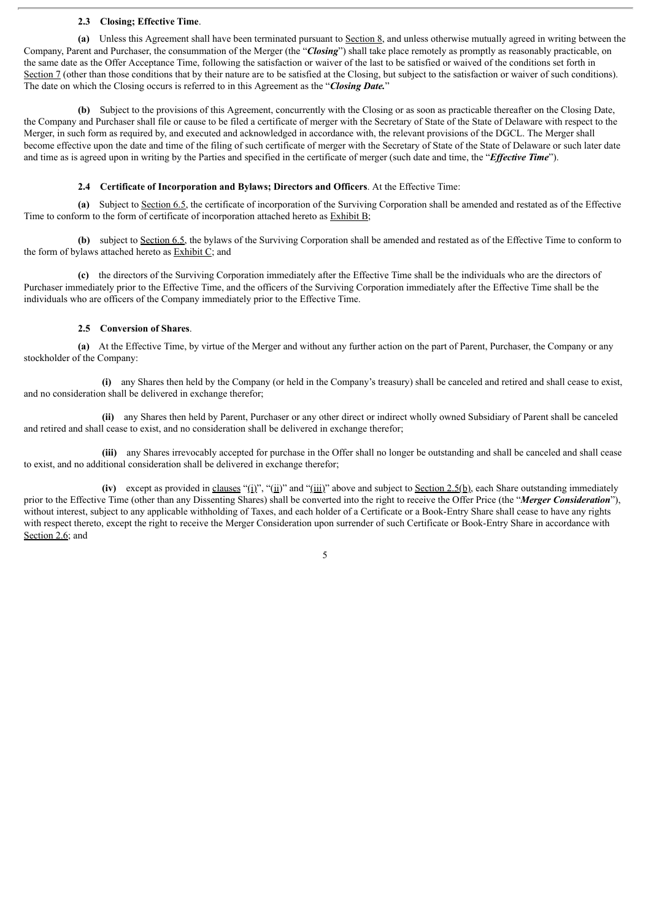#### **2.3 Closing; Effective Time**.

**(a)** Unless this Agreement shall have been terminated pursuant to Section 8, and unless otherwise mutually agreed in writing between the Company, Parent and Purchaser, the consummation of the Merger (the "*Closing*") shall take place remotely as promptly as reasonably practicable, on the same date as the Offer Acceptance Time, following the satisfaction or waiver of the last to be satisfied or waived of the conditions set forth in Section 7 (other than those conditions that by their nature are to be satisfied at the Closing, but subject to the satisfaction or waiver of such conditions). The date on which the Closing occurs is referred to in this Agreement as the "*Closing Date.*"

**(b)** Subject to the provisions of this Agreement, concurrently with the Closing or as soon as practicable thereafter on the Closing Date, the Company and Purchaser shall file or cause to be filed a certificate of merger with the Secretary of State of the State of Delaware with respect to the Merger, in such form as required by, and executed and acknowledged in accordance with, the relevant provisions of the DGCL. The Merger shall become effective upon the date and time of the filing of such certificate of merger with the Secretary of State of the State of Delaware or such later date and time as is agreed upon in writing by the Parties and specified in the certificate of merger (such date and time, the "*Effective Time*").

#### **2.4 Certificate of Incorporation and Bylaws; Directors and Officers**. At the Effective Time:

**(a)** Subject to Section 6.5, the certificate of incorporation of the Surviving Corporation shall be amended and restated as of the Effective Time to conform to the form of certificate of incorporation attached hereto as Exhibit B;

**(b)** subject to Section 6.5, the bylaws of the Surviving Corporation shall be amended and restated as of the Effective Time to conform to the form of bylaws attached hereto as Exhibit C; and

**(c)** the directors of the Surviving Corporation immediately after the Effective Time shall be the individuals who are the directors of Purchaser immediately prior to the Effective Time, and the officers of the Surviving Corporation immediately after the Effective Time shall be the individuals who are officers of the Company immediately prior to the Effective Time.

#### **2.5 Conversion of Shares**.

**(a)** At the Effective Time, by virtue of the Merger and without any further action on the part of Parent, Purchaser, the Company or any stockholder of the Company:

**(i)** any Shares then held by the Company (or held in the Company's treasury) shall be canceled and retired and shall cease to exist, and no consideration shall be delivered in exchange therefor;

**(ii)** any Shares then held by Parent, Purchaser or any other direct or indirect wholly owned Subsidiary of Parent shall be canceled and retired and shall cease to exist, and no consideration shall be delivered in exchange therefor;

**(iii)** any Shares irrevocably accepted for purchase in the Offer shall no longer be outstanding and shall be canceled and shall cease to exist, and no additional consideration shall be delivered in exchange therefor;

**(iv)** except as provided in clauses "(i)", "(ii)" and "(iii)" above and subject to Section 2.5(b), each Share outstanding immediately prior to the Effective Time (other than any Dissenting Shares) shall be converted into the right to receive the Offer Price (the "*Merger Consideration*"), without interest, subject to any applicable withholding of Taxes, and each holder of a Certificate or a Book-Entry Share shall cease to have any rights with respect thereto, except the right to receive the Merger Consideration upon surrender of such Certificate or Book-Entry Share in accordance with Section 2.6; and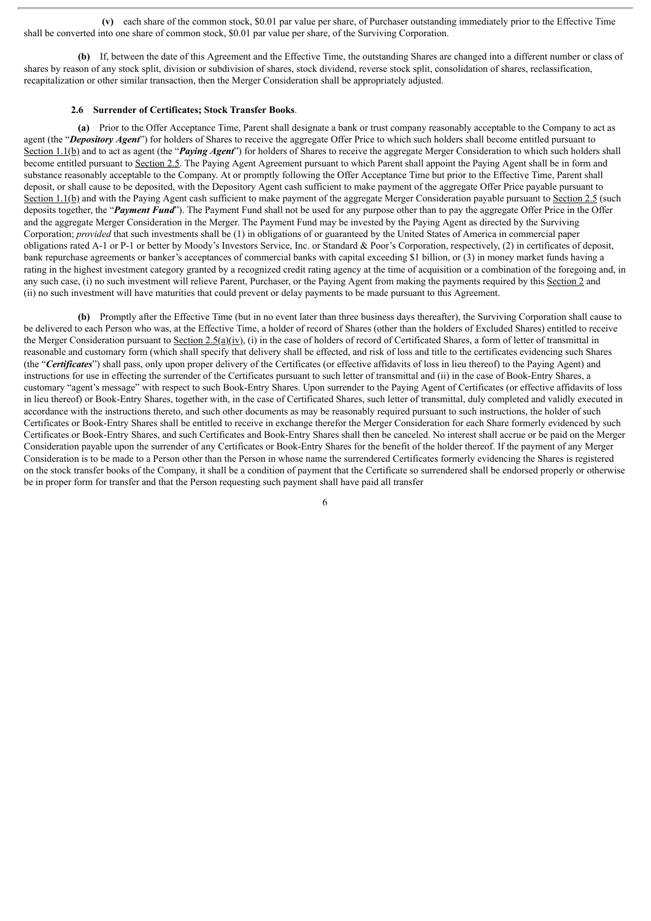**(v)** each share of the common stock, \$0.01 par value per share, of Purchaser outstanding immediately prior to the Effective Time shall be converted into one share of common stock, \$0.01 par value per share, of the Surviving Corporation.

**(b)** If, between the date of this Agreement and the Effective Time, the outstanding Shares are changed into a different number or class of shares by reason of any stock split, division or subdivision of shares, stock dividend, reverse stock split, consolidation of shares, reclassification, recapitalization or other similar transaction, then the Merger Consideration shall be appropriately adjusted.

#### **2.6 Surrender of Certificates; Stock Transfer Books**.

**(a)** Prior to the Offer Acceptance Time, Parent shall designate a bank or trust company reasonably acceptable to the Company to act as agent (the "*Depository Agent*") for holders of Shares to receive the aggregate Offer Price to which such holders shall become entitled pursuant to Section 1.1(b) and to act as agent (the "*Paying Agent*") for holders of Shares to receive the aggregate Merger Consideration to which such holders shall become entitled pursuant to Section 2.5. The Paying Agent Agreement pursuant to which Parent shall appoint the Paying Agent shall be in form and substance reasonably acceptable to the Company. At or promptly following the Offer Acceptance Time but prior to the Effective Time, Parent shall deposit, or shall cause to be deposited, with the Depository Agent cash sufficient to make payment of the aggregate Offer Price payable pursuant to Section 1.1(b) and with the Paying Agent cash sufficient to make payment of the aggregate Merger Consideration payable pursuant to Section 2.5 (such deposits together, the "*Payment Fund*"). The Payment Fund shall not be used for any purpose other than to pay the aggregate Offer Price in the Offer and the aggregate Merger Consideration in the Merger. The Payment Fund may be invested by the Paying Agent as directed by the Surviving Corporation; *provided* that such investments shall be (1) in obligations of or guaranteed by the United States of America in commercial paper obligations rated A-1 or P-1 or better by Moody's Investors Service, Inc. or Standard & Poor's Corporation, respectively, (2) in certificates of deposit, bank repurchase agreements or banker's acceptances of commercial banks with capital exceeding \$1 billion, or (3) in money market funds having a rating in the highest investment category granted by a recognized credit rating agency at the time of acquisition or a combination of the foregoing and, in any such case, (i) no such investment will relieve Parent, Purchaser, or the Paying Agent from making the payments required by this Section 2 and (ii) no such investment will have maturities that could prevent or delay payments to be made pursuant to this Agreement.

**(b)** Promptly after the Effective Time (but in no event later than three business days thereafter), the Surviving Corporation shall cause to be delivered to each Person who was, at the Effective Time, a holder of record of Shares (other than the holders of Excluded Shares) entitled to receive the Merger Consideration pursuant to Section 2.5(a)(iv), (i) in the case of holders of record of Certificated Shares, a form of letter of transmittal in reasonable and customary form (which shall specify that delivery shall be effected, and risk of loss and title to the certificates evidencing such Shares (the "*Certificates*") shall pass, only upon proper delivery of the Certificates (or effective affidavits of loss in lieu thereof) to the Paying Agent) and instructions for use in effecting the surrender of the Certificates pursuant to such letter of transmittal and (ii) in the case of Book-Entry Shares, a customary "agent's message" with respect to such Book-Entry Shares. Upon surrender to the Paying Agent of Certificates (or effective affidavits of loss in lieu thereof) or Book-Entry Shares, together with, in the case of Certificated Shares, such letter of transmittal, duly completed and validly executed in accordance with the instructions thereto, and such other documents as may be reasonably required pursuant to such instructions, the holder of such Certificates or Book-Entry Shares shall be entitled to receive in exchange therefor the Merger Consideration for each Share formerly evidenced by such Certificates or Book-Entry Shares, and such Certificates and Book-Entry Shares shall then be canceled. No interest shall accrue or be paid on the Merger Consideration payable upon the surrender of any Certificates or Book-Entry Shares for the benefit of the holder thereof. If the payment of any Merger Consideration is to be made to a Person other than the Person in whose name the surrendered Certificates formerly evidencing the Shares is registered on the stock transfer books of the Company, it shall be a condition of payment that the Certificate so surrendered shall be endorsed properly or otherwise be in proper form for transfer and that the Person requesting such payment shall have paid all transfer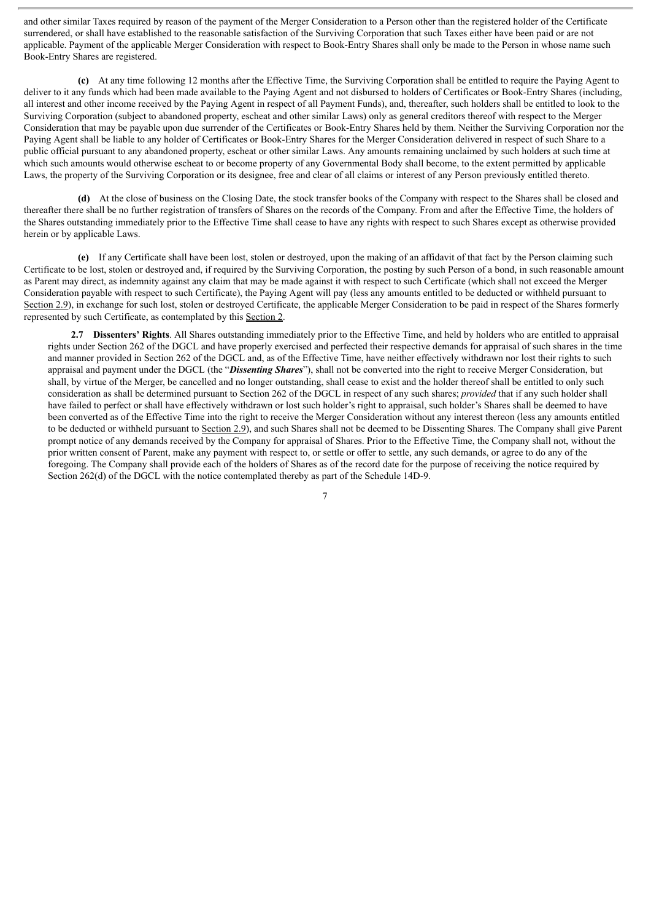and other similar Taxes required by reason of the payment of the Merger Consideration to a Person other than the registered holder of the Certificate surrendered, or shall have established to the reasonable satisfaction of the Surviving Corporation that such Taxes either have been paid or are not applicable. Payment of the applicable Merger Consideration with respect to Book-Entry Shares shall only be made to the Person in whose name such Book-Entry Shares are registered.

**(c)** At any time following 12 months after the Effective Time, the Surviving Corporation shall be entitled to require the Paying Agent to deliver to it any funds which had been made available to the Paying Agent and not disbursed to holders of Certificates or Book-Entry Shares (including, all interest and other income received by the Paying Agent in respect of all Payment Funds), and, thereafter, such holders shall be entitled to look to the Surviving Corporation (subject to abandoned property, escheat and other similar Laws) only as general creditors thereof with respect to the Merger Consideration that may be payable upon due surrender of the Certificates or Book-Entry Shares held by them. Neither the Surviving Corporation nor the Paying Agent shall be liable to any holder of Certificates or Book-Entry Shares for the Merger Consideration delivered in respect of such Share to a public official pursuant to any abandoned property, escheat or other similar Laws. Any amounts remaining unclaimed by such holders at such time at which such amounts would otherwise escheat to or become property of any Governmental Body shall become, to the extent permitted by applicable Laws, the property of the Surviving Corporation or its designee, free and clear of all claims or interest of any Person previously entitled thereto.

**(d)** At the close of business on the Closing Date, the stock transfer books of the Company with respect to the Shares shall be closed and thereafter there shall be no further registration of transfers of Shares on the records of the Company. From and after the Effective Time, the holders of the Shares outstanding immediately prior to the Effective Time shall cease to have any rights with respect to such Shares except as otherwise provided herein or by applicable Laws.

**(e)** If any Certificate shall have been lost, stolen or destroyed, upon the making of an affidavit of that fact by the Person claiming such Certificate to be lost, stolen or destroyed and, if required by the Surviving Corporation, the posting by such Person of a bond, in such reasonable amount as Parent may direct, as indemnity against any claim that may be made against it with respect to such Certificate (which shall not exceed the Merger Consideration payable with respect to such Certificate), the Paying Agent will pay (less any amounts entitled to be deducted or withheld pursuant to Section 2.9), in exchange for such lost, stolen or destroyed Certificate, the applicable Merger Consideration to be paid in respect of the Shares formerly represented by such Certificate, as contemplated by this Section 2.

**2.7 Dissenters' Rights**. All Shares outstanding immediately prior to the Effective Time, and held by holders who are entitled to appraisal rights under Section 262 of the DGCL and have properly exercised and perfected their respective demands for appraisal of such shares in the time and manner provided in Section 262 of the DGCL and, as of the Effective Time, have neither effectively withdrawn nor lost their rights to such appraisal and payment under the DGCL (the "*Dissenting Shares*"), shall not be converted into the right to receive Merger Consideration, but shall, by virtue of the Merger, be cancelled and no longer outstanding, shall cease to exist and the holder thereof shall be entitled to only such consideration as shall be determined pursuant to Section 262 of the DGCL in respect of any such shares; *provided* that if any such holder shall have failed to perfect or shall have effectively withdrawn or lost such holder's right to appraisal, such holder's Shares shall be deemed to have been converted as of the Effective Time into the right to receive the Merger Consideration without any interest thereon (less any amounts entitled to be deducted or withheld pursuant to Section 2.9), and such Shares shall not be deemed to be Dissenting Shares. The Company shall give Parent prompt notice of any demands received by the Company for appraisal of Shares. Prior to the Effective Time, the Company shall not, without the prior written consent of Parent, make any payment with respect to, or settle or offer to settle, any such demands, or agree to do any of the foregoing. The Company shall provide each of the holders of Shares as of the record date for the purpose of receiving the notice required by Section 262(d) of the DGCL with the notice contemplated thereby as part of the Schedule 14D-9.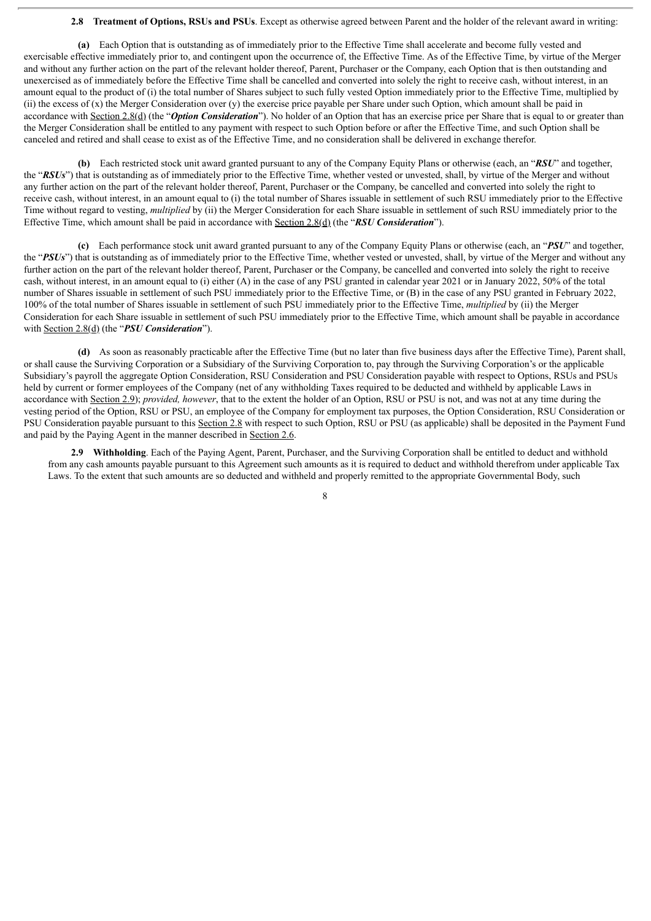#### **2.8 Treatment of Options, RSUs and PSUs**. Except as otherwise agreed between Parent and the holder of the relevant award in writing:

**(a)** Each Option that is outstanding as of immediately prior to the Effective Time shall accelerate and become fully vested and exercisable effective immediately prior to, and contingent upon the occurrence of, the Effective Time. As of the Effective Time, by virtue of the Merger and without any further action on the part of the relevant holder thereof, Parent, Purchaser or the Company, each Option that is then outstanding and unexercised as of immediately before the Effective Time shall be cancelled and converted into solely the right to receive cash, without interest, in an amount equal to the product of (i) the total number of Shares subject to such fully vested Option immediately prior to the Effective Time, multiplied by (ii) the excess of  $(x)$  the Merger Consideration over  $(y)$  the exercise price payable per Share under such Option, which amount shall be paid in accordance with Section 2.8(d) (the "*Option Consideration*"). No holder of an Option that has an exercise price per Share that is equal to or greater than the Merger Consideration shall be entitled to any payment with respect to such Option before or after the Effective Time, and such Option shall be canceled and retired and shall cease to exist as of the Effective Time, and no consideration shall be delivered in exchange therefor.

**(b)** Each restricted stock unit award granted pursuant to any of the Company Equity Plans or otherwise (each, an "*RSU*" and together, the "*RSUs*") that is outstanding as of immediately prior to the Effective Time, whether vested or unvested, shall, by virtue of the Merger and without any further action on the part of the relevant holder thereof, Parent, Purchaser or the Company, be cancelled and converted into solely the right to receive cash, without interest, in an amount equal to (i) the total number of Shares issuable in settlement of such RSU immediately prior to the Effective Time without regard to vesting, *multiplied* by (ii) the Merger Consideration for each Share issuable in settlement of such RSU immediately prior to the Effective Time, which amount shall be paid in accordance with Section 2.8(d) (the "*RSU Consideration*").

**(c)** Each performance stock unit award granted pursuant to any of the Company Equity Plans or otherwise (each, an "*PSU*" and together, the "PSUs") that is outstanding as of immediately prior to the Effective Time, whether vested or unvested, shall, by virtue of the Merger and without any further action on the part of the relevant holder thereof, Parent, Purchaser or the Company, be cancelled and converted into solely the right to receive cash, without interest, in an amount equal to (i) either (A) in the case of any PSU granted in calendar year 2021 or in January 2022, 50% of the total number of Shares issuable in settlement of such PSU immediately prior to the Effective Time, or (B) in the case of any PSU granted in February 2022, 100% of the total number of Shares issuable in settlement of such PSU immediately prior to the Effective Time, *multiplied* by (ii) the Merger Consideration for each Share issuable in settlement of such PSU immediately prior to the Effective Time, which amount shall be payable in accordance with Section 2.8(d) (the "*PSU Consideration*").

**(d)** As soon as reasonably practicable after the Effective Time (but no later than five business days after the Effective Time), Parent shall, or shall cause the Surviving Corporation or a Subsidiary of the Surviving Corporation to, pay through the Surviving Corporation's or the applicable Subsidiary's payroll the aggregate Option Consideration, RSU Consideration and PSU Consideration payable with respect to Options, RSUs and PSUs held by current or former employees of the Company (net of any withholding Taxes required to be deducted and withheld by applicable Laws in accordance with Section 2.9); *provided, however*, that to the extent the holder of an Option, RSU or PSU is not, and was not at any time during the vesting period of the Option, RSU or PSU, an employee of the Company for employment tax purposes, the Option Consideration, RSU Consideration or PSU Consideration payable pursuant to this Section 2.8 with respect to such Option, RSU or PSU (as applicable) shall be deposited in the Payment Fund and paid by the Paying Agent in the manner described in Section 2.6.

**2.9 Withholding**. Each of the Paying Agent, Parent, Purchaser, and the Surviving Corporation shall be entitled to deduct and withhold from any cash amounts payable pursuant to this Agreement such amounts as it is required to deduct and withhold therefrom under applicable Tax Laws. To the extent that such amounts are so deducted and withheld and properly remitted to the appropriate Governmental Body, such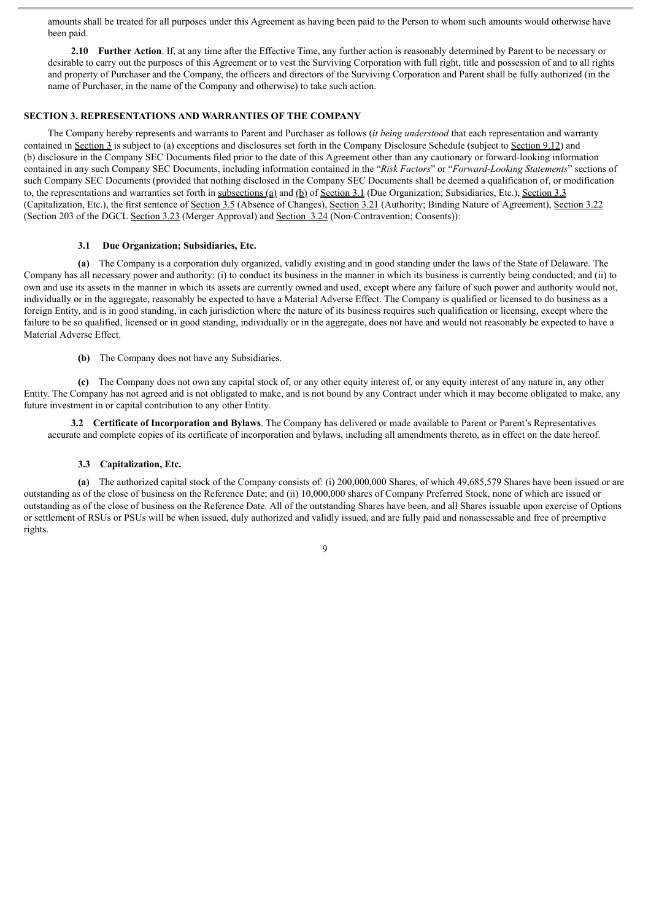amounts shall be treated for all purposes under this Agreement as having been paid to the Person to whom such amounts would otherwise have been paid.

**2.10 Further Action**. If, at any time after the Effective Time, any further action is reasonably determined by Parent to be necessary or desirable to carry out the purposes of this Agreement or to vest the Surviving Corporation with full right, title and possession of and to all rights and property of Purchaser and the Company, the officers and directors of the Surviving Corporation and Parent shall be fully authorized (in the name of Purchaser, in the name of the Company and otherwise) to take such action.

#### **SECTION 3. REPRESENTATIONS AND WARRANTIES OF THE COMPANY**

The Company hereby represents and warrants to Parent and Purchaser as follows (*it being understood* that each representation and warranty contained in Section 3 is subject to (a) exceptions and disclosures set forth in the Company Disclosure Schedule (subject to Section 9.12) and (b) disclosure in the Company SEC Documents filed prior to the date of this Agreement other than any cautionary or forward-looking information contained in any such Company SEC Documents, including information contained in the "*Risk Factors*" or "*Forward-Looking Statements*" sections of such Company SEC Documents (provided that nothing disclosed in the Company SEC Documents shall be deemed a qualification of, or modification to, the representations and warranties set forth in subsections (a) and (b) of Section 3.1 (Due Organization; Subsidiaries, Etc.), Section 3.3 (Capitalization, Etc.), the first sentence of Section 3.5 (Absence of Changes), Section 3.21 (Authority; Binding Nature of Agreement), Section 3.22 (Section 203 of the DGCL Section 3.23 (Merger Approval) and Section 3.24 (Non-Contravention; Consents)):

#### **3.1 Due Organization; Subsidiaries, Etc.**

**(a)** The Company is a corporation duly organized, validly existing and in good standing under the laws of the State of Delaware. The Company has all necessary power and authority: (i) to conduct its business in the manner in which its business is currently being conducted; and (ii) to own and use its assets in the manner in which its assets are currently owned and used, except where any failure of such power and authority would not, individually or in the aggregate, reasonably be expected to have a Material Adverse Effect. The Company is qualified or licensed to do business as a foreign Entity, and is in good standing, in each jurisdiction where the nature of its business requires such qualification or licensing, except where the failure to be so qualified, licensed or in good standing, individually or in the aggregate, does not have and would not reasonably be expected to have a Material Adverse Effect.

**(b)** The Company does not have any Subsidiaries.

**(c)** The Company does not own any capital stock of, or any other equity interest of, or any equity interest of any nature in, any other Entity. The Company has not agreed and is not obligated to make, and is not bound by any Contract under which it may become obligated to make, any future investment in or capital contribution to any other Entity.

**3.2 Certificate of Incorporation and Bylaws**. The Company has delivered or made available to Parent or Parent's Representatives accurate and complete copies of its certificate of incorporation and bylaws, including all amendments thereto, as in effect on the date hereof.

#### **3.3 Capitalization, Etc.**

**(a)** The authorized capital stock of the Company consists of: (i) 200,000,000 Shares, of which 49,685,579 Shares have been issued or are outstanding as of the close of business on the Reference Date; and (ii) 10,000,000 shares of Company Preferred Stock, none of which are issued or outstanding as of the close of business on the Reference Date. All of the outstanding Shares have been, and all Shares issuable upon exercise of Options or settlement of RSUs or PSUs will be when issued, duly authorized and validly issued, and are fully paid and nonassessable and free of preemptive rights.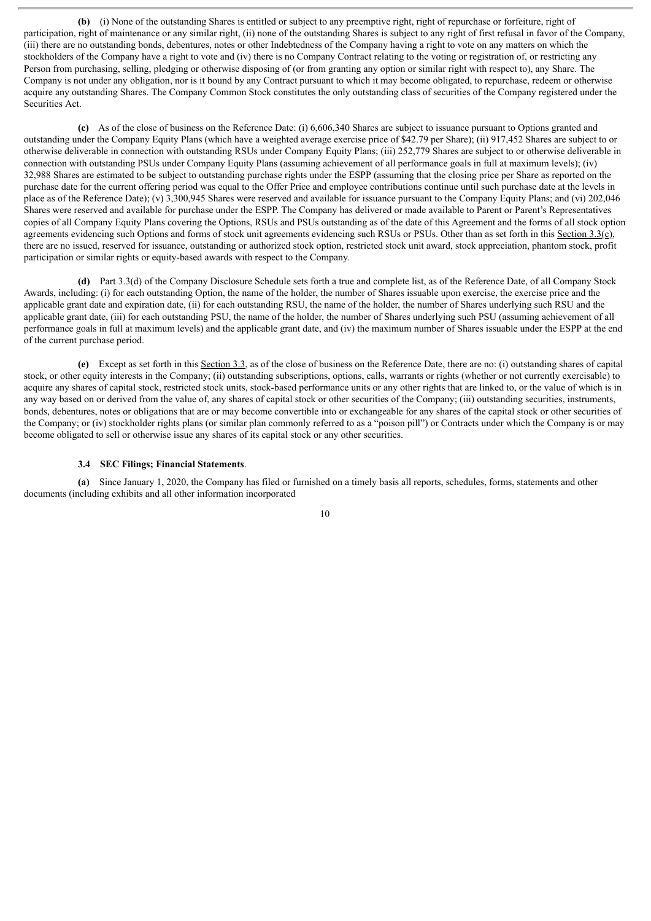**(b)** (i) None of the outstanding Shares is entitled or subject to any preemptive right, right of repurchase or forfeiture, right of participation, right of maintenance or any similar right, (ii) none of the outstanding Shares is subject to any right of first refusal in favor of the Company, (iii) there are no outstanding bonds, debentures, notes or other Indebtedness of the Company having a right to vote on any matters on which the stockholders of the Company have a right to vote and (iv) there is no Company Contract relating to the voting or registration of, or restricting any Person from purchasing, selling, pledging or otherwise disposing of (or from granting any option or similar right with respect to), any Share. The Company is not under any obligation, nor is it bound by any Contract pursuant to which it may become obligated, to repurchase, redeem or otherwise acquire any outstanding Shares. The Company Common Stock constitutes the only outstanding class of securities of the Company registered under the Securities Act.

**(c)** As of the close of business on the Reference Date: (i) 6,606,340 Shares are subject to issuance pursuant to Options granted and outstanding under the Company Equity Plans (which have a weighted average exercise price of \$42.79 per Share); (ii) 917,452 Shares are subject to or otherwise deliverable in connection with outstanding RSUs under Company Equity Plans; (iii) 252,779 Shares are subject to or otherwise deliverable in connection with outstanding PSUs under Company Equity Plans (assuming achievement of all performance goals in full at maximum levels); (iv) 32,988 Shares are estimated to be subject to outstanding purchase rights under the ESPP (assuming that the closing price per Share as reported on the purchase date for the current offering period was equal to the Offer Price and employee contributions continue until such purchase date at the levels in place as of the Reference Date); (v) 3,300,945 Shares were reserved and available for issuance pursuant to the Company Equity Plans; and (vi) 202,046 Shares were reserved and available for purchase under the ESPP. The Company has delivered or made available to Parent or Parent's Representatives copies of all Company Equity Plans covering the Options, RSUs and PSUs outstanding as of the date of this Agreement and the forms of all stock option agreements evidencing such Options and forms of stock unit agreements evidencing such RSUs or PSUs. Other than as set forth in this Section 3.3(c), there are no issued, reserved for issuance, outstanding or authorized stock option, restricted stock unit award, stock appreciation, phantom stock, profit participation or similar rights or equity-based awards with respect to the Company.

**(d)** Part 3.3(d) of the Company Disclosure Schedule sets forth a true and complete list, as of the Reference Date, of all Company Stock Awards, including: (i) for each outstanding Option, the name of the holder, the number of Shares issuable upon exercise, the exercise price and the applicable grant date and expiration date, (ii) for each outstanding RSU, the name of the holder, the number of Shares underlying such RSU and the applicable grant date, (iii) for each outstanding PSU, the name of the holder, the number of Shares underlying such PSU (assuming achievement of all performance goals in full at maximum levels) and the applicable grant date, and (iv) the maximum number of Shares issuable under the ESPP at the end of the current purchase period.

**(e)** Except as set forth in this Section 3.3, as of the close of business on the Reference Date, there are no: (i) outstanding shares of capital stock, or other equity interests in the Company; (ii) outstanding subscriptions, options, calls, warrants or rights (whether or not currently exercisable) to acquire any shares of capital stock, restricted stock units, stock-based performance units or any other rights that are linked to, or the value of which is in any way based on or derived from the value of, any shares of capital stock or other securities of the Company; (iii) outstanding securities, instruments, bonds, debentures, notes or obligations that are or may become convertible into or exchangeable for any shares of the capital stock or other securities of the Company; or (iv) stockholder rights plans (or similar plan commonly referred to as a "poison pill") or Contracts under which the Company is or may become obligated to sell or otherwise issue any shares of its capital stock or any other securities.

#### **3.4 SEC Filings; Financial Statements**.

**(a)** Since January 1, 2020, the Company has filed or furnished on a timely basis all reports, schedules, forms, statements and other documents (including exhibits and all other information incorporated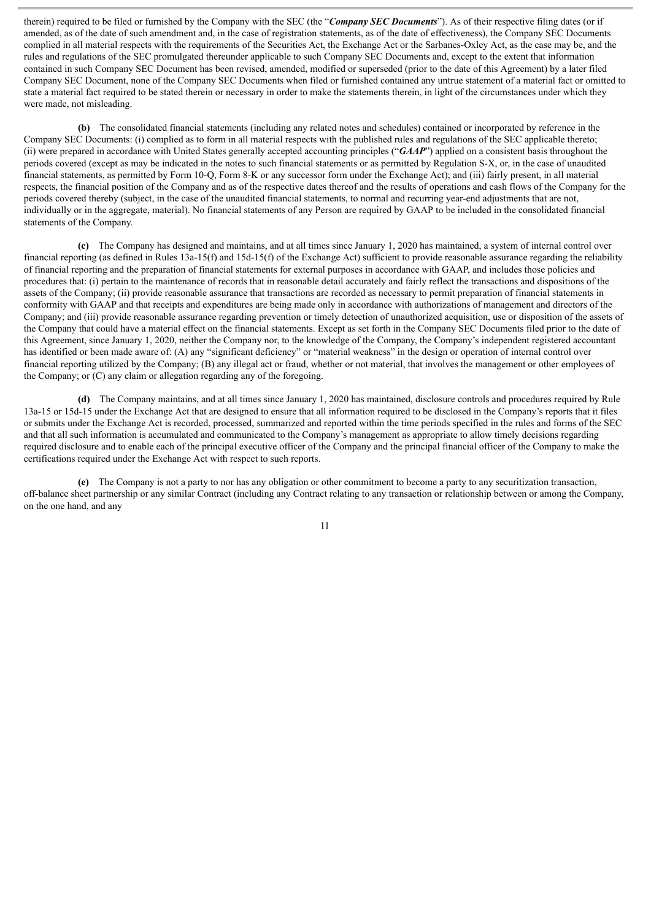therein) required to be filed or furnished by the Company with the SEC (the "*Company SEC Documents*"). As of their respective filing dates (or if amended, as of the date of such amendment and, in the case of registration statements, as of the date of effectiveness), the Company SEC Documents complied in all material respects with the requirements of the Securities Act, the Exchange Act or the Sarbanes-Oxley Act, as the case may be, and the rules and regulations of the SEC promulgated thereunder applicable to such Company SEC Documents and, except to the extent that information contained in such Company SEC Document has been revised, amended, modified or superseded (prior to the date of this Agreement) by a later filed Company SEC Document, none of the Company SEC Documents when filed or furnished contained any untrue statement of a material fact or omitted to state a material fact required to be stated therein or necessary in order to make the statements therein, in light of the circumstances under which they were made, not misleading.

**(b)** The consolidated financial statements (including any related notes and schedules) contained or incorporated by reference in the Company SEC Documents: (i) complied as to form in all material respects with the published rules and regulations of the SEC applicable thereto; (ii) were prepared in accordance with United States generally accepted accounting principles ("*GAAP*") applied on a consistent basis throughout the periods covered (except as may be indicated in the notes to such financial statements or as permitted by Regulation S-X, or, in the case of unaudited financial statements, as permitted by Form 10-Q, Form 8-K or any successor form under the Exchange Act); and (iii) fairly present, in all material respects, the financial position of the Company and as of the respective dates thereof and the results of operations and cash flows of the Company for the periods covered thereby (subject, in the case of the unaudited financial statements, to normal and recurring year-end adjustments that are not, individually or in the aggregate, material). No financial statements of any Person are required by GAAP to be included in the consolidated financial statements of the Company.

**(c)** The Company has designed and maintains, and at all times since January 1, 2020 has maintained, a system of internal control over financial reporting (as defined in Rules 13a-15(f) and 15d-15(f) of the Exchange Act) sufficient to provide reasonable assurance regarding the reliability of financial reporting and the preparation of financial statements for external purposes in accordance with GAAP, and includes those policies and procedures that: (i) pertain to the maintenance of records that in reasonable detail accurately and fairly reflect the transactions and dispositions of the assets of the Company; (ii) provide reasonable assurance that transactions are recorded as necessary to permit preparation of financial statements in conformity with GAAP and that receipts and expenditures are being made only in accordance with authorizations of management and directors of the Company; and (iii) provide reasonable assurance regarding prevention or timely detection of unauthorized acquisition, use or disposition of the assets of the Company that could have a material effect on the financial statements. Except as set forth in the Company SEC Documents filed prior to the date of this Agreement, since January 1, 2020, neither the Company nor, to the knowledge of the Company, the Company's independent registered accountant has identified or been made aware of: (A) any "significant deficiency" or "material weakness" in the design or operation of internal control over financial reporting utilized by the Company; (B) any illegal act or fraud, whether or not material, that involves the management or other employees of the Company; or (C) any claim or allegation regarding any of the foregoing.

**(d)** The Company maintains, and at all times since January 1, 2020 has maintained, disclosure controls and procedures required by Rule 13a-15 or 15d-15 under the Exchange Act that are designed to ensure that all information required to be disclosed in the Company's reports that it files or submits under the Exchange Act is recorded, processed, summarized and reported within the time periods specified in the rules and forms of the SEC and that all such information is accumulated and communicated to the Company's management as appropriate to allow timely decisions regarding required disclosure and to enable each of the principal executive officer of the Company and the principal financial officer of the Company to make the certifications required under the Exchange Act with respect to such reports.

**(e)** The Company is not a party to nor has any obligation or other commitment to become a party to any securitization transaction, off-balance sheet partnership or any similar Contract (including any Contract relating to any transaction or relationship between or among the Company, on the one hand, and any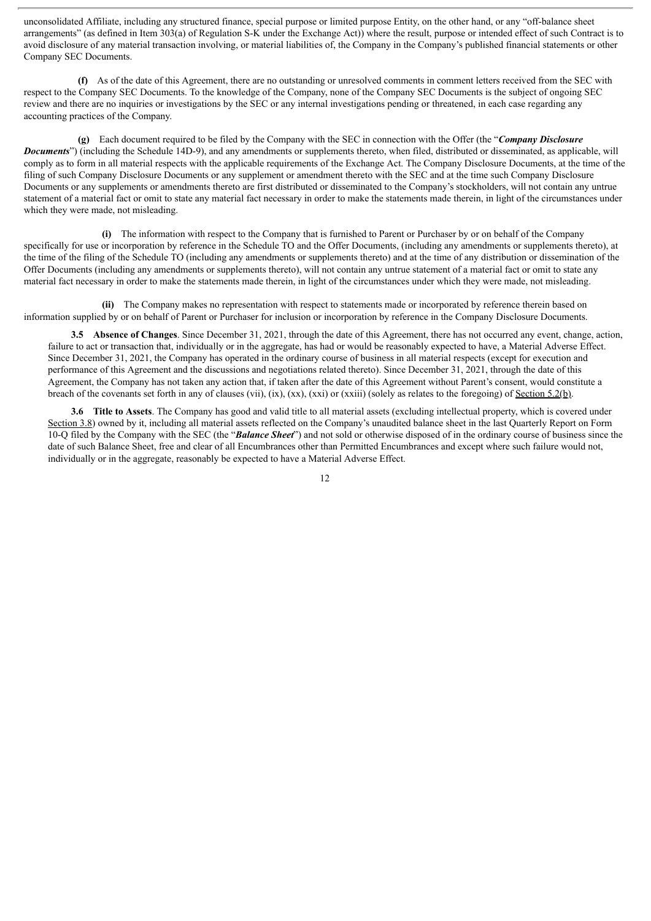unconsolidated Affiliate, including any structured finance, special purpose or limited purpose Entity, on the other hand, or any "off-balance sheet arrangements" (as defined in Item 303(a) of Regulation S-K under the Exchange Act)) where the result, purpose or intended effect of such Contract is to avoid disclosure of any material transaction involving, or material liabilities of, the Company in the Company's published financial statements or other Company SEC Documents.

**(f)** As of the date of this Agreement, there are no outstanding or unresolved comments in comment letters received from the SEC with respect to the Company SEC Documents. To the knowledge of the Company, none of the Company SEC Documents is the subject of ongoing SEC review and there are no inquiries or investigations by the SEC or any internal investigations pending or threatened, in each case regarding any accounting practices of the Company.

**(g)** Each document required to be filed by the Company with the SEC in connection with the Offer (the "*Company Disclosure Documents*") (including the Schedule 14D-9), and any amendments or supplements thereto, when filed, distributed or disseminated, as applicable, will comply as to form in all material respects with the applicable requirements of the Exchange Act. The Company Disclosure Documents, at the time of the filing of such Company Disclosure Documents or any supplement or amendment thereto with the SEC and at the time such Company Disclosure Documents or any supplements or amendments thereto are first distributed or disseminated to the Company's stockholders, will not contain any untrue statement of a material fact or omit to state any material fact necessary in order to make the statements made therein, in light of the circumstances under which they were made, not misleading.

**(i)** The information with respect to the Company that is furnished to Parent or Purchaser by or on behalf of the Company specifically for use or incorporation by reference in the Schedule TO and the Offer Documents, (including any amendments or supplements thereto), at the time of the filing of the Schedule TO (including any amendments or supplements thereto) and at the time of any distribution or dissemination of the Offer Documents (including any amendments or supplements thereto), will not contain any untrue statement of a material fact or omit to state any material fact necessary in order to make the statements made therein, in light of the circumstances under which they were made, not misleading.

**(ii)** The Company makes no representation with respect to statements made or incorporated by reference therein based on information supplied by or on behalf of Parent or Purchaser for inclusion or incorporation by reference in the Company Disclosure Documents.

**3.5 Absence of Changes**. Since December 31, 2021, through the date of this Agreement, there has not occurred any event, change, action, failure to act or transaction that, individually or in the aggregate, has had or would be reasonably expected to have, a Material Adverse Effect. Since December 31, 2021, the Company has operated in the ordinary course of business in all material respects (except for execution and performance of this Agreement and the discussions and negotiations related thereto). Since December 31, 2021, through the date of this Agreement, the Company has not taken any action that, if taken after the date of this Agreement without Parent's consent, would constitute a breach of the covenants set forth in any of clauses (vii), (ix), (xx), (xxi) or (xxiii) (solely as relates to the foregoing) of Section 5.2(b).

**3.6 Title to Assets**. The Company has good and valid title to all material assets (excluding intellectual property, which is covered under Section 3.8) owned by it, including all material assets reflected on the Company's unaudited balance sheet in the last Quarterly Report on Form 10-Q filed by the Company with the SEC (the "*Balance Sheet*") and not sold or otherwise disposed of in the ordinary course of business since the date of such Balance Sheet, free and clear of all Encumbrances other than Permitted Encumbrances and except where such failure would not, individually or in the aggregate, reasonably be expected to have a Material Adverse Effect.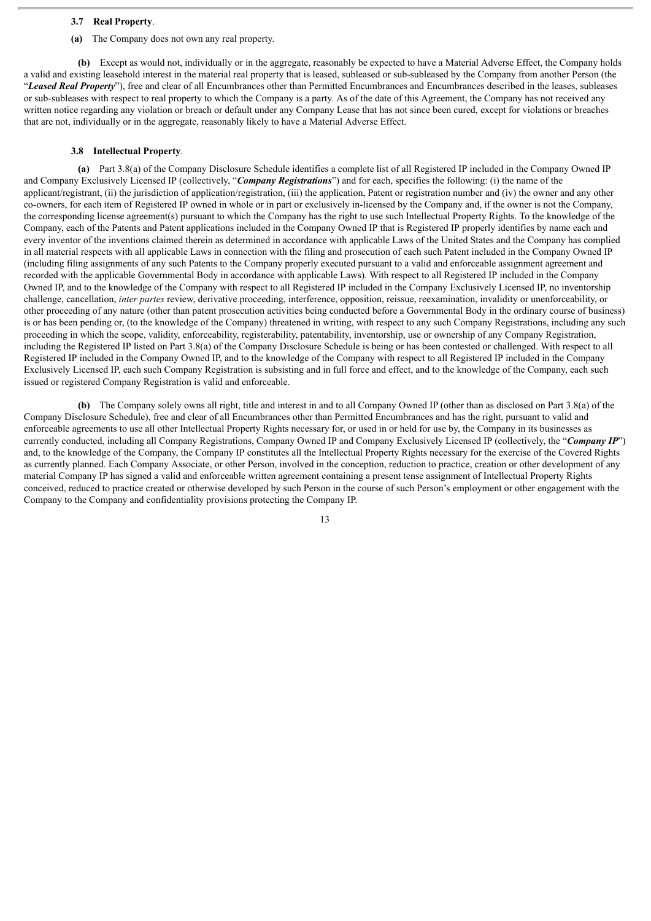#### **3.7 Real Property**.

**(a)** The Company does not own any real property.

**(b)** Except as would not, individually or in the aggregate, reasonably be expected to have a Material Adverse Effect, the Company holds a valid and existing leasehold interest in the material real property that is leased, subleased or sub-subleased by the Company from another Person (the "*Leased Real Property*"), free and clear of all Encumbrances other than Permitted Encumbrances and Encumbrances described in the leases, subleases or sub-subleases with respect to real property to which the Company is a party. As of the date of this Agreement, the Company has not received any written notice regarding any violation or breach or default under any Company Lease that has not since been cured, except for violations or breaches that are not, individually or in the aggregate, reasonably likely to have a Material Adverse Effect.

#### **3.8 Intellectual Property**.

**(a)** Part 3.8(a) of the Company Disclosure Schedule identifies a complete list of all Registered IP included in the Company Owned IP and Company Exclusively Licensed IP (collectively, "*Company Registrations*") and for each, specifies the following: (i) the name of the applicant/registrant, (ii) the jurisdiction of application/registration, (iii) the application, Patent or registration number and (iv) the owner and any other co-owners, for each item of Registered IP owned in whole or in part or exclusively in-licensed by the Company and, if the owner is not the Company, the corresponding license agreement(s) pursuant to which the Company has the right to use such Intellectual Property Rights. To the knowledge of the Company, each of the Patents and Patent applications included in the Company Owned IP that is Registered IP properly identifies by name each and every inventor of the inventions claimed therein as determined in accordance with applicable Laws of the United States and the Company has complied in all material respects with all applicable Laws in connection with the filing and prosecution of each such Patent included in the Company Owned IP (including filing assignments of any such Patents to the Company properly executed pursuant to a valid and enforceable assignment agreement and recorded with the applicable Governmental Body in accordance with applicable Laws). With respect to all Registered IP included in the Company Owned IP, and to the knowledge of the Company with respect to all Registered IP included in the Company Exclusively Licensed IP, no inventorship challenge, cancellation, *inter partes* review, derivative proceeding, interference, opposition, reissue, reexamination, invalidity or unenforceability, or other proceeding of any nature (other than patent prosecution activities being conducted before a Governmental Body in the ordinary course of business) is or has been pending or, (to the knowledge of the Company) threatened in writing, with respect to any such Company Registrations, including any such proceeding in which the scope, validity, enforceability, registerability, patentability, inventorship, use or ownership of any Company Registration, including the Registered IP listed on Part 3.8(a) of the Company Disclosure Schedule is being or has been contested or challenged. With respect to all Registered IP included in the Company Owned IP, and to the knowledge of the Company with respect to all Registered IP included in the Company Exclusively Licensed IP, each such Company Registration is subsisting and in full force and effect, and to the knowledge of the Company, each such issued or registered Company Registration is valid and enforceable.

**(b)** The Company solely owns all right, title and interest in and to all Company Owned IP (other than as disclosed on Part 3.8(a) of the Company Disclosure Schedule), free and clear of all Encumbrances other than Permitted Encumbrances and has the right, pursuant to valid and enforceable agreements to use all other Intellectual Property Rights necessary for, or used in or held for use by, the Company in its businesses as currently conducted, including all Company Registrations, Company Owned IP and Company Exclusively Licensed IP (collectively, the "*Company IP*") and, to the knowledge of the Company, the Company IP constitutes all the Intellectual Property Rights necessary for the exercise of the Covered Rights as currently planned. Each Company Associate, or other Person, involved in the conception, reduction to practice, creation or other development of any material Company IP has signed a valid and enforceable written agreement containing a present tense assignment of Intellectual Property Rights conceived, reduced to practice created or otherwise developed by such Person in the course of such Person's employment or other engagement with the Company to the Company and confidentiality provisions protecting the Company IP.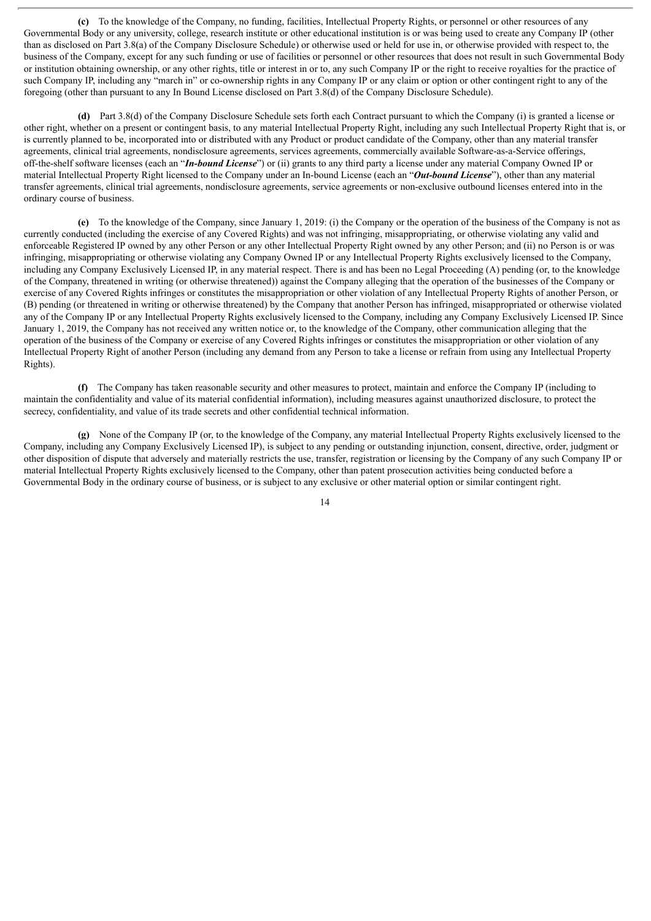**(c)** To the knowledge of the Company, no funding, facilities, Intellectual Property Rights, or personnel or other resources of any Governmental Body or any university, college, research institute or other educational institution is or was being used to create any Company IP (other than as disclosed on Part 3.8(a) of the Company Disclosure Schedule) or otherwise used or held for use in, or otherwise provided with respect to, the business of the Company, except for any such funding or use of facilities or personnel or other resources that does not result in such Governmental Body or institution obtaining ownership, or any other rights, title or interest in or to, any such Company IP or the right to receive royalties for the practice of such Company IP, including any "march in" or co-ownership rights in any Company IP or any claim or option or other contingent right to any of the foregoing (other than pursuant to any In Bound License disclosed on Part 3.8(d) of the Company Disclosure Schedule).

**(d)** Part 3.8(d) of the Company Disclosure Schedule sets forth each Contract pursuant to which the Company (i) is granted a license or other right, whether on a present or contingent basis, to any material Intellectual Property Right, including any such Intellectual Property Right that is, or is currently planned to be, incorporated into or distributed with any Product or product candidate of the Company, other than any material transfer agreements, clinical trial agreements, nondisclosure agreements, services agreements, commercially available Software-as-a-Service offerings, off-the-shelf software licenses (each an "*In-bound License*") or (ii) grants to any third party a license under any material Company Owned IP or material Intellectual Property Right licensed to the Company under an In-bound License (each an "*Out-bound License*"), other than any material transfer agreements, clinical trial agreements, nondisclosure agreements, service agreements or non-exclusive outbound licenses entered into in the ordinary course of business.

**(e)** To the knowledge of the Company, since January 1, 2019: (i) the Company or the operation of the business of the Company is not as currently conducted (including the exercise of any Covered Rights) and was not infringing, misappropriating, or otherwise violating any valid and enforceable Registered IP owned by any other Person or any other Intellectual Property Right owned by any other Person; and (ii) no Person is or was infringing, misappropriating or otherwise violating any Company Owned IP or any Intellectual Property Rights exclusively licensed to the Company, including any Company Exclusively Licensed IP, in any material respect. There is and has been no Legal Proceeding (A) pending (or, to the knowledge of the Company, threatened in writing (or otherwise threatened)) against the Company alleging that the operation of the businesses of the Company or exercise of any Covered Rights infringes or constitutes the misappropriation or other violation of any Intellectual Property Rights of another Person, or (B) pending (or threatened in writing or otherwise threatened) by the Company that another Person has infringed, misappropriated or otherwise violated any of the Company IP or any Intellectual Property Rights exclusively licensed to the Company, including any Company Exclusively Licensed IP. Since January 1, 2019, the Company has not received any written notice or, to the knowledge of the Company, other communication alleging that the operation of the business of the Company or exercise of any Covered Rights infringes or constitutes the misappropriation or other violation of any Intellectual Property Right of another Person (including any demand from any Person to take a license or refrain from using any Intellectual Property Rights).

**(f)** The Company has taken reasonable security and other measures to protect, maintain and enforce the Company IP (including to maintain the confidentiality and value of its material confidential information), including measures against unauthorized disclosure, to protect the secrecy, confidentiality, and value of its trade secrets and other confidential technical information.

**(g)** None of the Company IP (or, to the knowledge of the Company, any material Intellectual Property Rights exclusively licensed to the Company, including any Company Exclusively Licensed IP), is subject to any pending or outstanding injunction, consent, directive, order, judgment or other disposition of dispute that adversely and materially restricts the use, transfer, registration or licensing by the Company of any such Company IP or material Intellectual Property Rights exclusively licensed to the Company, other than patent prosecution activities being conducted before a Governmental Body in the ordinary course of business, or is subject to any exclusive or other material option or similar contingent right.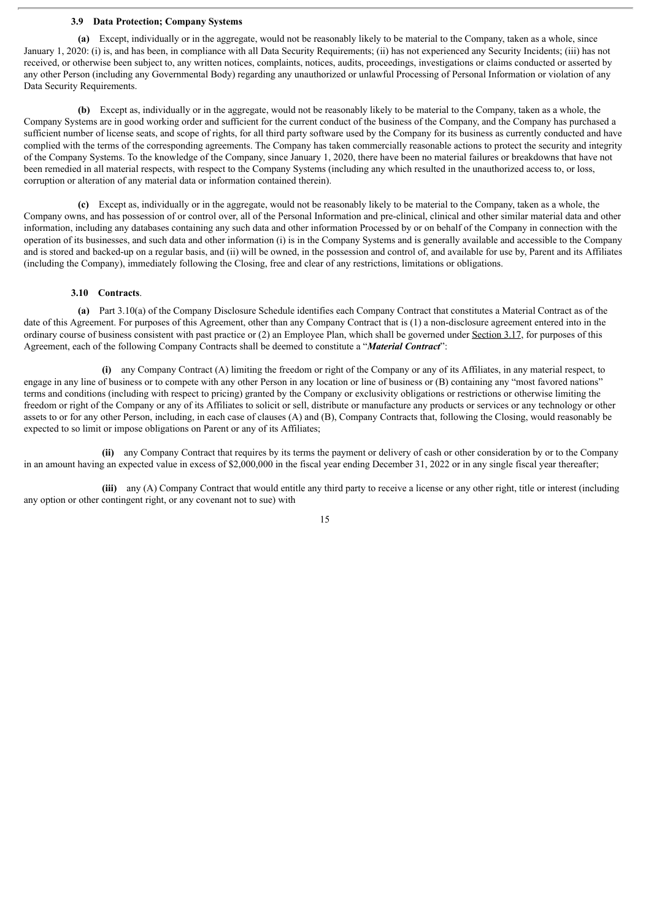#### **3.9 Data Protection; Company Systems**

**(a)** Except, individually or in the aggregate, would not be reasonably likely to be material to the Company, taken as a whole, since January 1, 2020: (i) is, and has been, in compliance with all Data Security Requirements; (ii) has not experienced any Security Incidents; (iii) has not received, or otherwise been subject to, any written notices, complaints, notices, audits, proceedings, investigations or claims conducted or asserted by any other Person (including any Governmental Body) regarding any unauthorized or unlawful Processing of Personal Information or violation of any Data Security Requirements.

**(b)** Except as, individually or in the aggregate, would not be reasonably likely to be material to the Company, taken as a whole, the Company Systems are in good working order and sufficient for the current conduct of the business of the Company, and the Company has purchased a sufficient number of license seats, and scope of rights, for all third party software used by the Company for its business as currently conducted and have complied with the terms of the corresponding agreements. The Company has taken commercially reasonable actions to protect the security and integrity of the Company Systems. To the knowledge of the Company, since January 1, 2020, there have been no material failures or breakdowns that have not been remedied in all material respects, with respect to the Company Systems (including any which resulted in the unauthorized access to, or loss, corruption or alteration of any material data or information contained therein).

**(c)** Except as, individually or in the aggregate, would not be reasonably likely to be material to the Company, taken as a whole, the Company owns, and has possession of or control over, all of the Personal Information and pre-clinical, clinical and other similar material data and other information, including any databases containing any such data and other information Processed by or on behalf of the Company in connection with the operation of its businesses, and such data and other information (i) is in the Company Systems and is generally available and accessible to the Company and is stored and backed-up on a regular basis, and (ii) will be owned, in the possession and control of, and available for use by, Parent and its Affiliates (including the Company), immediately following the Closing, free and clear of any restrictions, limitations or obligations.

#### **3.10 Contracts**.

**(a)** Part 3.10(a) of the Company Disclosure Schedule identifies each Company Contract that constitutes a Material Contract as of the date of this Agreement. For purposes of this Agreement, other than any Company Contract that is (1) a non-disclosure agreement entered into in the ordinary course of business consistent with past practice or (2) an Employee Plan, which shall be governed under Section 3.17, for purposes of this Agreement, each of the following Company Contracts shall be deemed to constitute a "*Material Contract*":

**(i)** any Company Contract (A) limiting the freedom or right of the Company or any of its Affiliates, in any material respect, to engage in any line of business or to compete with any other Person in any location or line of business or (B) containing any "most favored nations" terms and conditions (including with respect to pricing) granted by the Company or exclusivity obligations or restrictions or otherwise limiting the freedom or right of the Company or any of its Affiliates to solicit or sell, distribute or manufacture any products or services or any technology or other assets to or for any other Person, including, in each case of clauses (A) and (B), Company Contracts that, following the Closing, would reasonably be expected to so limit or impose obligations on Parent or any of its Affiliates;

**(ii)** any Company Contract that requires by its terms the payment or delivery of cash or other consideration by or to the Company in an amount having an expected value in excess of \$2,000,000 in the fiscal year ending December 31, 2022 or in any single fiscal year thereafter;

**(iii)** any (A) Company Contract that would entitle any third party to receive a license or any other right, title or interest (including any option or other contingent right, or any covenant not to sue) with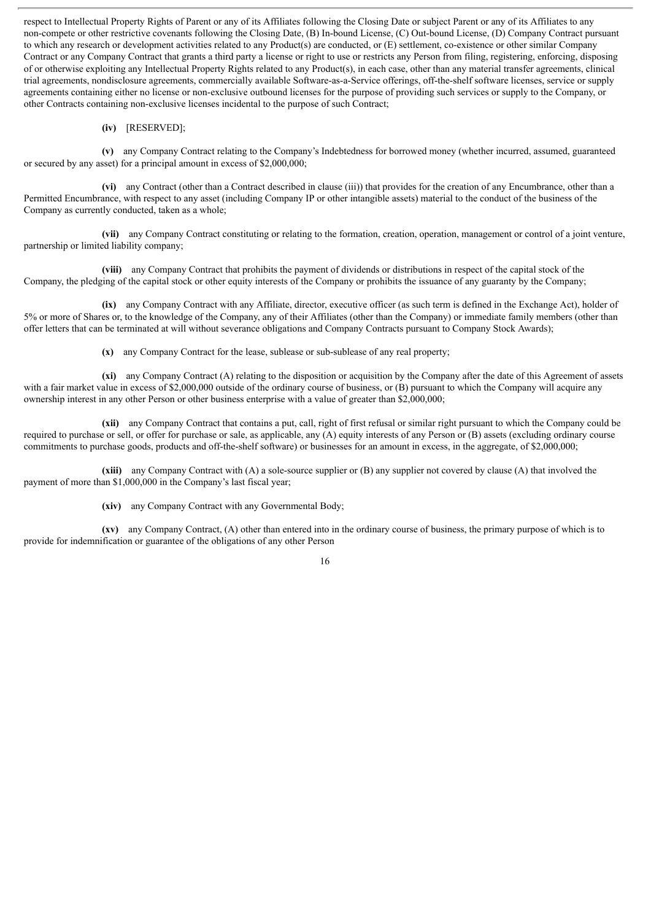respect to Intellectual Property Rights of Parent or any of its Affiliates following the Closing Date or subject Parent or any of its Affiliates to any non-compete or other restrictive covenants following the Closing Date, (B) In-bound License, (C) Out-bound License, (D) Company Contract pursuant to which any research or development activities related to any Product(s) are conducted, or (E) settlement, co-existence or other similar Company Contract or any Company Contract that grants a third party a license or right to use or restricts any Person from filing, registering, enforcing, disposing of or otherwise exploiting any Intellectual Property Rights related to any Product(s), in each case, other than any material transfer agreements, clinical trial agreements, nondisclosure agreements, commercially available Software-as-a-Service offerings, off-the-shelf software licenses, service or supply agreements containing either no license or non-exclusive outbound licenses for the purpose of providing such services or supply to the Company, or other Contracts containing non-exclusive licenses incidental to the purpose of such Contract;

#### **(iv)** [RESERVED];

**(v)** any Company Contract relating to the Company's Indebtedness for borrowed money (whether incurred, assumed, guaranteed or secured by any asset) for a principal amount in excess of \$2,000,000;

**(vi)** any Contract (other than a Contract described in clause (iii)) that provides for the creation of any Encumbrance, other than a Permitted Encumbrance, with respect to any asset (including Company IP or other intangible assets) material to the conduct of the business of the Company as currently conducted, taken as a whole;

**(vii)** any Company Contract constituting or relating to the formation, creation, operation, management or control of a joint venture, partnership or limited liability company;

**(viii)** any Company Contract that prohibits the payment of dividends or distributions in respect of the capital stock of the Company, the pledging of the capital stock or other equity interests of the Company or prohibits the issuance of any guaranty by the Company;

**(ix)** any Company Contract with any Affiliate, director, executive officer (as such term is defined in the Exchange Act), holder of 5% or more of Shares or, to the knowledge of the Company, any of their Affiliates (other than the Company) or immediate family members (other than offer letters that can be terminated at will without severance obligations and Company Contracts pursuant to Company Stock Awards);

**(x)** any Company Contract for the lease, sublease or sub-sublease of any real property;

**(xi)** any Company Contract (A) relating to the disposition or acquisition by the Company after the date of this Agreement of assets with a fair market value in excess of \$2,000,000 outside of the ordinary course of business, or (B) pursuant to which the Company will acquire any ownership interest in any other Person or other business enterprise with a value of greater than \$2,000,000;

**(xii)** any Company Contract that contains a put, call, right of first refusal or similar right pursuant to which the Company could be required to purchase or sell, or offer for purchase or sale, as applicable, any (A) equity interests of any Person or (B) assets (excluding ordinary course commitments to purchase goods, products and off-the-shelf software) or businesses for an amount in excess, in the aggregate, of \$2,000,000;

**(xiii)** any Company Contract with (A) a sole-source supplier or (B) any supplier not covered by clause (A) that involved the payment of more than \$1,000,000 in the Company's last fiscal year;

**(xiv)** any Company Contract with any Governmental Body;

**(xv)** any Company Contract, (A) other than entered into in the ordinary course of business, the primary purpose of which is to provide for indemnification or guarantee of the obligations of any other Person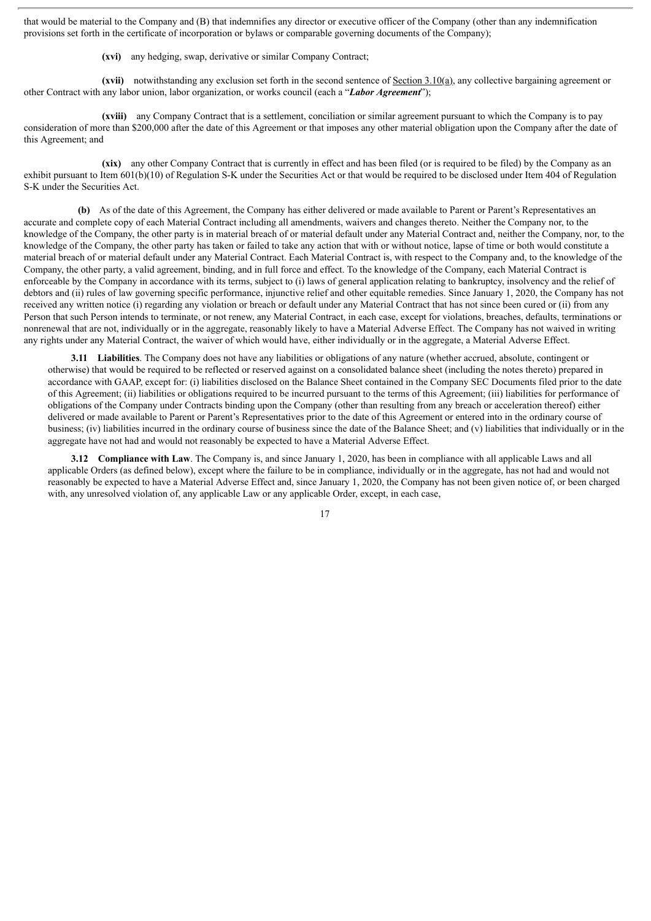that would be material to the Company and (B) that indemnifies any director or executive officer of the Company (other than any indemnification provisions set forth in the certificate of incorporation or bylaws or comparable governing documents of the Company);

**(xvi)** any hedging, swap, derivative or similar Company Contract;

**(xvii)** notwithstanding any exclusion set forth in the second sentence of Section 3.10(a), any collective bargaining agreement or other Contract with any labor union, labor organization, or works council (each a "*Labor Agreement*");

**(xviii)** any Company Contract that is a settlement, conciliation or similar agreement pursuant to which the Company is to pay consideration of more than \$200,000 after the date of this Agreement or that imposes any other material obligation upon the Company after the date of this Agreement; and

**(xix)** any other Company Contract that is currently in effect and has been filed (or is required to be filed) by the Company as an exhibit pursuant to Item 601(b)(10) of Regulation S-K under the Securities Act or that would be required to be disclosed under Item 404 of Regulation S-K under the Securities Act.

**(b)** As of the date of this Agreement, the Company has either delivered or made available to Parent or Parent's Representatives an accurate and complete copy of each Material Contract including all amendments, waivers and changes thereto. Neither the Company nor, to the knowledge of the Company, the other party is in material breach of or material default under any Material Contract and, neither the Company, nor, to the knowledge of the Company, the other party has taken or failed to take any action that with or without notice, lapse of time or both would constitute a material breach of or material default under any Material Contract. Each Material Contract is, with respect to the Company and, to the knowledge of the Company, the other party, a valid agreement, binding, and in full force and effect. To the knowledge of the Company, each Material Contract is enforceable by the Company in accordance with its terms, subject to (i) laws of general application relating to bankruptcy, insolvency and the relief of debtors and (ii) rules of law governing specific performance, injunctive relief and other equitable remedies. Since January 1, 2020, the Company has not received any written notice (i) regarding any violation or breach or default under any Material Contract that has not since been cured or (ii) from any Person that such Person intends to terminate, or not renew, any Material Contract, in each case, except for violations, breaches, defaults, terminations or nonrenewal that are not, individually or in the aggregate, reasonably likely to have a Material Adverse Effect. The Company has not waived in writing any rights under any Material Contract, the waiver of which would have, either individually or in the aggregate, a Material Adverse Effect.

**3.11 Liabilities**. The Company does not have any liabilities or obligations of any nature (whether accrued, absolute, contingent or otherwise) that would be required to be reflected or reserved against on a consolidated balance sheet (including the notes thereto) prepared in accordance with GAAP, except for: (i) liabilities disclosed on the Balance Sheet contained in the Company SEC Documents filed prior to the date of this Agreement; (ii) liabilities or obligations required to be incurred pursuant to the terms of this Agreement; (iii) liabilities for performance of obligations of the Company under Contracts binding upon the Company (other than resulting from any breach or acceleration thereof) either delivered or made available to Parent or Parent's Representatives prior to the date of this Agreement or entered into in the ordinary course of business; (iv) liabilities incurred in the ordinary course of business since the date of the Balance Sheet; and (v) liabilities that individually or in the aggregate have not had and would not reasonably be expected to have a Material Adverse Effect.

**3.12 Compliance with Law**. The Company is, and since January 1, 2020, has been in compliance with all applicable Laws and all applicable Orders (as defined below), except where the failure to be in compliance, individually or in the aggregate, has not had and would not reasonably be expected to have a Material Adverse Effect and, since January 1, 2020, the Company has not been given notice of, or been charged with, any unresolved violation of, any applicable Law or any applicable Order, except, in each case,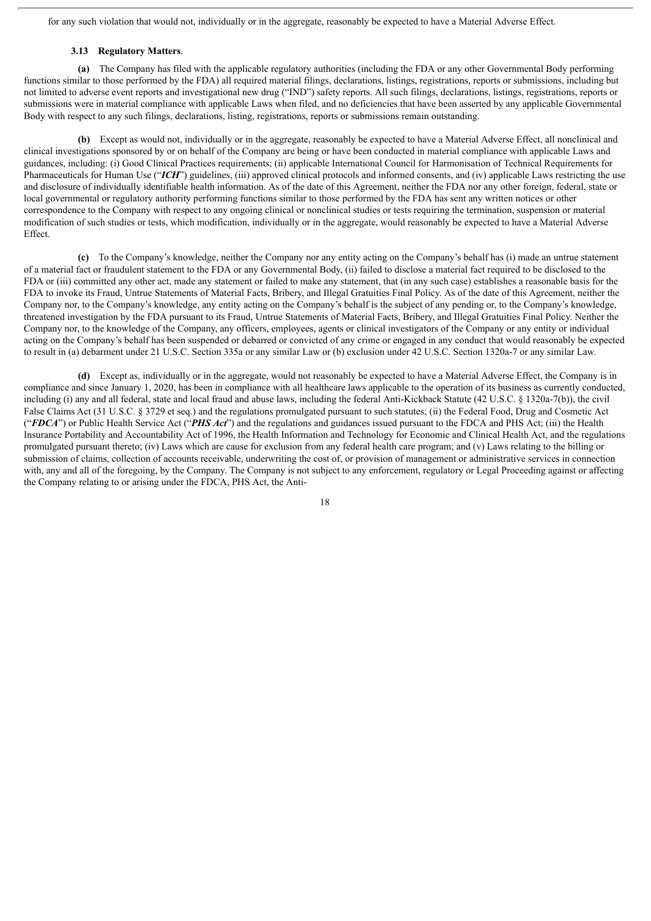for any such violation that would not, individually or in the aggregate, reasonably be expected to have a Material Adverse Effect.

#### **3.13 Regulatory Matters**.

**(a)** The Company has filed with the applicable regulatory authorities (including the FDA or any other Governmental Body performing functions similar to those performed by the FDA) all required material filings, declarations, listings, registrations, reports or submissions, including but not limited to adverse event reports and investigational new drug ("IND") safety reports. All such filings, declarations, listings, registrations, reports or submissions were in material compliance with applicable Laws when filed, and no deficiencies that have been asserted by any applicable Governmental Body with respect to any such filings, declarations, listing, registrations, reports or submissions remain outstanding.

**(b)** Except as would not, individually or in the aggregate, reasonably be expected to have a Material Adverse Effect, all nonclinical and clinical investigations sponsored by or on behalf of the Company are being or have been conducted in material compliance with applicable Laws and guidances, including: (i) Good Clinical Practices requirements; (ii) applicable International Council for Harmonisation of Technical Requirements for Pharmaceuticals for Human Use ("*ICH*") guidelines, (iii) approved clinical protocols and informed consents, and (iv) applicable Laws restricting the use and disclosure of individually identifiable health information. As of the date of this Agreement, neither the FDA nor any other foreign, federal, state or local governmental or regulatory authority performing functions similar to those performed by the FDA has sent any written notices or other correspondence to the Company with respect to any ongoing clinical or nonclinical studies or tests requiring the termination, suspension or material modification of such studies or tests, which modification, individually or in the aggregate, would reasonably be expected to have a Material Adverse Effect.

**(c)** To the Company's knowledge, neither the Company nor any entity acting on the Company's behalf has (i) made an untrue statement of a material fact or fraudulent statement to the FDA or any Governmental Body, (ii) failed to disclose a material fact required to be disclosed to the FDA or (iii) committed any other act, made any statement or failed to make any statement, that (in any such case) establishes a reasonable basis for the FDA to invoke its Fraud, Untrue Statements of Material Facts, Bribery, and Illegal Gratuities Final Policy. As of the date of this Agreement, neither the Company nor, to the Company's knowledge, any entity acting on the Company's behalf is the subject of any pending or, to the Company's knowledge, threatened investigation by the FDA pursuant to its Fraud, Untrue Statements of Material Facts, Bribery, and Illegal Gratuities Final Policy. Neither the Company nor, to the knowledge of the Company, any officers, employees, agents or clinical investigators of the Company or any entity or individual acting on the Company's behalf has been suspended or debarred or convicted of any crime or engaged in any conduct that would reasonably be expected to result in (a) debarment under 21 U.S.C. Section 335a or any similar Law or (b) exclusion under 42 U.S.C. Section 1320a-7 or any similar Law.

**(d)** Except as, individually or in the aggregate, would not reasonably be expected to have a Material Adverse Effect, the Company is in compliance and since January 1, 2020, has been in compliance with all healthcare laws applicable to the operation of its business as currently conducted, including (i) any and all federal, state and local fraud and abuse laws, including the federal Anti-Kickback Statute (42 U.S.C. § 1320a-7(b)), the civil False Claims Act (31 U.S.C. § 3729 et seq.) and the regulations promulgated pursuant to such statutes; (ii) the Federal Food, Drug and Cosmetic Act ("*FDCA*") or Public Health Service Act ("*PHS Act*") and the regulations and guidances issued pursuant to the FDCA and PHS Act; (iii) the Health Insurance Portability and Accountability Act of 1996, the Health Information and Technology for Economic and Clinical Health Act, and the regulations promulgated pursuant thereto; (iv) Laws which are cause for exclusion from any federal health care program; and (v) Laws relating to the billing or submission of claims, collection of accounts receivable, underwriting the cost of, or provision of management or administrative services in connection with, any and all of the foregoing, by the Company. The Company is not subject to any enforcement, regulatory or Legal Proceeding against or affecting the Company relating to or arising under the FDCA, PHS Act, the Anti-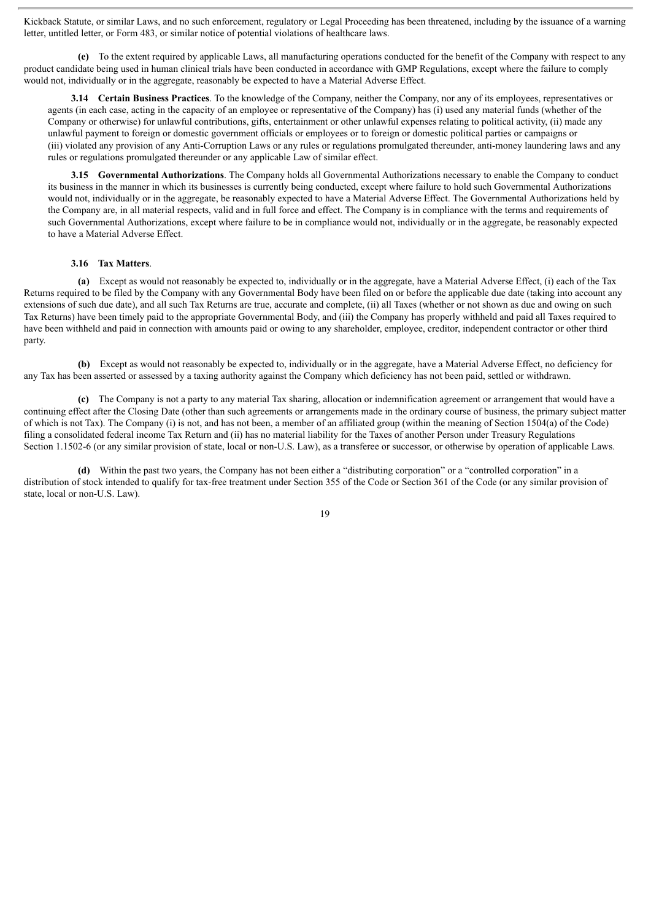Kickback Statute, or similar Laws, and no such enforcement, regulatory or Legal Proceeding has been threatened, including by the issuance of a warning letter, untitled letter, or Form 483, or similar notice of potential violations of healthcare laws.

**(e)** To the extent required by applicable Laws, all manufacturing operations conducted for the benefit of the Company with respect to any product candidate being used in human clinical trials have been conducted in accordance with GMP Regulations, except where the failure to comply would not, individually or in the aggregate, reasonably be expected to have a Material Adverse Effect.

**3.14 Certain Business Practices**. To the knowledge of the Company, neither the Company, nor any of its employees, representatives or agents (in each case, acting in the capacity of an employee or representative of the Company) has (i) used any material funds (whether of the Company or otherwise) for unlawful contributions, gifts, entertainment or other unlawful expenses relating to political activity, (ii) made any unlawful payment to foreign or domestic government officials or employees or to foreign or domestic political parties or campaigns or (iii) violated any provision of any Anti-Corruption Laws or any rules or regulations promulgated thereunder, anti-money laundering laws and any rules or regulations promulgated thereunder or any applicable Law of similar effect.

**3.15 Governmental Authorizations**. The Company holds all Governmental Authorizations necessary to enable the Company to conduct its business in the manner in which its businesses is currently being conducted, except where failure to hold such Governmental Authorizations would not, individually or in the aggregate, be reasonably expected to have a Material Adverse Effect. The Governmental Authorizations held by the Company are, in all material respects, valid and in full force and effect. The Company is in compliance with the terms and requirements of such Governmental Authorizations, except where failure to be in compliance would not, individually or in the aggregate, be reasonably expected to have a Material Adverse Effect.

## **3.16 Tax Matters**.

**(a)** Except as would not reasonably be expected to, individually or in the aggregate, have a Material Adverse Effect, (i) each of the Tax Returns required to be filed by the Company with any Governmental Body have been filed on or before the applicable due date (taking into account any extensions of such due date), and all such Tax Returns are true, accurate and complete, (ii) all Taxes (whether or not shown as due and owing on such Tax Returns) have been timely paid to the appropriate Governmental Body, and (iii) the Company has properly withheld and paid all Taxes required to have been withheld and paid in connection with amounts paid or owing to any shareholder, employee, creditor, independent contractor or other third party.

**(b)** Except as would not reasonably be expected to, individually or in the aggregate, have a Material Adverse Effect, no deficiency for any Tax has been asserted or assessed by a taxing authority against the Company which deficiency has not been paid, settled or withdrawn.

**(c)** The Company is not a party to any material Tax sharing, allocation or indemnification agreement or arrangement that would have a continuing effect after the Closing Date (other than such agreements or arrangements made in the ordinary course of business, the primary subject matter of which is not Tax). The Company (i) is not, and has not been, a member of an affiliated group (within the meaning of Section 1504(a) of the Code) filing a consolidated federal income Tax Return and (ii) has no material liability for the Taxes of another Person under Treasury Regulations Section 1.1502-6 (or any similar provision of state, local or non-U.S. Law), as a transferee or successor, or otherwise by operation of applicable Laws.

**(d)** Within the past two years, the Company has not been either a "distributing corporation" or a "controlled corporation" in a distribution of stock intended to qualify for tax-free treatment under Section 355 of the Code or Section 361 of the Code (or any similar provision of state, local or non-U.S. Law).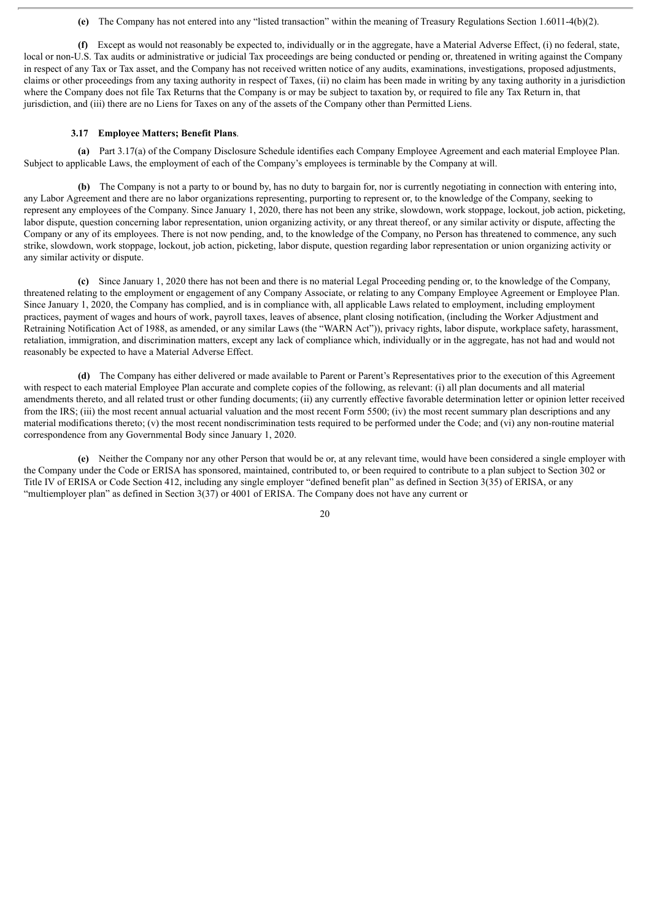**(e)** The Company has not entered into any "listed transaction" within the meaning of Treasury Regulations Section 1.6011-4(b)(2).

**(f)** Except as would not reasonably be expected to, individually or in the aggregate, have a Material Adverse Effect, (i) no federal, state, local or non-U.S. Tax audits or administrative or judicial Tax proceedings are being conducted or pending or, threatened in writing against the Company in respect of any Tax or Tax asset, and the Company has not received written notice of any audits, examinations, investigations, proposed adjustments, claims or other proceedings from any taxing authority in respect of Taxes, (ii) no claim has been made in writing by any taxing authority in a jurisdiction where the Company does not file Tax Returns that the Company is or may be subject to taxation by, or required to file any Tax Return in, that jurisdiction, and (iii) there are no Liens for Taxes on any of the assets of the Company other than Permitted Liens.

#### **3.17 Employee Matters; Benefit Plans**.

**(a)** Part 3.17(a) of the Company Disclosure Schedule identifies each Company Employee Agreement and each material Employee Plan. Subject to applicable Laws, the employment of each of the Company's employees is terminable by the Company at will.

**(b)** The Company is not a party to or bound by, has no duty to bargain for, nor is currently negotiating in connection with entering into, any Labor Agreement and there are no labor organizations representing, purporting to represent or, to the knowledge of the Company, seeking to represent any employees of the Company. Since January 1, 2020, there has not been any strike, slowdown, work stoppage, lockout, job action, picketing, labor dispute, question concerning labor representation, union organizing activity, or any threat thereof, or any similar activity or dispute, affecting the Company or any of its employees. There is not now pending, and, to the knowledge of the Company, no Person has threatened to commence, any such strike, slowdown, work stoppage, lockout, job action, picketing, labor dispute, question regarding labor representation or union organizing activity or any similar activity or dispute.

**(c)** Since January 1, 2020 there has not been and there is no material Legal Proceeding pending or, to the knowledge of the Company, threatened relating to the employment or engagement of any Company Associate, or relating to any Company Employee Agreement or Employee Plan. Since January 1, 2020, the Company has complied, and is in compliance with, all applicable Laws related to employment, including employment practices, payment of wages and hours of work, payroll taxes, leaves of absence, plant closing notification, (including the Worker Adjustment and Retraining Notification Act of 1988, as amended, or any similar Laws (the "WARN Act")), privacy rights, labor dispute, workplace safety, harassment, retaliation, immigration, and discrimination matters, except any lack of compliance which, individually or in the aggregate, has not had and would not reasonably be expected to have a Material Adverse Effect.

**(d)** The Company has either delivered or made available to Parent or Parent's Representatives prior to the execution of this Agreement with respect to each material Employee Plan accurate and complete copies of the following, as relevant: (i) all plan documents and all material amendments thereto, and all related trust or other funding documents; (ii) any currently effective favorable determination letter or opinion letter received from the IRS; (iii) the most recent annual actuarial valuation and the most recent Form 5500; (iv) the most recent summary plan descriptions and any material modifications thereto; (v) the most recent nondiscrimination tests required to be performed under the Code; and (vi) any non-routine material correspondence from any Governmental Body since January 1, 2020.

**(e)** Neither the Company nor any other Person that would be or, at any relevant time, would have been considered a single employer with the Company under the Code or ERISA has sponsored, maintained, contributed to, or been required to contribute to a plan subject to Section 302 or Title IV of ERISA or Code Section 412, including any single employer "defined benefit plan" as defined in Section 3(35) of ERISA, or any "multiemployer plan" as defined in Section 3(37) or 4001 of ERISA. The Company does not have any current or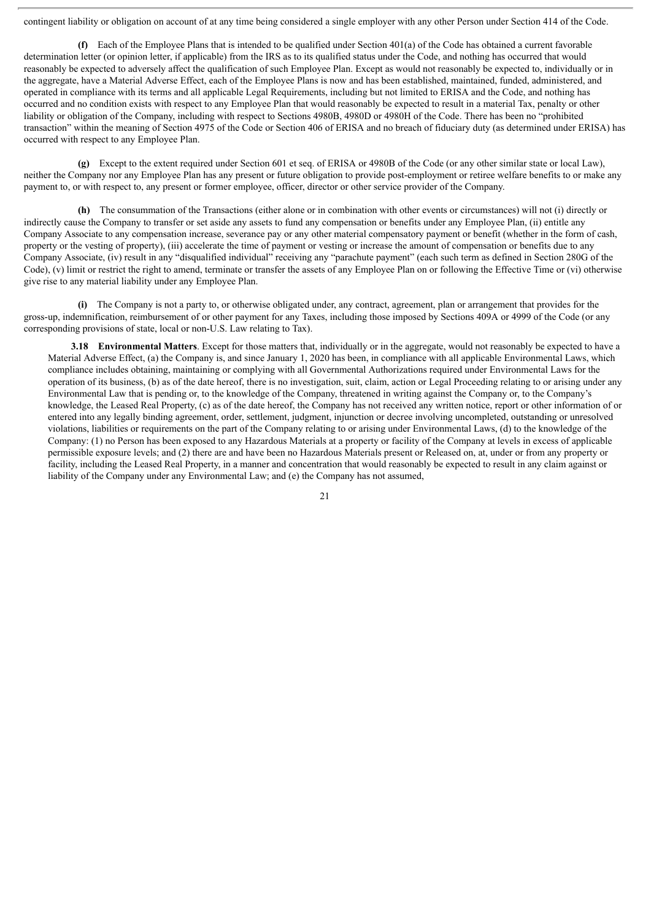contingent liability or obligation on account of at any time being considered a single employer with any other Person under Section 414 of the Code.

**(f)** Each of the Employee Plans that is intended to be qualified under Section 401(a) of the Code has obtained a current favorable determination letter (or opinion letter, if applicable) from the IRS as to its qualified status under the Code, and nothing has occurred that would reasonably be expected to adversely affect the qualification of such Employee Plan. Except as would not reasonably be expected to, individually or in the aggregate, have a Material Adverse Effect, each of the Employee Plans is now and has been established, maintained, funded, administered, and operated in compliance with its terms and all applicable Legal Requirements, including but not limited to ERISA and the Code, and nothing has occurred and no condition exists with respect to any Employee Plan that would reasonably be expected to result in a material Tax, penalty or other liability or obligation of the Company, including with respect to Sections 4980B, 4980D or 4980H of the Code. There has been no "prohibited transaction" within the meaning of Section 4975 of the Code or Section 406 of ERISA and no breach of fiduciary duty (as determined under ERISA) has occurred with respect to any Employee Plan.

**(g)** Except to the extent required under Section 601 et seq. of ERISA or 4980B of the Code (or any other similar state or local Law), neither the Company nor any Employee Plan has any present or future obligation to provide post-employment or retiree welfare benefits to or make any payment to, or with respect to, any present or former employee, officer, director or other service provider of the Company.

**(h)** The consummation of the Transactions (either alone or in combination with other events or circumstances) will not (i) directly or indirectly cause the Company to transfer or set aside any assets to fund any compensation or benefits under any Employee Plan, (ii) entitle any Company Associate to any compensation increase, severance pay or any other material compensatory payment or benefit (whether in the form of cash, property or the vesting of property), (iii) accelerate the time of payment or vesting or increase the amount of compensation or benefits due to any Company Associate, (iv) result in any "disqualified individual" receiving any "parachute payment" (each such term as defined in Section 280G of the Code), (v) limit or restrict the right to amend, terminate or transfer the assets of any Employee Plan on or following the Effective Time or (vi) otherwise give rise to any material liability under any Employee Plan.

**(i)** The Company is not a party to, or otherwise obligated under, any contract, agreement, plan or arrangement that provides for the gross-up, indemnification, reimbursement of or other payment for any Taxes, including those imposed by Sections 409A or 4999 of the Code (or any corresponding provisions of state, local or non-U.S. Law relating to Tax).

**3.18 Environmental Matters**. Except for those matters that, individually or in the aggregate, would not reasonably be expected to have a Material Adverse Effect, (a) the Company is, and since January 1, 2020 has been, in compliance with all applicable Environmental Laws, which compliance includes obtaining, maintaining or complying with all Governmental Authorizations required under Environmental Laws for the operation of its business, (b) as of the date hereof, there is no investigation, suit, claim, action or Legal Proceeding relating to or arising under any Environmental Law that is pending or, to the knowledge of the Company, threatened in writing against the Company or, to the Company's knowledge, the Leased Real Property, (c) as of the date hereof, the Company has not received any written notice, report or other information of or entered into any legally binding agreement, order, settlement, judgment, injunction or decree involving uncompleted, outstanding or unresolved violations, liabilities or requirements on the part of the Company relating to or arising under Environmental Laws, (d) to the knowledge of the Company: (1) no Person has been exposed to any Hazardous Materials at a property or facility of the Company at levels in excess of applicable permissible exposure levels; and (2) there are and have been no Hazardous Materials present or Released on, at, under or from any property or facility, including the Leased Real Property, in a manner and concentration that would reasonably be expected to result in any claim against or liability of the Company under any Environmental Law; and (e) the Company has not assumed,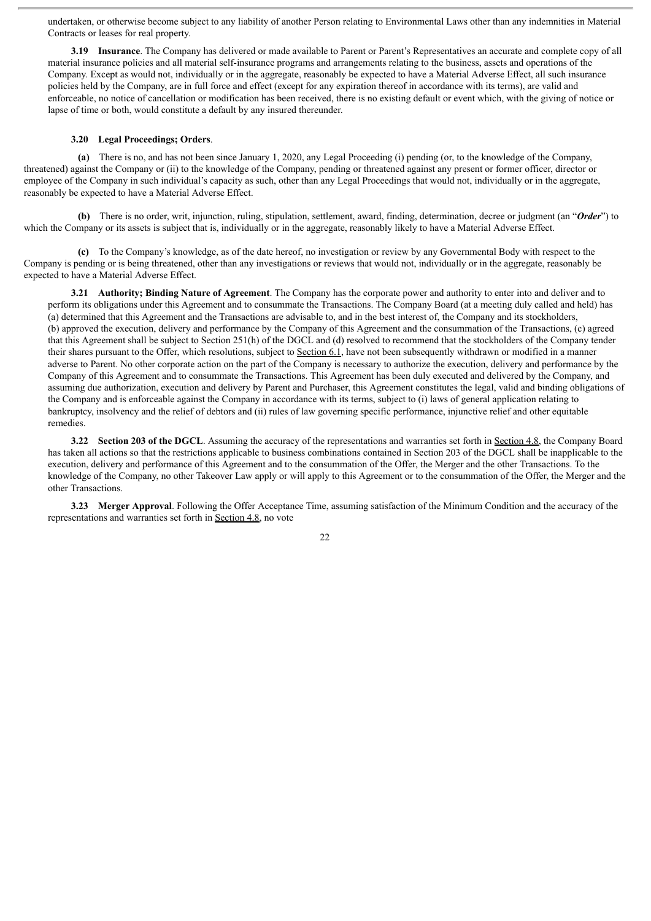undertaken, or otherwise become subject to any liability of another Person relating to Environmental Laws other than any indemnities in Material Contracts or leases for real property.

**3.19 Insurance**. The Company has delivered or made available to Parent or Parent's Representatives an accurate and complete copy of all material insurance policies and all material self-insurance programs and arrangements relating to the business, assets and operations of the Company. Except as would not, individually or in the aggregate, reasonably be expected to have a Material Adverse Effect, all such insurance policies held by the Company, are in full force and effect (except for any expiration thereof in accordance with its terms), are valid and enforceable, no notice of cancellation or modification has been received, there is no existing default or event which, with the giving of notice or lapse of time or both, would constitute a default by any insured thereunder.

#### **3.20 Legal Proceedings; Orders**.

**(a)** There is no, and has not been since January 1, 2020, any Legal Proceeding (i) pending (or, to the knowledge of the Company, threatened) against the Company or (ii) to the knowledge of the Company, pending or threatened against any present or former officer, director or employee of the Company in such individual's capacity as such, other than any Legal Proceedings that would not, individually or in the aggregate, reasonably be expected to have a Material Adverse Effect.

**(b)** There is no order, writ, injunction, ruling, stipulation, settlement, award, finding, determination, decree or judgment (an "*Order*") to which the Company or its assets is subject that is, individually or in the aggregate, reasonably likely to have a Material Adverse Effect.

**(c)** To the Company's knowledge, as of the date hereof, no investigation or review by any Governmental Body with respect to the Company is pending or is being threatened, other than any investigations or reviews that would not, individually or in the aggregate, reasonably be expected to have a Material Adverse Effect.

**3.21 Authority; Binding Nature of Agreement**. The Company has the corporate power and authority to enter into and deliver and to perform its obligations under this Agreement and to consummate the Transactions. The Company Board (at a meeting duly called and held) has (a) determined that this Agreement and the Transactions are advisable to, and in the best interest of, the Company and its stockholders, (b) approved the execution, delivery and performance by the Company of this Agreement and the consummation of the Transactions, (c) agreed that this Agreement shall be subject to Section 251(h) of the DGCL and (d) resolved to recommend that the stockholders of the Company tender their shares pursuant to the Offer, which resolutions, subject to Section 6.1, have not been subsequently withdrawn or modified in a manner adverse to Parent. No other corporate action on the part of the Company is necessary to authorize the execution, delivery and performance by the Company of this Agreement and to consummate the Transactions. This Agreement has been duly executed and delivered by the Company, and assuming due authorization, execution and delivery by Parent and Purchaser, this Agreement constitutes the legal, valid and binding obligations of the Company and is enforceable against the Company in accordance with its terms, subject to (i) laws of general application relating to bankruptcy, insolvency and the relief of debtors and (ii) rules of law governing specific performance, injunctive relief and other equitable remedies.

**3.22 Section 203 of the DGCL**. Assuming the accuracy of the representations and warranties set forth in Section 4.8, the Company Board has taken all actions so that the restrictions applicable to business combinations contained in Section 203 of the DGCL shall be inapplicable to the execution, delivery and performance of this Agreement and to the consummation of the Offer, the Merger and the other Transactions. To the knowledge of the Company, no other Takeover Law apply or will apply to this Agreement or to the consummation of the Offer, the Merger and the other Transactions.

**3.23 Merger Approval**. Following the Offer Acceptance Time, assuming satisfaction of the Minimum Condition and the accuracy of the representations and warranties set forth in Section 4.8, no vote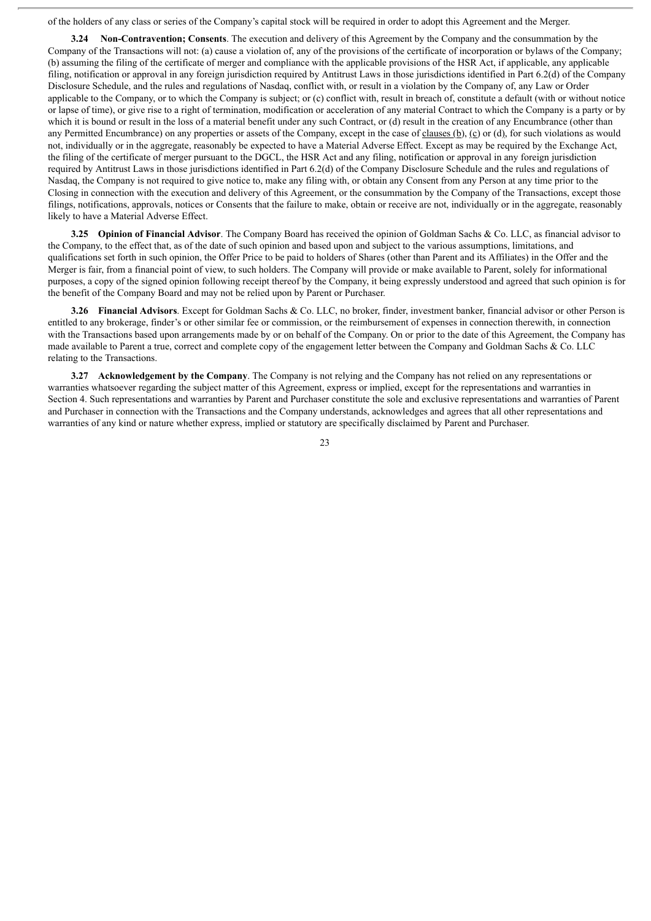of the holders of any class or series of the Company's capital stock will be required in order to adopt this Agreement and the Merger.

**3.24 Non-Contravention; Consents**. The execution and delivery of this Agreement by the Company and the consummation by the Company of the Transactions will not: (a) cause a violation of, any of the provisions of the certificate of incorporation or bylaws of the Company; (b) assuming the filing of the certificate of merger and compliance with the applicable provisions of the HSR Act, if applicable, any applicable filing, notification or approval in any foreign jurisdiction required by Antitrust Laws in those jurisdictions identified in Part 6.2(d) of the Company Disclosure Schedule, and the rules and regulations of Nasdaq, conflict with, or result in a violation by the Company of, any Law or Order applicable to the Company, or to which the Company is subject; or (c) conflict with, result in breach of, constitute a default (with or without notice or lapse of time), or give rise to a right of termination, modification or acceleration of any material Contract to which the Company is a party or by which it is bound or result in the loss of a material benefit under any such Contract, or (d) result in the creation of any Encumbrance (other than any Permitted Encumbrance) on any properties or assets of the Company, except in the case of clauses (b), (c) or (d), for such violations as would not, individually or in the aggregate, reasonably be expected to have a Material Adverse Effect. Except as may be required by the Exchange Act, the filing of the certificate of merger pursuant to the DGCL, the HSR Act and any filing, notification or approval in any foreign jurisdiction required by Antitrust Laws in those jurisdictions identified in Part 6.2(d) of the Company Disclosure Schedule and the rules and regulations of Nasdaq, the Company is not required to give notice to, make any filing with, or obtain any Consent from any Person at any time prior to the Closing in connection with the execution and delivery of this Agreement, or the consummation by the Company of the Transactions, except those filings, notifications, approvals, notices or Consents that the failure to make, obtain or receive are not, individually or in the aggregate, reasonably likely to have a Material Adverse Effect.

**3.25 Opinion of Financial Advisor**. The Company Board has received the opinion of Goldman Sachs & Co. LLC, as financial advisor to the Company, to the effect that, as of the date of such opinion and based upon and subject to the various assumptions, limitations, and qualifications set forth in such opinion, the Offer Price to be paid to holders of Shares (other than Parent and its Affiliates) in the Offer and the Merger is fair, from a financial point of view, to such holders. The Company will provide or make available to Parent, solely for informational purposes, a copy of the signed opinion following receipt thereof by the Company, it being expressly understood and agreed that such opinion is for the benefit of the Company Board and may not be relied upon by Parent or Purchaser.

**3.26 Financial Advisors**. Except for Goldman Sachs & Co. LLC, no broker, finder, investment banker, financial advisor or other Person is entitled to any brokerage, finder's or other similar fee or commission, or the reimbursement of expenses in connection therewith, in connection with the Transactions based upon arrangements made by or on behalf of the Company. On or prior to the date of this Agreement, the Company has made available to Parent a true, correct and complete copy of the engagement letter between the Company and Goldman Sachs & Co. LLC relating to the Transactions.

**3.27 Acknowledgement by the Company**. The Company is not relying and the Company has not relied on any representations or warranties whatsoever regarding the subject matter of this Agreement, express or implied, except for the representations and warranties in Section 4. Such representations and warranties by Parent and Purchaser constitute the sole and exclusive representations and warranties of Parent and Purchaser in connection with the Transactions and the Company understands, acknowledges and agrees that all other representations and warranties of any kind or nature whether express, implied or statutory are specifically disclaimed by Parent and Purchaser.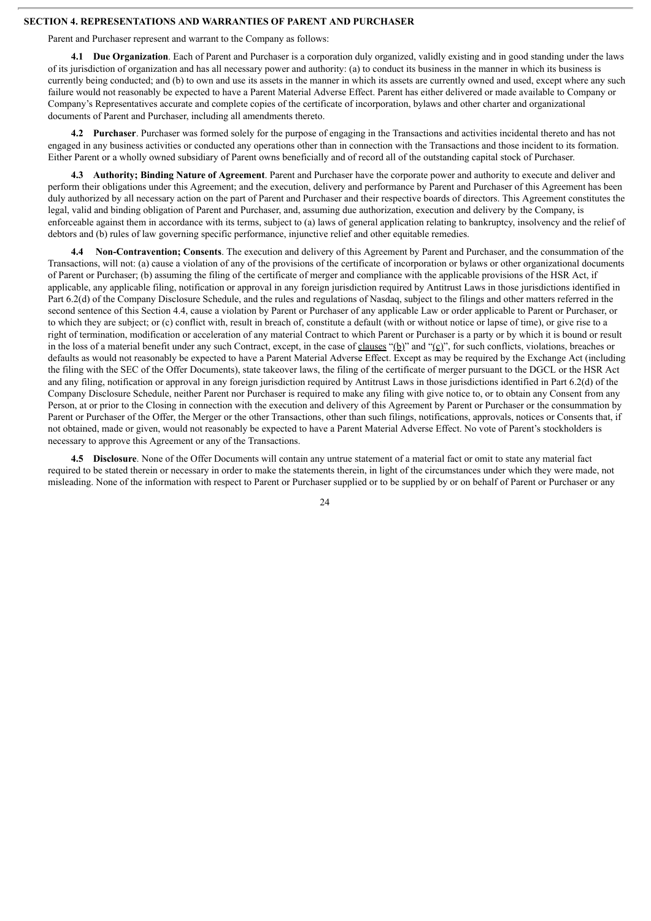#### **SECTION 4. REPRESENTATIONS AND WARRANTIES OF PARENT AND PURCHASER**

Parent and Purchaser represent and warrant to the Company as follows:

**4.1 Due Organization**. Each of Parent and Purchaser is a corporation duly organized, validly existing and in good standing under the laws of its jurisdiction of organization and has all necessary power and authority: (a) to conduct its business in the manner in which its business is currently being conducted; and (b) to own and use its assets in the manner in which its assets are currently owned and used, except where any such failure would not reasonably be expected to have a Parent Material Adverse Effect. Parent has either delivered or made available to Company or Company's Representatives accurate and complete copies of the certificate of incorporation, bylaws and other charter and organizational documents of Parent and Purchaser, including all amendments thereto.

**4.2 Purchaser**. Purchaser was formed solely for the purpose of engaging in the Transactions and activities incidental thereto and has not engaged in any business activities or conducted any operations other than in connection with the Transactions and those incident to its formation. Either Parent or a wholly owned subsidiary of Parent owns beneficially and of record all of the outstanding capital stock of Purchaser.

**4.3 Authority; Binding Nature of Agreement**. Parent and Purchaser have the corporate power and authority to execute and deliver and perform their obligations under this Agreement; and the execution, delivery and performance by Parent and Purchaser of this Agreement has been duly authorized by all necessary action on the part of Parent and Purchaser and their respective boards of directors. This Agreement constitutes the legal, valid and binding obligation of Parent and Purchaser, and, assuming due authorization, execution and delivery by the Company, is enforceable against them in accordance with its terms, subject to (a) laws of general application relating to bankruptcy, insolvency and the relief of debtors and (b) rules of law governing specific performance, injunctive relief and other equitable remedies.

**4.4 Non-Contravention; Consents**. The execution and delivery of this Agreement by Parent and Purchaser, and the consummation of the Transactions, will not: (a) cause a violation of any of the provisions of the certificate of incorporation or bylaws or other organizational documents of Parent or Purchaser; (b) assuming the filing of the certificate of merger and compliance with the applicable provisions of the HSR Act, if applicable, any applicable filing, notification or approval in any foreign jurisdiction required by Antitrust Laws in those jurisdictions identified in Part 6.2(d) of the Company Disclosure Schedule, and the rules and regulations of Nasdaq, subject to the filings and other matters referred in the second sentence of this Section 4.4, cause a violation by Parent or Purchaser of any applicable Law or order applicable to Parent or Purchaser, or to which they are subject; or (c) conflict with, result in breach of, constitute a default (with or without notice or lapse of time), or give rise to a right of termination, modification or acceleration of any material Contract to which Parent or Purchaser is a party or by which it is bound or result in the loss of a material benefit under any such Contract, except, in the case of clauses "(b)" and "(c)", for such conflicts, violations, breaches or defaults as would not reasonably be expected to have a Parent Material Adverse Effect. Except as may be required by the Exchange Act (including the filing with the SEC of the Offer Documents), state takeover laws, the filing of the certificate of merger pursuant to the DGCL or the HSR Act and any filing, notification or approval in any foreign jurisdiction required by Antitrust Laws in those jurisdictions identified in Part 6.2(d) of the Company Disclosure Schedule, neither Parent nor Purchaser is required to make any filing with give notice to, or to obtain any Consent from any Person, at or prior to the Closing in connection with the execution and delivery of this Agreement by Parent or Purchaser or the consummation by Parent or Purchaser of the Offer, the Merger or the other Transactions, other than such filings, notifications, approvals, notices or Consents that, if not obtained, made or given, would not reasonably be expected to have a Parent Material Adverse Effect. No vote of Parent's stockholders is necessary to approve this Agreement or any of the Transactions.

**4.5 Disclosure**. None of the Offer Documents will contain any untrue statement of a material fact or omit to state any material fact required to be stated therein or necessary in order to make the statements therein, in light of the circumstances under which they were made, not misleading. None of the information with respect to Parent or Purchaser supplied or to be supplied by or on behalf of Parent or Purchaser or any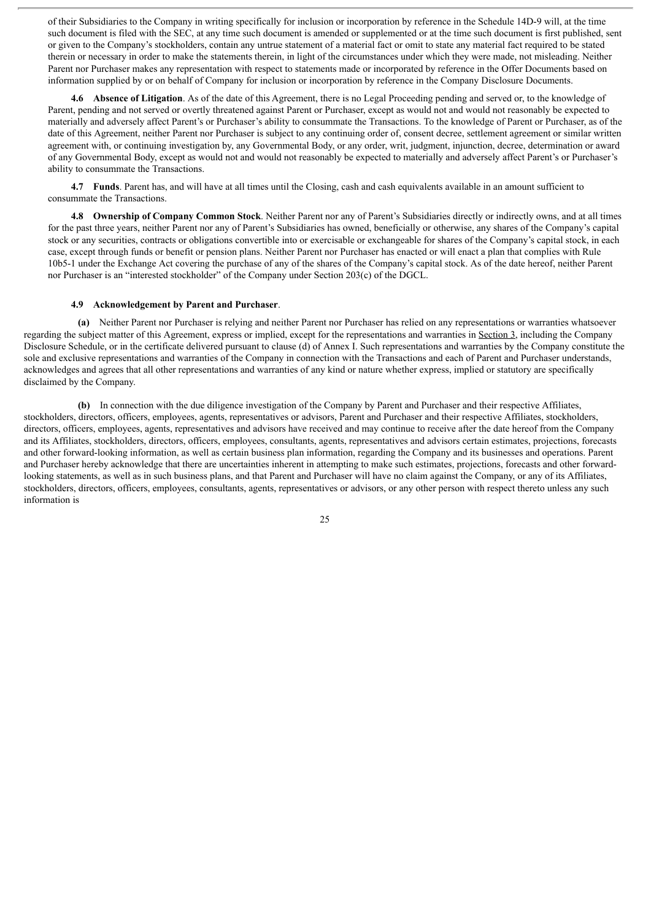of their Subsidiaries to the Company in writing specifically for inclusion or incorporation by reference in the Schedule 14D-9 will, at the time such document is filed with the SEC, at any time such document is amended or supplemented or at the time such document is first published, sent or given to the Company's stockholders, contain any untrue statement of a material fact or omit to state any material fact required to be stated therein or necessary in order to make the statements therein, in light of the circumstances under which they were made, not misleading. Neither Parent nor Purchaser makes any representation with respect to statements made or incorporated by reference in the Offer Documents based on information supplied by or on behalf of Company for inclusion or incorporation by reference in the Company Disclosure Documents.

**4.6 Absence of Litigation**. As of the date of this Agreement, there is no Legal Proceeding pending and served or, to the knowledge of Parent, pending and not served or overtly threatened against Parent or Purchaser, except as would not and would not reasonably be expected to materially and adversely affect Parent's or Purchaser's ability to consummate the Transactions. To the knowledge of Parent or Purchaser, as of the date of this Agreement, neither Parent nor Purchaser is subject to any continuing order of, consent decree, settlement agreement or similar written agreement with, or continuing investigation by, any Governmental Body, or any order, writ, judgment, injunction, decree, determination or award of any Governmental Body, except as would not and would not reasonably be expected to materially and adversely affect Parent's or Purchaser's ability to consummate the Transactions.

**4.7 Funds**. Parent has, and will have at all times until the Closing, cash and cash equivalents available in an amount sufficient to consummate the Transactions.

**4.8 Ownership of Company Common Stock**. Neither Parent nor any of Parent's Subsidiaries directly or indirectly owns, and at all times for the past three years, neither Parent nor any of Parent's Subsidiaries has owned, beneficially or otherwise, any shares of the Company's capital stock or any securities, contracts or obligations convertible into or exercisable or exchangeable for shares of the Company's capital stock, in each case, except through funds or benefit or pension plans. Neither Parent nor Purchaser has enacted or will enact a plan that complies with Rule 10b5-1 under the Exchange Act covering the purchase of any of the shares of the Company's capital stock. As of the date hereof, neither Parent nor Purchaser is an "interested stockholder" of the Company under Section 203(c) of the DGCL.

#### **4.9 Acknowledgement by Parent and Purchaser**.

**(a)** Neither Parent nor Purchaser is relying and neither Parent nor Purchaser has relied on any representations or warranties whatsoever regarding the subject matter of this Agreement, express or implied, except for the representations and warranties in Section 3, including the Company Disclosure Schedule, or in the certificate delivered pursuant to clause (d) of Annex I. Such representations and warranties by the Company constitute the sole and exclusive representations and warranties of the Company in connection with the Transactions and each of Parent and Purchaser understands, acknowledges and agrees that all other representations and warranties of any kind or nature whether express, implied or statutory are specifically disclaimed by the Company.

**(b)** In connection with the due diligence investigation of the Company by Parent and Purchaser and their respective Affiliates, stockholders, directors, officers, employees, agents, representatives or advisors, Parent and Purchaser and their respective Affiliates, stockholders, directors, officers, employees, agents, representatives and advisors have received and may continue to receive after the date hereof from the Company and its Affiliates, stockholders, directors, officers, employees, consultants, agents, representatives and advisors certain estimates, projections, forecasts and other forward-looking information, as well as certain business plan information, regarding the Company and its businesses and operations. Parent and Purchaser hereby acknowledge that there are uncertainties inherent in attempting to make such estimates, projections, forecasts and other forwardlooking statements, as well as in such business plans, and that Parent and Purchaser will have no claim against the Company, or any of its Affiliates, stockholders, directors, officers, employees, consultants, agents, representatives or advisors, or any other person with respect thereto unless any such information is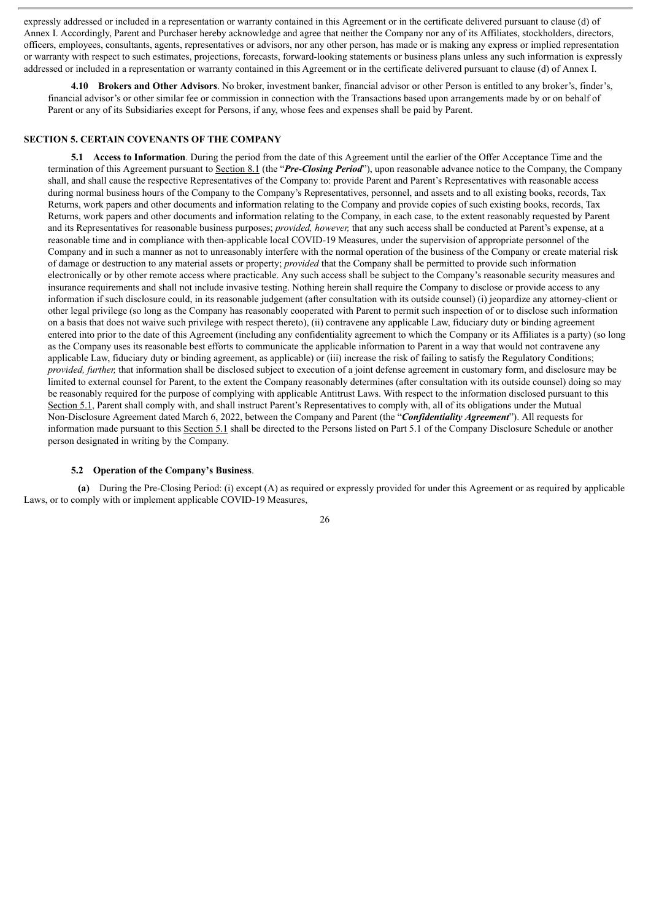expressly addressed or included in a representation or warranty contained in this Agreement or in the certificate delivered pursuant to clause (d) of Annex I. Accordingly, Parent and Purchaser hereby acknowledge and agree that neither the Company nor any of its Affiliates, stockholders, directors, officers, employees, consultants, agents, representatives or advisors, nor any other person, has made or is making any express or implied representation or warranty with respect to such estimates, projections, forecasts, forward-looking statements or business plans unless any such information is expressly addressed or included in a representation or warranty contained in this Agreement or in the certificate delivered pursuant to clause (d) of Annex I.

**4.10 Brokers and Other Advisors**. No broker, investment banker, financial advisor or other Person is entitled to any broker's, finder's, financial advisor's or other similar fee or commission in connection with the Transactions based upon arrangements made by or on behalf of Parent or any of its Subsidiaries except for Persons, if any, whose fees and expenses shall be paid by Parent.

#### **SECTION 5. CERTAIN COVENANTS OF THE COMPANY**

**5.1 Access to Information**. During the period from the date of this Agreement until the earlier of the Offer Acceptance Time and the termination of this Agreement pursuant to Section 8.1 (the "*Pre-Closing Period*"), upon reasonable advance notice to the Company, the Company shall, and shall cause the respective Representatives of the Company to: provide Parent and Parent's Representatives with reasonable access during normal business hours of the Company to the Company's Representatives, personnel, and assets and to all existing books, records, Tax Returns, work papers and other documents and information relating to the Company and provide copies of such existing books, records, Tax Returns, work papers and other documents and information relating to the Company, in each case, to the extent reasonably requested by Parent and its Representatives for reasonable business purposes; *provided, however,* that any such access shall be conducted at Parent's expense, at a reasonable time and in compliance with then-applicable local COVID-19 Measures, under the supervision of appropriate personnel of the Company and in such a manner as not to unreasonably interfere with the normal operation of the business of the Company or create material risk of damage or destruction to any material assets or property; *provided* that the Company shall be permitted to provide such information electronically or by other remote access where practicable. Any such access shall be subject to the Company's reasonable security measures and insurance requirements and shall not include invasive testing. Nothing herein shall require the Company to disclose or provide access to any information if such disclosure could, in its reasonable judgement (after consultation with its outside counsel) (i) jeopardize any attorney-client or other legal privilege (so long as the Company has reasonably cooperated with Parent to permit such inspection of or to disclose such information on a basis that does not waive such privilege with respect thereto), (ii) contravene any applicable Law, fiduciary duty or binding agreement entered into prior to the date of this Agreement (including any confidentiality agreement to which the Company or its Affiliates is a party) (so long as the Company uses its reasonable best efforts to communicate the applicable information to Parent in a way that would not contravene any applicable Law, fiduciary duty or binding agreement, as applicable) or (iii) increase the risk of failing to satisfy the Regulatory Conditions; *provided, further,* that information shall be disclosed subject to execution of a joint defense agreement in customary form, and disclosure may be limited to external counsel for Parent, to the extent the Company reasonably determines (after consultation with its outside counsel) doing so may be reasonably required for the purpose of complying with applicable Antitrust Laws. With respect to the information disclosed pursuant to this Section 5.1, Parent shall comply with, and shall instruct Parent's Representatives to comply with, all of its obligations under the Mutual Non-Disclosure Agreement dated March 6, 2022, between the Company and Parent (the "*Confidentiality Agreement*"). All requests for information made pursuant to this Section 5.1 shall be directed to the Persons listed on Part 5.1 of the Company Disclosure Schedule or another person designated in writing by the Company.

#### **5.2 Operation of the Company's Business**.

**(a)** During the Pre-Closing Period: (i) except (A) as required or expressly provided for under this Agreement or as required by applicable Laws, or to comply with or implement applicable COVID-19 Measures,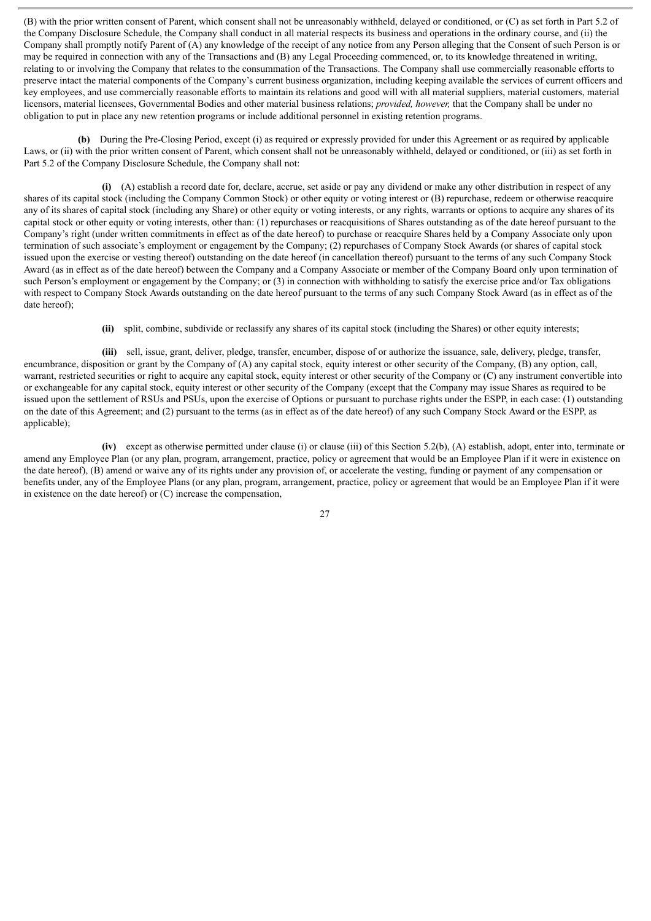(B) with the prior written consent of Parent, which consent shall not be unreasonably withheld, delayed or conditioned, or (C) as set forth in Part 5.2 of the Company Disclosure Schedule, the Company shall conduct in all material respects its business and operations in the ordinary course, and (ii) the Company shall promptly notify Parent of (A) any knowledge of the receipt of any notice from any Person alleging that the Consent of such Person is or may be required in connection with any of the Transactions and (B) any Legal Proceeding commenced, or, to its knowledge threatened in writing, relating to or involving the Company that relates to the consummation of the Transactions. The Company shall use commercially reasonable efforts to preserve intact the material components of the Company's current business organization, including keeping available the services of current officers and key employees, and use commercially reasonable efforts to maintain its relations and good will with all material suppliers, material customers, material licensors, material licensees, Governmental Bodies and other material business relations; *provided, however,* that the Company shall be under no obligation to put in place any new retention programs or include additional personnel in existing retention programs.

**(b)** During the Pre-Closing Period, except (i) as required or expressly provided for under this Agreement or as required by applicable Laws, or (ii) with the prior written consent of Parent, which consent shall not be unreasonably withheld, delayed or conditioned, or (iii) as set forth in Part 5.2 of the Company Disclosure Schedule, the Company shall not:

**(i)** (A) establish a record date for, declare, accrue, set aside or pay any dividend or make any other distribution in respect of any shares of its capital stock (including the Company Common Stock) or other equity or voting interest or (B) repurchase, redeem or otherwise reacquire any of its shares of capital stock (including any Share) or other equity or voting interests, or any rights, warrants or options to acquire any shares of its capital stock or other equity or voting interests, other than: (1) repurchases or reacquisitions of Shares outstanding as of the date hereof pursuant to the Company's right (under written commitments in effect as of the date hereof) to purchase or reacquire Shares held by a Company Associate only upon termination of such associate's employment or engagement by the Company; (2) repurchases of Company Stock Awards (or shares of capital stock issued upon the exercise or vesting thereof) outstanding on the date hereof (in cancellation thereof) pursuant to the terms of any such Company Stock Award (as in effect as of the date hereof) between the Company and a Company Associate or member of the Company Board only upon termination of such Person's employment or engagement by the Company; or (3) in connection with withholding to satisfy the exercise price and/or Tax obligations with respect to Company Stock Awards outstanding on the date hereof pursuant to the terms of any such Company Stock Award (as in effect as of the date hereof);

**(ii)** split, combine, subdivide or reclassify any shares of its capital stock (including the Shares) or other equity interests;

**(iii)** sell, issue, grant, deliver, pledge, transfer, encumber, dispose of or authorize the issuance, sale, delivery, pledge, transfer, encumbrance, disposition or grant by the Company of (A) any capital stock, equity interest or other security of the Company, (B) any option, call, warrant, restricted securities or right to acquire any capital stock, equity interest or other security of the Company or (C) any instrument convertible into or exchangeable for any capital stock, equity interest or other security of the Company (except that the Company may issue Shares as required to be issued upon the settlement of RSUs and PSUs, upon the exercise of Options or pursuant to purchase rights under the ESPP, in each case: (1) outstanding on the date of this Agreement; and (2) pursuant to the terms (as in effect as of the date hereof) of any such Company Stock Award or the ESPP, as applicable);

**(iv)** except as otherwise permitted under clause (i) or clause (iii) of this Section 5.2(b), (A) establish, adopt, enter into, terminate or amend any Employee Plan (or any plan, program, arrangement, practice, policy or agreement that would be an Employee Plan if it were in existence on the date hereof), (B) amend or waive any of its rights under any provision of, or accelerate the vesting, funding or payment of any compensation or benefits under, any of the Employee Plans (or any plan, program, arrangement, practice, policy or agreement that would be an Employee Plan if it were in existence on the date hereof) or (C) increase the compensation,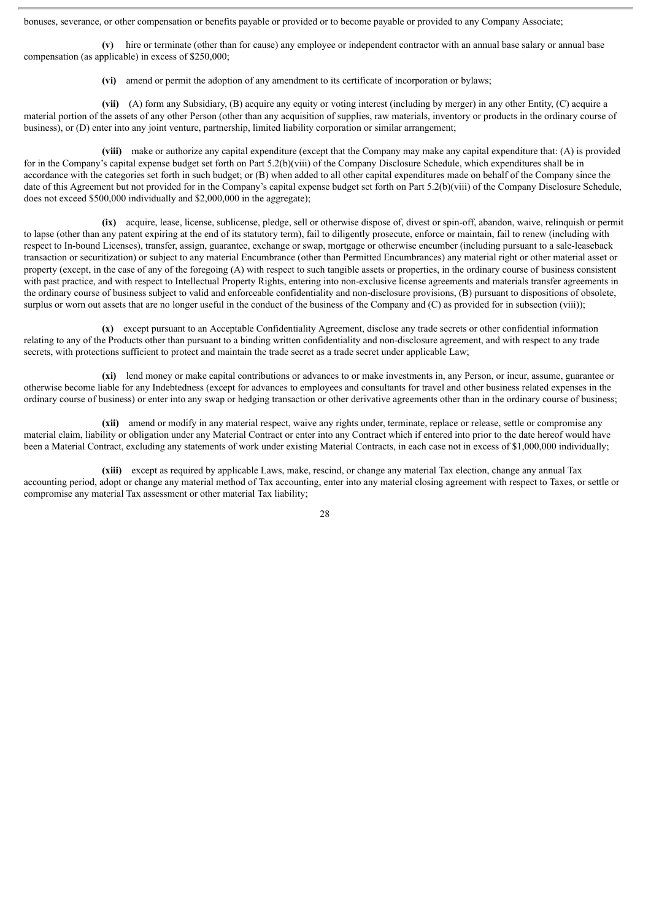bonuses, severance, or other compensation or benefits payable or provided or to become payable or provided to any Company Associate;

**(v)** hire or terminate (other than for cause) any employee or independent contractor with an annual base salary or annual base compensation (as applicable) in excess of \$250,000;

**(vi)** amend or permit the adoption of any amendment to its certificate of incorporation or bylaws;

**(vii)** (A) form any Subsidiary, (B) acquire any equity or voting interest (including by merger) in any other Entity, (C) acquire a material portion of the assets of any other Person (other than any acquisition of supplies, raw materials, inventory or products in the ordinary course of business), or (D) enter into any joint venture, partnership, limited liability corporation or similar arrangement;

**(viii)** make or authorize any capital expenditure (except that the Company may make any capital expenditure that: (A) is provided for in the Company's capital expense budget set forth on Part 5.2(b)(viii) of the Company Disclosure Schedule, which expenditures shall be in accordance with the categories set forth in such budget; or (B) when added to all other capital expenditures made on behalf of the Company since the date of this Agreement but not provided for in the Company's capital expense budget set forth on Part 5.2(b)(viii) of the Company Disclosure Schedule, does not exceed \$500,000 individually and \$2,000,000 in the aggregate);

**(ix)** acquire, lease, license, sublicense, pledge, sell or otherwise dispose of, divest or spin-off, abandon, waive, relinquish or permit to lapse (other than any patent expiring at the end of its statutory term), fail to diligently prosecute, enforce or maintain, fail to renew (including with respect to In-bound Licenses), transfer, assign, guarantee, exchange or swap, mortgage or otherwise encumber (including pursuant to a sale-leaseback transaction or securitization) or subject to any material Encumbrance (other than Permitted Encumbrances) any material right or other material asset or property (except, in the case of any of the foregoing (A) with respect to such tangible assets or properties, in the ordinary course of business consistent with past practice, and with respect to Intellectual Property Rights, entering into non-exclusive license agreements and materials transfer agreements in the ordinary course of business subject to valid and enforceable confidentiality and non-disclosure provisions, (B) pursuant to dispositions of obsolete, surplus or worn out assets that are no longer useful in the conduct of the business of the Company and (C) as provided for in subsection (viii));

**(x)** except pursuant to an Acceptable Confidentiality Agreement, disclose any trade secrets or other confidential information relating to any of the Products other than pursuant to a binding written confidentiality and non-disclosure agreement, and with respect to any trade secrets, with protections sufficient to protect and maintain the trade secret as a trade secret under applicable Law;

**(xi)** lend money or make capital contributions or advances to or make investments in, any Person, or incur, assume, guarantee or otherwise become liable for any Indebtedness (except for advances to employees and consultants for travel and other business related expenses in the ordinary course of business) or enter into any swap or hedging transaction or other derivative agreements other than in the ordinary course of business;

**(xii)** amend or modify in any material respect, waive any rights under, terminate, replace or release, settle or compromise any material claim, liability or obligation under any Material Contract or enter into any Contract which if entered into prior to the date hereof would have been a Material Contract, excluding any statements of work under existing Material Contracts, in each case not in excess of \$1,000,000 individually;

**(xiii)** except as required by applicable Laws, make, rescind, or change any material Tax election, change any annual Tax accounting period, adopt or change any material method of Tax accounting, enter into any material closing agreement with respect to Taxes, or settle or compromise any material Tax assessment or other material Tax liability;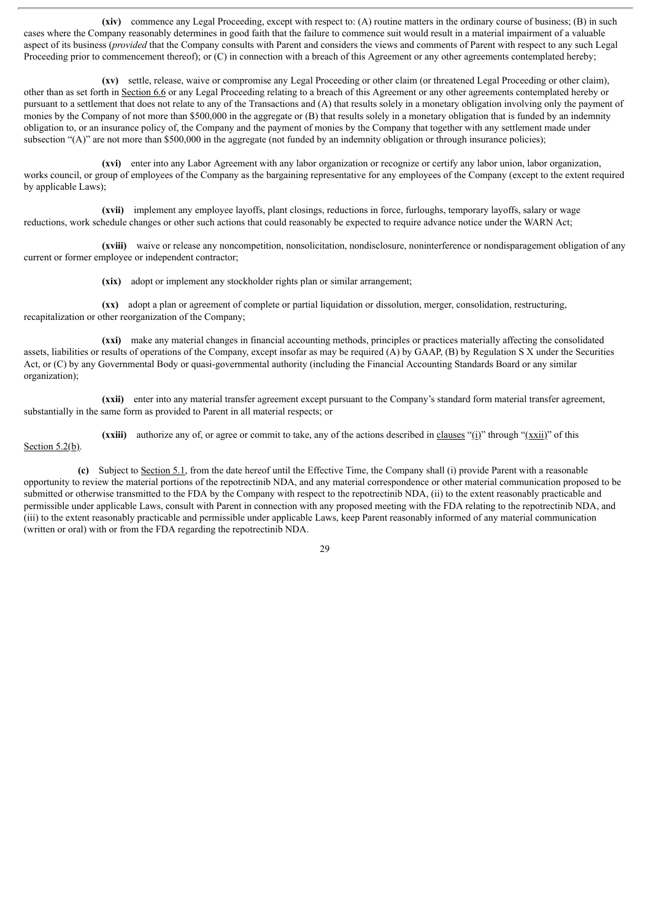**(xiv)** commence any Legal Proceeding, except with respect to: (A) routine matters in the ordinary course of business; (B) in such cases where the Company reasonably determines in good faith that the failure to commence suit would result in a material impairment of a valuable aspect of its business (*provided* that the Company consults with Parent and considers the views and comments of Parent with respect to any such Legal Proceeding prior to commencement thereof); or (C) in connection with a breach of this Agreement or any other agreements contemplated hereby;

**(xv)** settle, release, waive or compromise any Legal Proceeding or other claim (or threatened Legal Proceeding or other claim), other than as set forth in Section 6.6 or any Legal Proceeding relating to a breach of this Agreement or any other agreements contemplated hereby or pursuant to a settlement that does not relate to any of the Transactions and (A) that results solely in a monetary obligation involving only the payment of monies by the Company of not more than \$500,000 in the aggregate or (B) that results solely in a monetary obligation that is funded by an indemnity obligation to, or an insurance policy of, the Company and the payment of monies by the Company that together with any settlement made under subsection "(A)" are not more than \$500,000 in the aggregate (not funded by an indemnity obligation or through insurance policies);

**(xvi)** enter into any Labor Agreement with any labor organization or recognize or certify any labor union, labor organization, works council, or group of employees of the Company as the bargaining representative for any employees of the Company (except to the extent required by applicable Laws);

**(xvii)** implement any employee layoffs, plant closings, reductions in force, furloughs, temporary layoffs, salary or wage reductions, work schedule changes or other such actions that could reasonably be expected to require advance notice under the WARN Act;

**(xviii)** waive or release any noncompetition, nonsolicitation, nondisclosure, noninterference or nondisparagement obligation of any current or former employee or independent contractor;

**(xix)** adopt or implement any stockholder rights plan or similar arrangement;

**(xx)** adopt a plan or agreement of complete or partial liquidation or dissolution, merger, consolidation, restructuring, recapitalization or other reorganization of the Company;

**(xxi)** make any material changes in financial accounting methods, principles or practices materially affecting the consolidated assets, liabilities or results of operations of the Company, except insofar as may be required  $(A)$  by GAAP, (B) by Regulation S X under the Securities Act, or (C) by any Governmental Body or quasi-governmental authority (including the Financial Accounting Standards Board or any similar organization);

**(xxii)** enter into any material transfer agreement except pursuant to the Company's standard form material transfer agreement, substantially in the same form as provided to Parent in all material respects; or

**(xxiii)** authorize any of, or agree or commit to take, any of the actions described in clauses "(i)" through "(xxii)" of this Section  $5.2(b)$ .

**(c)** Subject to Section 5.1, from the date hereof until the Effective Time, the Company shall (i) provide Parent with a reasonable opportunity to review the material portions of the repotrectinib NDA, and any material correspondence or other material communication proposed to be submitted or otherwise transmitted to the FDA by the Company with respect to the repotrectinib NDA, (ii) to the extent reasonably practicable and permissible under applicable Laws, consult with Parent in connection with any proposed meeting with the FDA relating to the repotrectinib NDA, and (iii) to the extent reasonably practicable and permissible under applicable Laws, keep Parent reasonably informed of any material communication (written or oral) with or from the FDA regarding the repotrectinib NDA.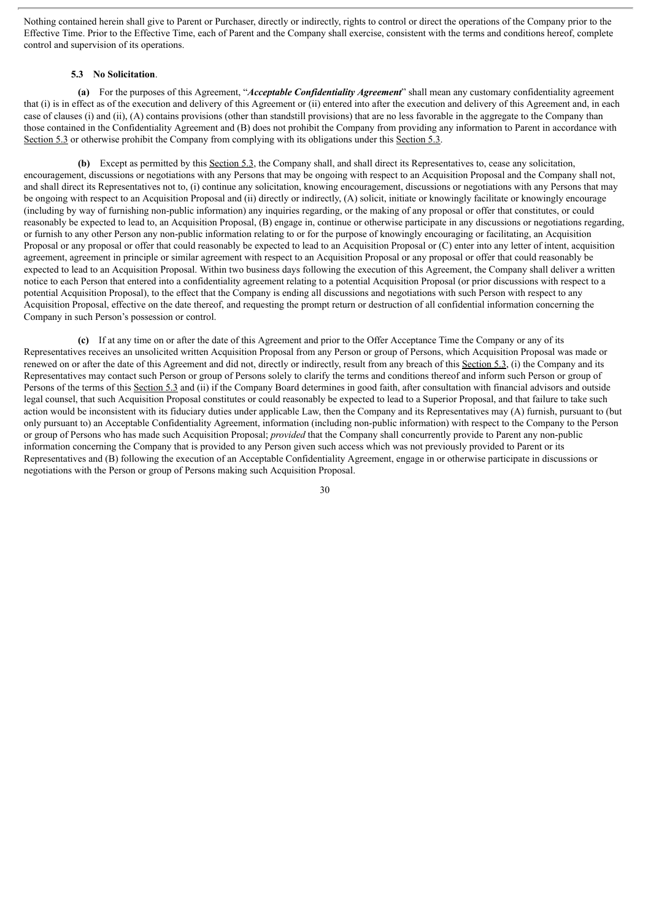Nothing contained herein shall give to Parent or Purchaser, directly or indirectly, rights to control or direct the operations of the Company prior to the Effective Time. Prior to the Effective Time, each of Parent and the Company shall exercise, consistent with the terms and conditions hereof, complete control and supervision of its operations.

#### **5.3 No Solicitation**.

**(a)** For the purposes of this Agreement, "*Acceptable Confidentiality Agreement*" shall mean any customary confidentiality agreement that (i) is in effect as of the execution and delivery of this Agreement or (ii) entered into after the execution and delivery of this Agreement and, in each case of clauses (i) and (ii), (A) contains provisions (other than standstill provisions) that are no less favorable in the aggregate to the Company than those contained in the Confidentiality Agreement and (B) does not prohibit the Company from providing any information to Parent in accordance with Section 5.3 or otherwise prohibit the Company from complying with its obligations under this Section 5.3.

**(b)** Except as permitted by this Section 5.3, the Company shall, and shall direct its Representatives to, cease any solicitation, encouragement, discussions or negotiations with any Persons that may be ongoing with respect to an Acquisition Proposal and the Company shall not, and shall direct its Representatives not to, (i) continue any solicitation, knowing encouragement, discussions or negotiations with any Persons that may be ongoing with respect to an Acquisition Proposal and (ii) directly or indirectly, (A) solicit, initiate or knowingly facilitate or knowingly encourage (including by way of furnishing non-public information) any inquiries regarding, or the making of any proposal or offer that constitutes, or could reasonably be expected to lead to, an Acquisition Proposal, (B) engage in, continue or otherwise participate in any discussions or negotiations regarding, or furnish to any other Person any non-public information relating to or for the purpose of knowingly encouraging or facilitating, an Acquisition Proposal or any proposal or offer that could reasonably be expected to lead to an Acquisition Proposal or (C) enter into any letter of intent, acquisition agreement, agreement in principle or similar agreement with respect to an Acquisition Proposal or any proposal or offer that could reasonably be expected to lead to an Acquisition Proposal. Within two business days following the execution of this Agreement, the Company shall deliver a written notice to each Person that entered into a confidentiality agreement relating to a potential Acquisition Proposal (or prior discussions with respect to a potential Acquisition Proposal), to the effect that the Company is ending all discussions and negotiations with such Person with respect to any Acquisition Proposal, effective on the date thereof, and requesting the prompt return or destruction of all confidential information concerning the Company in such Person's possession or control.

**(c)** If at any time on or after the date of this Agreement and prior to the Offer Acceptance Time the Company or any of its Representatives receives an unsolicited written Acquisition Proposal from any Person or group of Persons, which Acquisition Proposal was made or renewed on or after the date of this Agreement and did not, directly or indirectly, result from any breach of this Section 5.3, (i) the Company and its Representatives may contact such Person or group of Persons solely to clarify the terms and conditions thereof and inform such Person or group of Persons of the terms of this Section 5.3 and (ii) if the Company Board determines in good faith, after consultation with financial advisors and outside legal counsel, that such Acquisition Proposal constitutes or could reasonably be expected to lead to a Superior Proposal, and that failure to take such action would be inconsistent with its fiduciary duties under applicable Law, then the Company and its Representatives may (A) furnish, pursuant to (but only pursuant to) an Acceptable Confidentiality Agreement, information (including non-public information) with respect to the Company to the Person or group of Persons who has made such Acquisition Proposal; *provided* that the Company shall concurrently provide to Parent any non-public information concerning the Company that is provided to any Person given such access which was not previously provided to Parent or its Representatives and (B) following the execution of an Acceptable Confidentiality Agreement, engage in or otherwise participate in discussions or negotiations with the Person or group of Persons making such Acquisition Proposal.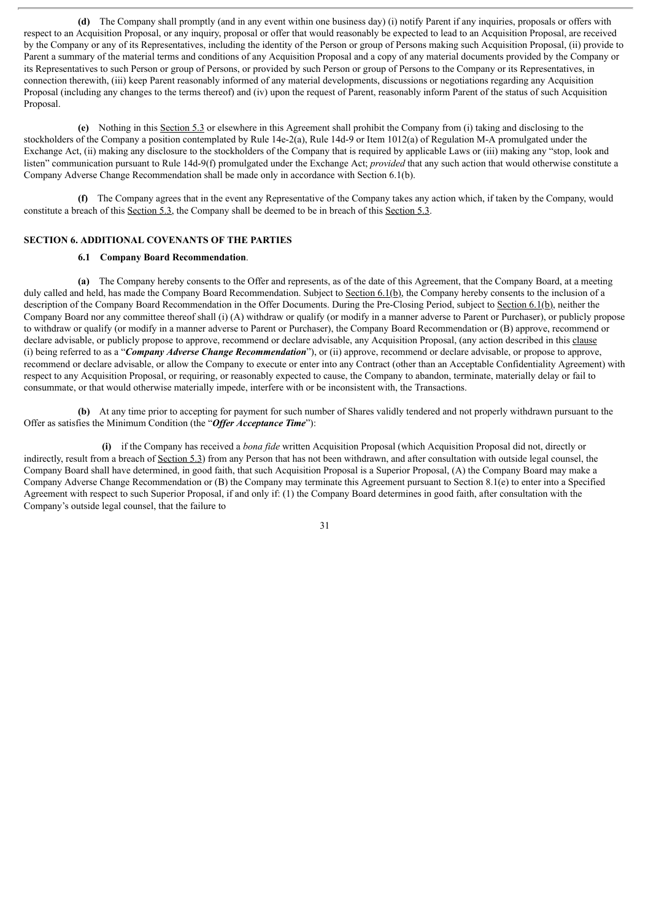**(d)** The Company shall promptly (and in any event within one business day) (i) notify Parent if any inquiries, proposals or offers with respect to an Acquisition Proposal, or any inquiry, proposal or offer that would reasonably be expected to lead to an Acquisition Proposal, are received by the Company or any of its Representatives, including the identity of the Person or group of Persons making such Acquisition Proposal, (ii) provide to Parent a summary of the material terms and conditions of any Acquisition Proposal and a copy of any material documents provided by the Company or its Representatives to such Person or group of Persons, or provided by such Person or group of Persons to the Company or its Representatives, in connection therewith, (iii) keep Parent reasonably informed of any material developments, discussions or negotiations regarding any Acquisition Proposal (including any changes to the terms thereof) and (iv) upon the request of Parent, reasonably inform Parent of the status of such Acquisition Proposal.

**(e)** Nothing in this Section 5.3 or elsewhere in this Agreement shall prohibit the Company from (i) taking and disclosing to the stockholders of the Company a position contemplated by Rule 14e-2(a), Rule 14d-9 or Item 1012(a) of Regulation M-A promulgated under the Exchange Act, (ii) making any disclosure to the stockholders of the Company that is required by applicable Laws or (iii) making any "stop, look and listen" communication pursuant to Rule 14d-9(f) promulgated under the Exchange Act; *provided* that any such action that would otherwise constitute a Company Adverse Change Recommendation shall be made only in accordance with Section 6.1(b).

**(f)** The Company agrees that in the event any Representative of the Company takes any action which, if taken by the Company, would constitute a breach of this Section 5.3, the Company shall be deemed to be in breach of this Section 5.3.

## **SECTION 6. ADDITIONAL COVENANTS OF THE PARTIES**

## **6.1 Company Board Recommendation**.

**(a)** The Company hereby consents to the Offer and represents, as of the date of this Agreement, that the Company Board, at a meeting duly called and held, has made the Company Board Recommendation. Subject to Section 6.1(b), the Company hereby consents to the inclusion of a description of the Company Board Recommendation in the Offer Documents. During the Pre-Closing Period, subject to Section 6.1(b), neither the Company Board nor any committee thereof shall (i) (A) withdraw or qualify (or modify in a manner adverse to Parent or Purchaser), or publicly propose to withdraw or qualify (or modify in a manner adverse to Parent or Purchaser), the Company Board Recommendation or (B) approve, recommend or declare advisable, or publicly propose to approve, recommend or declare advisable, any Acquisition Proposal, (any action described in this clause (i) being referred to as a "*Company Adverse Change Recommendation*"), or (ii) approve, recommend or declare advisable, or propose to approve, recommend or declare advisable, or allow the Company to execute or enter into any Contract (other than an Acceptable Confidentiality Agreement) with respect to any Acquisition Proposal, or requiring, or reasonably expected to cause, the Company to abandon, terminate, materially delay or fail to consummate, or that would otherwise materially impede, interfere with or be inconsistent with, the Transactions.

**(b)** At any time prior to accepting for payment for such number of Shares validly tendered and not properly withdrawn pursuant to the Offer as satisfies the Minimum Condition (the "Offer Acceptance Time"):

**(i)** if the Company has received a *bona fide* written Acquisition Proposal (which Acquisition Proposal did not, directly or indirectly, result from a breach of Section 5.3) from any Person that has not been withdrawn, and after consultation with outside legal counsel, the Company Board shall have determined, in good faith, that such Acquisition Proposal is a Superior Proposal, (A) the Company Board may make a Company Adverse Change Recommendation or (B) the Company may terminate this Agreement pursuant to Section 8.1(e) to enter into a Specified Agreement with respect to such Superior Proposal, if and only if: (1) the Company Board determines in good faith, after consultation with the Company's outside legal counsel, that the failure to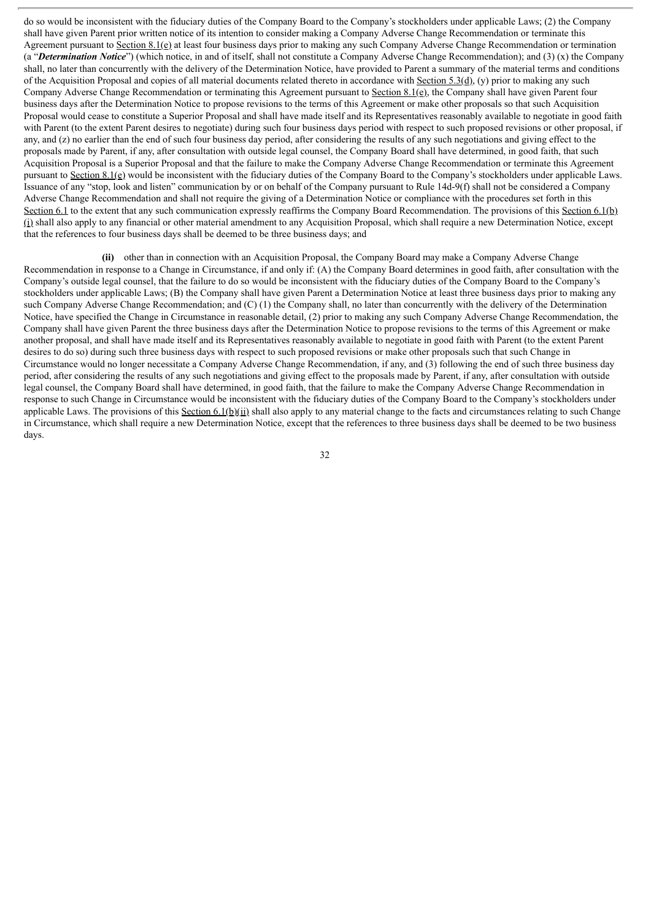do so would be inconsistent with the fiduciary duties of the Company Board to the Company's stockholders under applicable Laws; (2) the Company shall have given Parent prior written notice of its intention to consider making a Company Adverse Change Recommendation or terminate this Agreement pursuant to Section 8.1(e) at least four business days prior to making any such Company Adverse Change Recommendation or termination (a "*Determination Notice*") (which notice, in and of itself, shall not constitute a Company Adverse Change Recommendation); and (3) (x) the Company shall, no later than concurrently with the delivery of the Determination Notice, have provided to Parent a summary of the material terms and conditions of the Acquisition Proposal and copies of all material documents related thereto in accordance with Section 5.3(d), (y) prior to making any such Company Adverse Change Recommendation or terminating this Agreement pursuant to Section 8.1(e), the Company shall have given Parent four business days after the Determination Notice to propose revisions to the terms of this Agreement or make other proposals so that such Acquisition Proposal would cease to constitute a Superior Proposal and shall have made itself and its Representatives reasonably available to negotiate in good faith with Parent (to the extent Parent desires to negotiate) during such four business days period with respect to such proposed revisions or other proposal, if any, and (z) no earlier than the end of such four business day period, after considering the results of any such negotiations and giving effect to the proposals made by Parent, if any, after consultation with outside legal counsel, the Company Board shall have determined, in good faith, that such Acquisition Proposal is a Superior Proposal and that the failure to make the Company Adverse Change Recommendation or terminate this Agreement pursuant to Section 8.1(e) would be inconsistent with the fiduciary duties of the Company Board to the Company's stockholders under applicable Laws. Issuance of any "stop, look and listen" communication by or on behalf of the Company pursuant to Rule 14d-9(f) shall not be considered a Company Adverse Change Recommendation and shall not require the giving of a Determination Notice or compliance with the procedures set forth in this Section 6.1 to the extent that any such communication expressly reaffirms the Company Board Recommendation. The provisions of this Section  $6.1(b)$ (i) shall also apply to any financial or other material amendment to any Acquisition Proposal, which shall require a new Determination Notice, except that the references to four business days shall be deemed to be three business days; and

**(ii)** other than in connection with an Acquisition Proposal, the Company Board may make a Company Adverse Change Recommendation in response to a Change in Circumstance, if and only if: (A) the Company Board determines in good faith, after consultation with the Company's outside legal counsel, that the failure to do so would be inconsistent with the fiduciary duties of the Company Board to the Company's stockholders under applicable Laws; (B) the Company shall have given Parent a Determination Notice at least three business days prior to making any such Company Adverse Change Recommendation; and (C) (1) the Company shall, no later than concurrently with the delivery of the Determination Notice, have specified the Change in Circumstance in reasonable detail, (2) prior to making any such Company Adverse Change Recommendation, the Company shall have given Parent the three business days after the Determination Notice to propose revisions to the terms of this Agreement or make another proposal, and shall have made itself and its Representatives reasonably available to negotiate in good faith with Parent (to the extent Parent desires to do so) during such three business days with respect to such proposed revisions or make other proposals such that such Change in Circumstance would no longer necessitate a Company Adverse Change Recommendation, if any, and (3) following the end of such three business day period, after considering the results of any such negotiations and giving effect to the proposals made by Parent, if any, after consultation with outside legal counsel, the Company Board shall have determined, in good faith, that the failure to make the Company Adverse Change Recommendation in response to such Change in Circumstance would be inconsistent with the fiduciary duties of the Company Board to the Company's stockholders under applicable Laws. The provisions of this Section  $6.1(b)(ii)$  shall also apply to any material change to the facts and circumstances relating to such Change in Circumstance, which shall require a new Determination Notice, except that the references to three business days shall be deemed to be two business days.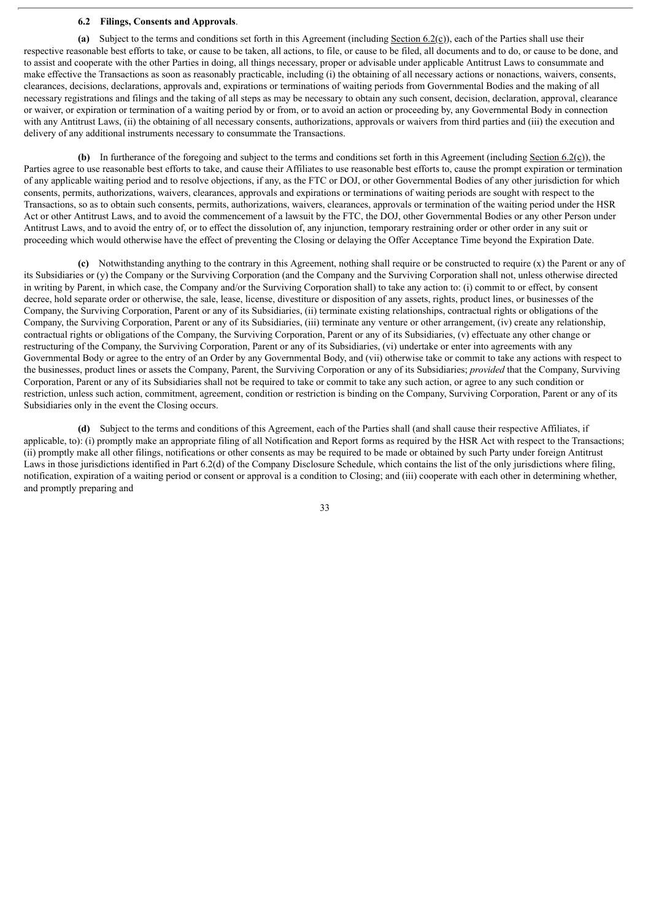## **6.2 Filings, Consents and Approvals**.

**(a)** Subject to the terms and conditions set forth in this Agreement (including Section 6.2(c)), each of the Parties shall use their respective reasonable best efforts to take, or cause to be taken, all actions, to file, or cause to be filed, all documents and to do, or cause to be done, and to assist and cooperate with the other Parties in doing, all things necessary, proper or advisable under applicable Antitrust Laws to consummate and make effective the Transactions as soon as reasonably practicable, including (i) the obtaining of all necessary actions or nonactions, waivers, consents, clearances, decisions, declarations, approvals and, expirations or terminations of waiting periods from Governmental Bodies and the making of all necessary registrations and filings and the taking of all steps as may be necessary to obtain any such consent, decision, declaration, approval, clearance or waiver, or expiration or termination of a waiting period by or from, or to avoid an action or proceeding by, any Governmental Body in connection with any Antitrust Laws, (ii) the obtaining of all necessary consents, authorizations, approvals or waivers from third parties and (iii) the execution and delivery of any additional instruments necessary to consummate the Transactions.

**(b)** In furtherance of the foregoing and subject to the terms and conditions set forth in this Agreement (including Section 6.2(c)), the Parties agree to use reasonable best efforts to take, and cause their Affiliates to use reasonable best efforts to, cause the prompt expiration or termination of any applicable waiting period and to resolve objections, if any, as the FTC or DOJ, or other Governmental Bodies of any other jurisdiction for which consents, permits, authorizations, waivers, clearances, approvals and expirations or terminations of waiting periods are sought with respect to the Transactions, so as to obtain such consents, permits, authorizations, waivers, clearances, approvals or termination of the waiting period under the HSR Act or other Antitrust Laws, and to avoid the commencement of a lawsuit by the FTC, the DOJ, other Governmental Bodies or any other Person under Antitrust Laws, and to avoid the entry of, or to effect the dissolution of, any injunction, temporary restraining order or other order in any suit or proceeding which would otherwise have the effect of preventing the Closing or delaying the Offer Acceptance Time beyond the Expiration Date.

**(c)** Notwithstanding anything to the contrary in this Agreement, nothing shall require or be constructed to require (x) the Parent or any of its Subsidiaries or (y) the Company or the Surviving Corporation (and the Company and the Surviving Corporation shall not, unless otherwise directed in writing by Parent, in which case, the Company and/or the Surviving Corporation shall) to take any action to: (i) commit to or effect, by consent decree, hold separate order or otherwise, the sale, lease, license, divestiture or disposition of any assets, rights, product lines, or businesses of the Company, the Surviving Corporation, Parent or any of its Subsidiaries, (ii) terminate existing relationships, contractual rights or obligations of the Company, the Surviving Corporation, Parent or any of its Subsidiaries, (iii) terminate any venture or other arrangement, (iv) create any relationship, contractual rights or obligations of the Company, the Surviving Corporation, Parent or any of its Subsidiaries, (v) effectuate any other change or restructuring of the Company, the Surviving Corporation, Parent or any of its Subsidiaries, (vi) undertake or enter into agreements with any Governmental Body or agree to the entry of an Order by any Governmental Body, and (vii) otherwise take or commit to take any actions with respect to the businesses, product lines or assets the Company, Parent, the Surviving Corporation or any of its Subsidiaries; *provided* that the Company, Surviving Corporation, Parent or any of its Subsidiaries shall not be required to take or commit to take any such action, or agree to any such condition or restriction, unless such action, commitment, agreement, condition or restriction is binding on the Company, Surviving Corporation, Parent or any of its Subsidiaries only in the event the Closing occurs.

**(d)** Subject to the terms and conditions of this Agreement, each of the Parties shall (and shall cause their respective Affiliates, if applicable, to): (i) promptly make an appropriate filing of all Notification and Report forms as required by the HSR Act with respect to the Transactions; (ii) promptly make all other filings, notifications or other consents as may be required to be made or obtained by such Party under foreign Antitrust Laws in those jurisdictions identified in Part 6.2(d) of the Company Disclosure Schedule, which contains the list of the only jurisdictions where filing, notification, expiration of a waiting period or consent or approval is a condition to Closing; and (iii) cooperate with each other in determining whether, and promptly preparing and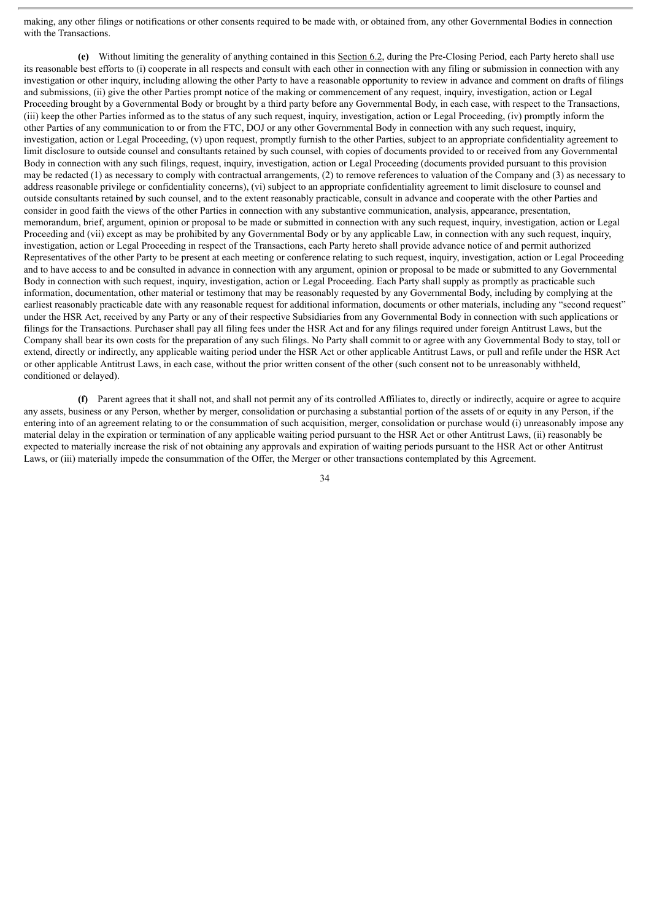making, any other filings or notifications or other consents required to be made with, or obtained from, any other Governmental Bodies in connection with the Transactions.

**(e)** Without limiting the generality of anything contained in this Section 6.2, during the Pre-Closing Period, each Party hereto shall use its reasonable best efforts to (i) cooperate in all respects and consult with each other in connection with any filing or submission in connection with any investigation or other inquiry, including allowing the other Party to have a reasonable opportunity to review in advance and comment on drafts of filings and submissions, (ii) give the other Parties prompt notice of the making or commencement of any request, inquiry, investigation, action or Legal Proceeding brought by a Governmental Body or brought by a third party before any Governmental Body, in each case, with respect to the Transactions, (iii) keep the other Parties informed as to the status of any such request, inquiry, investigation, action or Legal Proceeding, (iv) promptly inform the other Parties of any communication to or from the FTC, DOJ or any other Governmental Body in connection with any such request, inquiry, investigation, action or Legal Proceeding, (v) upon request, promptly furnish to the other Parties, subject to an appropriate confidentiality agreement to limit disclosure to outside counsel and consultants retained by such counsel, with copies of documents provided to or received from any Governmental Body in connection with any such filings, request, inquiry, investigation, action or Legal Proceeding (documents provided pursuant to this provision may be redacted (1) as necessary to comply with contractual arrangements, (2) to remove references to valuation of the Company and (3) as necessary to address reasonable privilege or confidentiality concerns), (vi) subject to an appropriate confidentiality agreement to limit disclosure to counsel and outside consultants retained by such counsel, and to the extent reasonably practicable, consult in advance and cooperate with the other Parties and consider in good faith the views of the other Parties in connection with any substantive communication, analysis, appearance, presentation, memorandum, brief, argument, opinion or proposal to be made or submitted in connection with any such request, inquiry, investigation, action or Legal Proceeding and (vii) except as may be prohibited by any Governmental Body or by any applicable Law, in connection with any such request, inquiry, investigation, action or Legal Proceeding in respect of the Transactions, each Party hereto shall provide advance notice of and permit authorized Representatives of the other Party to be present at each meeting or conference relating to such request, inquiry, investigation, action or Legal Proceeding and to have access to and be consulted in advance in connection with any argument, opinion or proposal to be made or submitted to any Governmental Body in connection with such request, inquiry, investigation, action or Legal Proceeding. Each Party shall supply as promptly as practicable such information, documentation, other material or testimony that may be reasonably requested by any Governmental Body, including by complying at the earliest reasonably practicable date with any reasonable request for additional information, documents or other materials, including any "second request" under the HSR Act, received by any Party or any of their respective Subsidiaries from any Governmental Body in connection with such applications or filings for the Transactions. Purchaser shall pay all filing fees under the HSR Act and for any filings required under foreign Antitrust Laws, but the Company shall bear its own costs for the preparation of any such filings. No Party shall commit to or agree with any Governmental Body to stay, toll or extend, directly or indirectly, any applicable waiting period under the HSR Act or other applicable Antitrust Laws, or pull and refile under the HSR Act or other applicable Antitrust Laws, in each case, without the prior written consent of the other (such consent not to be unreasonably withheld, conditioned or delayed).

**(f)** Parent agrees that it shall not, and shall not permit any of its controlled Affiliates to, directly or indirectly, acquire or agree to acquire any assets, business or any Person, whether by merger, consolidation or purchasing a substantial portion of the assets of or equity in any Person, if the entering into of an agreement relating to or the consummation of such acquisition, merger, consolidation or purchase would (i) unreasonably impose any material delay in the expiration or termination of any applicable waiting period pursuant to the HSR Act or other Antitrust Laws, (ii) reasonably be expected to materially increase the risk of not obtaining any approvals and expiration of waiting periods pursuant to the HSR Act or other Antitrust Laws, or (iii) materially impede the consummation of the Offer, the Merger or other transactions contemplated by this Agreement.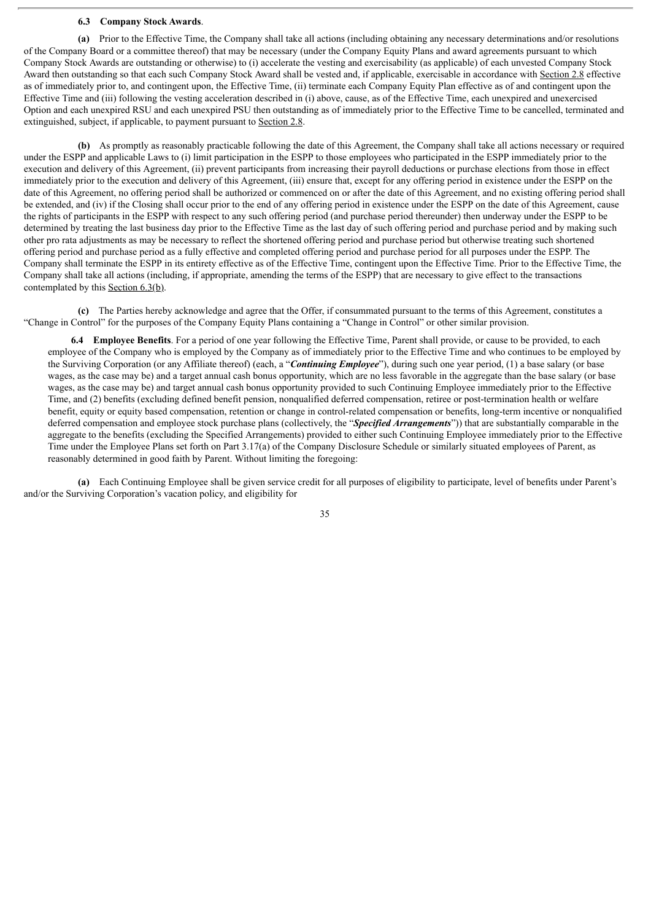### **6.3 Company Stock Awards**.

**(a)** Prior to the Effective Time, the Company shall take all actions (including obtaining any necessary determinations and/or resolutions of the Company Board or a committee thereof) that may be necessary (under the Company Equity Plans and award agreements pursuant to which Company Stock Awards are outstanding or otherwise) to (i) accelerate the vesting and exercisability (as applicable) of each unvested Company Stock Award then outstanding so that each such Company Stock Award shall be vested and, if applicable, exercisable in accordance with Section 2.8 effective as of immediately prior to, and contingent upon, the Effective Time, (ii) terminate each Company Equity Plan effective as of and contingent upon the Effective Time and (iii) following the vesting acceleration described in (i) above, cause, as of the Effective Time, each unexpired and unexercised Option and each unexpired RSU and each unexpired PSU then outstanding as of immediately prior to the Effective Time to be cancelled, terminated and extinguished, subject, if applicable, to payment pursuant to Section 2.8.

**(b)** As promptly as reasonably practicable following the date of this Agreement, the Company shall take all actions necessary or required under the ESPP and applicable Laws to (i) limit participation in the ESPP to those employees who participated in the ESPP immediately prior to the execution and delivery of this Agreement, (ii) prevent participants from increasing their payroll deductions or purchase elections from those in effect immediately prior to the execution and delivery of this Agreement, (iii) ensure that, except for any offering period in existence under the ESPP on the date of this Agreement, no offering period shall be authorized or commenced on or after the date of this Agreement, and no existing offering period shall be extended, and (iv) if the Closing shall occur prior to the end of any offering period in existence under the ESPP on the date of this Agreement, cause the rights of participants in the ESPP with respect to any such offering period (and purchase period thereunder) then underway under the ESPP to be determined by treating the last business day prior to the Effective Time as the last day of such offering period and purchase period and by making such other pro rata adjustments as may be necessary to reflect the shortened offering period and purchase period but otherwise treating such shortened offering period and purchase period as a fully effective and completed offering period and purchase period for all purposes under the ESPP. The Company shall terminate the ESPP in its entirety effective as of the Effective Time, contingent upon the Effective Time. Prior to the Effective Time, the Company shall take all actions (including, if appropriate, amending the terms of the ESPP) that are necessary to give effect to the transactions contemplated by this Section 6.3(b).

**(c)** The Parties hereby acknowledge and agree that the Offer, if consummated pursuant to the terms of this Agreement, constitutes a "Change in Control" for the purposes of the Company Equity Plans containing a "Change in Control" or other similar provision.

**6.4 Employee Benefits**. For a period of one year following the Effective Time, Parent shall provide, or cause to be provided, to each employee of the Company who is employed by the Company as of immediately prior to the Effective Time and who continues to be employed by the Surviving Corporation (or any Affiliate thereof) (each, a "*Continuing Employee*"), during such one year period, (1) a base salary (or base wages, as the case may be) and a target annual cash bonus opportunity, which are no less favorable in the aggregate than the base salary (or base wages, as the case may be) and target annual cash bonus opportunity provided to such Continuing Employee immediately prior to the Effective Time, and (2) benefits (excluding defined benefit pension, nonqualified deferred compensation, retiree or post-termination health or welfare benefit, equity or equity based compensation, retention or change in control-related compensation or benefits, long-term incentive or nonqualified deferred compensation and employee stock purchase plans (collectively, the "*Specified Arrangements*")) that are substantially comparable in the aggregate to the benefits (excluding the Specified Arrangements) provided to either such Continuing Employee immediately prior to the Effective Time under the Employee Plans set forth on Part 3.17(a) of the Company Disclosure Schedule or similarly situated employees of Parent, as reasonably determined in good faith by Parent. Without limiting the foregoing:

**(a)** Each Continuing Employee shall be given service credit for all purposes of eligibility to participate, level of benefits under Parent's and/or the Surviving Corporation's vacation policy, and eligibility for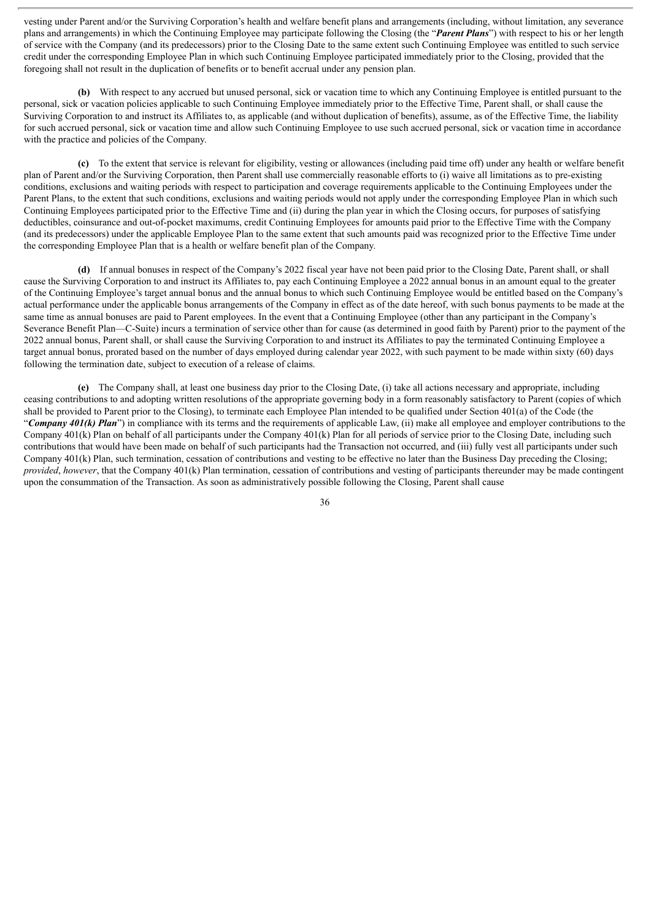vesting under Parent and/or the Surviving Corporation's health and welfare benefit plans and arrangements (including, without limitation, any severance plans and arrangements) in which the Continuing Employee may participate following the Closing (the "*Parent Plans*") with respect to his or her length of service with the Company (and its predecessors) prior to the Closing Date to the same extent such Continuing Employee was entitled to such service credit under the corresponding Employee Plan in which such Continuing Employee participated immediately prior to the Closing, provided that the foregoing shall not result in the duplication of benefits or to benefit accrual under any pension plan.

**(b)** With respect to any accrued but unused personal, sick or vacation time to which any Continuing Employee is entitled pursuant to the personal, sick or vacation policies applicable to such Continuing Employee immediately prior to the Effective Time, Parent shall, or shall cause the Surviving Corporation to and instruct its Affiliates to, as applicable (and without duplication of benefits), assume, as of the Effective Time, the liability for such accrued personal, sick or vacation time and allow such Continuing Employee to use such accrued personal, sick or vacation time in accordance with the practice and policies of the Company.

**(c)** To the extent that service is relevant for eligibility, vesting or allowances (including paid time off) under any health or welfare benefit plan of Parent and/or the Surviving Corporation, then Parent shall use commercially reasonable efforts to (i) waive all limitations as to pre-existing conditions, exclusions and waiting periods with respect to participation and coverage requirements applicable to the Continuing Employees under the Parent Plans, to the extent that such conditions, exclusions and waiting periods would not apply under the corresponding Employee Plan in which such Continuing Employees participated prior to the Effective Time and (ii) during the plan year in which the Closing occurs, for purposes of satisfying deductibles, coinsurance and out-of-pocket maximums, credit Continuing Employees for amounts paid prior to the Effective Time with the Company (and its predecessors) under the applicable Employee Plan to the same extent that such amounts paid was recognized prior to the Effective Time under the corresponding Employee Plan that is a health or welfare benefit plan of the Company.

**(d)** If annual bonuses in respect of the Company's 2022 fiscal year have not been paid prior to the Closing Date, Parent shall, or shall cause the Surviving Corporation to and instruct its Affiliates to, pay each Continuing Employee a 2022 annual bonus in an amount equal to the greater of the Continuing Employee's target annual bonus and the annual bonus to which such Continuing Employee would be entitled based on the Company's actual performance under the applicable bonus arrangements of the Company in effect as of the date hereof, with such bonus payments to be made at the same time as annual bonuses are paid to Parent employees. In the event that a Continuing Employee (other than any participant in the Company's Severance Benefit Plan—C-Suite) incurs a termination of service other than for cause (as determined in good faith by Parent) prior to the payment of the 2022 annual bonus, Parent shall, or shall cause the Surviving Corporation to and instruct its Affiliates to pay the terminated Continuing Employee a target annual bonus, prorated based on the number of days employed during calendar year 2022, with such payment to be made within sixty (60) days following the termination date, subject to execution of a release of claims.

**(e)** The Company shall, at least one business day prior to the Closing Date, (i) take all actions necessary and appropriate, including ceasing contributions to and adopting written resolutions of the appropriate governing body in a form reasonably satisfactory to Parent (copies of which shall be provided to Parent prior to the Closing), to terminate each Employee Plan intended to be qualified under Section 401(a) of the Code (the "*Company 401(k) Plan*") in compliance with its terms and the requirements of applicable Law, (ii) make all employee and employer contributions to the Company 401(k) Plan on behalf of all participants under the Company 401(k) Plan for all periods of service prior to the Closing Date, including such contributions that would have been made on behalf of such participants had the Transaction not occurred, and (iii) fully vest all participants under such Company 401(k) Plan, such termination, cessation of contributions and vesting to be effective no later than the Business Day preceding the Closing; *provided*, *however*, that the Company 401(k) Plan termination, cessation of contributions and vesting of participants thereunder may be made contingent upon the consummation of the Transaction. As soon as administratively possible following the Closing, Parent shall cause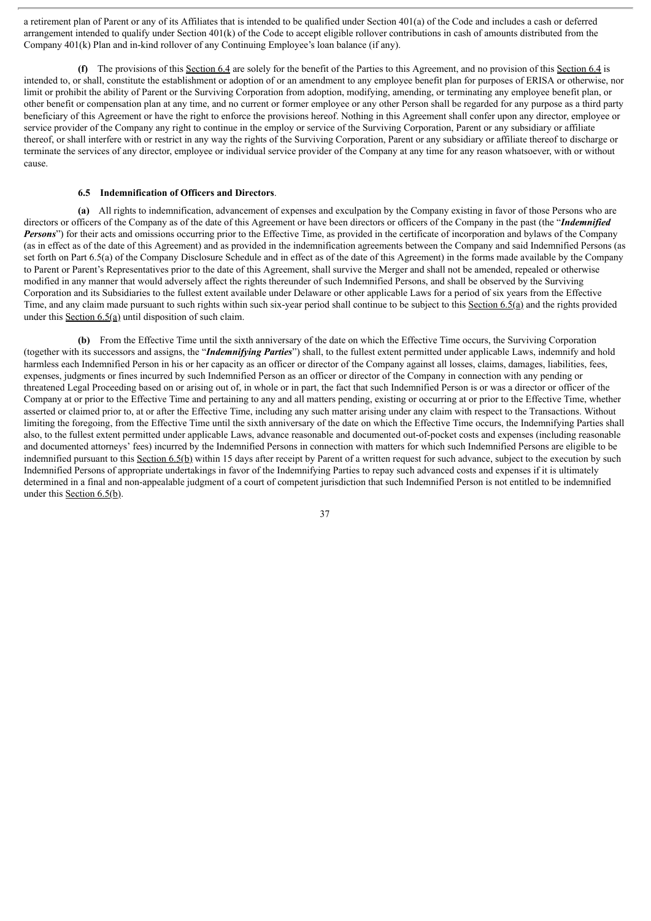a retirement plan of Parent or any of its Affiliates that is intended to be qualified under Section 401(a) of the Code and includes a cash or deferred arrangement intended to qualify under Section 401(k) of the Code to accept eligible rollover contributions in cash of amounts distributed from the Company 401(k) Plan and in-kind rollover of any Continuing Employee's loan balance (if any).

**(f)** The provisions of this Section 6.4 are solely for the benefit of the Parties to this Agreement, and no provision of this Section 6.4 is intended to, or shall, constitute the establishment or adoption of or an amendment to any employee benefit plan for purposes of ERISA or otherwise, nor limit or prohibit the ability of Parent or the Surviving Corporation from adoption, modifying, amending, or terminating any employee benefit plan, or other benefit or compensation plan at any time, and no current or former employee or any other Person shall be regarded for any purpose as a third party beneficiary of this Agreement or have the right to enforce the provisions hereof. Nothing in this Agreement shall confer upon any director, employee or service provider of the Company any right to continue in the employ or service of the Surviving Corporation, Parent or any subsidiary or affiliate thereof, or shall interfere with or restrict in any way the rights of the Surviving Corporation, Parent or any subsidiary or affiliate thereof to discharge or terminate the services of any director, employee or individual service provider of the Company at any time for any reason whatsoever, with or without cause.

### **6.5 Indemnification of Officers and Directors**.

**(a)** All rights to indemnification, advancement of expenses and exculpation by the Company existing in favor of those Persons who are directors or officers of the Company as of the date of this Agreement or have been directors or officers of the Company in the past (the "*Indemnified Persons*") for their acts and omissions occurring prior to the Effective Time, as provided in the certificate of incorporation and bylaws of the Company (as in effect as of the date of this Agreement) and as provided in the indemnification agreements between the Company and said Indemnified Persons (as set forth on Part 6.5(a) of the Company Disclosure Schedule and in effect as of the date of this Agreement) in the forms made available by the Company to Parent or Parent's Representatives prior to the date of this Agreement, shall survive the Merger and shall not be amended, repealed or otherwise modified in any manner that would adversely affect the rights thereunder of such Indemnified Persons, and shall be observed by the Surviving Corporation and its Subsidiaries to the fullest extent available under Delaware or other applicable Laws for a period of six years from the Effective Time, and any claim made pursuant to such rights within such six-year period shall continue to be subject to this Section 6.5(a) and the rights provided under this Section  $6.5(a)$  until disposition of such claim.

**(b)** From the Effective Time until the sixth anniversary of the date on which the Effective Time occurs, the Surviving Corporation (together with its successors and assigns, the "*Indemnifying Parties*") shall, to the fullest extent permitted under applicable Laws, indemnify and hold harmless each Indemnified Person in his or her capacity as an officer or director of the Company against all losses, claims, damages, liabilities, fees, expenses, judgments or fines incurred by such Indemnified Person as an officer or director of the Company in connection with any pending or threatened Legal Proceeding based on or arising out of, in whole or in part, the fact that such Indemnified Person is or was a director or officer of the Company at or prior to the Effective Time and pertaining to any and all matters pending, existing or occurring at or prior to the Effective Time, whether asserted or claimed prior to, at or after the Effective Time, including any such matter arising under any claim with respect to the Transactions. Without limiting the foregoing, from the Effective Time until the sixth anniversary of the date on which the Effective Time occurs, the Indemnifying Parties shall also, to the fullest extent permitted under applicable Laws, advance reasonable and documented out-of-pocket costs and expenses (including reasonable and documented attorneys' fees) incurred by the Indemnified Persons in connection with matters for which such Indemnified Persons are eligible to be indemnified pursuant to this Section 6.5(b) within 15 days after receipt by Parent of a written request for such advance, subject to the execution by such Indemnified Persons of appropriate undertakings in favor of the Indemnifying Parties to repay such advanced costs and expenses if it is ultimately determined in a final and non-appealable judgment of a court of competent jurisdiction that such Indemnified Person is not entitled to be indemnified under this Section 6.5(b).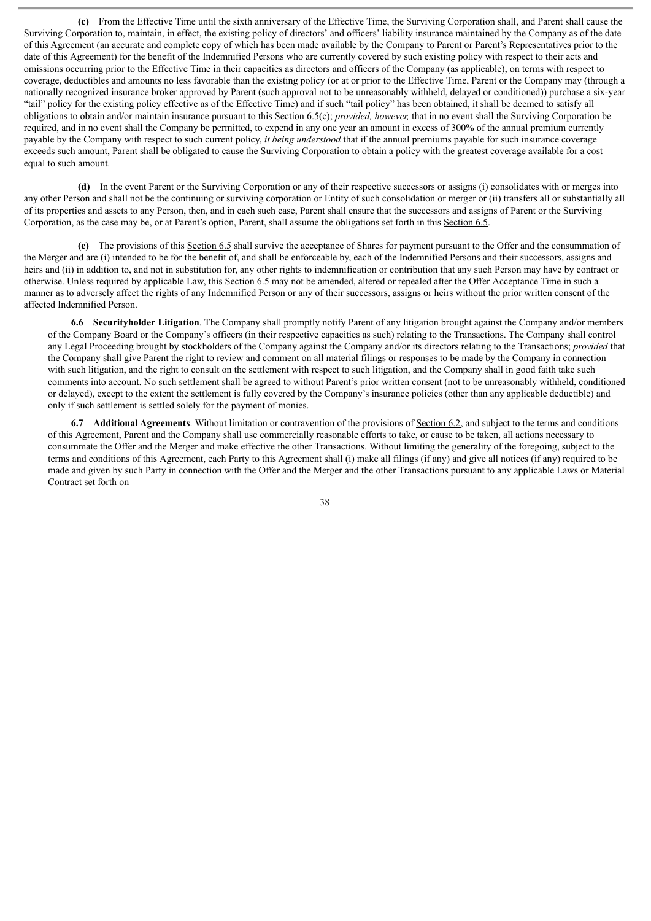**(c)** From the Effective Time until the sixth anniversary of the Effective Time, the Surviving Corporation shall, and Parent shall cause the Surviving Corporation to, maintain, in effect, the existing policy of directors' and officers' liability insurance maintained by the Company as of the date of this Agreement (an accurate and complete copy of which has been made available by the Company to Parent or Parent's Representatives prior to the date of this Agreement) for the benefit of the Indemnified Persons who are currently covered by such existing policy with respect to their acts and omissions occurring prior to the Effective Time in their capacities as directors and officers of the Company (as applicable), on terms with respect to coverage, deductibles and amounts no less favorable than the existing policy (or at or prior to the Effective Time, Parent or the Company may (through a nationally recognized insurance broker approved by Parent (such approval not to be unreasonably withheld, delayed or conditioned)) purchase a six-year "tail" policy for the existing policy effective as of the Effective Time) and if such "tail policy" has been obtained, it shall be deemed to satisfy all obligations to obtain and/or maintain insurance pursuant to this Section 6.5(c); *provided, however,* that in no event shall the Surviving Corporation be required, and in no event shall the Company be permitted, to expend in any one year an amount in excess of 300% of the annual premium currently payable by the Company with respect to such current policy, *it being understood* that if the annual premiums payable for such insurance coverage exceeds such amount, Parent shall be obligated to cause the Surviving Corporation to obtain a policy with the greatest coverage available for a cost equal to such amount.

**(d)** In the event Parent or the Surviving Corporation or any of their respective successors or assigns (i) consolidates with or merges into any other Person and shall not be the continuing or surviving corporation or Entity of such consolidation or merger or (ii) transfers all or substantially all of its properties and assets to any Person, then, and in each such case, Parent shall ensure that the successors and assigns of Parent or the Surviving Corporation, as the case may be, or at Parent's option, Parent, shall assume the obligations set forth in this Section 6.5.

**(e)** The provisions of this Section 6.5 shall survive the acceptance of Shares for payment pursuant to the Offer and the consummation of the Merger and are (i) intended to be for the benefit of, and shall be enforceable by, each of the Indemnified Persons and their successors, assigns and heirs and (ii) in addition to, and not in substitution for, any other rights to indemnification or contribution that any such Person may have by contract or otherwise. Unless required by applicable Law, this Section 6.5 may not be amended, altered or repealed after the Offer Acceptance Time in such a manner as to adversely affect the rights of any Indemnified Person or any of their successors, assigns or heirs without the prior written consent of the affected Indemnified Person.

**6.6 Securityholder Litigation**. The Company shall promptly notify Parent of any litigation brought against the Company and/or members of the Company Board or the Company's officers (in their respective capacities as such) relating to the Transactions. The Company shall control any Legal Proceeding brought by stockholders of the Company against the Company and/or its directors relating to the Transactions; *provided* that the Company shall give Parent the right to review and comment on all material filings or responses to be made by the Company in connection with such litigation, and the right to consult on the settlement with respect to such litigation, and the Company shall in good faith take such comments into account. No such settlement shall be agreed to without Parent's prior written consent (not to be unreasonably withheld, conditioned or delayed), except to the extent the settlement is fully covered by the Company's insurance policies (other than any applicable deductible) and only if such settlement is settled solely for the payment of monies.

**6.7 Additional Agreements**. Without limitation or contravention of the provisions of Section 6.2, and subject to the terms and conditions of this Agreement, Parent and the Company shall use commercially reasonable efforts to take, or cause to be taken, all actions necessary to consummate the Offer and the Merger and make effective the other Transactions. Without limiting the generality of the foregoing, subject to the terms and conditions of this Agreement, each Party to this Agreement shall (i) make all filings (if any) and give all notices (if any) required to be made and given by such Party in connection with the Offer and the Merger and the other Transactions pursuant to any applicable Laws or Material Contract set forth on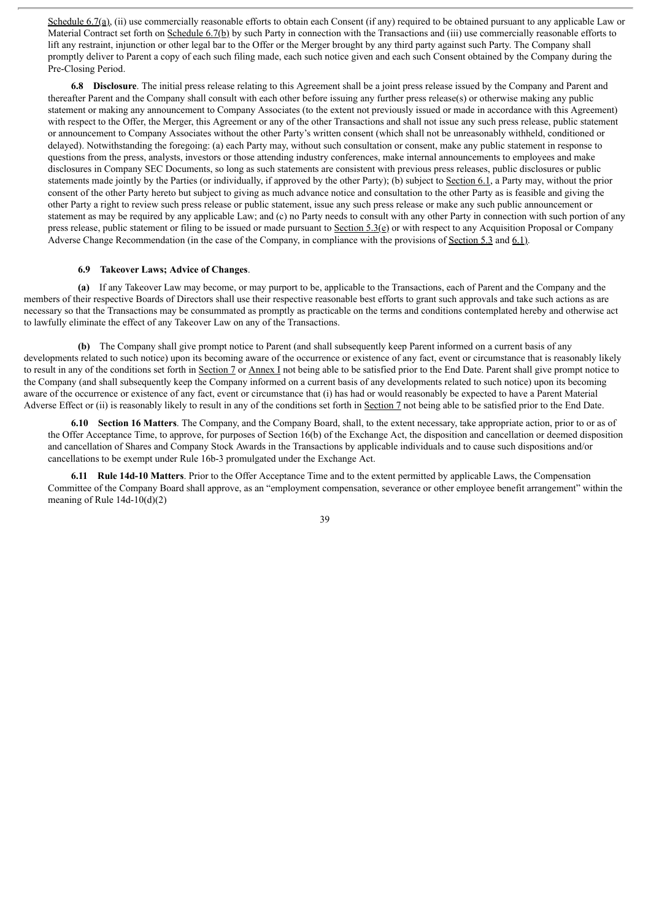Schedule 6.7(a), (ii) use commercially reasonable efforts to obtain each Consent (if any) required to be obtained pursuant to any applicable Law or Material Contract set forth on Schedule 6.7(b) by such Party in connection with the Transactions and (iii) use commercially reasonable efforts to lift any restraint, injunction or other legal bar to the Offer or the Merger brought by any third party against such Party. The Company shall promptly deliver to Parent a copy of each such filing made, each such notice given and each such Consent obtained by the Company during the Pre-Closing Period.

**6.8 Disclosure**. The initial press release relating to this Agreement shall be a joint press release issued by the Company and Parent and thereafter Parent and the Company shall consult with each other before issuing any further press release(s) or otherwise making any public statement or making any announcement to Company Associates (to the extent not previously issued or made in accordance with this Agreement) with respect to the Offer, the Merger, this Agreement or any of the other Transactions and shall not issue any such press release, public statement or announcement to Company Associates without the other Party's written consent (which shall not be unreasonably withheld, conditioned or delayed). Notwithstanding the foregoing: (a) each Party may, without such consultation or consent, make any public statement in response to questions from the press, analysts, investors or those attending industry conferences, make internal announcements to employees and make disclosures in Company SEC Documents, so long as such statements are consistent with previous press releases, public disclosures or public statements made jointly by the Parties (or individually, if approved by the other Party); (b) subject to Section 6.1, a Party may, without the prior consent of the other Party hereto but subject to giving as much advance notice and consultation to the other Party as is feasible and giving the other Party a right to review such press release or public statement, issue any such press release or make any such public announcement or statement as may be required by any applicable Law; and (c) no Party needs to consult with any other Party in connection with such portion of any press release, public statement or filing to be issued or made pursuant to Section 5.3(e) or with respect to any Acquisition Proposal or Company Adverse Change Recommendation (in the case of the Company, in compliance with the provisions of Section 5.3 and 6.1).

#### **6.9 Takeover Laws; Advice of Changes**.

**(a)** If any Takeover Law may become, or may purport to be, applicable to the Transactions, each of Parent and the Company and the members of their respective Boards of Directors shall use their respective reasonable best efforts to grant such approvals and take such actions as are necessary so that the Transactions may be consummated as promptly as practicable on the terms and conditions contemplated hereby and otherwise act to lawfully eliminate the effect of any Takeover Law on any of the Transactions.

**(b)** The Company shall give prompt notice to Parent (and shall subsequently keep Parent informed on a current basis of any developments related to such notice) upon its becoming aware of the occurrence or existence of any fact, event or circumstance that is reasonably likely to result in any of the conditions set forth in Section 7 or Annex I not being able to be satisfied prior to the End Date. Parent shall give prompt notice to the Company (and shall subsequently keep the Company informed on a current basis of any developments related to such notice) upon its becoming aware of the occurrence or existence of any fact, event or circumstance that (i) has had or would reasonably be expected to have a Parent Material Adverse Effect or (ii) is reasonably likely to result in any of the conditions set forth in Section 7 not being able to be satisfied prior to the End Date.

**6.10 Section 16 Matters**. The Company, and the Company Board, shall, to the extent necessary, take appropriate action, prior to or as of the Offer Acceptance Time, to approve, for purposes of Section 16(b) of the Exchange Act, the disposition and cancellation or deemed disposition and cancellation of Shares and Company Stock Awards in the Transactions by applicable individuals and to cause such dispositions and/or cancellations to be exempt under Rule 16b-3 promulgated under the Exchange Act.

**6.11 Rule 14d-10 Matters**. Prior to the Offer Acceptance Time and to the extent permitted by applicable Laws, the Compensation Committee of the Company Board shall approve, as an "employment compensation, severance or other employee benefit arrangement" within the meaning of Rule 14d-10(d)(2)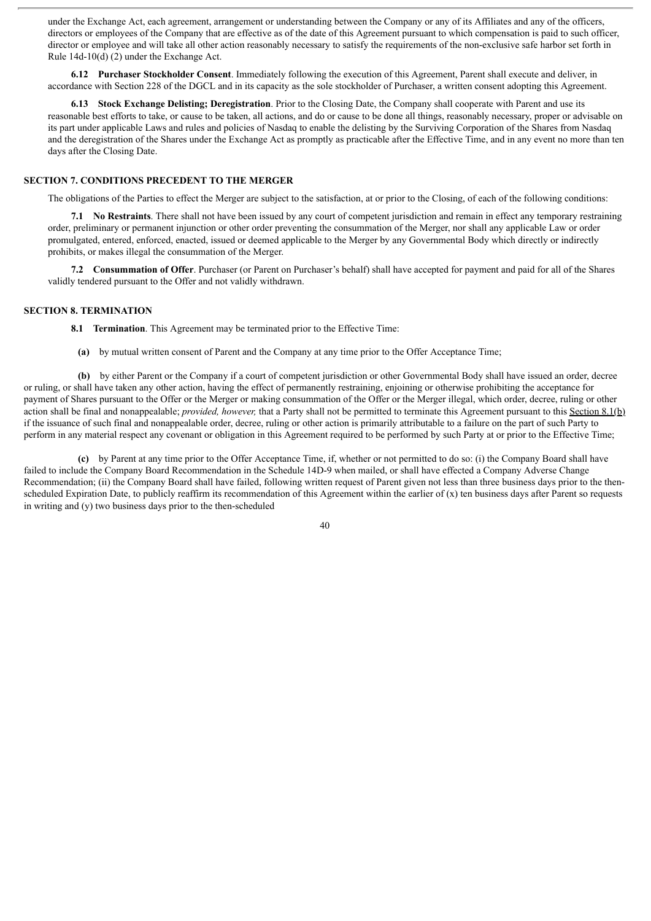under the Exchange Act, each agreement, arrangement or understanding between the Company or any of its Affiliates and any of the officers, directors or employees of the Company that are effective as of the date of this Agreement pursuant to which compensation is paid to such officer, director or employee and will take all other action reasonably necessary to satisfy the requirements of the non-exclusive safe harbor set forth in Rule 14d-10(d) (2) under the Exchange Act.

**6.12 Purchaser Stockholder Consent**. Immediately following the execution of this Agreement, Parent shall execute and deliver, in accordance with Section 228 of the DGCL and in its capacity as the sole stockholder of Purchaser, a written consent adopting this Agreement.

**6.13 Stock Exchange Delisting; Deregistration**. Prior to the Closing Date, the Company shall cooperate with Parent and use its reasonable best efforts to take, or cause to be taken, all actions, and do or cause to be done all things, reasonably necessary, proper or advisable on its part under applicable Laws and rules and policies of Nasdaq to enable the delisting by the Surviving Corporation of the Shares from Nasdaq and the deregistration of the Shares under the Exchange Act as promptly as practicable after the Effective Time, and in any event no more than ten days after the Closing Date.

### **SECTION 7. CONDITIONS PRECEDENT TO THE MERGER**

The obligations of the Parties to effect the Merger are subject to the satisfaction, at or prior to the Closing, of each of the following conditions:

**7.1 No Restraints**. There shall not have been issued by any court of competent jurisdiction and remain in effect any temporary restraining order, preliminary or permanent injunction or other order preventing the consummation of the Merger, nor shall any applicable Law or order promulgated, entered, enforced, enacted, issued or deemed applicable to the Merger by any Governmental Body which directly or indirectly prohibits, or makes illegal the consummation of the Merger.

**7.2 Consummation of Offer**. Purchaser (or Parent on Purchaser's behalf) shall have accepted for payment and paid for all of the Shares validly tendered pursuant to the Offer and not validly withdrawn.

## **SECTION 8. TERMINATION**

**8.1 Termination**. This Agreement may be terminated prior to the Effective Time:

**(a)** by mutual written consent of Parent and the Company at any time prior to the Offer Acceptance Time;

**(b)** by either Parent or the Company if a court of competent jurisdiction or other Governmental Body shall have issued an order, decree or ruling, or shall have taken any other action, having the effect of permanently restraining, enjoining or otherwise prohibiting the acceptance for payment of Shares pursuant to the Offer or the Merger or making consummation of the Offer or the Merger illegal, which order, decree, ruling or other action shall be final and nonappealable; *provided, however,* that a Party shall not be permitted to terminate this Agreement pursuant to this Section 8.1(b) if the issuance of such final and nonappealable order, decree, ruling or other action is primarily attributable to a failure on the part of such Party to perform in any material respect any covenant or obligation in this Agreement required to be performed by such Party at or prior to the Effective Time;

**(c)** by Parent at any time prior to the Offer Acceptance Time, if, whether or not permitted to do so: (i) the Company Board shall have failed to include the Company Board Recommendation in the Schedule 14D-9 when mailed, or shall have effected a Company Adverse Change Recommendation; (ii) the Company Board shall have failed, following written request of Parent given not less than three business days prior to the thenscheduled Expiration Date, to publicly reaffirm its recommendation of this Agreement within the earlier of  $(x)$  ten business days after Parent so requests in writing and (y) two business days prior to the then-scheduled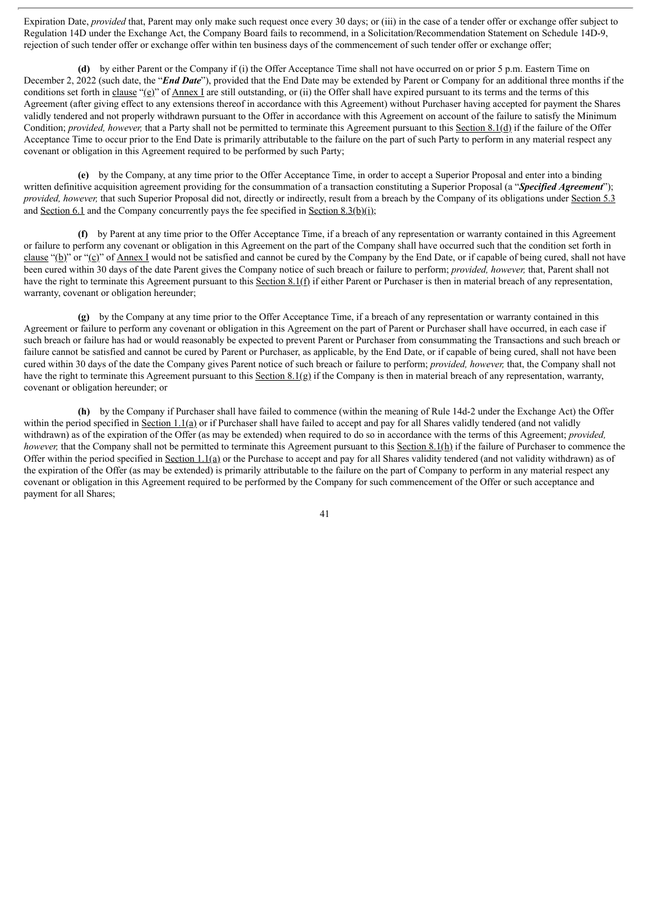Expiration Date, *provided* that, Parent may only make such request once every 30 days; or (iii) in the case of a tender offer or exchange offer subject to Regulation 14D under the Exchange Act, the Company Board fails to recommend, in a Solicitation/Recommendation Statement on Schedule 14D-9, rejection of such tender offer or exchange offer within ten business days of the commencement of such tender offer or exchange offer;

**(d)** by either Parent or the Company if (i) the Offer Acceptance Time shall not have occurred on or prior 5 p.m. Eastern Time on December 2, 2022 (such date, the "*End Date*"), provided that the End Date may be extended by Parent or Company for an additional three months if the conditions set forth in clause "(e)" of Annex I are still outstanding, or (ii) the Offer shall have expired pursuant to its terms and the terms of this Agreement (after giving effect to any extensions thereof in accordance with this Agreement) without Purchaser having accepted for payment the Shares validly tendered and not properly withdrawn pursuant to the Offer in accordance with this Agreement on account of the failure to satisfy the Minimum Condition; *provided, however,* that a Party shall not be permitted to terminate this Agreement pursuant to this Section 8.1(d) if the failure of the Offer Acceptance Time to occur prior to the End Date is primarily attributable to the failure on the part of such Party to perform in any material respect any covenant or obligation in this Agreement required to be performed by such Party;

**(e)** by the Company, at any time prior to the Offer Acceptance Time, in order to accept a Superior Proposal and enter into a binding written definitive acquisition agreement providing for the consummation of a transaction constituting a Superior Proposal (a "*Specified Agreement*"); *provided, however,* that such Superior Proposal did not, directly or indirectly, result from a breach by the Company of its obligations under Section 5.3 and Section 6.1 and the Company concurrently pays the fee specified in Section 8.3(b)(i);

**(f)** by Parent at any time prior to the Offer Acceptance Time, if a breach of any representation or warranty contained in this Agreement or failure to perform any covenant or obligation in this Agreement on the part of the Company shall have occurred such that the condition set forth in clause "(b)" or "(c)" of Annex I would not be satisfied and cannot be cured by the Company by the End Date, or if capable of being cured, shall not have been cured within 30 days of the date Parent gives the Company notice of such breach or failure to perform; *provided, however,* that, Parent shall not have the right to terminate this Agreement pursuant to this Section 8.1(f) if either Parent or Purchaser is then in material breach of any representation, warranty, covenant or obligation hereunder;

**(g)** by the Company at any time prior to the Offer Acceptance Time, if a breach of any representation or warranty contained in this Agreement or failure to perform any covenant or obligation in this Agreement on the part of Parent or Purchaser shall have occurred, in each case if such breach or failure has had or would reasonably be expected to prevent Parent or Purchaser from consummating the Transactions and such breach or failure cannot be satisfied and cannot be cured by Parent or Purchaser, as applicable, by the End Date, or if capable of being cured, shall not have been cured within 30 days of the date the Company gives Parent notice of such breach or failure to perform; *provided, however,* that, the Company shall not have the right to terminate this Agreement pursuant to this Section 8.1(g) if the Company is then in material breach of any representation, warranty, covenant or obligation hereunder; or

**(h)** by the Company if Purchaser shall have failed to commence (within the meaning of Rule 14d-2 under the Exchange Act) the Offer within the period specified in Section  $1.1(q)$  or if Purchaser shall have failed to accept and pay for all Shares validly tendered (and not validly withdrawn) as of the expiration of the Offer (as may be extended) when required to do so in accordance with the terms of this Agreement; *provided, however*, that the Company shall not be permitted to terminate this Agreement pursuant to this Section 8.1(h) if the failure of Purchaser to commence the Offer within the period specified in Section 1.1(a) or the Purchase to accept and pay for all Shares validity tendered (and not validity withdrawn) as of the expiration of the Offer (as may be extended) is primarily attributable to the failure on the part of Company to perform in any material respect any covenant or obligation in this Agreement required to be performed by the Company for such commencement of the Offer or such acceptance and payment for all Shares;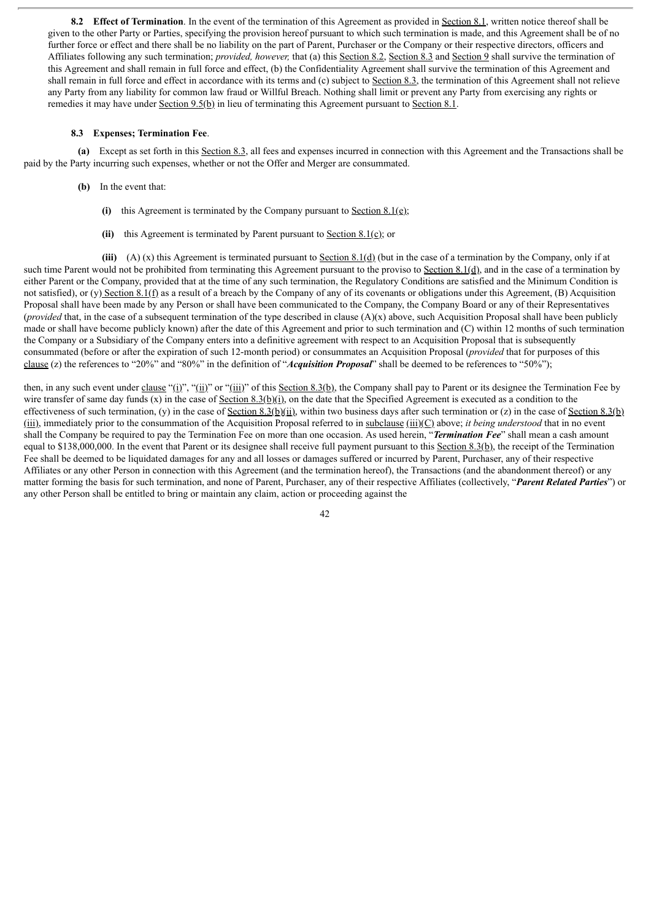**8.2 Effect of Termination**. In the event of the termination of this Agreement as provided in Section 8.1, written notice thereof shall be given to the other Party or Parties, specifying the provision hereof pursuant to which such termination is made, and this Agreement shall be of no further force or effect and there shall be no liability on the part of Parent, Purchaser or the Company or their respective directors, officers and Affiliates following any such termination; *provided, however,* that (a) this Section 8.2, Section 8.3 and Section 9 shall survive the termination of this Agreement and shall remain in full force and effect, (b) the Confidentiality Agreement shall survive the termination of this Agreement and shall remain in full force and effect in accordance with its terms and (c) subject to Section 8.3, the termination of this Agreement shall not relieve any Party from any liability for common law fraud or Willful Breach. Nothing shall limit or prevent any Party from exercising any rights or remedies it may have under Section 9.5(b) in lieu of terminating this Agreement pursuant to Section 8.1.

#### **8.3 Expenses; Termination Fee**.

**(a)** Except as set forth in this Section 8.3, all fees and expenses incurred in connection with this Agreement and the Transactions shall be paid by the Party incurring such expenses, whether or not the Offer and Merger are consummated.

- **(b)** In the event that:
	- **(i)** this Agreement is terminated by the Company pursuant to Section  $8.1(e)$ ;
	- **(ii)** this Agreement is terminated by Parent pursuant to Section 8.1(c); or

**(iii)** (A) (x) this Agreement is terminated pursuant to Section 8.1(d) (but in the case of a termination by the Company, only if at such time Parent would not be prohibited from terminating this Agreement pursuant to the proviso to  $Section 8.1(d)$ , and in the case of a termination by either Parent or the Company, provided that at the time of any such termination, the Regulatory Conditions are satisfied and the Minimum Condition is not satisfied), or (y) Section 8.1(f) as a result of a breach by the Company of any of its covenants or obligations under this Agreement, (B) Acquisition Proposal shall have been made by any Person or shall have been communicated to the Company, the Company Board or any of their Representatives (*provided* that, in the case of a subsequent termination of the type described in clause  $(A)(x)$  above, such Acquisition Proposal shall have been publicly made or shall have become publicly known) after the date of this Agreement and prior to such termination and (C) within 12 months of such termination the Company or a Subsidiary of the Company enters into a definitive agreement with respect to an Acquisition Proposal that is subsequently consummated (before or after the expiration of such 12-month period) or consummates an Acquisition Proposal (*provided* that for purposes of this clause (z) the references to "20%" and "80%" in the definition of "*Acquisition Proposal*" shall be deemed to be references to "50%");

then, in any such event under clause "(i)", "(ii)" or "(iii)" of this Section 8.3(b), the Company shall pay to Parent or its designee the Termination Fee by wire transfer of same day funds (x) in the case of Section  $8.3(b)(i)$ , on the date that the Specified Agreement is executed as a condition to the effectiveness of such termination, (y) in the case of Section 8.3(b)(ii), within two business days after such termination or (z) in the case of Section 8.3(b)  $(iii)$ , immediately prior to the consummation of the Acquisition Proposal referred to in subclause  $(iii)$ (C) above; *it being understood* that in no event shall the Company be required to pay the Termination Fee on more than one occasion. As used herein, "*Termination Fee*" shall mean a cash amount equal to \$138,000,000. In the event that Parent or its designee shall receive full payment pursuant to this  $Section 8.3(b)$ , the receipt of the Termination Fee shall be deemed to be liquidated damages for any and all losses or damages suffered or incurred by Parent, Purchaser, any of their respective Affiliates or any other Person in connection with this Agreement (and the termination hereof), the Transactions (and the abandonment thereof) or any matter forming the basis for such termination, and none of Parent, Purchaser, any of their respective Affiliates (collectively, "*Parent Related Parties*") or any other Person shall be entitled to bring or maintain any claim, action or proceeding against the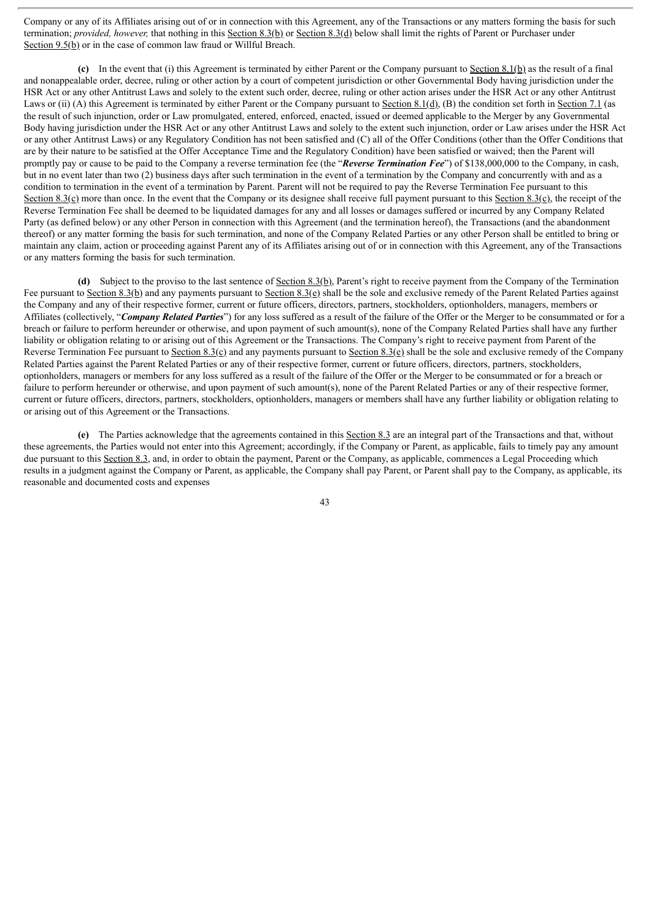Company or any of its Affiliates arising out of or in connection with this Agreement, any of the Transactions or any matters forming the basis for such termination; *provided, however,* that nothing in this Section 8.3(b) or Section 8.3(d) below shall limit the rights of Parent or Purchaser under Section 9.5(b) or in the case of common law fraud or Willful Breach.

**(c)** In the event that (i) this Agreement is terminated by either Parent or the Company pursuant to Section 8.1(b) as the result of a final and nonappealable order, decree, ruling or other action by a court of competent jurisdiction or other Governmental Body having jurisdiction under the HSR Act or any other Antitrust Laws and solely to the extent such order, decree, ruling or other action arises under the HSR Act or any other Antitrust Laws or (ii) (A) this Agreement is terminated by either Parent or the Company pursuant to Section 8.1(d), (B) the condition set forth in Section 7.1 (as the result of such injunction, order or Law promulgated, entered, enforced, enacted, issued or deemed applicable to the Merger by any Governmental Body having jurisdiction under the HSR Act or any other Antitrust Laws and solely to the extent such injunction, order or Law arises under the HSR Act or any other Antitrust Laws) or any Regulatory Condition has not been satisfied and (C) all of the Offer Conditions (other than the Offer Conditions that are by their nature to be satisfied at the Offer Acceptance Time and the Regulatory Condition) have been satisfied or waived; then the Parent will promptly pay or cause to be paid to the Company a reverse termination fee (the "*Reverse Termination Fee*") of \$138,000,000 to the Company, in cash, but in no event later than two (2) business days after such termination in the event of a termination by the Company and concurrently with and as a condition to termination in the event of a termination by Parent. Parent will not be required to pay the Reverse Termination Fee pursuant to this Section 8.3(c) more than once. In the event that the Company or its designee shall receive full payment pursuant to this Section 8.3(c), the receipt of the Reverse Termination Fee shall be deemed to be liquidated damages for any and all losses or damages suffered or incurred by any Company Related Party (as defined below) or any other Person in connection with this Agreement (and the termination hereof), the Transactions (and the abandonment thereof) or any matter forming the basis for such termination, and none of the Company Related Parties or any other Person shall be entitled to bring or maintain any claim, action or proceeding against Parent any of its Affiliates arising out of or in connection with this Agreement, any of the Transactions or any matters forming the basis for such termination.

**(d)** Subject to the proviso to the last sentence of Section 8.3(b), Parent's right to receive payment from the Company of the Termination Fee pursuant to Section 8.3(b) and any payments pursuant to Section 8.3(e) shall be the sole and exclusive remedy of the Parent Related Parties against the Company and any of their respective former, current or future officers, directors, partners, stockholders, optionholders, managers, members or Affiliates (collectively, "*Company Related Parties*") for any loss suffered as a result of the failure of the Offer or the Merger to be consummated or for a breach or failure to perform hereunder or otherwise, and upon payment of such amount(s), none of the Company Related Parties shall have any further liability or obligation relating to or arising out of this Agreement or the Transactions. The Company's right to receive payment from Parent of the Reverse Termination Fee pursuant to Section 8.3(c) and any payments pursuant to Section 8.3(e) shall be the sole and exclusive remedy of the Company Related Parties against the Parent Related Parties or any of their respective former, current or future officers, directors, partners, stockholders, optionholders, managers or members for any loss suffered as a result of the failure of the Offer or the Merger to be consummated or for a breach or failure to perform hereunder or otherwise, and upon payment of such amount(s), none of the Parent Related Parties or any of their respective former, current or future officers, directors, partners, stockholders, optionholders, managers or members shall have any further liability or obligation relating to or arising out of this Agreement or the Transactions.

**(e)** The Parties acknowledge that the agreements contained in this Section 8.3 are an integral part of the Transactions and that, without these agreements, the Parties would not enter into this Agreement; accordingly, if the Company or Parent, as applicable, fails to timely pay any amount due pursuant to this Section 8.3, and, in order to obtain the payment, Parent or the Company, as applicable, commences a Legal Proceeding which results in a judgment against the Company or Parent, as applicable, the Company shall pay Parent, or Parent shall pay to the Company, as applicable, its reasonable and documented costs and expenses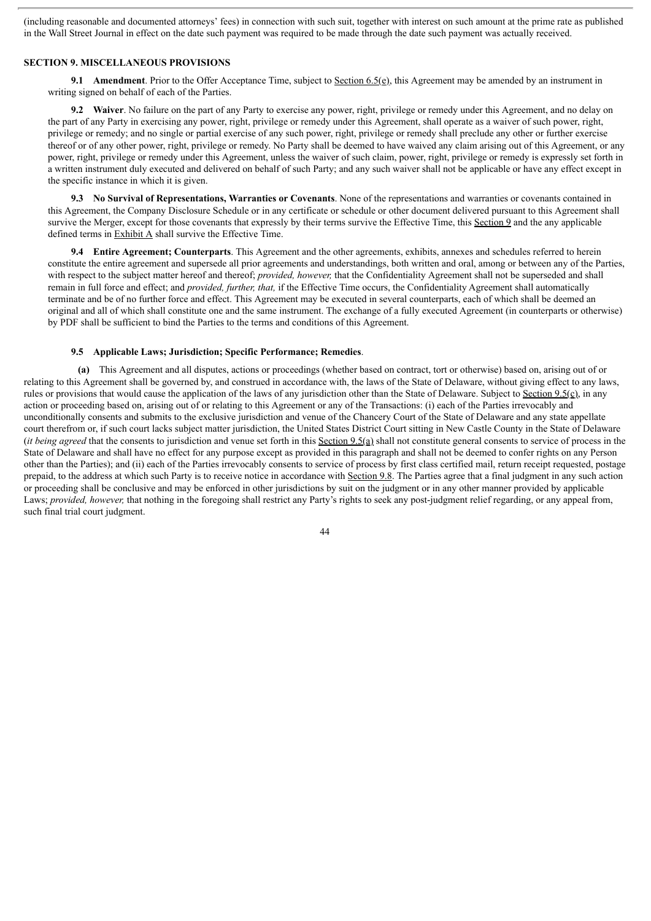(including reasonable and documented attorneys' fees) in connection with such suit, together with interest on such amount at the prime rate as published in the Wall Street Journal in effect on the date such payment was required to be made through the date such payment was actually received.

## **SECTION 9. MISCELLANEOUS PROVISIONS**

**9.1 Amendment**. Prior to the Offer Acceptance Time, subject to Section 6.5(e), this Agreement may be amended by an instrument in writing signed on behalf of each of the Parties.

**9.2 Waiver**. No failure on the part of any Party to exercise any power, right, privilege or remedy under this Agreement, and no delay on the part of any Party in exercising any power, right, privilege or remedy under this Agreement, shall operate as a waiver of such power, right, privilege or remedy; and no single or partial exercise of any such power, right, privilege or remedy shall preclude any other or further exercise thereof or of any other power, right, privilege or remedy. No Party shall be deemed to have waived any claim arising out of this Agreement, or any power, right, privilege or remedy under this Agreement, unless the waiver of such claim, power, right, privilege or remedy is expressly set forth in a written instrument duly executed and delivered on behalf of such Party; and any such waiver shall not be applicable or have any effect except in the specific instance in which it is given.

**9.3 No Survival of Representations, Warranties or Covenants**. None of the representations and warranties or covenants contained in this Agreement, the Company Disclosure Schedule or in any certificate or schedule or other document delivered pursuant to this Agreement shall survive the Merger, except for those covenants that expressly by their terms survive the Effective Time, this Section 9 and the any applicable defined terms in Exhibit  $\overline{A}$  shall survive the Effective Time.

**9.4 Entire Agreement; Counterparts**. This Agreement and the other agreements, exhibits, annexes and schedules referred to herein constitute the entire agreement and supersede all prior agreements and understandings, both written and oral, among or between any of the Parties, with respect to the subject matter hereof and thereof; *provided, however,* that the Confidentiality Agreement shall not be superseded and shall remain in full force and effect; and *provided, further, that,* if the Effective Time occurs, the Confidentiality Agreement shall automatically terminate and be of no further force and effect. This Agreement may be executed in several counterparts, each of which shall be deemed an original and all of which shall constitute one and the same instrument. The exchange of a fully executed Agreement (in counterparts or otherwise) by PDF shall be sufficient to bind the Parties to the terms and conditions of this Agreement.

#### **9.5 Applicable Laws; Jurisdiction; Specific Performance; Remedies**.

**(a)** This Agreement and all disputes, actions or proceedings (whether based on contract, tort or otherwise) based on, arising out of or relating to this Agreement shall be governed by, and construed in accordance with, the laws of the State of Delaware, without giving effect to any laws, rules or provisions that would cause the application of the laws of any jurisdiction other than the State of Delaware. Subject to Section 9.5(c), in any action or proceeding based on, arising out of or relating to this Agreement or any of the Transactions: (i) each of the Parties irrevocably and unconditionally consents and submits to the exclusive jurisdiction and venue of the Chancery Court of the State of Delaware and any state appellate court therefrom or, if such court lacks subject matter jurisdiction, the United States District Court sitting in New Castle County in the State of Delaware (*it* being *agreed* that the consents to jurisdiction and venue set forth in this Section 9.5(a) shall not constitute general consents to service of process in the State of Delaware and shall have no effect for any purpose except as provided in this paragraph and shall not be deemed to confer rights on any Person other than the Parties); and (ii) each of the Parties irrevocably consents to service of process by first class certified mail, return receipt requested, postage prepaid, to the address at which such Party is to receive notice in accordance with Section 9.8. The Parties agree that a final judgment in any such action or proceeding shall be conclusive and may be enforced in other jurisdictions by suit on the judgment or in any other manner provided by applicable Laws; *provided, however*, that nothing in the foregoing shall restrict any Party's rights to seek any post-judgment relief regarding, or any appeal from, such final trial court judgment.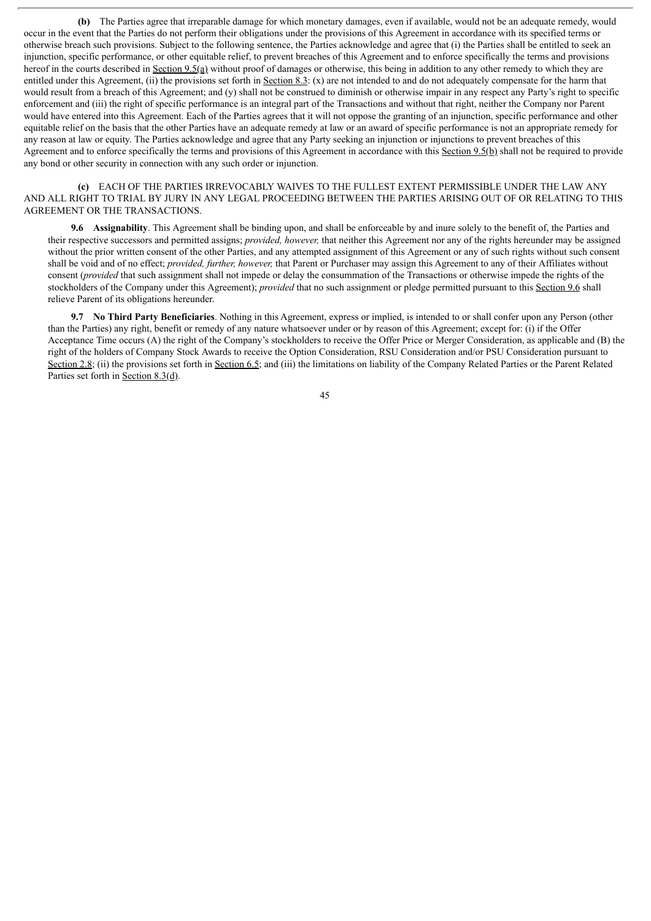**(b)** The Parties agree that irreparable damage for which monetary damages, even if available, would not be an adequate remedy, would occur in the event that the Parties do not perform their obligations under the provisions of this Agreement in accordance with its specified terms or otherwise breach such provisions. Subject to the following sentence, the Parties acknowledge and agree that (i) the Parties shall be entitled to seek an injunction, specific performance, or other equitable relief, to prevent breaches of this Agreement and to enforce specifically the terms and provisions hereof in the courts described in Section 9.5(a) without proof of damages or otherwise, this being in addition to any other remedy to which they are entitled under this Agreement, (ii) the provisions set forth in Section 8.3: (x) are not intended to and do not adequately compensate for the harm that would result from a breach of this Agreement; and (y) shall not be construed to diminish or otherwise impair in any respect any Party's right to specific enforcement and (iii) the right of specific performance is an integral part of the Transactions and without that right, neither the Company nor Parent would have entered into this Agreement. Each of the Parties agrees that it will not oppose the granting of an injunction, specific performance and other equitable relief on the basis that the other Parties have an adequate remedy at law or an award of specific performance is not an appropriate remedy for any reason at law or equity. The Parties acknowledge and agree that any Party seeking an injunction or injunctions to prevent breaches of this Agreement and to enforce specifically the terms and provisions of this Agreement in accordance with this Section 9.5(b) shall not be required to provide any bond or other security in connection with any such order or injunction.

## **(c)** EACH OF THE PARTIES IRREVOCABLY WAIVES TO THE FULLEST EXTENT PERMISSIBLE UNDER THE LAW ANY AND ALL RIGHT TO TRIAL BY JURY IN ANY LEGAL PROCEEDING BETWEEN THE PARTIES ARISING OUT OF OR RELATING TO THIS AGREEMENT OR THE TRANSACTIONS.

**9.6 Assignability**. This Agreement shall be binding upon, and shall be enforceable by and inure solely to the benefit of, the Parties and their respective successors and permitted assigns; *provided, however,* that neither this Agreement nor any of the rights hereunder may be assigned without the prior written consent of the other Parties, and any attempted assignment of this Agreement or any of such rights without such consent shall be void and of no effect; *provided, further, however,* that Parent or Purchaser may assign this Agreement to any of their Affiliates without consent (*provided* that such assignment shall not impede or delay the consummation of the Transactions or otherwise impede the rights of the stockholders of the Company under this Agreement); *provided* that no such assignment or pledge permitted pursuant to this Section 9.6 shall relieve Parent of its obligations hereunder.

**9.7 No Third Party Beneficiaries**. Nothing in this Agreement, express or implied, is intended to or shall confer upon any Person (other than the Parties) any right, benefit or remedy of any nature whatsoever under or by reason of this Agreement; except for: (i) if the Offer Acceptance Time occurs (A) the right of the Company's stockholders to receive the Offer Price or Merger Consideration, as applicable and (B) the right of the holders of Company Stock Awards to receive the Option Consideration, RSU Consideration and/or PSU Consideration pursuant to Section 2.8; (ii) the provisions set forth in Section 6.5; and (iii) the limitations on liability of the Company Related Parties or the Parent Related Parties set forth in Section 8.3(d).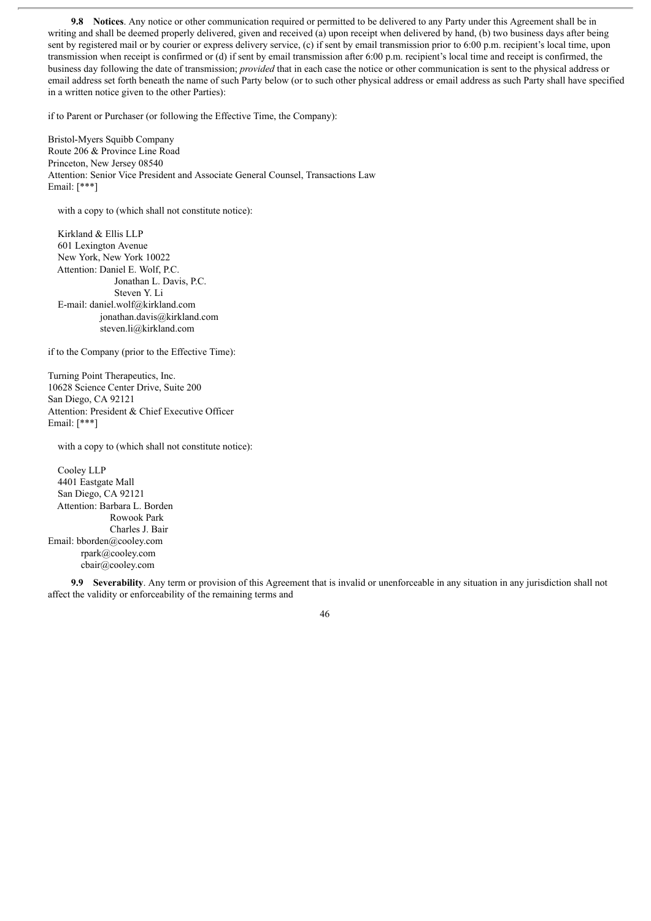**9.8 Notices**. Any notice or other communication required or permitted to be delivered to any Party under this Agreement shall be in writing and shall be deemed properly delivered, given and received (a) upon receipt when delivered by hand, (b) two business days after being sent by registered mail or by courier or express delivery service, (c) if sent by email transmission prior to 6:00 p.m. recipient's local time, upon transmission when receipt is confirmed or (d) if sent by email transmission after 6:00 p.m. recipient's local time and receipt is confirmed, the business day following the date of transmission; *provided* that in each case the notice or other communication is sent to the physical address or email address set forth beneath the name of such Party below (or to such other physical address or email address as such Party shall have specified in a written notice given to the other Parties):

if to Parent or Purchaser (or following the Effective Time, the Company):

Bristol-Myers Squibb Company Route 206 & Province Line Road Princeton, New Jersey 08540 Attention: Senior Vice President and Associate General Counsel, Transactions Law Email: [\*\*\*]

with a copy to (which shall not constitute notice):

Kirkland & Ellis LLP 601 Lexington Avenue New York, New York 10022 Attention: Daniel E. Wolf, P.C. Jonathan L. Davis, P.C. Steven Y. Li E-mail: daniel.wolf@kirkland.com jonathan.davis@kirkland.com steven.li@kirkland.com

if to the Company (prior to the Effective Time):

Turning Point Therapeutics, Inc. 10628 Science Center Drive, Suite 200 San Diego, CA 92121 Attention: President & Chief Executive Officer Email: [\*\*\*]

with a copy to (which shall not constitute notice):

Cooley LLP 4401 Eastgate Mall San Diego, CA 92121 Attention: Barbara L. Borden Rowook Park Charles J. Bair Email: bborden@cooley.com rpark@cooley.com cbair@cooley.com

**9.9 Severability**. Any term or provision of this Agreement that is invalid or unenforceable in any situation in any jurisdiction shall not affect the validity or enforceability of the remaining terms and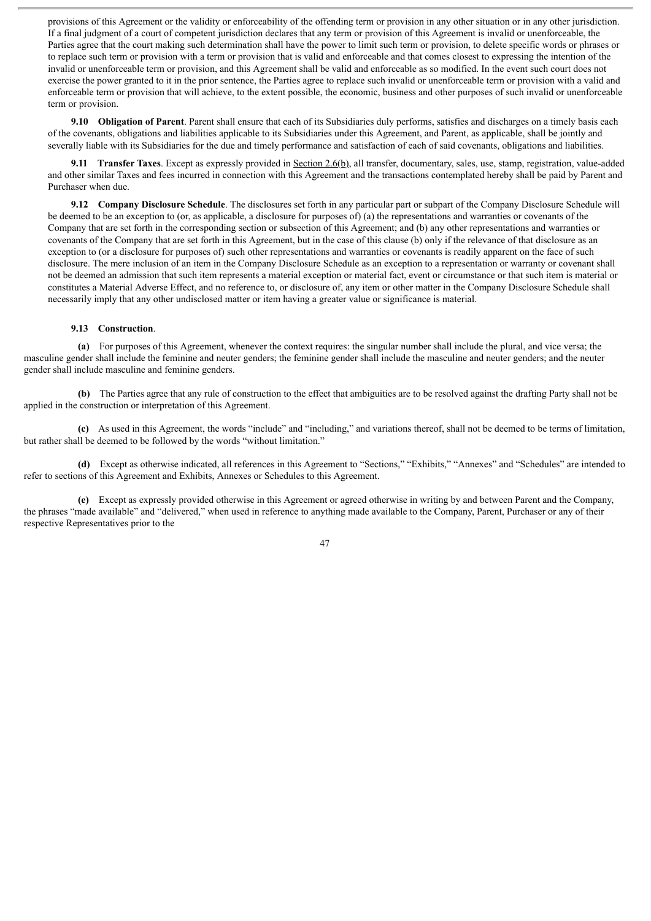provisions of this Agreement or the validity or enforceability of the offending term or provision in any other situation or in any other jurisdiction. If a final judgment of a court of competent jurisdiction declares that any term or provision of this Agreement is invalid or unenforceable, the Parties agree that the court making such determination shall have the power to limit such term or provision, to delete specific words or phrases or to replace such term or provision with a term or provision that is valid and enforceable and that comes closest to expressing the intention of the invalid or unenforceable term or provision, and this Agreement shall be valid and enforceable as so modified. In the event such court does not exercise the power granted to it in the prior sentence, the Parties agree to replace such invalid or unenforceable term or provision with a valid and enforceable term or provision that will achieve, to the extent possible, the economic, business and other purposes of such invalid or unenforceable term or provision.

**9.10 Obligation of Parent**. Parent shall ensure that each of its Subsidiaries duly performs, satisfies and discharges on a timely basis each of the covenants, obligations and liabilities applicable to its Subsidiaries under this Agreement, and Parent, as applicable, shall be jointly and severally liable with its Subsidiaries for the due and timely performance and satisfaction of each of said covenants, obligations and liabilities.

**9.11 Transfer Taxes**. Except as expressly provided in Section 2.6(b), all transfer, documentary, sales, use, stamp, registration, value-added and other similar Taxes and fees incurred in connection with this Agreement and the transactions contemplated hereby shall be paid by Parent and Purchaser when due.

**9.12 Company Disclosure Schedule**. The disclosures set forth in any particular part or subpart of the Company Disclosure Schedule will be deemed to be an exception to (or, as applicable, a disclosure for purposes of) (a) the representations and warranties or covenants of the Company that are set forth in the corresponding section or subsection of this Agreement; and (b) any other representations and warranties or covenants of the Company that are set forth in this Agreement, but in the case of this clause (b) only if the relevance of that disclosure as an exception to (or a disclosure for purposes of) such other representations and warranties or covenants is readily apparent on the face of such disclosure. The mere inclusion of an item in the Company Disclosure Schedule as an exception to a representation or warranty or covenant shall not be deemed an admission that such item represents a material exception or material fact, event or circumstance or that such item is material or constitutes a Material Adverse Effect, and no reference to, or disclosure of, any item or other matter in the Company Disclosure Schedule shall necessarily imply that any other undisclosed matter or item having a greater value or significance is material.

### **9.13 Construction**.

**(a)** For purposes of this Agreement, whenever the context requires: the singular number shall include the plural, and vice versa; the masculine gender shall include the feminine and neuter genders; the feminine gender shall include the masculine and neuter genders; and the neuter gender shall include masculine and feminine genders.

**(b)** The Parties agree that any rule of construction to the effect that ambiguities are to be resolved against the drafting Party shall not be applied in the construction or interpretation of this Agreement.

**(c)** As used in this Agreement, the words "include" and "including," and variations thereof, shall not be deemed to be terms of limitation, but rather shall be deemed to be followed by the words "without limitation."

**(d)** Except as otherwise indicated, all references in this Agreement to "Sections," "Exhibits," "Annexes" and "Schedules" are intended to refer to sections of this Agreement and Exhibits, Annexes or Schedules to this Agreement.

**(e)** Except as expressly provided otherwise in this Agreement or agreed otherwise in writing by and between Parent and the Company, the phrases "made available" and "delivered," when used in reference to anything made available to the Company, Parent, Purchaser or any of their respective Representatives prior to the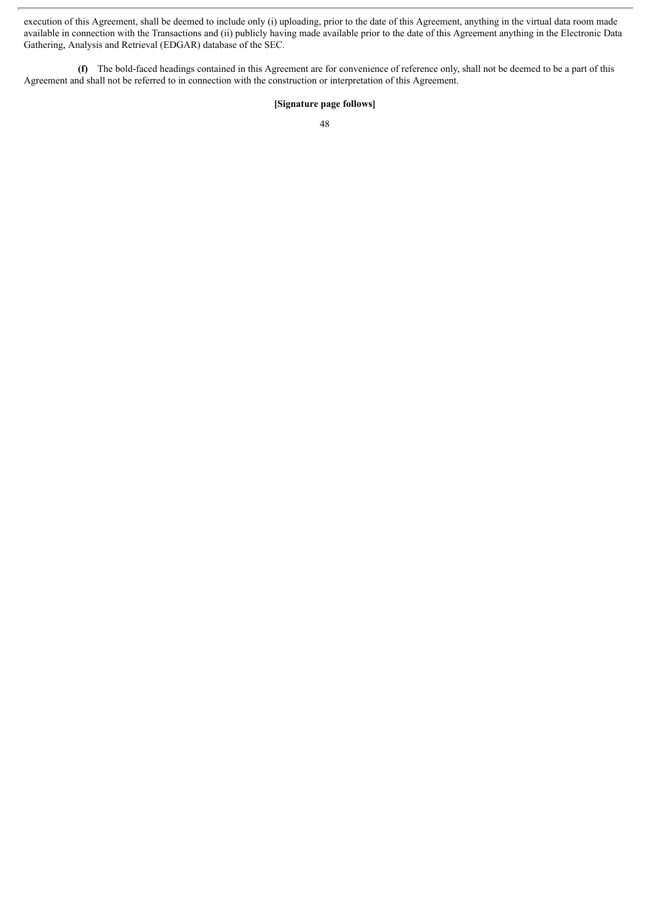execution of this Agreement, shall be deemed to include only (i) uploading, prior to the date of this Agreement, anything in the virtual data room made available in connection with the Transactions and (ii) publicly having made available prior to the date of this Agreement anything in the Electronic Data Gathering, Analysis and Retrieval (EDGAR) database of the SEC.

**(f)** The bold-faced headings contained in this Agreement are for convenience of reference only, shall not be deemed to be a part of this Agreement and shall not be referred to in connection with the construction or interpretation of this Agreement.

## **[Signature page follows]**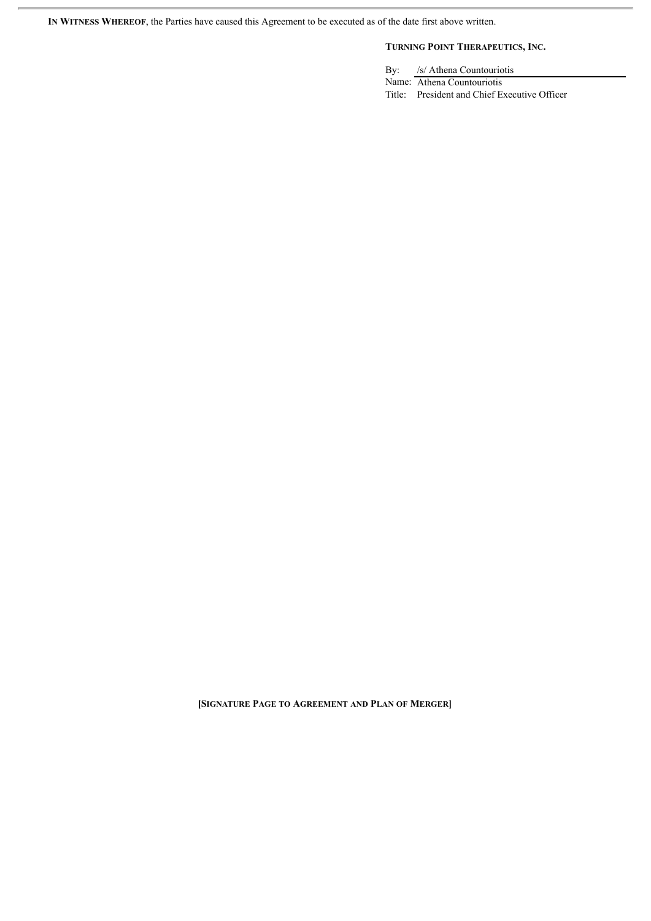**IN WITNESS WHEREOF**, the Parties have caused this Agreement to be executed as of the date first above written.

# **TURNING POINT THERAPEUTICS, INC.**

By: /s/ Athena Countouriotis Name: Athena Countouriotis

Title: President and Chief Executive Officer

**[SIGNATURE PAGE TO AGREEMENT AND PLAN OF MERGER]**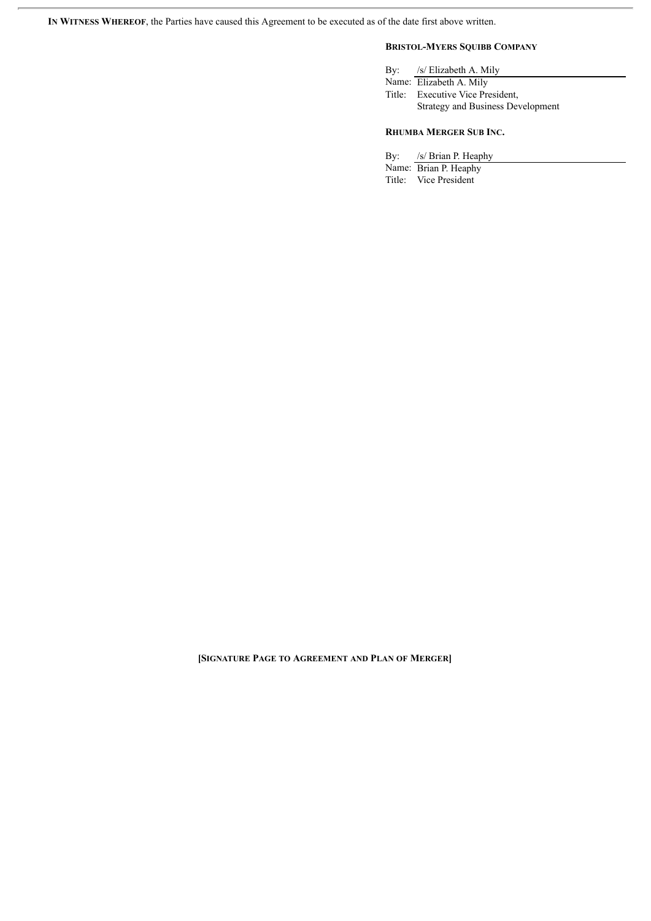**IN WITNESS WHEREOF**, the Parties have caused this Agreement to be executed as of the date first above written.

## **BRISTOL-MYERS SQUIBB COMPANY**

| By: /s/ Elizabeth A. Mily                |
|------------------------------------------|
| Name: Elizabeth A. Mily                  |
| Title: Executive Vice President,         |
| <b>Strategy and Business Development</b> |

## **RHUMBA MERGER SUB INC.**

By: /s/ Brian P. Heaphy

Name: Brian P. Heaphy

Title: Vice President

**[SIGNATURE PAGE TO AGREEMENT AND PLAN OF MERGER]**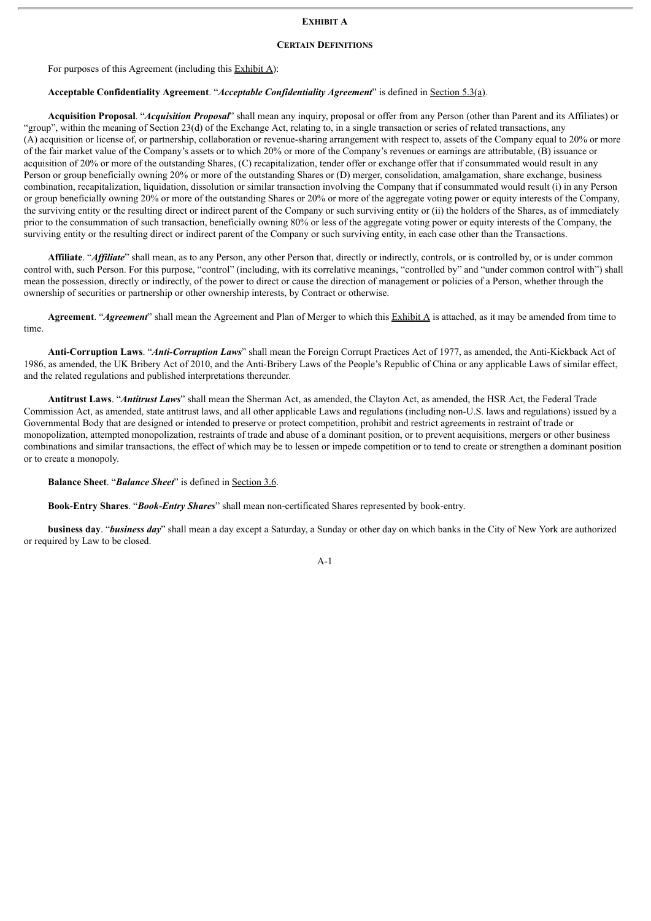## **EXHIBIT A**

#### **CERTAIN DEFINITIONS**

For purposes of this Agreement (including this Exhibit A):

#### **Acceptable Confidentiality Agreement**. "*Acceptable Confidentiality Agreement*" is defined in Section 5.3(a).

**Acquisition Proposal**. "*Acquisition Proposal*" shall mean any inquiry, proposal or offer from any Person (other than Parent and its Affiliates) or "group", within the meaning of Section 23(d) of the Exchange Act, relating to, in a single transaction or series of related transactions, any (A) acquisition or license of, or partnership, collaboration or revenue-sharing arrangement with respect to, assets of the Company equal to 20% or more of the fair market value of the Company's assets or to which 20% or more of the Company's revenues or earnings are attributable, (B) issuance or acquisition of 20% or more of the outstanding Shares, (C) recapitalization, tender offer or exchange offer that if consummated would result in any Person or group beneficially owning 20% or more of the outstanding Shares or (D) merger, consolidation, amalgamation, share exchange, business combination, recapitalization, liquidation, dissolution or similar transaction involving the Company that if consummated would result (i) in any Person or group beneficially owning 20% or more of the outstanding Shares or 20% or more of the aggregate voting power or equity interests of the Company, the surviving entity or the resulting direct or indirect parent of the Company or such surviving entity or (ii) the holders of the Shares, as of immediately prior to the consummation of such transaction, beneficially owning 80% or less of the aggregate voting power or equity interests of the Company, the surviving entity or the resulting direct or indirect parent of the Company or such surviving entity, in each case other than the Transactions.

Affiliate. "*Affiliate*" shall mean, as to any Person, any other Person that, directly or indirectly, controls, or is controlled by, or is under common control with, such Person. For this purpose, "control" (including, with its correlative meanings, "controlled by" and "under common control with") shall mean the possession, directly or indirectly, of the power to direct or cause the direction of management or policies of a Person, whether through the ownership of securities or partnership or other ownership interests, by Contract or otherwise.

**Agreement**. "*Agreement*" shall mean the Agreement and Plan of Merger to which this Exhibit A is attached, as it may be amended from time to time.

**Anti-Corruption Laws**. "*Anti-Corruption Laws*" shall mean the Foreign Corrupt Practices Act of 1977, as amended, the Anti-Kickback Act of 1986, as amended, the UK Bribery Act of 2010, and the Anti-Bribery Laws of the People's Republic of China or any applicable Laws of similar effect, and the related regulations and published interpretations thereunder.

**Antitrust Laws**. "*Antitrust Laws*" shall mean the Sherman Act, as amended, the Clayton Act, as amended, the HSR Act, the Federal Trade Commission Act, as amended, state antitrust laws, and all other applicable Laws and regulations (including non-U.S. laws and regulations) issued by a Governmental Body that are designed or intended to preserve or protect competition, prohibit and restrict agreements in restraint of trade or monopolization, attempted monopolization, restraints of trade and abuse of a dominant position, or to prevent acquisitions, mergers or other business combinations and similar transactions, the effect of which may be to lessen or impede competition or to tend to create or strengthen a dominant position or to create a monopoly.

**Balance Sheet**. "*Balance Sheet*" is defined in Section 3.6.

**Book-Entry Shares**. "*Book-Entry Shares*" shall mean non-certificated Shares represented by book-entry.

**business day**. "*business day*" shall mean a day except a Saturday, a Sunday or other day on which banks in the City of New York are authorized or required by Law to be closed.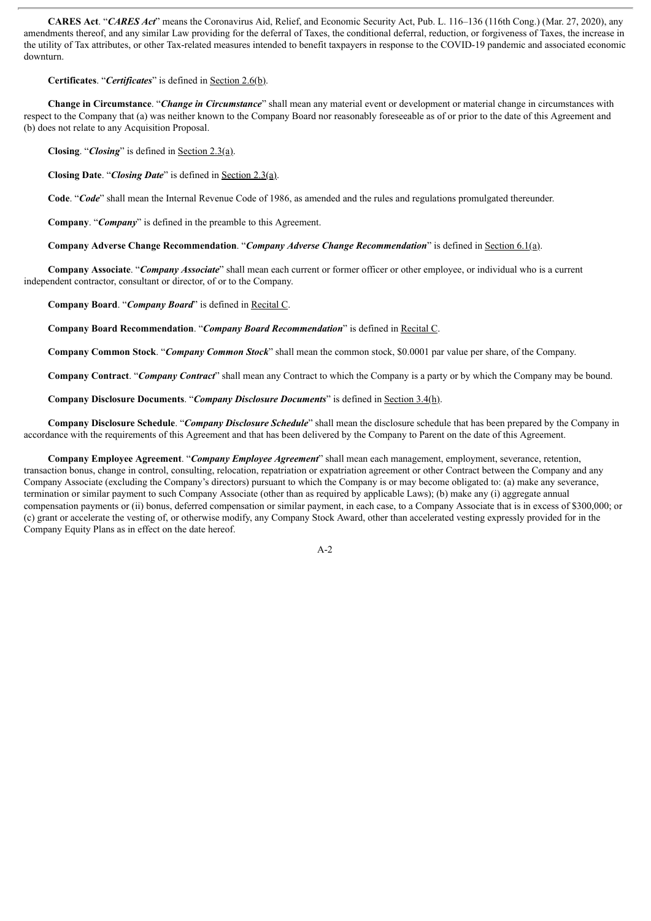**CARES Act**. "*CARES Act*" means the Coronavirus Aid, Relief, and Economic Security Act, Pub. L. 116–136 (116th Cong.) (Mar. 27, 2020), any amendments thereof, and any similar Law providing for the deferral of Taxes, the conditional deferral, reduction, or forgiveness of Taxes, the increase in the utility of Tax attributes, or other Tax-related measures intended to benefit taxpayers in response to the COVID-19 pandemic and associated economic downturn.

**Certificates**. "*Certificates*" is defined in Section 2.6(b).

**Change in Circumstance**. "*Change in Circumstance*" shall mean any material event or development or material change in circumstances with respect to the Company that (a) was neither known to the Company Board nor reasonably foreseeable as of or prior to the date of this Agreement and (b) does not relate to any Acquisition Proposal.

**Closing**. "*Closing*" is defined in Section 2.3(a).

**Closing Date**. "*Closing Date*" is defined in Section 2.3(a).

**Code**. "*Code*" shall mean the Internal Revenue Code of 1986, as amended and the rules and regulations promulgated thereunder.

**Company**. "*Company*" is defined in the preamble to this Agreement.

**Company Adverse Change Recommendation**. "*Company Adverse Change Recommendation*" is defined in Section 6.1(a).

**Company Associate**. "*Company Associate*" shall mean each current or former officer or other employee, or individual who is a current independent contractor, consultant or director, of or to the Company.

**Company Board**. "*Company Board*" is defined in Recital C.

**Company Board Recommendation**. "*Company Board Recommendation*" is defined in Recital C.

**Company Common Stock**. "*Company Common Stock*" shall mean the common stock, \$0.0001 par value per share, of the Company.

**Company Contract**. "*Company Contract*" shall mean any Contract to which the Company is a party or by which the Company may be bound.

**Company Disclosure Documents**. "*Company Disclosure Documents*" is defined in Section 3.4(h).

**Company Disclosure Schedule**. "*Company Disclosure Schedule*" shall mean the disclosure schedule that has been prepared by the Company in accordance with the requirements of this Agreement and that has been delivered by the Company to Parent on the date of this Agreement.

**Company Employee Agreement**. "*Company Employee Agreement*" shall mean each management, employment, severance, retention, transaction bonus, change in control, consulting, relocation, repatriation or expatriation agreement or other Contract between the Company and any Company Associate (excluding the Company's directors) pursuant to which the Company is or may become obligated to: (a) make any severance, termination or similar payment to such Company Associate (other than as required by applicable Laws); (b) make any (i) aggregate annual compensation payments or (ii) bonus, deferred compensation or similar payment, in each case, to a Company Associate that is in excess of \$300,000; or (c) grant or accelerate the vesting of, or otherwise modify, any Company Stock Award, other than accelerated vesting expressly provided for in the Company Equity Plans as in effect on the date hereof.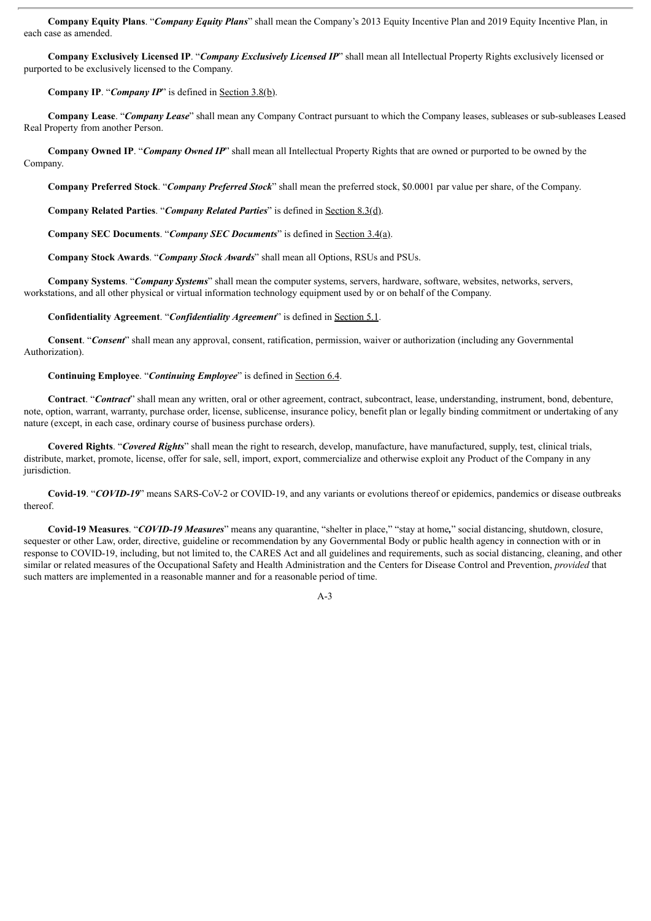**Company Equity Plans**. "*Company Equity Plans*" shall mean the Company's 2013 Equity Incentive Plan and 2019 Equity Incentive Plan, in each case as amended.

**Company Exclusively Licensed IP**. "*Company Exclusively Licensed IP*" shall mean all Intellectual Property Rights exclusively licensed or purported to be exclusively licensed to the Company.

**Company IP**. "*Company IP*" is defined in Section 3.8(b).

**Company Lease**. "*Company Lease*" shall mean any Company Contract pursuant to which the Company leases, subleases or sub-subleases Leased Real Property from another Person.

**Company Owned IP**. "*Company Owned IP*" shall mean all Intellectual Property Rights that are owned or purported to be owned by the Company.

**Company Preferred Stock**. "*Company Preferred Stock*" shall mean the preferred stock, \$0.0001 par value per share, of the Company.

**Company Related Parties**. "*Company Related Parties*" is defined in Section 8.3(d).

**Company SEC Documents**. "*Company SEC Documents*" is defined in Section 3.4(a).

**Company Stock Awards**. "*Company Stock Awards*" shall mean all Options, RSUs and PSUs.

**Company Systems**. "*Company Systems*" shall mean the computer systems, servers, hardware, software, websites, networks, servers, workstations, and all other physical or virtual information technology equipment used by or on behalf of the Company.

**Confidentiality Agreement**. "*Confidentiality Agreement*" is defined in Section 5.1.

**Consent**. "*Consent*" shall mean any approval, consent, ratification, permission, waiver or authorization (including any Governmental Authorization).

#### **Continuing Employee**. "*Continuing Employee*" is defined in Section 6.4.

**Contract**. "*Contract*" shall mean any written, oral or other agreement, contract, subcontract, lease, understanding, instrument, bond, debenture, note, option, warrant, warranty, purchase order, license, sublicense, insurance policy, benefit plan or legally binding commitment or undertaking of any nature (except, in each case, ordinary course of business purchase orders).

**Covered Rights**. "*Covered Rights*" shall mean the right to research, develop, manufacture, have manufactured, supply, test, clinical trials, distribute, market, promote, license, offer for sale, sell, import, export, commercialize and otherwise exploit any Product of the Company in any jurisdiction.

**Covid-19**. "*COVID-19*" means SARS-CoV-2 or COVID-19, and any variants or evolutions thereof or epidemics, pandemics or disease outbreaks thereof.

**Covid-19 Measures**. "*COVID-19 Measures*" means any quarantine, "shelter in place," "stay at home*,*" social distancing, shutdown, closure, sequester or other Law, order, directive, guideline or recommendation by any Governmental Body or public health agency in connection with or in response to COVID-19, including, but not limited to, the CARES Act and all guidelines and requirements, such as social distancing, cleaning, and other similar or related measures of the Occupational Safety and Health Administration and the Centers for Disease Control and Prevention, *provided* that such matters are implemented in a reasonable manner and for a reasonable period of time.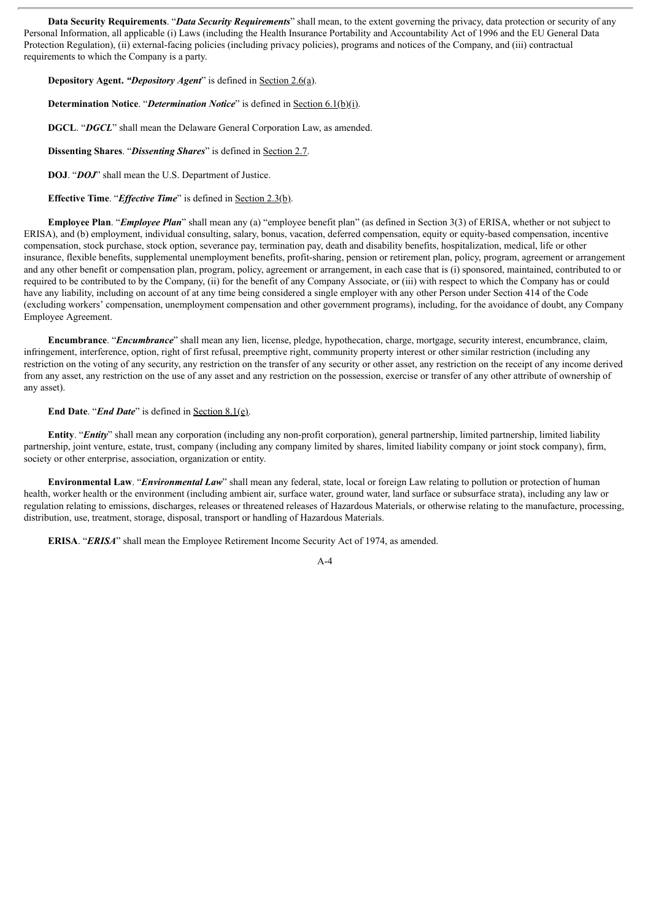**Data Security Requirements**. "*Data Security Requirements*" shall mean, to the extent governing the privacy, data protection or security of any Personal Information, all applicable (i) Laws (including the Health Insurance Portability and Accountability Act of 1996 and the EU General Data Protection Regulation), (ii) external-facing policies (including privacy policies), programs and notices of the Company, and (iii) contractual requirements to which the Company is a party.

**Depository Agent.** *"Depository Agent*" is defined in Section 2.6(a).

**Determination Notice**. "*Determination Notice*" is defined in Section 6.1(b)(i).

**DGCL**. "*DGCL*" shall mean the Delaware General Corporation Law, as amended.

**Dissenting Shares**. "*Dissenting Shares*" is defined in Section 2.7.

**DOJ**. "*DOJ*" shall mean the U.S. Department of Justice.

**Effective Time**. "*Effective Time*" is defined in Section 2.3(b).

**Employee Plan**. "*Employee Plan*" shall mean any (a) "employee benefit plan" (as defined in Section 3(3) of ERISA, whether or not subject to ERISA), and (b) employment, individual consulting, salary, bonus, vacation, deferred compensation, equity or equity-based compensation, incentive compensation, stock purchase, stock option, severance pay, termination pay, death and disability benefits, hospitalization, medical, life or other insurance, flexible benefits, supplemental unemployment benefits, profit-sharing, pension or retirement plan, policy, program, agreement or arrangement and any other benefit or compensation plan, program, policy, agreement or arrangement, in each case that is (i) sponsored, maintained, contributed to or required to be contributed to by the Company, (ii) for the benefit of any Company Associate, or (iii) with respect to which the Company has or could have any liability, including on account of at any time being considered a single employer with any other Person under Section 414 of the Code (excluding workers' compensation, unemployment compensation and other government programs), including, for the avoidance of doubt, any Company Employee Agreement.

**Encumbrance**. "*Encumbrance*" shall mean any lien, license, pledge, hypothecation, charge, mortgage, security interest, encumbrance, claim, infringement, interference, option, right of first refusal, preemptive right, community property interest or other similar restriction (including any restriction on the voting of any security, any restriction on the transfer of any security or other asset, any restriction on the receipt of any income derived from any asset, any restriction on the use of any asset and any restriction on the possession, exercise or transfer of any other attribute of ownership of any asset).

## **End Date**. "*End Date*" is defined in Section 8.1(e).

**Entity**. "*Entity*" shall mean any corporation (including any non-profit corporation), general partnership, limited partnership, limited liability partnership, joint venture, estate, trust, company (including any company limited by shares, limited liability company or joint stock company), firm, society or other enterprise, association, organization or entity.

**Environmental Law**. "*Environmental Law*" shall mean any federal, state, local or foreign Law relating to pollution or protection of human health, worker health or the environment (including ambient air, surface water, ground water, land surface or subsurface strata), including any law or regulation relating to emissions, discharges, releases or threatened releases of Hazardous Materials, or otherwise relating to the manufacture, processing, distribution, use, treatment, storage, disposal, transport or handling of Hazardous Materials.

**ERISA**. "*ERISA*" shall mean the Employee Retirement Income Security Act of 1974, as amended.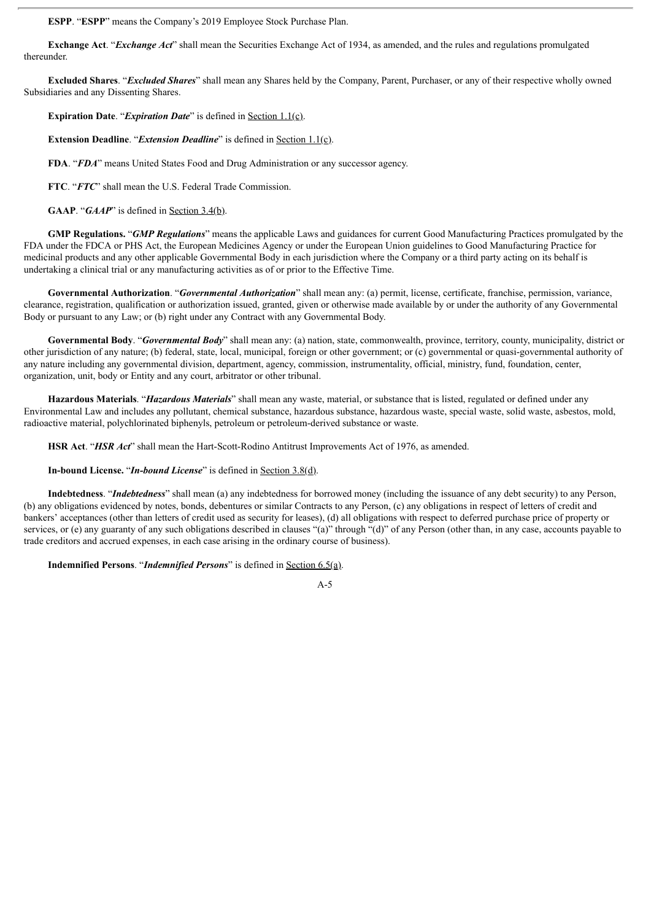**ESPP**. "**ESPP**" means the Company's 2019 Employee Stock Purchase Plan.

**Exchange Act**. "*Exchange Act*" shall mean the Securities Exchange Act of 1934, as amended, and the rules and regulations promulgated thereunder.

**Excluded Shares**. "*Excluded Shares*" shall mean any Shares held by the Company, Parent, Purchaser, or any of their respective wholly owned Subsidiaries and any Dissenting Shares.

**Expiration Date**. "*Expiration Date*" is defined in Section 1.1(c).

**Extension Deadline**. "*Extension Deadline*" is defined in Section 1.1(c).

**FDA**. "*FDA*" means United States Food and Drug Administration or any successor agency.

**FTC**. "*FTC*" shall mean the U.S. Federal Trade Commission.

**GAAP**. "*GAAP*" is defined in Section 3.4(b).

**GMP Regulations.** "*GMP Regulations*" means the applicable Laws and guidances for current Good Manufacturing Practices promulgated by the FDA under the FDCA or PHS Act, the European Medicines Agency or under the European Union guidelines to Good Manufacturing Practice for medicinal products and any other applicable Governmental Body in each jurisdiction where the Company or a third party acting on its behalf is undertaking a clinical trial or any manufacturing activities as of or prior to the Effective Time.

**Governmental Authorization**. "*Governmental Authorization*" shall mean any: (a) permit, license, certificate, franchise, permission, variance, clearance, registration, qualification or authorization issued, granted, given or otherwise made available by or under the authority of any Governmental Body or pursuant to any Law; or (b) right under any Contract with any Governmental Body.

**Governmental Body**. "*Governmental Body*" shall mean any: (a) nation, state, commonwealth, province, territory, county, municipality, district or other jurisdiction of any nature; (b) federal, state, local, municipal, foreign or other government; or (c) governmental or quasi-governmental authority of any nature including any governmental division, department, agency, commission, instrumentality, official, ministry, fund, foundation, center, organization, unit, body or Entity and any court, arbitrator or other tribunal.

**Hazardous Materials**. "*Hazardous Materials*" shall mean any waste, material, or substance that is listed, regulated or defined under any Environmental Law and includes any pollutant, chemical substance, hazardous substance, hazardous waste, special waste, solid waste, asbestos, mold, radioactive material, polychlorinated biphenyls, petroleum or petroleum-derived substance or waste.

**HSR Act**. "*HSR Act*" shall mean the Hart-Scott-Rodino Antitrust Improvements Act of 1976, as amended.

**In-bound License.** "*In-bound License*" is defined in Section 3.8(d).

**Indebtedness**. "*Indebtedness*" shall mean (a) any indebtedness for borrowed money (including the issuance of any debt security) to any Person, (b) any obligations evidenced by notes, bonds, debentures or similar Contracts to any Person, (c) any obligations in respect of letters of credit and bankers' acceptances (other than letters of credit used as security for leases), (d) all obligations with respect to deferred purchase price of property or services, or (e) any guaranty of any such obligations described in clauses "(a)" through "(d)" of any Person (other than, in any case, accounts payable to trade creditors and accrued expenses, in each case arising in the ordinary course of business).

**Indemnified Persons**. "*Indemnified Persons*" is defined in Section 6.5(a).

 $\Delta - 5$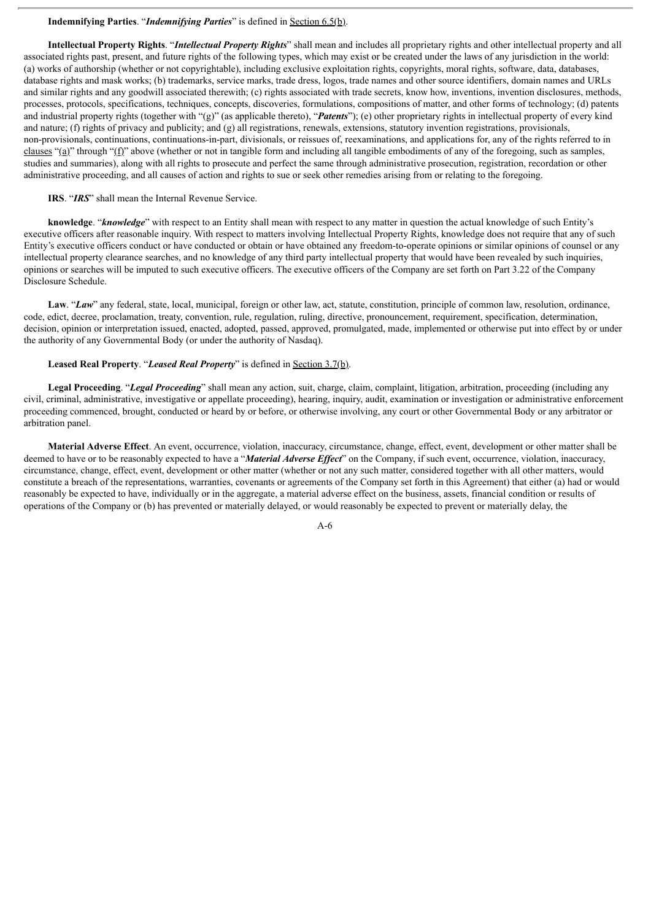## **Indemnifying Parties**. "*Indemnifying Parties*" is defined in Section 6.5(b).

**Intellectual Property Rights**. "*Intellectual Property Rights*" shall mean and includes all proprietary rights and other intellectual property and all associated rights past, present, and future rights of the following types, which may exist or be created under the laws of any jurisdiction in the world: (a) works of authorship (whether or not copyrightable), including exclusive exploitation rights, copyrights, moral rights, software, data, databases, database rights and mask works; (b) trademarks, service marks, trade dress, logos, trade names and other source identifiers, domain names and URLs and similar rights and any goodwill associated therewith; (c) rights associated with trade secrets, know how, inventions, invention disclosures, methods, processes, protocols, specifications, techniques, concepts, discoveries, formulations, compositions of matter, and other forms of technology; (d) patents and industrial property rights (together with "(g)" (as applicable thereto), "*Patents*"); (e) other proprietary rights in intellectual property of every kind and nature; (f) rights of privacy and publicity; and (g) all registrations, renewals, extensions, statutory invention registrations, provisionals, non-provisionals, continuations, continuations-in-part, divisionals, or reissues of, reexaminations, and applications for, any of the rights referred to in clauses "(a)" through "(f)" above (whether or not in tangible form and including all tangible embodiments of any of the foregoing, such as samples, studies and summaries), along with all rights to prosecute and perfect the same through administrative prosecution, registration, recordation or other administrative proceeding, and all causes of action and rights to sue or seek other remedies arising from or relating to the foregoing.

**IRS**. "*IRS*" shall mean the Internal Revenue Service.

**knowledge**. "*knowledge*" with respect to an Entity shall mean with respect to any matter in question the actual knowledge of such Entity's executive officers after reasonable inquiry. With respect to matters involving Intellectual Property Rights, knowledge does not require that any of such Entity's executive officers conduct or have conducted or obtain or have obtained any freedom-to-operate opinions or similar opinions of counsel or any intellectual property clearance searches, and no knowledge of any third party intellectual property that would have been revealed by such inquiries, opinions or searches will be imputed to such executive officers. The executive officers of the Company are set forth on Part 3.22 of the Company Disclosure Schedule.

Law. "Law" any federal, state, local, municipal, foreign or other law, act, statute, constitution, principle of common law, resolution, ordinance, code, edict, decree, proclamation, treaty, convention, rule, regulation, ruling, directive, pronouncement, requirement, specification, determination, decision, opinion or interpretation issued, enacted, adopted, passed, approved, promulgated, made, implemented or otherwise put into effect by or under the authority of any Governmental Body (or under the authority of Nasdaq).

## **Leased Real Property**. "*Leased Real Property*" is defined in Section 3.7(b).

**Legal Proceeding**. "*Legal Proceeding*" shall mean any action, suit, charge, claim, complaint, litigation, arbitration, proceeding (including any civil, criminal, administrative, investigative or appellate proceeding), hearing, inquiry, audit, examination or investigation or administrative enforcement proceeding commenced, brought, conducted or heard by or before, or otherwise involving, any court or other Governmental Body or any arbitrator or arbitration panel.

**Material Adverse Effect**. An event, occurrence, violation, inaccuracy, circumstance, change, effect, event, development or other matter shall be deemed to have or to be reasonably expected to have a "*Material Adverse Effect*" on the Company, if such event, occurrence, violation, inaccuracy, circumstance, change, effect, event, development or other matter (whether or not any such matter, considered together with all other matters, would constitute a breach of the representations, warranties, covenants or agreements of the Company set forth in this Agreement) that either (a) had or would reasonably be expected to have, individually or in the aggregate, a material adverse effect on the business, assets, financial condition or results of operations of the Company or (b) has prevented or materially delayed, or would reasonably be expected to prevent or materially delay, the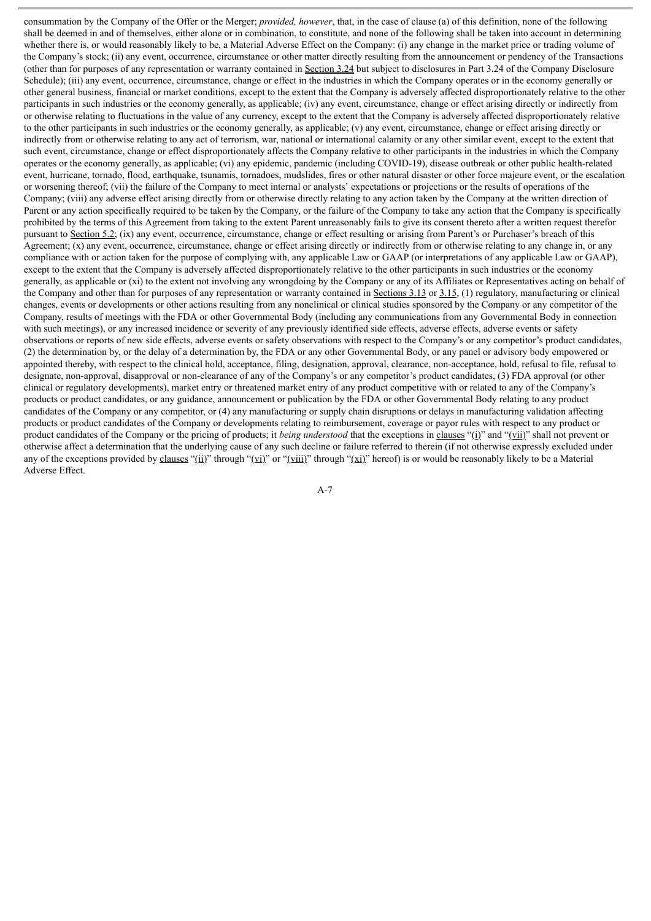consummation by the Company of the Offer or the Merger; *provided, however*, that, in the case of clause (a) of this definition, none of the following shall be deemed in and of themselves, either alone or in combination, to constitute, and none of the following shall be taken into account in determining whether there is, or would reasonably likely to be, a Material Adverse Effect on the Company: (i) any change in the market price or trading volume of the Company's stock; (ii) any event, occurrence, circumstance or other matter directly resulting from the announcement or pendency of the Transactions (other than for purposes of any representation or warranty contained in Section 3.24 but subject to disclosures in Part 3.24 of the Company Disclosure Schedule); (iii) any event, occurrence, circumstance, change or effect in the industries in which the Company operates or in the economy generally or other general business, financial or market conditions, except to the extent that the Company is adversely affected disproportionately relative to the other participants in such industries or the economy generally, as applicable; (iv) any event, circumstance, change or effect arising directly or indirectly from or otherwise relating to fluctuations in the value of any currency, except to the extent that the Company is adversely affected disproportionately relative to the other participants in such industries or the economy generally, as applicable; (v) any event, circumstance, change or effect arising directly or indirectly from or otherwise relating to any act of terrorism, war, national or international calamity or any other similar event, except to the extent that such event, circumstance, change or effect disproportionately affects the Company relative to other participants in the industries in which the Company operates or the economy generally, as applicable; (vi) any epidemic, pandemic (including COVID-19), disease outbreak or other public health-related event, hurricane, tornado, flood, earthquake, tsunamis, tornadoes, mudslides, fires or other natural disaster or other force majeure event, or the escalation or worsening thereof; (vii) the failure of the Company to meet internal or analysts' expectations or projections or the results of operations of the Company; (viii) any adverse effect arising directly from or otherwise directly relating to any action taken by the Company at the written direction of Parent or any action specifically required to be taken by the Company, or the failure of the Company to take any action that the Company is specifically prohibited by the terms of this Agreement from taking to the extent Parent unreasonably fails to give its consent thereto after a written request therefor pursuant to Section 5.2; (ix) any event, occurrence, circumstance, change or effect resulting or arising from Parent's or Purchaser's breach of this Agreement; (x) any event, occurrence, circumstance, change or effect arising directly or indirectly from or otherwise relating to any change in, or any compliance with or action taken for the purpose of complying with, any applicable Law or GAAP (or interpretations of any applicable Law or GAAP), except to the extent that the Company is adversely affected disproportionately relative to the other participants in such industries or the economy generally, as applicable or (xi) to the extent not involving any wrongdoing by the Company or any of its Affiliates or Representatives acting on behalf of the Company and other than for purposes of any representation or warranty contained in Sections 3.13 or 3.15, (1) regulatory, manufacturing or clinical changes, events or developments or other actions resulting from any nonclinical or clinical studies sponsored by the Company or any competitor of the Company, results of meetings with the FDA or other Governmental Body (including any communications from any Governmental Body in connection with such meetings), or any increased incidence or severity of any previously identified side effects, adverse effects, adverse events or safety observations or reports of new side effects, adverse events or safety observations with respect to the Company's or any competitor's product candidates, (2) the determination by, or the delay of a determination by, the FDA or any other Governmental Body, or any panel or advisory body empowered or appointed thereby, with respect to the clinical hold, acceptance, filing, designation, approval, clearance, non-acceptance, hold, refusal to file, refusal to designate, non-approval, disapproval or non-clearance of any of the Company's or any competitor's product candidates, (3) FDA approval (or other clinical or regulatory developments), market entry or threatened market entry of any product competitive with or related to any of the Company's products or product candidates, or any guidance, announcement or publication by the FDA or other Governmental Body relating to any product candidates of the Company or any competitor, or (4) any manufacturing or supply chain disruptions or delays in manufacturing validation affecting products or product candidates of the Company or developments relating to reimbursement, coverage or payor rules with respect to any product or product candidates of the Company or the pricing of products; it *being understood* that the exceptions in clauses "(i)" and "(vii)" shall not prevent or otherwise affect a determination that the underlying cause of any such decline or failure referred to therein (if not otherwise expressly excluded under any of the exceptions provided by clauses "(ii)" through "(vi)" or "(viii)" through "(xi)" hereof) is or would be reasonably likely to be a Material Adverse Effect.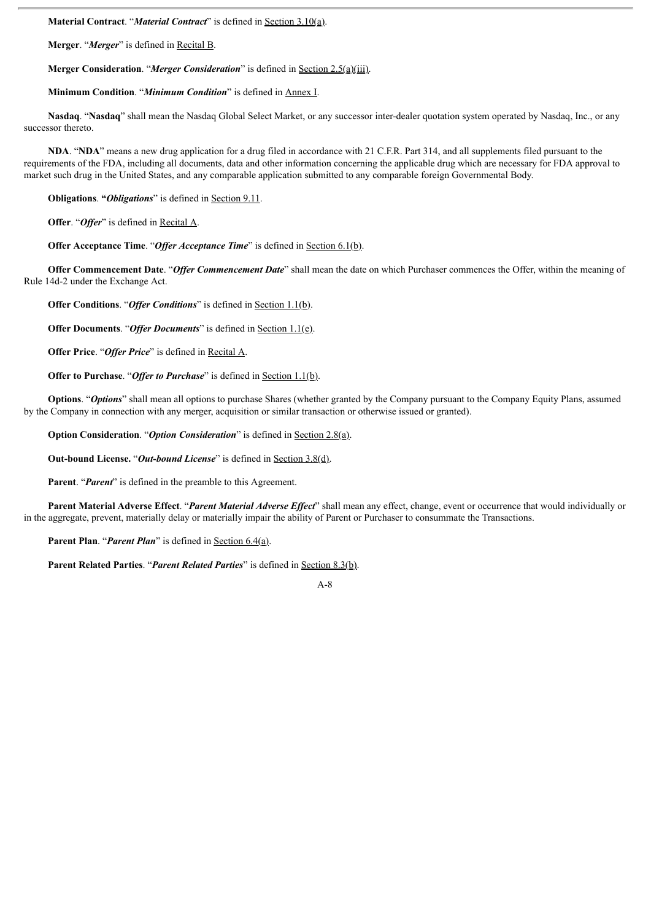**Material Contract**. "*Material Contract*" is defined in Section 3.10(a).

**Merger**. "*Merger*" is defined in Recital B.

**Merger Consideration**. "*Merger Consideration*" is defined in Section 2.5(a)(iii).

**Minimum Condition**. "*Minimum Condition*" is defined in Annex I.

**Nasdaq**. "**Nasdaq**" shall mean the Nasdaq Global Select Market, or any successor inter-dealer quotation system operated by Nasdaq, Inc., or any successor thereto.

**NDA**. "**NDA**" means a new drug application for a drug filed in accordance with 21 C.F.R. Part 314, and all supplements filed pursuant to the requirements of the FDA, including all documents, data and other information concerning the applicable drug which are necessary for FDA approval to market such drug in the United States, and any comparable application submitted to any comparable foreign Governmental Body.

**Obligations**. **"***Obligations*" is defined in Section 9.11.

Offer. "Offer" is defined in Recital A.

**Offer Acceptance Time**. "*Offer Acceptance Time*" is defined in <u>Section 6.1(b)</u>.

Offer Commencement Date. "Offer Commencement Date" shall mean the date on which Purchaser commences the Offer, within the meaning of Rule 14d-2 under the Exchange Act.

**Offer Conditions**. "*Offer Conditions*" is defined in **Section 1.1(b)**.

**Offer Documents**. "*Offer Documents*" is defined in <u>Section 1.1(e)</u>.

**Offer Price**. "*Offer Price*" is defined in <u>Recital A</u>.

Offer **to** Purchase. "Offer to Purchase" is defined in Section 1.1(b).

**Options**. "*Options*" shall mean all options to purchase Shares (whether granted by the Company pursuant to the Company Equity Plans, assumed by the Company in connection with any merger, acquisition or similar transaction or otherwise issued or granted).

**Option Consideration**. "*Option Consideration*" is defined in Section 2.8(a).

**Out-bound License.** "*Out-bound License*" is defined in Section 3.8(d).

Parent. "*Parent*" is defined in the preamble to this Agreement.

Parent Material Adverse Effect. "Parent Material Adverse Effect" shall mean any effect, change, event or occurrence that would individually or in the aggregate, prevent, materially delay or materially impair the ability of Parent or Purchaser to consummate the Transactions.

**Parent Plan**. "*Parent Plan*" is defined in Section 6.4(a).

**Parent Related Parties**. "*Parent Related Parties*" is defined in Section 8.3(b).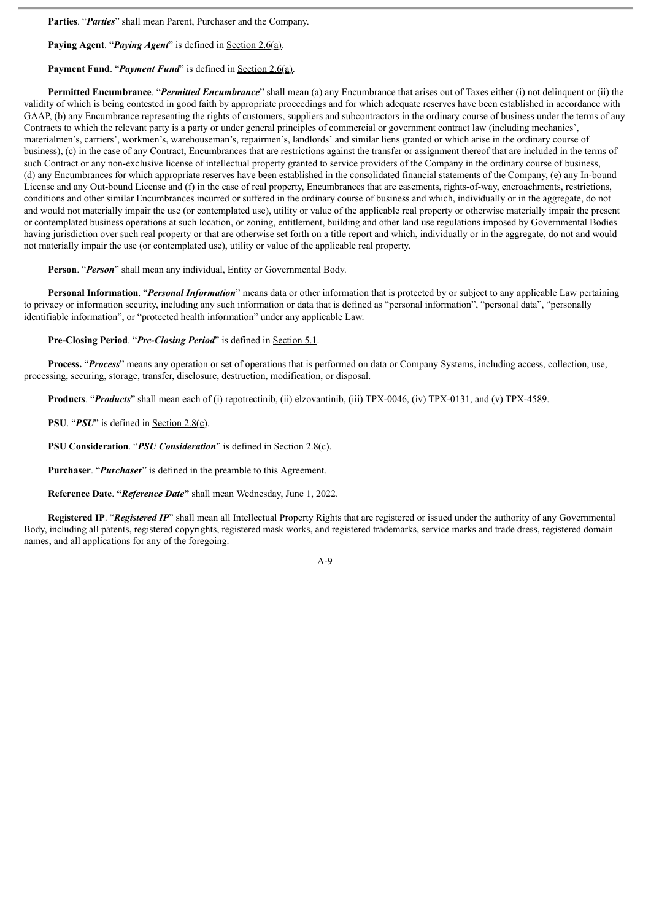**Parties**. "*Parties*" shall mean Parent, Purchaser and the Company.

**Paying Agent**. "*Paying Agent*" is defined in Section 2.6(a).

## Payment Fund. "*Payment Fund*" is defined in <u>Section 2.6(a)</u>.

**Permitted Encumbrance**. "*Permitted Encumbrance*" shall mean (a) any Encumbrance that arises out of Taxes either (i) not delinquent or (ii) the validity of which is being contested in good faith by appropriate proceedings and for which adequate reserves have been established in accordance with GAAP, (b) any Encumbrance representing the rights of customers, suppliers and subcontractors in the ordinary course of business under the terms of any Contracts to which the relevant party is a party or under general principles of commercial or government contract law (including mechanics', materialmen's, carriers', workmen's, warehouseman's, repairmen's, landlords' and similar liens granted or which arise in the ordinary course of business), (c) in the case of any Contract, Encumbrances that are restrictions against the transfer or assignment thereof that are included in the terms of such Contract or any non-exclusive license of intellectual property granted to service providers of the Company in the ordinary course of business, (d) any Encumbrances for which appropriate reserves have been established in the consolidated financial statements of the Company, (e) any In-bound License and any Out-bound License and (f) in the case of real property, Encumbrances that are easements, rights-of-way, encroachments, restrictions, conditions and other similar Encumbrances incurred or suffered in the ordinary course of business and which, individually or in the aggregate, do not and would not materially impair the use (or contemplated use), utility or value of the applicable real property or otherwise materially impair the present or contemplated business operations at such location, or zoning, entitlement, building and other land use regulations imposed by Governmental Bodies having jurisdiction over such real property or that are otherwise set forth on a title report and which, individually or in the aggregate, do not and would not materially impair the use (or contemplated use), utility or value of the applicable real property.

**Person**. "*Person*" shall mean any individual, Entity or Governmental Body.

**Personal Information**. "*Personal Information*" means data or other information that is protected by or subject to any applicable Law pertaining to privacy or information security, including any such information or data that is defined as "personal information", "personal data", "personally identifiable information", or "protected health information" under any applicable Law.

**Pre-Closing Period**. "*Pre-Closing Period*" is defined in Section 5.1.

**Process.** "*Process*" means any operation or set of operations that is performed on data or Company Systems, including access, collection, use, processing, securing, storage, transfer, disclosure, destruction, modification, or disposal.

**Products**. "*Products*" shall mean each of (i) repotrectinib, (ii) elzovantinib, (iii) TPX-0046, (iv) TPX-0131, and (v) TPX-4589.

PSU. "*PSU*" is defined in <u>Section 2.8(c)</u>.

PSU Consideration. "PSU Consideration" is defined in Section 2.8(c).

**Purchaser**. "*Purchaser*" is defined in the preamble to this Agreement.

**Reference Date**. **"***Reference Date***"** shall mean Wednesday, June 1, 2022.

**Registered IP**. "*Registered IP*" shall mean all Intellectual Property Rights that are registered or issued under the authority of any Governmental Body, including all patents, registered copyrights, registered mask works, and registered trademarks, service marks and trade dress, registered domain names, and all applications for any of the foregoing.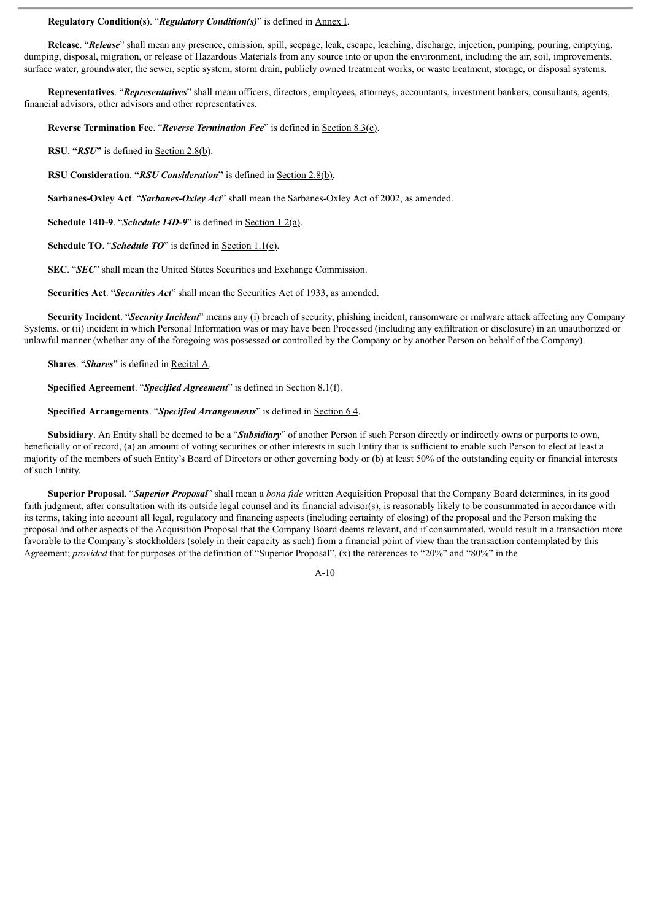## **Regulatory Condition(s)**. "*Regulatory Condition(s)*" is defined in Annex I.

**Release**. "*Release*" shall mean any presence, emission, spill, seepage, leak, escape, leaching, discharge, injection, pumping, pouring, emptying, dumping, disposal, migration, or release of Hazardous Materials from any source into or upon the environment, including the air, soil, improvements, surface water, groundwater, the sewer, septic system, storm drain, publicly owned treatment works, or waste treatment, storage, or disposal systems.

**Representatives**. "*Representatives*" shall mean officers, directors, employees, attorneys, accountants, investment bankers, consultants, agents, financial advisors, other advisors and other representatives.

**Reverse Termination Fee**. "*Reverse Termination Fee*" is defined in Section 8.3(c).

**RSU**. **"***RSU***"** is defined in Section 2.8(b).

**RSU Consideration**. **"***RSU Consideration***"** is defined in Section 2.8(b).

**Sarbanes-Oxley Act**. "*Sarbanes-Oxley Act*" shall mean the Sarbanes-Oxley Act of 2002, as amended.

**Schedule 14D-9**. "*Schedule 14D-9*" is defined in Section 1.2(a).

**Schedule TO**. "*Schedule TO*" is defined in Section 1.1(e).

**SEC**. "*SEC*" shall mean the United States Securities and Exchange Commission.

**Securities Act**. "*Securities Act*" shall mean the Securities Act of 1933, as amended.

**Security Incident**. "*Security Incident*" means any (i) breach of security, phishing incident, ransomware or malware attack affecting any Company Systems, or (ii) incident in which Personal Information was or may have been Processed (including any exfiltration or disclosure) in an unauthorized or unlawful manner (whether any of the foregoing was possessed or controlled by the Company or by another Person on behalf of the Company).

**Shares**. "*Shares*" is defined in Recital A.

**Specified Agreement**. "*Specified Agreement*" is defined in Section 8.1(f).

#### **Specified Arrangements**. "*Specified Arrangements*" is defined in Section 6.4.

**Subsidiary**. An Entity shall be deemed to be a "*Subsidiary*" of another Person if such Person directly or indirectly owns or purports to own, beneficially or of record, (a) an amount of voting securities or other interests in such Entity that is sufficient to enable such Person to elect at least a majority of the members of such Entity's Board of Directors or other governing body or (b) at least 50% of the outstanding equity or financial interests of such Entity.

**Superior Proposal**. "*Superior Proposal*" shall mean a *bona fide* written Acquisition Proposal that the Company Board determines, in its good faith judgment, after consultation with its outside legal counsel and its financial advisor(s), is reasonably likely to be consummated in accordance with its terms, taking into account all legal, regulatory and financing aspects (including certainty of closing) of the proposal and the Person making the proposal and other aspects of the Acquisition Proposal that the Company Board deems relevant, and if consummated, would result in a transaction more favorable to the Company's stockholders (solely in their capacity as such) from a financial point of view than the transaction contemplated by this Agreement; *provided* that for purposes of the definition of "Superior Proposal", (x) the references to "20%" and "80%" in the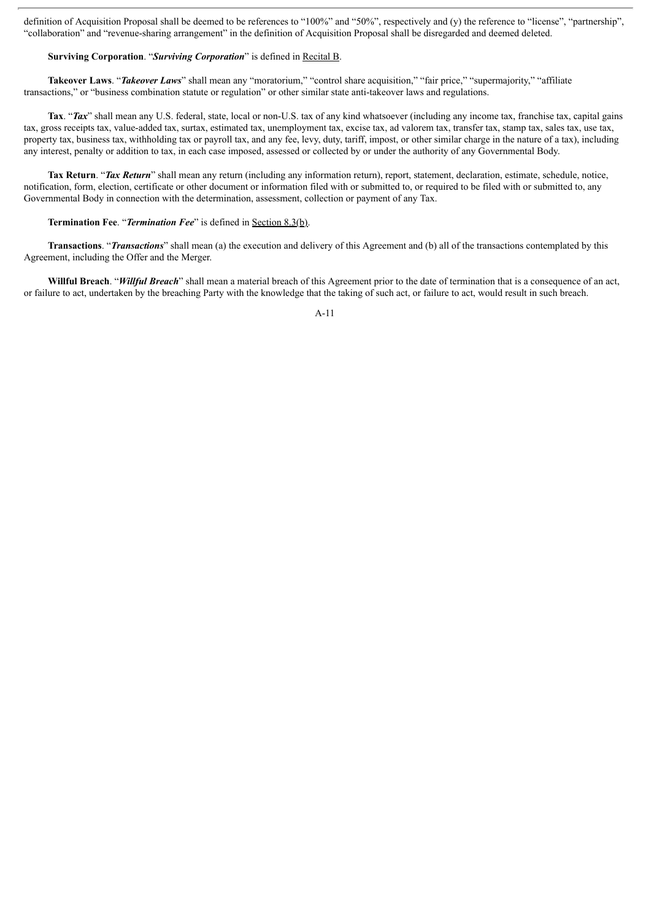definition of Acquisition Proposal shall be deemed to be references to "100%" and "50%", respectively and (y) the reference to "license", "partnership", "collaboration" and "revenue-sharing arrangement" in the definition of Acquisition Proposal shall be disregarded and deemed deleted.

## **Surviving Corporation**. "*Surviving Corporation*" is defined in Recital B.

**Takeover Laws**. "*Takeover Laws*" shall mean any "moratorium," "control share acquisition," "fair price," "supermajority," "affiliate transactions," or "business combination statute or regulation" or other similar state anti-takeover laws and regulations.

**Tax**. "*Tax*" shall mean any U.S. federal, state, local or non-U.S. tax of any kind whatsoever (including any income tax, franchise tax, capital gains tax, gross receipts tax, value-added tax, surtax, estimated tax, unemployment tax, excise tax, ad valorem tax, transfer tax, stamp tax, sales tax, use tax, property tax, business tax, withholding tax or payroll tax, and any fee, levy, duty, tariff, impost, or other similar charge in the nature of a tax), including any interest, penalty or addition to tax, in each case imposed, assessed or collected by or under the authority of any Governmental Body.

**Tax Return**. "*Tax Return*" shall mean any return (including any information return), report, statement, declaration, estimate, schedule, notice, notification, form, election, certificate or other document or information filed with or submitted to, or required to be filed with or submitted to, any Governmental Body in connection with the determination, assessment, collection or payment of any Tax.

## **Termination Fee**. "*Termination Fee*" is defined in Section 8.3(b).

**Transactions**. "*Transactions*" shall mean (a) the execution and delivery of this Agreement and (b) all of the transactions contemplated by this Agreement, including the Offer and the Merger.

**Willful Breach**. "*Willful Breach*" shall mean a material breach of this Agreement prior to the date of termination that is a consequence of an act, or failure to act, undertaken by the breaching Party with the knowledge that the taking of such act, or failure to act, would result in such breach.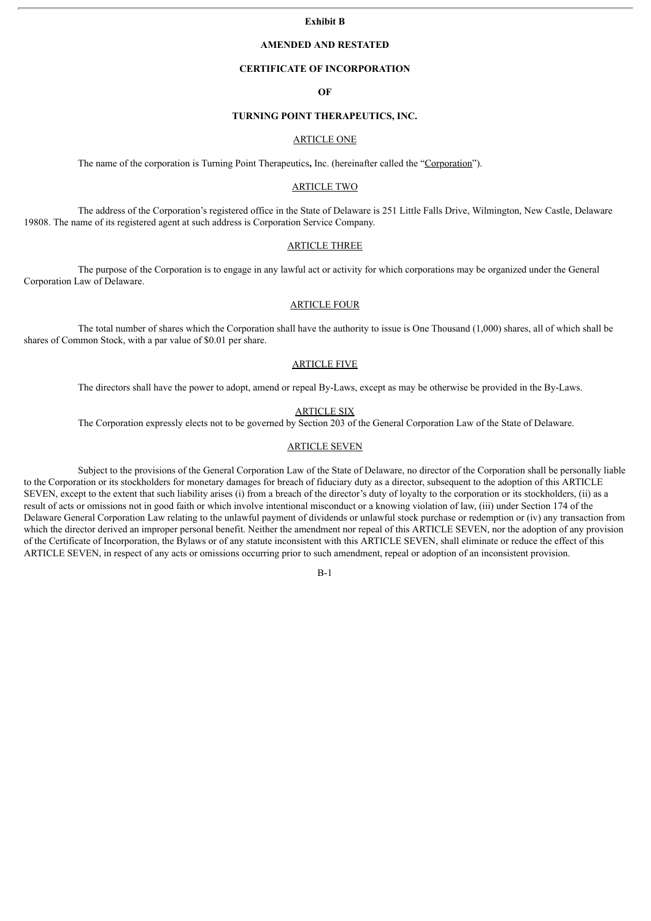#### **Exhibit B**

## **AMENDED AND RESTATED**

#### **CERTIFICATE OF INCORPORATION**

#### **OF**

## **TURNING POINT THERAPEUTICS, INC.**

#### ARTICLE ONE

The name of the corporation is Turning Point Therapeutics**,** Inc. (hereinafter called the "Corporation").

#### ARTICLE TWO

The address of the Corporation's registered office in the State of Delaware is 251 Little Falls Drive, Wilmington, New Castle, Delaware 19808. The name of its registered agent at such address is Corporation Service Company.

#### ARTICLE THREE

The purpose of the Corporation is to engage in any lawful act or activity for which corporations may be organized under the General Corporation Law of Delaware.

## ARTICLE FOUR

The total number of shares which the Corporation shall have the authority to issue is One Thousand (1,000) shares, all of which shall be shares of Common Stock, with a par value of \$0.01 per share.

#### ARTICLE FIVE

The directors shall have the power to adopt, amend or repeal By-Laws, except as may be otherwise be provided in the By-Laws.

## ARTICLE SIX

The Corporation expressly elects not to be governed by Section 203 of the General Corporation Law of the State of Delaware.

#### ARTICLE SEVEN

Subject to the provisions of the General Corporation Law of the State of Delaware, no director of the Corporation shall be personally liable to the Corporation or its stockholders for monetary damages for breach of fiduciary duty as a director, subsequent to the adoption of this ARTICLE SEVEN, except to the extent that such liability arises (i) from a breach of the director's duty of loyalty to the corporation or its stockholders, (ii) as a result of acts or omissions not in good faith or which involve intentional misconduct or a knowing violation of law, (iii) under Section 174 of the Delaware General Corporation Law relating to the unlawful payment of dividends or unlawful stock purchase or redemption or (iv) any transaction from which the director derived an improper personal benefit. Neither the amendment nor repeal of this ARTICLE SEVEN, nor the adoption of any provision of the Certificate of Incorporation, the Bylaws or of any statute inconsistent with this ARTICLE SEVEN, shall eliminate or reduce the effect of this ARTICLE SEVEN, in respect of any acts or omissions occurring prior to such amendment, repeal or adoption of an inconsistent provision.

B-1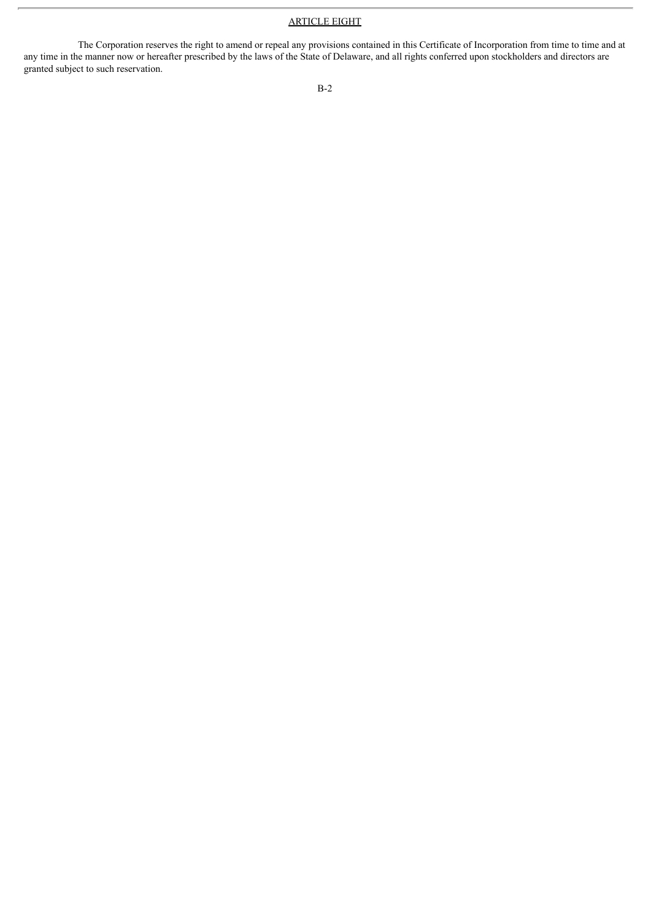# ARTICLE EIGHT

The Corporation reserves the right to amend or repeal any provisions contained in this Certificate of Incorporation from time to time and at any time in the manner now or hereafter prescribed by the laws of the State of Delaware, and all rights conferred upon stockholders and directors are granted subject to such reservation.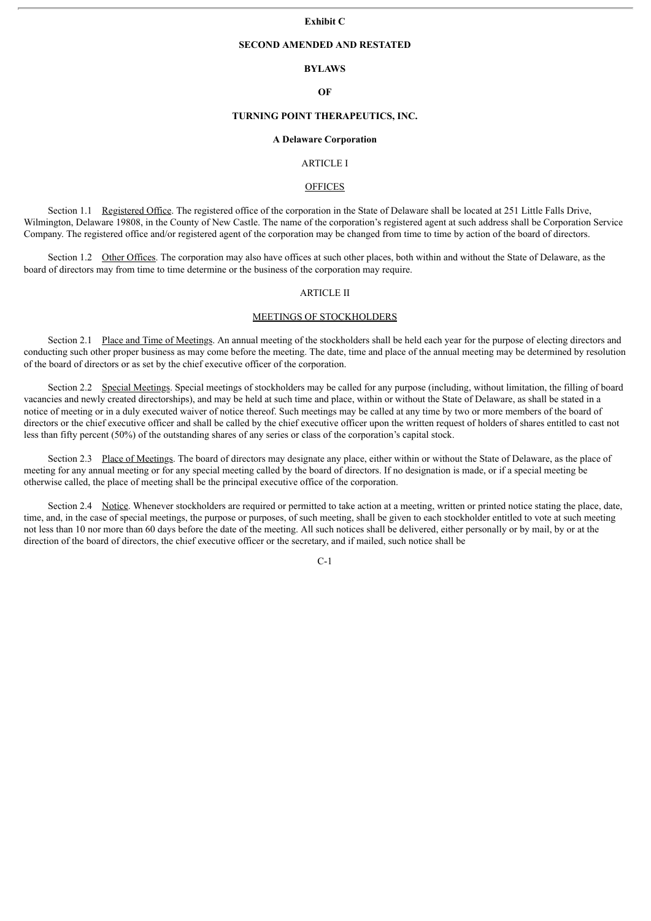#### **Exhibit C**

### **SECOND AMENDED AND RESTATED**

### **BYLAWS**

## **OF**

## **TURNING POINT THERAPEUTICS, INC.**

#### **A Delaware Corporation**

## ARTICLE I

## **OFFICES**

Section 1.1 Registered Office. The registered office of the corporation in the State of Delaware shall be located at 251 Little Falls Drive, Wilmington, Delaware 19808, in the County of New Castle. The name of the corporation's registered agent at such address shall be Corporation Service Company. The registered office and/or registered agent of the corporation may be changed from time to time by action of the board of directors.

Section 1.2 Other Offices. The corporation may also have offices at such other places, both within and without the State of Delaware, as the board of directors may from time to time determine or the business of the corporation may require.

## ARTICLE II

## MEETINGS OF STOCKHOLDERS

Section 2.1 Place and Time of Meetings. An annual meeting of the stockholders shall be held each year for the purpose of electing directors and conducting such other proper business as may come before the meeting. The date, time and place of the annual meeting may be determined by resolution of the board of directors or as set by the chief executive officer of the corporation.

Section 2.2 Special Meetings. Special meetings of stockholders may be called for any purpose (including, without limitation, the filling of board vacancies and newly created directorships), and may be held at such time and place, within or without the State of Delaware, as shall be stated in a notice of meeting or in a duly executed waiver of notice thereof. Such meetings may be called at any time by two or more members of the board of directors or the chief executive officer and shall be called by the chief executive officer upon the written request of holders of shares entitled to cast not less than fifty percent (50%) of the outstanding shares of any series or class of the corporation's capital stock.

Section 2.3 Place of Meetings. The board of directors may designate any place, either within or without the State of Delaware, as the place of meeting for any annual meeting or for any special meeting called by the board of directors. If no designation is made, or if a special meeting be otherwise called, the place of meeting shall be the principal executive office of the corporation.

Section 2.4 Notice. Whenever stockholders are required or permitted to take action at a meeting, written or printed notice stating the place, date, time, and, in the case of special meetings, the purpose or purposes, of such meeting, shall be given to each stockholder entitled to vote at such meeting not less than 10 nor more than 60 days before the date of the meeting. All such notices shall be delivered, either personally or by mail, by or at the direction of the board of directors, the chief executive officer or the secretary, and if mailed, such notice shall be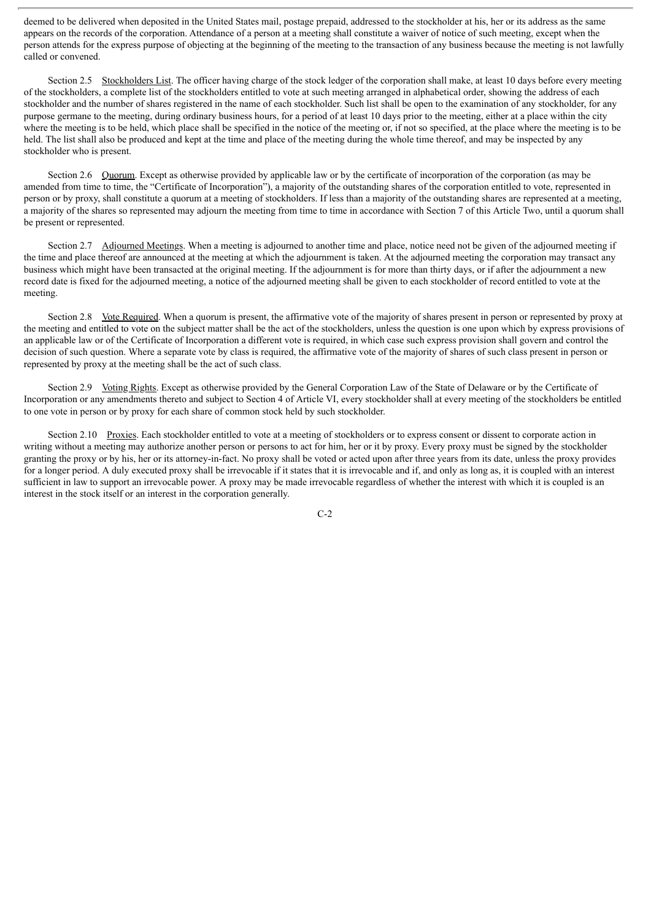deemed to be delivered when deposited in the United States mail, postage prepaid, addressed to the stockholder at his, her or its address as the same appears on the records of the corporation. Attendance of a person at a meeting shall constitute a waiver of notice of such meeting, except when the person attends for the express purpose of objecting at the beginning of the meeting to the transaction of any business because the meeting is not lawfully called or convened.

Section 2.5 Stockholders List. The officer having charge of the stock ledger of the corporation shall make, at least 10 days before every meeting of the stockholders, a complete list of the stockholders entitled to vote at such meeting arranged in alphabetical order, showing the address of each stockholder and the number of shares registered in the name of each stockholder. Such list shall be open to the examination of any stockholder, for any purpose germane to the meeting, during ordinary business hours, for a period of at least 10 days prior to the meeting, either at a place within the city where the meeting is to be held, which place shall be specified in the notice of the meeting or, if not so specified, at the place where the meeting is to be held. The list shall also be produced and kept at the time and place of the meeting during the whole time thereof, and may be inspected by any stockholder who is present.

Section 2.6 Quorum. Except as otherwise provided by applicable law or by the certificate of incorporation of the corporation (as may be amended from time to time, the "Certificate of Incorporation"), a majority of the outstanding shares of the corporation entitled to vote, represented in person or by proxy, shall constitute a quorum at a meeting of stockholders. If less than a majority of the outstanding shares are represented at a meeting, a majority of the shares so represented may adjourn the meeting from time to time in accordance with Section 7 of this Article Two, until a quorum shall be present or represented.

Section 2.7 Adjourned Meetings. When a meeting is adjourned to another time and place, notice need not be given of the adjourned meeting if the time and place thereof are announced at the meeting at which the adjournment is taken. At the adjourned meeting the corporation may transact any business which might have been transacted at the original meeting. If the adjournment is for more than thirty days, or if after the adjournment a new record date is fixed for the adjourned meeting, a notice of the adjourned meeting shall be given to each stockholder of record entitled to vote at the meeting.

Section 2.8 Vote Required. When a quorum is present, the affirmative vote of the majority of shares present in person or represented by proxy at the meeting and entitled to vote on the subject matter shall be the act of the stockholders, unless the question is one upon which by express provisions of an applicable law or of the Certificate of Incorporation a different vote is required, in which case such express provision shall govern and control the decision of such question. Where a separate vote by class is required, the affirmative vote of the majority of shares of such class present in person or represented by proxy at the meeting shall be the act of such class.

Section 2.9 Voting Rights. Except as otherwise provided by the General Corporation Law of the State of Delaware or by the Certificate of Incorporation or any amendments thereto and subject to Section 4 of Article VI, every stockholder shall at every meeting of the stockholders be entitled to one vote in person or by proxy for each share of common stock held by such stockholder.

Section 2.10 Proxies. Each stockholder entitled to vote at a meeting of stockholders or to express consent or dissent to corporate action in writing without a meeting may authorize another person or persons to act for him, her or it by proxy. Every proxy must be signed by the stockholder granting the proxy or by his, her or its attorney-in-fact. No proxy shall be voted or acted upon after three years from its date, unless the proxy provides for a longer period. A duly executed proxy shall be irrevocable if it states that it is irrevocable and if, and only as long as, it is coupled with an interest sufficient in law to support an irrevocable power. A proxy may be made irrevocable regardless of whether the interest with which it is coupled is an interest in the stock itself or an interest in the corporation generally.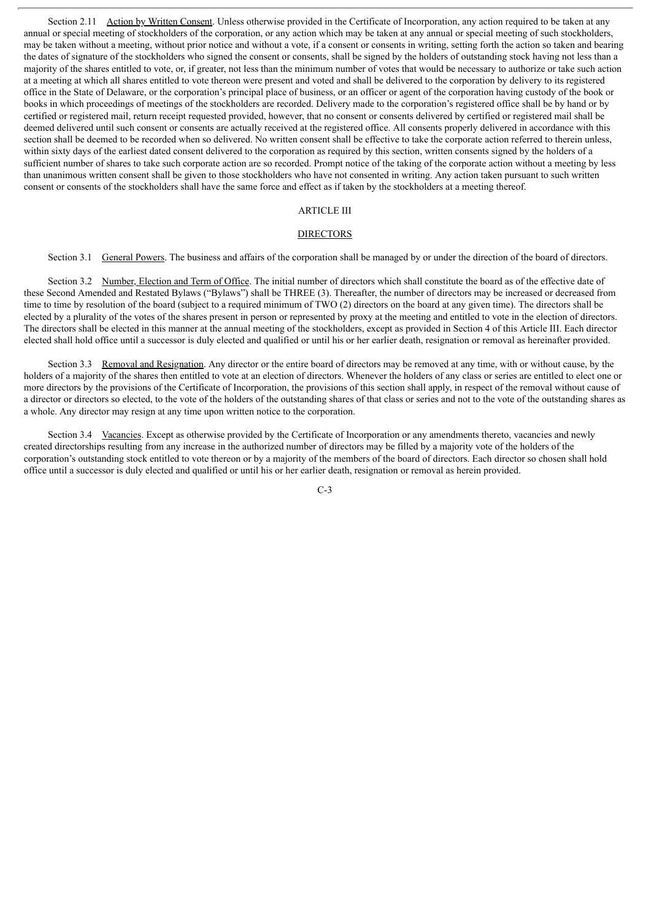Section 2.11 Action by Written Consent. Unless otherwise provided in the Certificate of Incorporation, any action required to be taken at any annual or special meeting of stockholders of the corporation, or any action which may be taken at any annual or special meeting of such stockholders, may be taken without a meeting, without prior notice and without a vote, if a consent or consents in writing, setting forth the action so taken and bearing the dates of signature of the stockholders who signed the consent or consents, shall be signed by the holders of outstanding stock having not less than a majority of the shares entitled to vote, or, if greater, not less than the minimum number of votes that would be necessary to authorize or take such action at a meeting at which all shares entitled to vote thereon were present and voted and shall be delivered to the corporation by delivery to its registered office in the State of Delaware, or the corporation's principal place of business, or an officer or agent of the corporation having custody of the book or books in which proceedings of meetings of the stockholders are recorded. Delivery made to the corporation's registered office shall be by hand or by certified or registered mail, return receipt requested provided, however, that no consent or consents delivered by certified or registered mail shall be deemed delivered until such consent or consents are actually received at the registered office. All consents properly delivered in accordance with this section shall be deemed to be recorded when so delivered. No written consent shall be effective to take the corporate action referred to therein unless, within sixty days of the earliest dated consent delivered to the corporation as required by this section, written consents signed by the holders of a sufficient number of shares to take such corporate action are so recorded. Prompt notice of the taking of the corporate action without a meeting by less than unanimous written consent shall be given to those stockholders who have not consented in writing. Any action taken pursuant to such written consent or consents of the stockholders shall have the same force and effect as if taken by the stockholders at a meeting thereof.

### ARTICLE III

#### DIRECTORS

Section 3.1 General Powers. The business and affairs of the corporation shall be managed by or under the direction of the board of directors.

Section 3.2 Number, Election and Term of Office. The initial number of directors which shall constitute the board as of the effective date of these Second Amended and Restated Bylaws ("Bylaws") shall be THREE (3). Thereafter, the number of directors may be increased or decreased from time to time by resolution of the board (subject to a required minimum of TWO (2) directors on the board at any given time). The directors shall be elected by a plurality of the votes of the shares present in person or represented by proxy at the meeting and entitled to vote in the election of directors. The directors shall be elected in this manner at the annual meeting of the stockholders, except as provided in Section 4 of this Article III. Each director elected shall hold office until a successor is duly elected and qualified or until his or her earlier death, resignation or removal as hereinafter provided.

Section 3.3 Removal and Resignation. Any director or the entire board of directors may be removed at any time, with or without cause, by the holders of a majority of the shares then entitled to vote at an election of directors. Whenever the holders of any class or series are entitled to elect one or more directors by the provisions of the Certificate of Incorporation, the provisions of this section shall apply, in respect of the removal without cause of a director or directors so elected, to the vote of the holders of the outstanding shares of that class or series and not to the vote of the outstanding shares as a whole. Any director may resign at any time upon written notice to the corporation.

Section 3.4 Vacancies. Except as otherwise provided by the Certificate of Incorporation or any amendments thereto, vacancies and newly created directorships resulting from any increase in the authorized number of directors may be filled by a majority vote of the holders of the corporation's outstanding stock entitled to vote thereon or by a majority of the members of the board of directors. Each director so chosen shall hold office until a successor is duly elected and qualified or until his or her earlier death, resignation or removal as herein provided.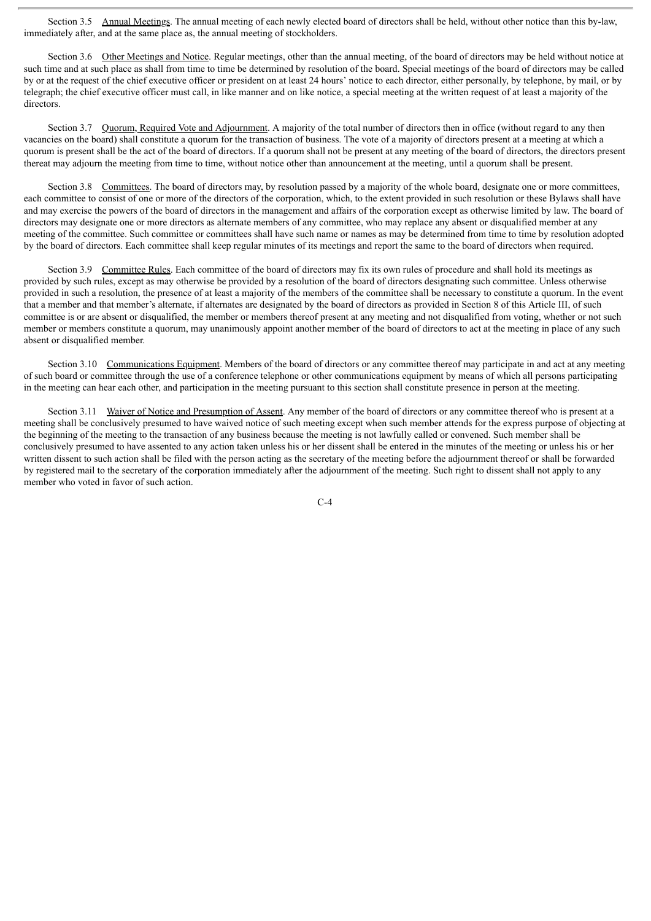Section 3.5 Annual Meetings. The annual meeting of each newly elected board of directors shall be held, without other notice than this by-law, immediately after, and at the same place as, the annual meeting of stockholders.

Section 3.6 Other Meetings and Notice. Regular meetings, other than the annual meeting, of the board of directors may be held without notice at such time and at such place as shall from time to time be determined by resolution of the board. Special meetings of the board of directors may be called by or at the request of the chief executive officer or president on at least 24 hours' notice to each director, either personally, by telephone, by mail, or by telegraph; the chief executive officer must call, in like manner and on like notice, a special meeting at the written request of at least a majority of the directors.

Section 3.7 Quorum, Required Vote and Adjournment. A majority of the total number of directors then in office (without regard to any then vacancies on the board) shall constitute a quorum for the transaction of business. The vote of a majority of directors present at a meeting at which a quorum is present shall be the act of the board of directors. If a quorum shall not be present at any meeting of the board of directors, the directors present thereat may adjourn the meeting from time to time, without notice other than announcement at the meeting, until a quorum shall be present.

Section 3.8 Committees. The board of directors may, by resolution passed by a majority of the whole board, designate one or more committees, each committee to consist of one or more of the directors of the corporation, which, to the extent provided in such resolution or these Bylaws shall have and may exercise the powers of the board of directors in the management and affairs of the corporation except as otherwise limited by law. The board of directors may designate one or more directors as alternate members of any committee, who may replace any absent or disqualified member at any meeting of the committee. Such committee or committees shall have such name or names as may be determined from time to time by resolution adopted by the board of directors. Each committee shall keep regular minutes of its meetings and report the same to the board of directors when required.

Section 3.9 Committee Rules. Each committee of the board of directors may fix its own rules of procedure and shall hold its meetings as provided by such rules, except as may otherwise be provided by a resolution of the board of directors designating such committee. Unless otherwise provided in such a resolution, the presence of at least a majority of the members of the committee shall be necessary to constitute a quorum. In the event that a member and that member's alternate, if alternates are designated by the board of directors as provided in Section 8 of this Article III, of such committee is or are absent or disqualified, the member or members thereof present at any meeting and not disqualified from voting, whether or not such member or members constitute a quorum, may unanimously appoint another member of the board of directors to act at the meeting in place of any such absent or disqualified member.

Section 3.10 Communications Equipment. Members of the board of directors or any committee thereof may participate in and act at any meeting of such board or committee through the use of a conference telephone or other communications equipment by means of which all persons participating in the meeting can hear each other, and participation in the meeting pursuant to this section shall constitute presence in person at the meeting.

Section 3.11 Waiver of Notice and Presumption of Assent. Any member of the board of directors or any committee thereof who is present at a meeting shall be conclusively presumed to have waived notice of such meeting except when such member attends for the express purpose of objecting at the beginning of the meeting to the transaction of any business because the meeting is not lawfully called or convened. Such member shall be conclusively presumed to have assented to any action taken unless his or her dissent shall be entered in the minutes of the meeting or unless his or her written dissent to such action shall be filed with the person acting as the secretary of the meeting before the adjournment thereof or shall be forwarded by registered mail to the secretary of the corporation immediately after the adjournment of the meeting. Such right to dissent shall not apply to any member who voted in favor of such action.

 $C_{-4}$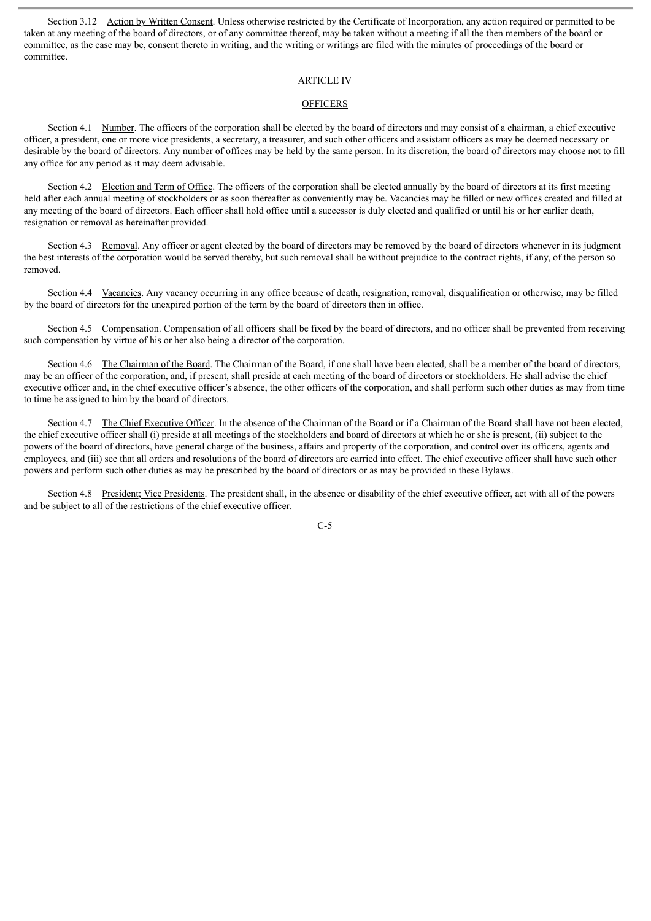Section 3.12 Action by Written Consent. Unless otherwise restricted by the Certificate of Incorporation, any action required or permitted to be taken at any meeting of the board of directors, or of any committee thereof, may be taken without a meeting if all the then members of the board or committee, as the case may be, consent thereto in writing, and the writing or writings are filed with the minutes of proceedings of the board or committee.

# ARTICLE IV

#### **OFFICERS**

Section 4.1 Number. The officers of the corporation shall be elected by the board of directors and may consist of a chairman, a chief executive officer, a president, one or more vice presidents, a secretary, a treasurer, and such other officers and assistant officers as may be deemed necessary or desirable by the board of directors. Any number of offices may be held by the same person. In its discretion, the board of directors may choose not to fill any office for any period as it may deem advisable.

Section 4.2 Election and Term of Office. The officers of the corporation shall be elected annually by the board of directors at its first meeting held after each annual meeting of stockholders or as soon thereafter as conveniently may be. Vacancies may be filled or new offices created and filled at any meeting of the board of directors. Each officer shall hold office until a successor is duly elected and qualified or until his or her earlier death, resignation or removal as hereinafter provided.

Section 4.3 Removal. Any officer or agent elected by the board of directors may be removed by the board of directors whenever in its judgment the best interests of the corporation would be served thereby, but such removal shall be without prejudice to the contract rights, if any, of the person so removed.

Section 4.4 Vacancies. Any vacancy occurring in any office because of death, resignation, removal, disqualification or otherwise, may be filled by the board of directors for the unexpired portion of the term by the board of directors then in office.

Section 4.5 Compensation. Compensation of all officers shall be fixed by the board of directors, and no officer shall be prevented from receiving such compensation by virtue of his or her also being a director of the corporation.

Section 4.6 The Chairman of the Board. The Chairman of the Board, if one shall have been elected, shall be a member of the board of directors, may be an officer of the corporation, and, if present, shall preside at each meeting of the board of directors or stockholders. He shall advise the chief executive officer and, in the chief executive officer's absence, the other officers of the corporation, and shall perform such other duties as may from time to time be assigned to him by the board of directors.

Section 4.7 The Chief Executive Officer. In the absence of the Chairman of the Board or if a Chairman of the Board shall have not been elected, the chief executive officer shall (i) preside at all meetings of the stockholders and board of directors at which he or she is present, (ii) subject to the powers of the board of directors, have general charge of the business, affairs and property of the corporation, and control over its officers, agents and employees, and (iii) see that all orders and resolutions of the board of directors are carried into effect. The chief executive officer shall have such other powers and perform such other duties as may be prescribed by the board of directors or as may be provided in these Bylaws.

Section 4.8 President; Vice Presidents. The president shall, in the absence or disability of the chief executive officer, act with all of the powers and be subject to all of the restrictions of the chief executive officer.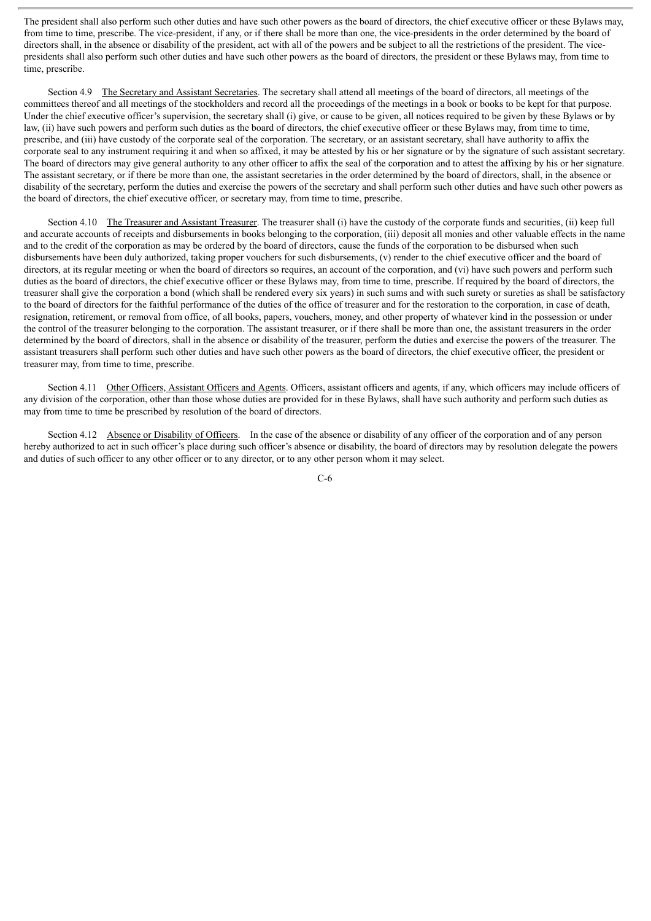The president shall also perform such other duties and have such other powers as the board of directors, the chief executive officer or these Bylaws may, from time to time, prescribe. The vice-president, if any, or if there shall be more than one, the vice-presidents in the order determined by the board of directors shall, in the absence or disability of the president, act with all of the powers and be subject to all the restrictions of the president. The vicepresidents shall also perform such other duties and have such other powers as the board of directors, the president or these Bylaws may, from time to time, prescribe.

Section 4.9 The Secretary and Assistant Secretaries. The secretary shall attend all meetings of the board of directors, all meetings of the committees thereof and all meetings of the stockholders and record all the proceedings of the meetings in a book or books to be kept for that purpose. Under the chief executive officer's supervision, the secretary shall (i) give, or cause to be given, all notices required to be given by these Bylaws or by law, (ii) have such powers and perform such duties as the board of directors, the chief executive officer or these Bylaws may, from time to time, prescribe, and (iii) have custody of the corporate seal of the corporation. The secretary, or an assistant secretary, shall have authority to affix the corporate seal to any instrument requiring it and when so affixed, it may be attested by his or her signature or by the signature of such assistant secretary. The board of directors may give general authority to any other officer to affix the seal of the corporation and to attest the affixing by his or her signature. The assistant secretary, or if there be more than one, the assistant secretaries in the order determined by the board of directors, shall, in the absence or disability of the secretary, perform the duties and exercise the powers of the secretary and shall perform such other duties and have such other powers as the board of directors, the chief executive officer, or secretary may, from time to time, prescribe.

Section 4.10 The Treasurer and Assistant Treasurer. The treasurer shall (i) have the custody of the corporate funds and securities, (ii) keep full and accurate accounts of receipts and disbursements in books belonging to the corporation, (iii) deposit all monies and other valuable effects in the name and to the credit of the corporation as may be ordered by the board of directors, cause the funds of the corporation to be disbursed when such disbursements have been duly authorized, taking proper vouchers for such disbursements, (v) render to the chief executive officer and the board of directors, at its regular meeting or when the board of directors so requires, an account of the corporation, and (vi) have such powers and perform such duties as the board of directors, the chief executive officer or these Bylaws may, from time to time, prescribe. If required by the board of directors, the treasurer shall give the corporation a bond (which shall be rendered every six years) in such sums and with such surety or sureties as shall be satisfactory to the board of directors for the faithful performance of the duties of the office of treasurer and for the restoration to the corporation, in case of death, resignation, retirement, or removal from office, of all books, papers, vouchers, money, and other property of whatever kind in the possession or under the control of the treasurer belonging to the corporation. The assistant treasurer, or if there shall be more than one, the assistant treasurers in the order determined by the board of directors, shall in the absence or disability of the treasurer, perform the duties and exercise the powers of the treasurer. The assistant treasurers shall perform such other duties and have such other powers as the board of directors, the chief executive officer, the president or treasurer may, from time to time, prescribe.

Section 4.11 Other Officers, Assistant Officers and Agents. Officers, assistant officers and agents, if any, which officers may include officers of any division of the corporation, other than those whose duties are provided for in these Bylaws, shall have such authority and perform such duties as may from time to time be prescribed by resolution of the board of directors.

Section 4.12 Absence or Disability of Officers. In the case of the absence or disability of any officer of the corporation and of any person hereby authorized to act in such officer's place during such officer's absence or disability, the board of directors may by resolution delegate the powers and duties of such officer to any other officer or to any director, or to any other person whom it may select.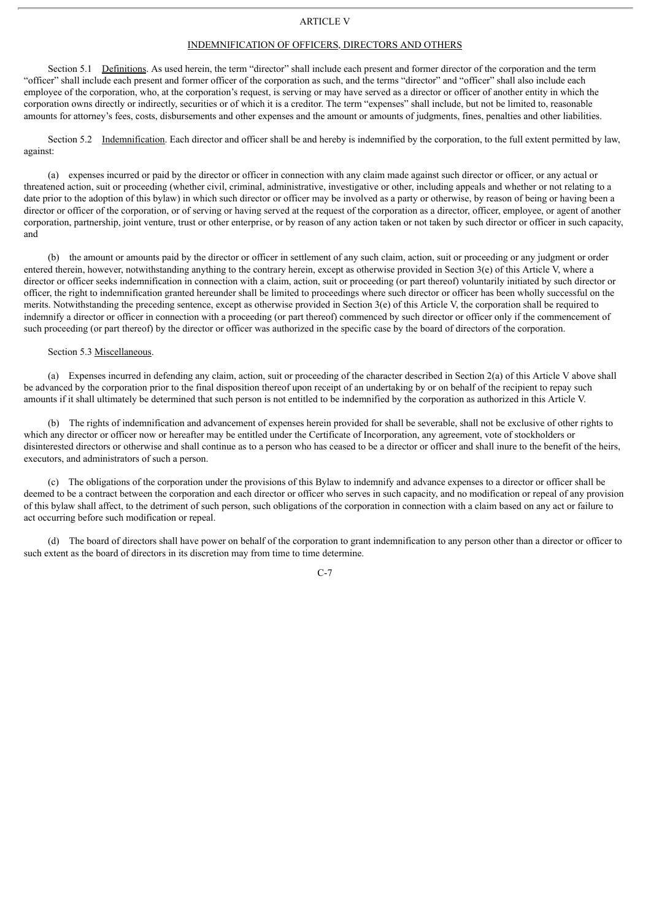## ARTICLE V

## INDEMNIFICATION OF OFFICERS, DIRECTORS AND OTHERS

Section 5.1 Definitions. As used herein, the term "director" shall include each present and former director of the corporation and the term "officer" shall include each present and former officer of the corporation as such, and the terms "director" and "officer" shall also include each employee of the corporation, who, at the corporation's request, is serving or may have served as a director or officer of another entity in which the corporation owns directly or indirectly, securities or of which it is a creditor. The term "expenses" shall include, but not be limited to, reasonable amounts for attorney's fees, costs, disbursements and other expenses and the amount or amounts of judgments, fines, penalties and other liabilities.

Section 5.2 Indemnification. Each director and officer shall be and hereby is indemnified by the corporation, to the full extent permitted by law, against:

(a) expenses incurred or paid by the director or officer in connection with any claim made against such director or officer, or any actual or threatened action, suit or proceeding (whether civil, criminal, administrative, investigative or other, including appeals and whether or not relating to a date prior to the adoption of this bylaw) in which such director or officer may be involved as a party or otherwise, by reason of being or having been a director or officer of the corporation, or of serving or having served at the request of the corporation as a director, officer, employee, or agent of another corporation, partnership, joint venture, trust or other enterprise, or by reason of any action taken or not taken by such director or officer in such capacity, and

(b) the amount or amounts paid by the director or officer in settlement of any such claim, action, suit or proceeding or any judgment or order entered therein, however, notwithstanding anything to the contrary herein, except as otherwise provided in Section 3(e) of this Article V, where a director or officer seeks indemnification in connection with a claim, action, suit or proceeding (or part thereof) voluntarily initiated by such director or officer, the right to indemnification granted hereunder shall be limited to proceedings where such director or officer has been wholly successful on the merits. Notwithstanding the preceding sentence, except as otherwise provided in Section  $3(e)$  of this Article V, the corporation shall be required to indemnify a director or officer in connection with a proceeding (or part thereof) commenced by such director or officer only if the commencement of such proceeding (or part thereof) by the director or officer was authorized in the specific case by the board of directors of the corporation.

### Section 5.3 Miscellaneous.

(a) Expenses incurred in defending any claim, action, suit or proceeding of the character described in Section 2(a) of this Article V above shall be advanced by the corporation prior to the final disposition thereof upon receipt of an undertaking by or on behalf of the recipient to repay such amounts if it shall ultimately be determined that such person is not entitled to be indemnified by the corporation as authorized in this Article V.

(b) The rights of indemnification and advancement of expenses herein provided for shall be severable, shall not be exclusive of other rights to which any director or officer now or hereafter may be entitled under the Certificate of Incorporation, any agreement, vote of stockholders or disinterested directors or otherwise and shall continue as to a person who has ceased to be a director or officer and shall inure to the benefit of the heirs, executors, and administrators of such a person.

(c) The obligations of the corporation under the provisions of this Bylaw to indemnify and advance expenses to a director or officer shall be deemed to be a contract between the corporation and each director or officer who serves in such capacity, and no modification or repeal of any provision of this bylaw shall affect, to the detriment of such person, such obligations of the corporation in connection with a claim based on any act or failure to act occurring before such modification or repeal.

(d) The board of directors shall have power on behalf of the corporation to grant indemnification to any person other than a director or officer to such extent as the board of directors in its discretion may from time to time determine.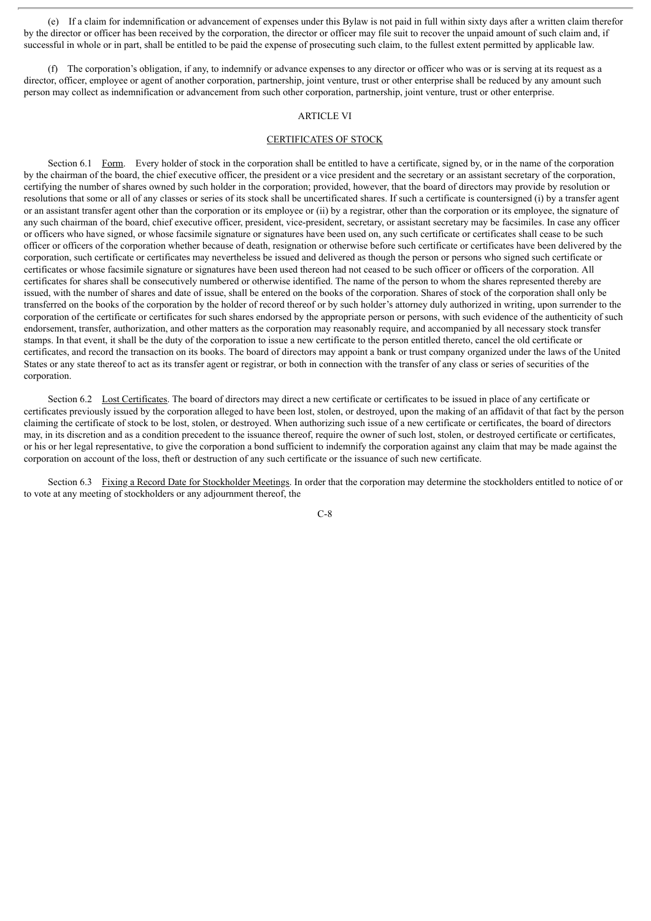(e) If a claim for indemnification or advancement of expenses under this Bylaw is not paid in full within sixty days after a written claim therefor by the director or officer has been received by the corporation, the director or officer may file suit to recover the unpaid amount of such claim and, if successful in whole or in part, shall be entitled to be paid the expense of prosecuting such claim, to the fullest extent permitted by applicable law.

(f) The corporation's obligation, if any, to indemnify or advance expenses to any director or officer who was or is serving at its request as a director, officer, employee or agent of another corporation, partnership, joint venture, trust or other enterprise shall be reduced by any amount such person may collect as indemnification or advancement from such other corporation, partnership, joint venture, trust or other enterprise.

## ARTICLE VI

# CERTIFICATES OF STOCK

Section 6.1 Form. Every holder of stock in the corporation shall be entitled to have a certificate, signed by, or in the name of the corporation by the chairman of the board, the chief executive officer, the president or a vice president and the secretary or an assistant secretary of the corporation, certifying the number of shares owned by such holder in the corporation; provided, however, that the board of directors may provide by resolution or resolutions that some or all of any classes or series of its stock shall be uncertificated shares. If such a certificate is countersigned (i) by a transfer agent or an assistant transfer agent other than the corporation or its employee or (ii) by a registrar, other than the corporation or its employee, the signature of any such chairman of the board, chief executive officer, president, vice-president, secretary, or assistant secretary may be facsimiles. In case any officer or officers who have signed, or whose facsimile signature or signatures have been used on, any such certificate or certificates shall cease to be such officer or officers of the corporation whether because of death, resignation or otherwise before such certificate or certificates have been delivered by the corporation, such certificate or certificates may nevertheless be issued and delivered as though the person or persons who signed such certificate or certificates or whose facsimile signature or signatures have been used thereon had not ceased to be such officer or officers of the corporation. All certificates for shares shall be consecutively numbered or otherwise identified. The name of the person to whom the shares represented thereby are issued, with the number of shares and date of issue, shall be entered on the books of the corporation. Shares of stock of the corporation shall only be transferred on the books of the corporation by the holder of record thereof or by such holder's attorney duly authorized in writing, upon surrender to the corporation of the certificate or certificates for such shares endorsed by the appropriate person or persons, with such evidence of the authenticity of such endorsement, transfer, authorization, and other matters as the corporation may reasonably require, and accompanied by all necessary stock transfer stamps. In that event, it shall be the duty of the corporation to issue a new certificate to the person entitled thereto, cancel the old certificate or certificates, and record the transaction on its books. The board of directors may appoint a bank or trust company organized under the laws of the United States or any state thereof to act as its transfer agent or registrar, or both in connection with the transfer of any class or series of securities of the corporation.

Section 6.2 Lost Certificates. The board of directors may direct a new certificate or certificates to be issued in place of any certificate or certificates previously issued by the corporation alleged to have been lost, stolen, or destroyed, upon the making of an affidavit of that fact by the person claiming the certificate of stock to be lost, stolen, or destroyed. When authorizing such issue of a new certificate or certificates, the board of directors may, in its discretion and as a condition precedent to the issuance thereof, require the owner of such lost, stolen, or destroyed certificate or certificates, or his or her legal representative, to give the corporation a bond sufficient to indemnify the corporation against any claim that may be made against the corporation on account of the loss, theft or destruction of any such certificate or the issuance of such new certificate.

Section 6.3 Fixing a Record Date for Stockholder Meetings. In order that the corporation may determine the stockholders entitled to notice of or to vote at any meeting of stockholders or any adjournment thereof, the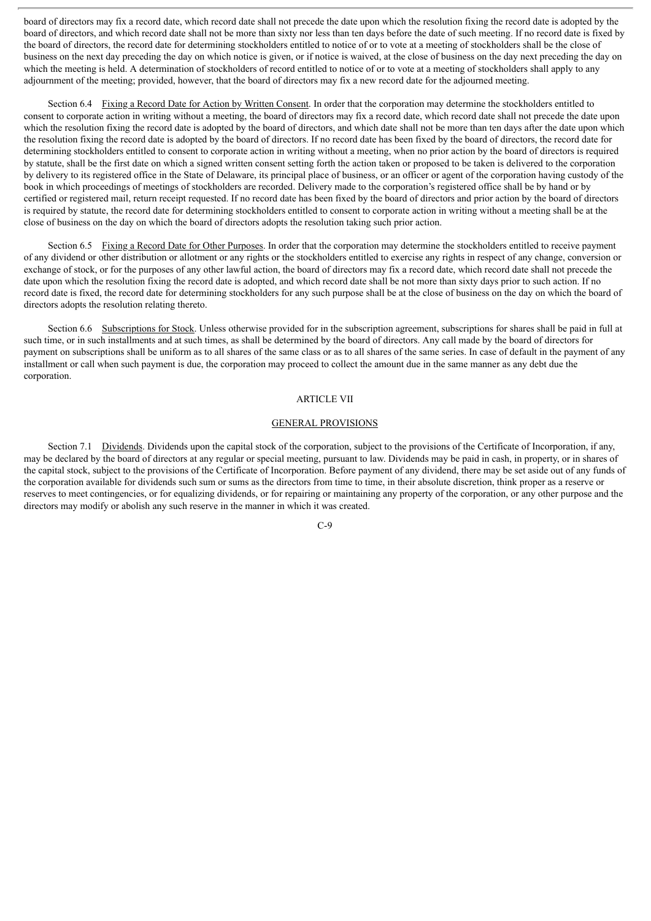board of directors may fix a record date, which record date shall not precede the date upon which the resolution fixing the record date is adopted by the board of directors, and which record date shall not be more than sixty nor less than ten days before the date of such meeting. If no record date is fixed by the board of directors, the record date for determining stockholders entitled to notice of or to vote at a meeting of stockholders shall be the close of business on the next day preceding the day on which notice is given, or if notice is waived, at the close of business on the day next preceding the day on which the meeting is held. A determination of stockholders of record entitled to notice of or to vote at a meeting of stockholders shall apply to any adjournment of the meeting; provided, however, that the board of directors may fix a new record date for the adjourned meeting.

Section 6.4 Fixing a Record Date for Action by Written Consent. In order that the corporation may determine the stockholders entitled to consent to corporate action in writing without a meeting, the board of directors may fix a record date, which record date shall not precede the date upon which the resolution fixing the record date is adopted by the board of directors, and which date shall not be more than ten days after the date upon which the resolution fixing the record date is adopted by the board of directors. If no record date has been fixed by the board of directors, the record date for determining stockholders entitled to consent to corporate action in writing without a meeting, when no prior action by the board of directors is required by statute, shall be the first date on which a signed written consent setting forth the action taken or proposed to be taken is delivered to the corporation by delivery to its registered office in the State of Delaware, its principal place of business, or an officer or agent of the corporation having custody of the book in which proceedings of meetings of stockholders are recorded. Delivery made to the corporation's registered office shall be by hand or by certified or registered mail, return receipt requested. If no record date has been fixed by the board of directors and prior action by the board of directors is required by statute, the record date for determining stockholders entitled to consent to corporate action in writing without a meeting shall be at the close of business on the day on which the board of directors adopts the resolution taking such prior action.

Section 6.5 Fixing a Record Date for Other Purposes. In order that the corporation may determine the stockholders entitled to receive payment of any dividend or other distribution or allotment or any rights or the stockholders entitled to exercise any rights in respect of any change, conversion or exchange of stock, or for the purposes of any other lawful action, the board of directors may fix a record date, which record date shall not precede the date upon which the resolution fixing the record date is adopted, and which record date shall be not more than sixty days prior to such action. If no record date is fixed, the record date for determining stockholders for any such purpose shall be at the close of business on the day on which the board of directors adopts the resolution relating thereto.

Section 6.6 Subscriptions for Stock. Unless otherwise provided for in the subscription agreement, subscriptions for shares shall be paid in full at such time, or in such installments and at such times, as shall be determined by the board of directors. Any call made by the board of directors for payment on subscriptions shall be uniform as to all shares of the same class or as to all shares of the same series. In case of default in the payment of any installment or call when such payment is due, the corporation may proceed to collect the amount due in the same manner as any debt due the corporation.

### ARTICLE VII

#### GENERAL PROVISIONS

Section 7.1 Dividends. Dividends upon the capital stock of the corporation, subject to the provisions of the Certificate of Incorporation, if any, may be declared by the board of directors at any regular or special meeting, pursuant to law. Dividends may be paid in cash, in property, or in shares of the capital stock, subject to the provisions of the Certificate of Incorporation. Before payment of any dividend, there may be set aside out of any funds of the corporation available for dividends such sum or sums as the directors from time to time, in their absolute discretion, think proper as a reserve or reserves to meet contingencies, or for equalizing dividends, or for repairing or maintaining any property of the corporation, or any other purpose and the directors may modify or abolish any such reserve in the manner in which it was created.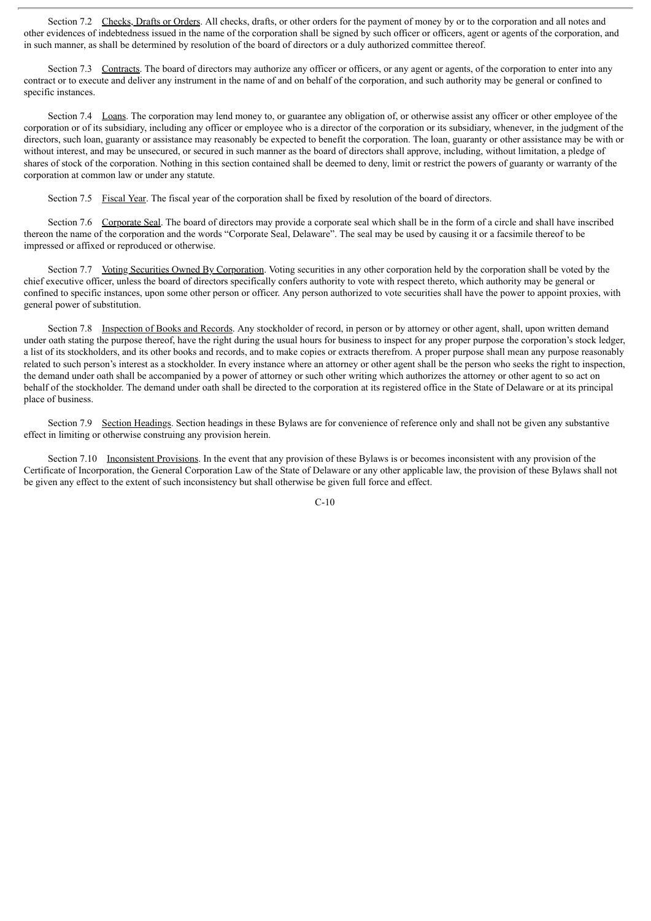Section 7.2 Checks, Drafts or Orders. All checks, drafts, or other orders for the payment of money by or to the corporation and all notes and other evidences of indebtedness issued in the name of the corporation shall be signed by such officer or officers, agent or agents of the corporation, and in such manner, as shall be determined by resolution of the board of directors or a duly authorized committee thereof.

Section 7.3 Contracts. The board of directors may authorize any officer or officers, or any agent or agents, of the corporation to enter into any contract or to execute and deliver any instrument in the name of and on behalf of the corporation, and such authority may be general or confined to specific instances.

Section 7.4 Loans. The corporation may lend money to, or guarantee any obligation of, or otherwise assist any officer or other employee of the corporation or of its subsidiary, including any officer or employee who is a director of the corporation or its subsidiary, whenever, in the judgment of the directors, such loan, guaranty or assistance may reasonably be expected to benefit the corporation. The loan, guaranty or other assistance may be with or without interest, and may be unsecured, or secured in such manner as the board of directors shall approve, including, without limitation, a pledge of shares of stock of the corporation. Nothing in this section contained shall be deemed to deny, limit or restrict the powers of guaranty or warranty of the corporation at common law or under any statute.

Section 7.5 Fiscal Year. The fiscal year of the corporation shall be fixed by resolution of the board of directors.

Section 7.6 Corporate Seal. The board of directors may provide a corporate seal which shall be in the form of a circle and shall have inscribed thereon the name of the corporation and the words "Corporate Seal, Delaware". The seal may be used by causing it or a facsimile thereof to be impressed or affixed or reproduced or otherwise.

Section 7.7 Voting Securities Owned By Corporation. Voting securities in any other corporation held by the corporation shall be voted by the chief executive officer, unless the board of directors specifically confers authority to vote with respect thereto, which authority may be general or confined to specific instances, upon some other person or officer. Any person authorized to vote securities shall have the power to appoint proxies, with general power of substitution.

Section 7.8 Inspection of Books and Records. Any stockholder of record, in person or by attorney or other agent, shall, upon written demand under oath stating the purpose thereof, have the right during the usual hours for business to inspect for any proper purpose the corporation's stock ledger, a list of its stockholders, and its other books and records, and to make copies or extracts therefrom. A proper purpose shall mean any purpose reasonably related to such person's interest as a stockholder. In every instance where an attorney or other agent shall be the person who seeks the right to inspection, the demand under oath shall be accompanied by a power of attorney or such other writing which authorizes the attorney or other agent to so act on behalf of the stockholder. The demand under oath shall be directed to the corporation at its registered office in the State of Delaware or at its principal place of business.

Section 7.9 Section Headings. Section headings in these Bylaws are for convenience of reference only and shall not be given any substantive effect in limiting or otherwise construing any provision herein.

Section 7.10 Inconsistent Provisions. In the event that any provision of these Bylaws is or becomes inconsistent with any provision of the Certificate of Incorporation, the General Corporation Law of the State of Delaware or any other applicable law, the provision of these Bylaws shall not be given any effect to the extent of such inconsistency but shall otherwise be given full force and effect.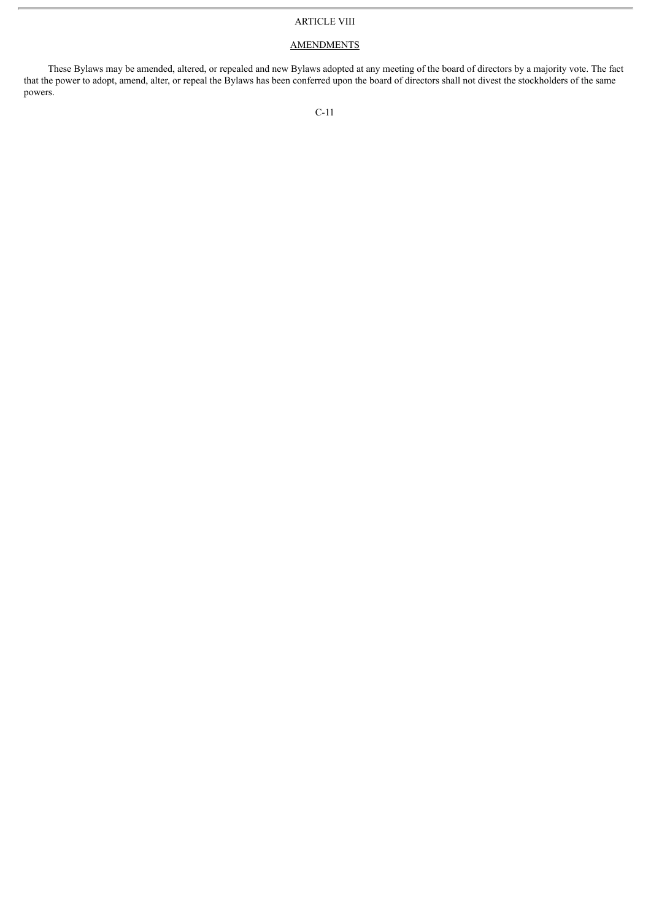# **AMENDMENTS**

These Bylaws may be amended, altered, or repealed and new Bylaws adopted at any meeting of the board of directors by a majority vote. The fact that the power to adopt, amend, alter, or repeal the Bylaws has been conferred upon the board of directors shall not divest the stockholders of the same powers.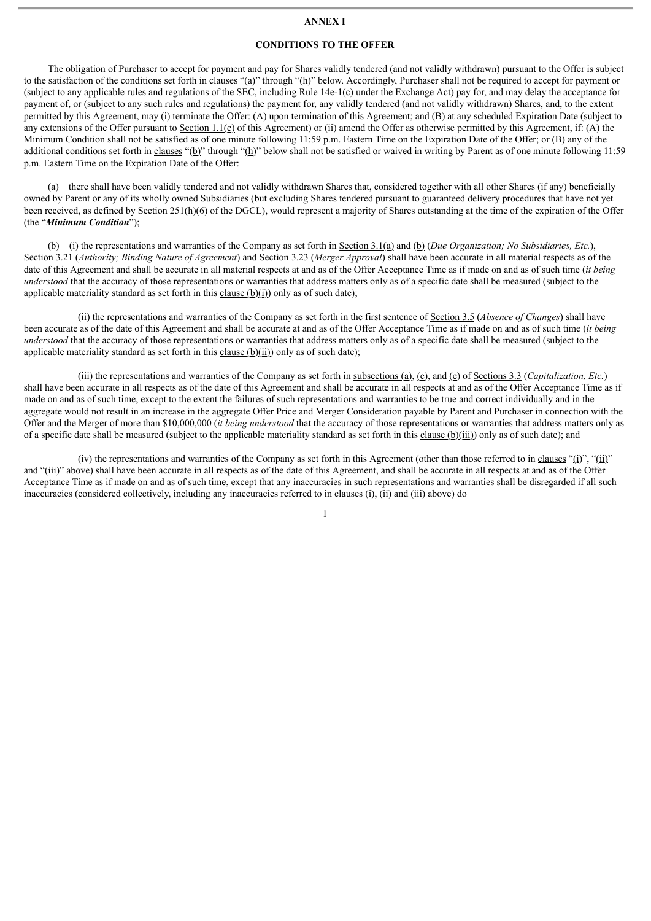## **ANNEX I**

## **CONDITIONS TO THE OFFER**

The obligation of Purchaser to accept for payment and pay for Shares validly tendered (and not validly withdrawn) pursuant to the Offer is subject to the satisfaction of the conditions set forth in clauses "(a)" through "(h)" below. Accordingly, Purchaser shall not be required to accept for payment or (subject to any applicable rules and regulations of the SEC, including Rule 14e-1(c) under the Exchange Act) pay for, and may delay the acceptance for payment of, or (subject to any such rules and regulations) the payment for, any validly tendered (and not validly withdrawn) Shares, and, to the extent permitted by this Agreement, may (i) terminate the Offer: (A) upon termination of this Agreement; and (B) at any scheduled Expiration Date (subject to any extensions of the Offer pursuant to Section 1.1(c) of this Agreement) or (ii) amend the Offer as otherwise permitted by this Agreement, if: (A) the Minimum Condition shall not be satisfied as of one minute following 11:59 p.m. Eastern Time on the Expiration Date of the Offer; or (B) any of the additional conditions set forth in clauses "(b)" through "(h)" below shall not be satisfied or waived in writing by Parent as of one minute following 11:59 p.m. Eastern Time on the Expiration Date of the Offer:

(a) there shall have been validly tendered and not validly withdrawn Shares that, considered together with all other Shares (if any) beneficially owned by Parent or any of its wholly owned Subsidiaries (but excluding Shares tendered pursuant to guaranteed delivery procedures that have not yet been received, as defined by Section 251(h)(6) of the DGCL), would represent a majority of Shares outstanding at the time of the expiration of the Offer (the "*Minimum Condition*");

(b) (i) the representations and warranties of the Company as set forth in Section 3.1(a) and (b) (*Due Organization; No Subsidiaries, Etc.*), Section 3.21 (*Authority; Binding Nature of Agreement*) and Section 3.23 (*Merger Approval*) shall have been accurate in all material respects as of the date of this Agreement and shall be accurate in all material respects at and as of the Offer Acceptance Time as if made on and as of such time (*it being understood* that the accuracy of those representations or warranties that address matters only as of a specific date shall be measured (subject to the applicable materiality standard as set forth in this clause  $(b)(i)$  only as of such date);

(ii) the representations and warranties of the Company as set forth in the first sentence of Section 3.5 (*Absence of Changes*) shall have been accurate as of the date of this Agreement and shall be accurate at and as of the Offer Acceptance Time as if made on and as of such time (*it being understood* that the accuracy of those representations or warranties that address matters only as of a specific date shall be measured (subject to the applicable materiality standard as set forth in this clause  $(b)(ii)$  only as of such date);

(iii) the representations and warranties of the Company as set forth in subsections (a), (c), and (e) of Sections 3.3 (*Capitalization, Etc.*) shall have been accurate in all respects as of the date of this Agreement and shall be accurate in all respects at and as of the Offer Acceptance Time as if made on and as of such time, except to the extent the failures of such representations and warranties to be true and correct individually and in the aggregate would not result in an increase in the aggregate Offer Price and Merger Consideration payable by Parent and Purchaser in connection with the Offer and the Merger of more than \$10,000,000 (*it being understood* that the accuracy of those representations or warranties that address matters only as of a specific date shall be measured (subject to the applicable materiality standard as set forth in this clause  $(b)(iii)$ ) only as of such date); and

(iv) the representations and warranties of the Company as set forth in this Agreement (other than those referred to in clauses "(i)", "(ii)" and "(iii)" above) shall have been accurate in all respects as of the date of this Agreement, and shall be accurate in all respects at and as of the Offer Acceptance Time as if made on and as of such time, except that any inaccuracies in such representations and warranties shall be disregarded if all such inaccuracies (considered collectively, including any inaccuracies referred to in clauses (i), (ii) and (iii) above) do

1